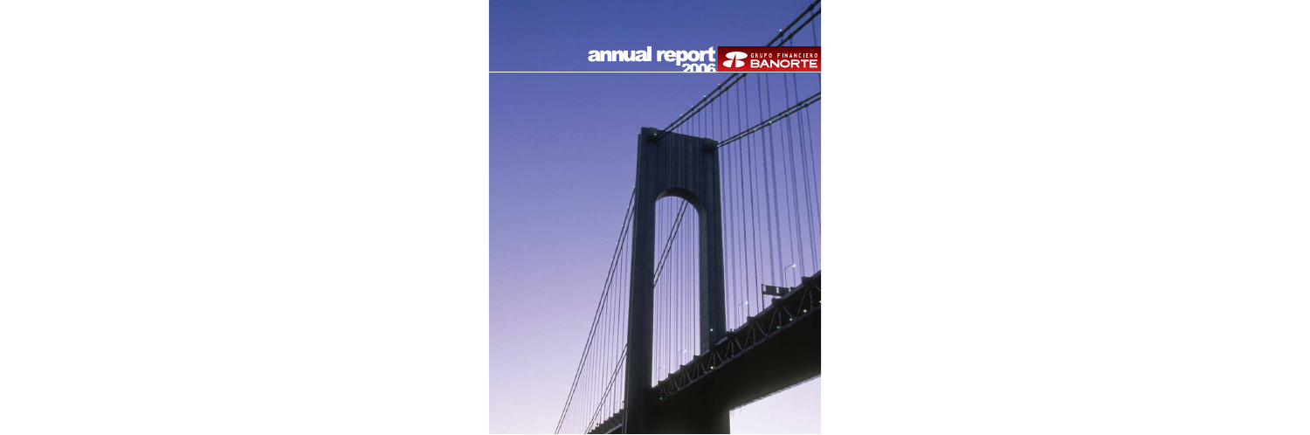# annual report & SANORTE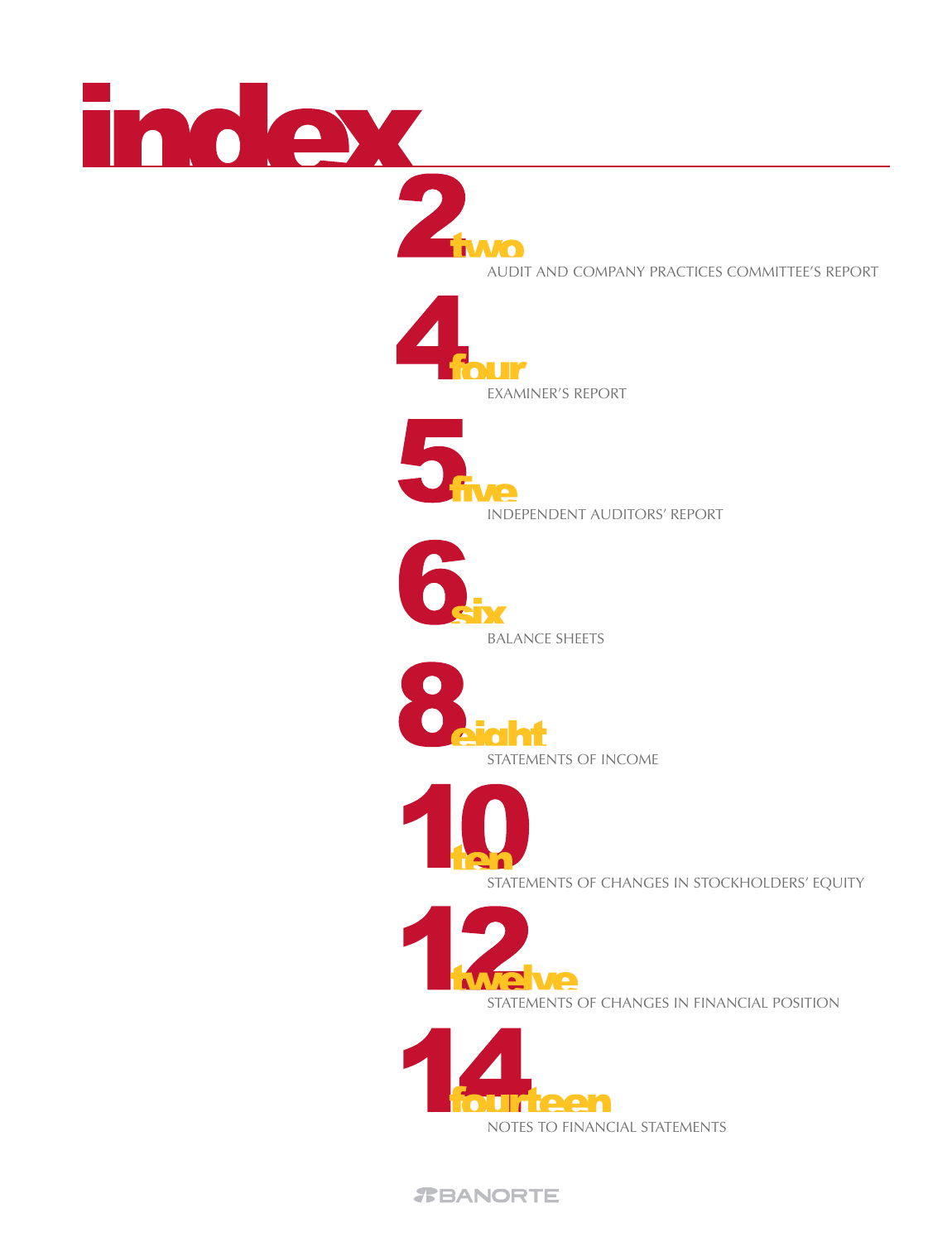



**AUDIT AND COMPANY PRACTICES COMMITTEE'S REPORT** 





INDEPENDENT AUDITORS' REPORT





BALANCE SHEETS



STATEMENTS OF CHANGES IN STOCKHOLDERS' EQUITY



STATEMENTS OF CHANGES IN FINANCIAL POSITION

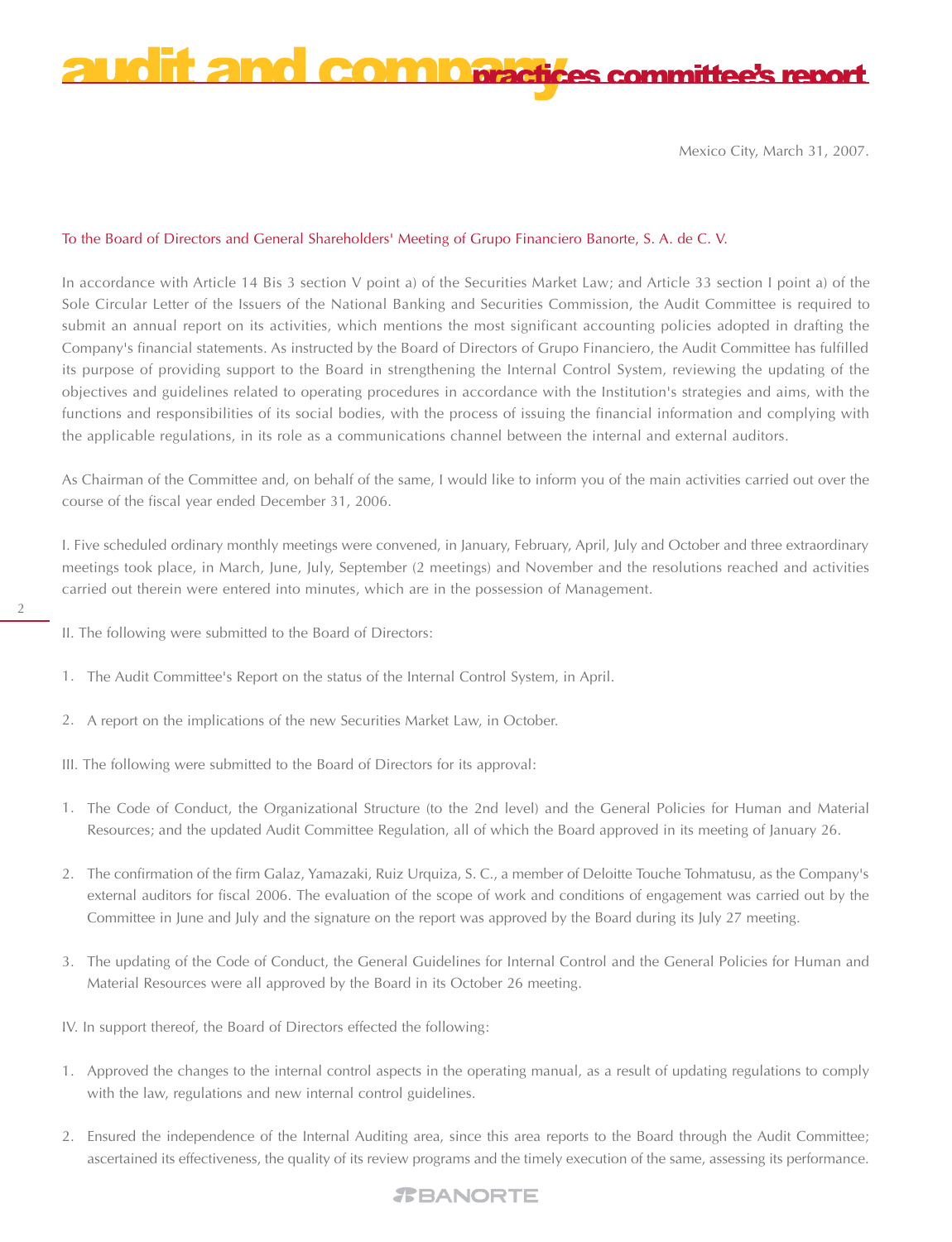

Mexico City, March 31, 2007.

# To the Board of Directors and General Shareholders' Meeting of Grupo Financiero Banorte, S. A. de C. V.

In accordance with Article 14 Bis 3 section V point a) of the Securities Market Law; and Article 33 section I point a) of the Sole Circular Letter of the Issuers of the National Banking and Securities Commission, the Audit Committee is required to submit an annual report on its activities, which mentions the most significant accounting policies adopted in drafting the Company's financial statements. As instructed by the Board of Directors of Grupo Financiero, the Audit Committee has fulfilled its purpose of providing support to the Board in strengthening the Internal Control System, reviewing the updating of the objectives and guidelines related to operating procedures in accordance with the Institution's strategies and aims, with the functions and responsibilities of its social bodies, with the process of issuing the financial information and complying with the applicable regulations, in its role as a communications channel between the internal and external auditors.

As Chairman of the Committee and, on behalf of the same, I would like to inform you of the main activities carried out over the course of the fiscal year ended December 31, 2006.

I. Five scheduled ordinary monthly meetings were convened, in January, February, April, July and October and three extraordinary meetings took place, in March, June, July, September (2 meetings) and November and the resolutions reached and activities carried out therein were entered into minutes, which are in the possession of Management.

- 2
- II. The following were submitted to the Board of Directors:
- The Audit Committee's Report on the status of the Internal Control System, in April. 1.
- A report on the implications of the new Securities Market Law, in October. 2.
- III. The following were submitted to the Board of Directors for its approval:
- The Code of Conduct, the Organizational Structure (to the 2nd level) and the General Policies for Human and Material 1. Resources; and the updated Audit Committee Regulation, all of which the Board approved in its meeting of January 26.
- The confirmation of the firm Galaz, Yamazaki, Ruiz Urquiza, S. C., a member of Deloitte Touche Tohmatusu, as the Company's 2. external auditors for fiscal 2006. The evaluation of the scope of work and conditions of engagement was carried out by the Committee in June and July and the signature on the report was approved by the Board during its July 27 meeting.
- The updating of the Code of Conduct, the General Guidelines for Internal Control and the General Policies for Human and 3. Material Resources were all approved by the Board in its October 26 meeting.
- IV. In support thereof, the Board of Directors effected the following:
- Approved the changes to the internal control aspects in the operating manual, as a result of updating regulations to comply 1. with the law, regulations and new internal control guidelines.
- Ensured the independence of the Internal Auditing area, since this area reports to the Board through the Audit Committee; 2. ascertained its effectiveness, the quality of its review programs and the timely execution of the same, assessing its performance.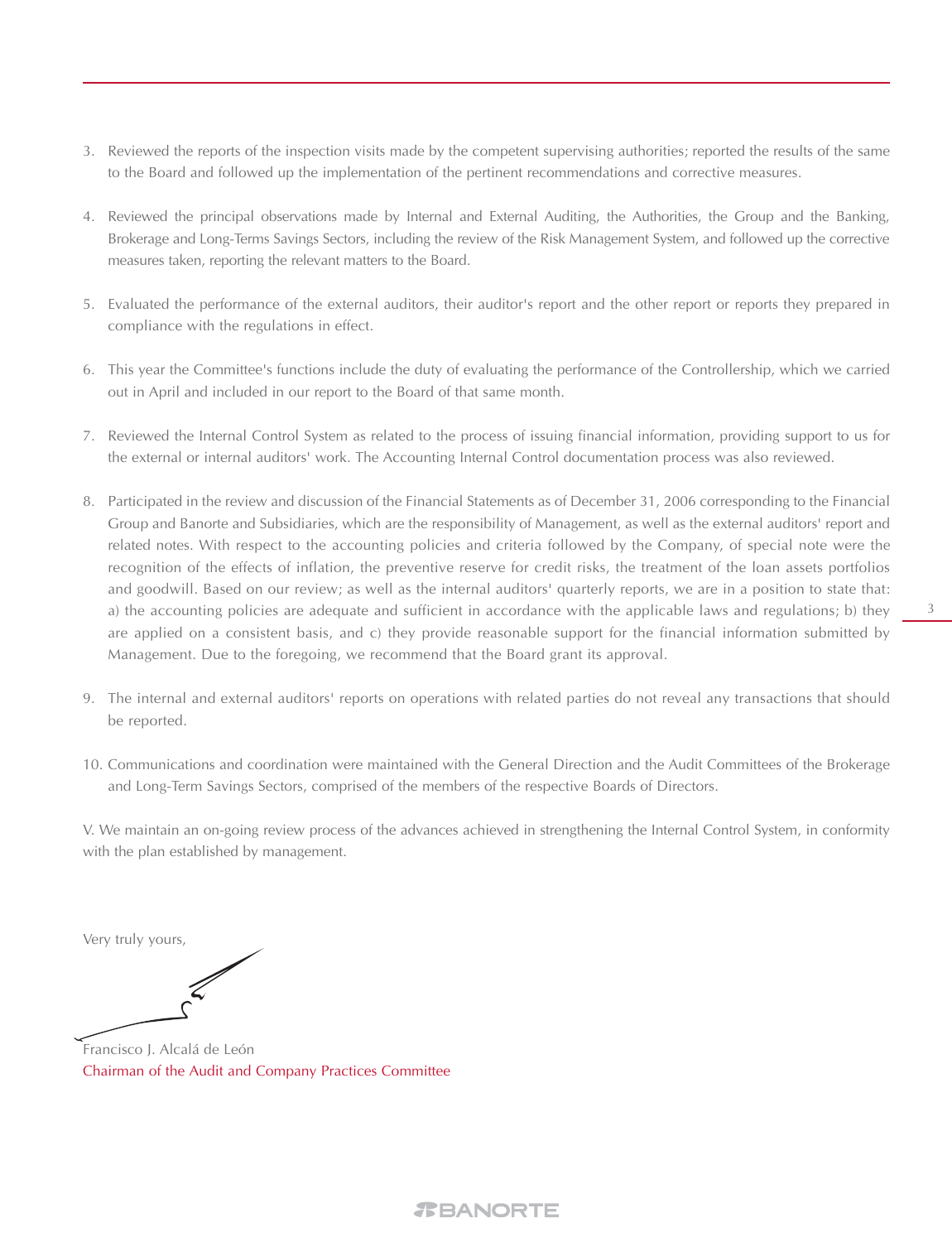- 3. Reviewed the reports of the inspection visits made by the competent supervising authorities; reported the results of the same to the Board and followed up the implementation of the pertinent recommendations and corrective measures.
- 4. Reviewed the principal observations made by Internal and External Auditing, the Authorities, the Group and the Banking, Brokerage and Long-Terms Savings Sectors, including the review of the Risk Management System, and followed up the corrective measures taken, reporting the relevant matters to the Board.
- Evaluated the performance of the external auditors, their auditor's report and the other report or reports they prepared in 5. compliance with the regulations in effect.
- This year the Committee's functions include the duty of evaluating the performance of the Controllership, which we carried 6. out in April and included in our report to the Board of that same month.
- Reviewed the Internal Control System as related to the process of issuing financial information, providing support to us for 7. the external or internal auditors' work. The Accounting Internal Control documentation process was also reviewed.
- Participated in the review and discussion of the Financial Statements as of December 31, 2006 corresponding to the Financial 8. Group and Banorte and Subsidiaries, which are the responsibility of Management, as well as the external auditors' report and related notes. With respect to the accounting policies and criteria followed by the Company, of special note were the recognition of the effects of inflation, the preventive reserve for credit risks, the treatment of the loan assets portfolios and goodwill. Based on our review; as well as the internal auditors' quarterly reports, we are in a position to state that: a) the accounting policies are adequate and sufficient in accordance with the applicable laws and regulations; b) they are applied on a consistent basis, and c) they provide reasonable support for the financial information submitted by Management. Due to the foregoing, we recommend that the Board grant its approval.
- The internal and external auditors' reports on operations with related parties do not reveal any transactions that should 9. be reported.
- 10. Communications and coordination were maintained with the General Direction and the Audit Committees of the Brokerage and Long-Term Savings Sectors, comprised of the members of the respective Boards of Directors.

V. We maintain an on-going review process of the advances achieved in strengthening the Internal Control System, in conformity with the plan established by management.

Very truly yours,

Francisco J. Alcalá de León Chairman of the Audit and Company Practices Committee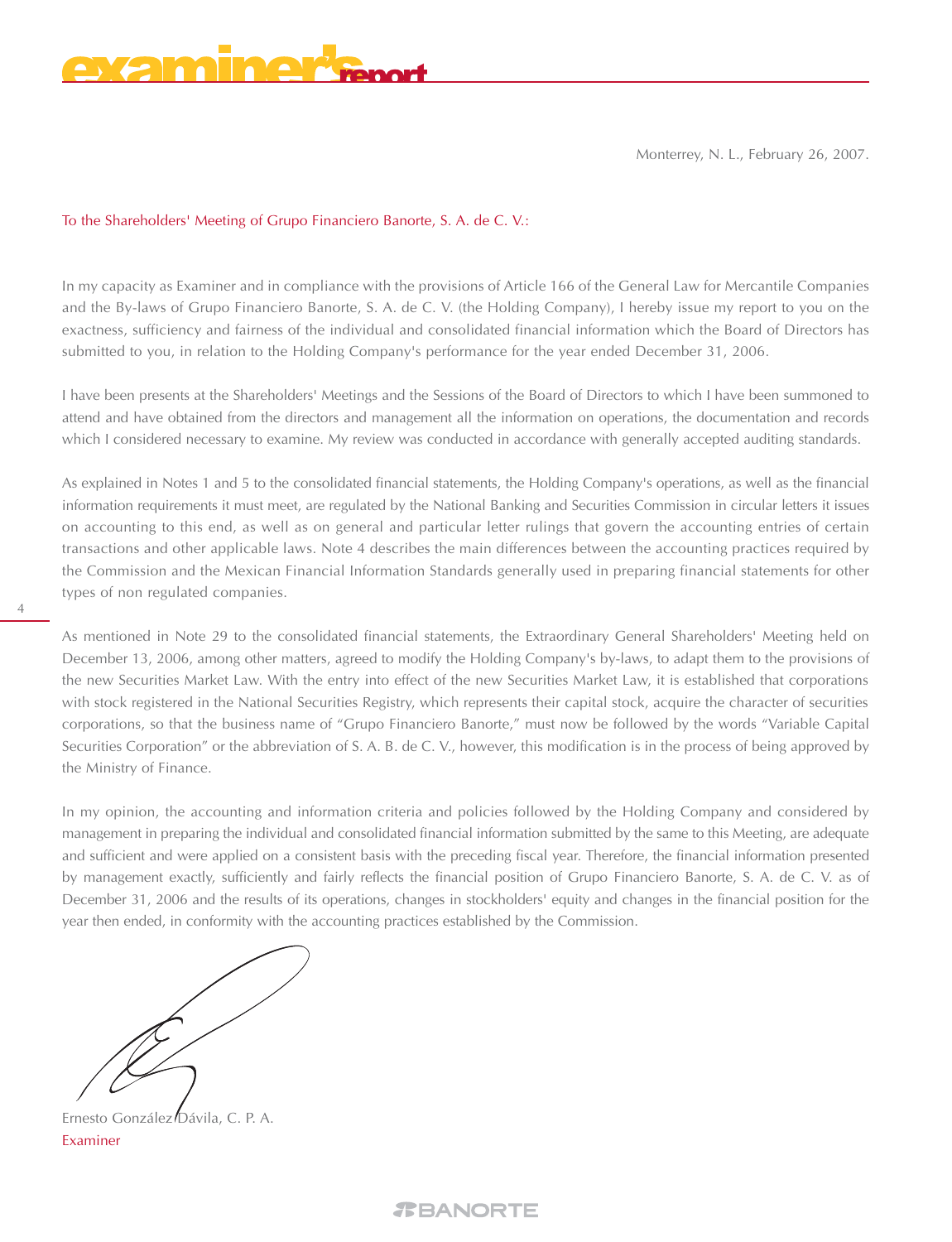Monterrey, N. L., February 26, 2007.

# To the Shareholders' Meeting of Grupo Financiero Banorte, S. A. de C. V.:

In my capacity as Examiner and in compliance with the provisions of Article 166 of the General Law for Mercantile Companies and the By-laws of Grupo Financiero Banorte, S. A. de C. V. (the Holding Company), I hereby issue my report to you on the exactness, sufficiency and fairness of the individual and consolidated financial information which the Board of Directors has submitted to you, in relation to the Holding Company's performance for the year ended December 31, 2006.

I have been presents at the Shareholders' Meetings and the Sessions of the Board of Directors to which I have been summoned to attend and have obtained from the directors and management all the information on operations, the documentation and records which I considered necessary to examine. My review was conducted in accordance with generally accepted auditing standards.

As explained in Notes 1 and 5 to the consolidated financial statements, the Holding Company's operations, as well as the financial information requirements it must meet, are regulated by the National Banking and Securities Commission in circular letters it issues on accounting to this end, as well as on general and particular letter rulings that govern the accounting entries of certain transactions and other applicable laws. Note 4 describes the main differences between the accounting practices required by the Commission and the Mexican Financial Information Standards generally used in preparing financial statements for other types of non regulated companies.

As mentioned in Note 29 to the consolidated financial statements, the Extraordinary General Shareholders' Meeting held on December 13, 2006, among other matters, agreed to modify the Holding Company's by-laws, to adapt them to the provisions of the new Securities Market Law. With the entry into effect of the new Securities Market Law, it is established that corporations with stock registered in the National Securities Registry, which represents their capital stock, acquire the character of securities corporations, so that the business name of "Grupo Financiero Banorte," must now be followed by the words "Variable Capital Securities Corporation" or the abbreviation of S. A. B. de C. V., however, this modification is in the process of being approved by the Ministry of Finance.

In my opinion, the accounting and information criteria and policies followed by the Holding Company and considered by management in preparing the individual and consolidated financial information submitted by the same to this Meeting, are adequate and sufficient and were applied on a consistent basis with the preceding fiscal year. Therefore, the financial information presented by management exactly, sufficiently and fairly reflects the financial position of Grupo Financiero Banorte, S. A. de C. V. as of December 31, 2006 and the results of its operations, changes in stockholders' equity and changes in the financial position for the year then ended, in conformity with the accounting practices established by the Commission.

4

Ernesto González Dávila, C. P. A. Examiner

*REANORTE*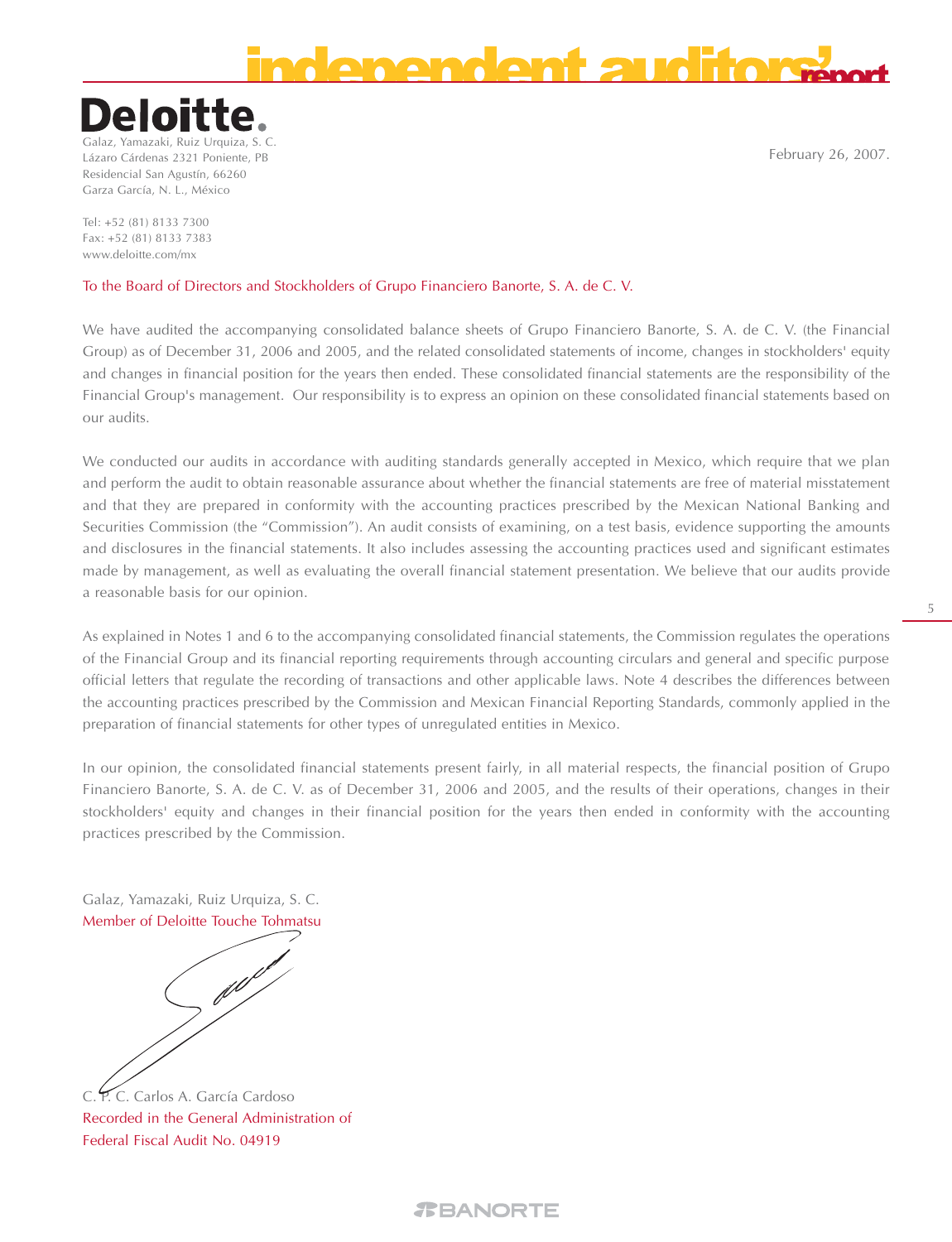# **BIAGIAA AMERICA**

# Deloit

Galaz, Yamazaki, Ruiz Urquiza, S. C. Lázaro Cárdenas 2321 Poniente, PB Residencial San Agustín, 66260 Garza García, N. L., México

Tel: +52 (81) 8133 7300 Fax: +52 (81) 8133 7383 www.deloitte.com/mx

# To the Board of Directors and Stockholders of Grupo Financiero Banorte, S. A. de C. V.

We have audited the accompanying consolidated balance sheets of Grupo Financiero Banorte, S. A. de C. V. (the Financial Group) as of December 31, 2006 and 2005, and the related consolidated statements of income, changes in stockholders' equity and changes in financial position for the years then ended. These consolidated financial statements are the responsibility of the Financial Group's management. Our responsibility is to express an opinion on these consolidated financial statements based on our audits.

We conducted our audits in accordance with auditing standards generally accepted in Mexico, which require that we plan and perform the audit to obtain reasonable assurance about whether the financial statements are free of material misstatement and that they are prepared in conformity with the accounting practices prescribed by the Mexican National Banking and Securities Commission (the "Commission"). An audit consists of examining, on a test basis, evidence supporting the amounts and disclosures in the financial statements. It also includes assessing the accounting practices used and significant estimates made by management, as well as evaluating the overall financial statement presentation. We believe that our audits provide a reasonable basis for our opinion.

As explained in Notes 1 and 6 to the accompanying consolidated financial statements, the Commission regulates the operations of the Financial Group and its financial reporting requirements through accounting circulars and general and specific purpose official letters that regulate the recording of transactions and other applicable laws. Note 4 describes the differences between the accounting practices prescribed by the Commission and Mexican Financial Reporting Standards, commonly applied in the preparation of financial statements for other types of unregulated entities in Mexico.

In our opinion, the consolidated financial statements present fairly, in all material respects, the financial position of Grupo Financiero Banorte, S. A. de C. V. as of December 31, 2006 and 2005, and the results of their operations, changes in their stockholders' equity and changes in their financial position for the years then ended in conformity with the accounting practices prescribed by the Commission.

Galaz, Yamazaki, Ruiz Urquiza, S. C. Member of Deloitte Touche Tohmatsu

e<br>N

C. P. C. Carlos A. García Cardoso Recorded in the General Administration of Federal Fiscal Audit No. 04919

February 26, 2007.

5

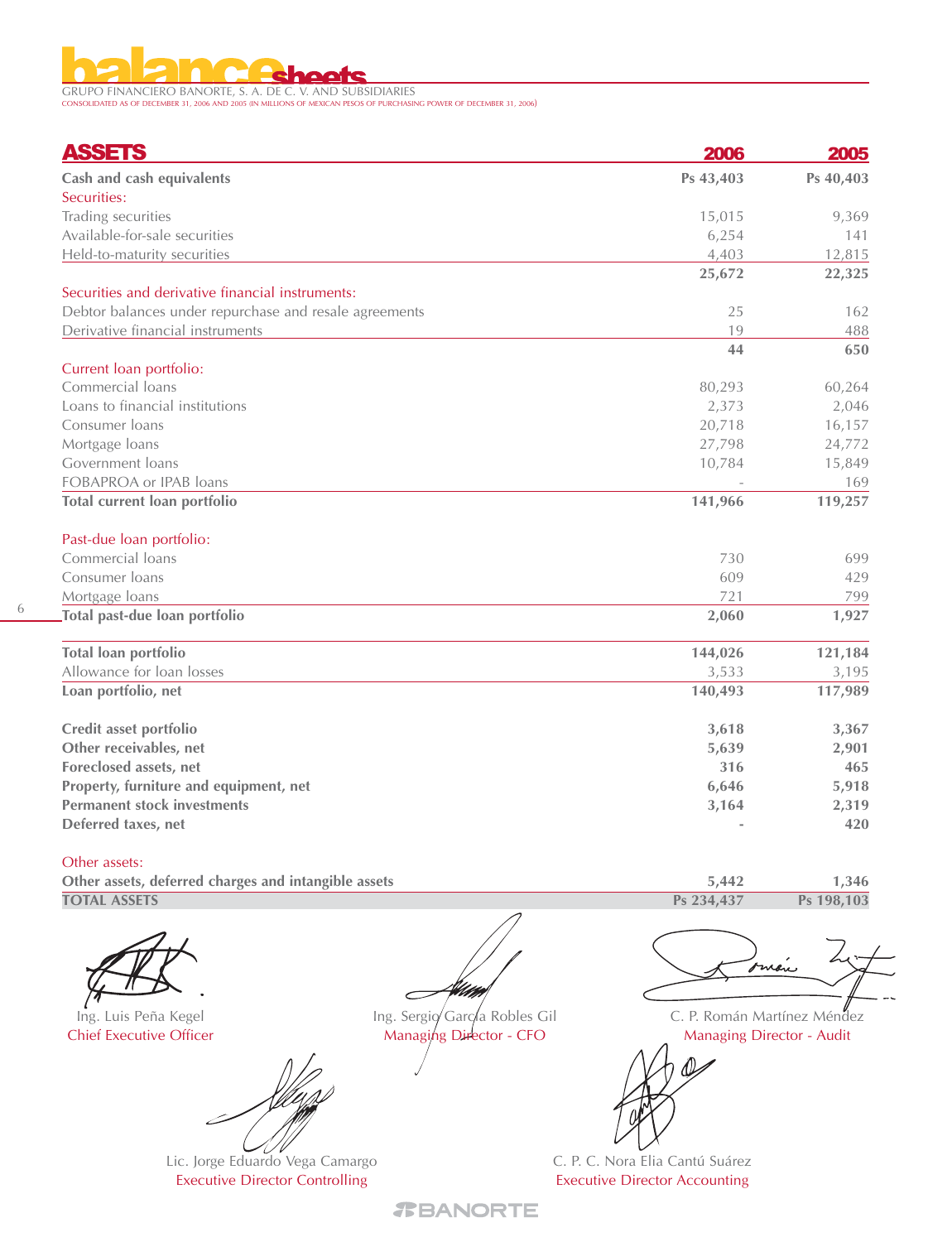GRUPO FINANCIERO BANORTE, S. A. DE C. V. AND SUBSIDIARIES CONSOLIDATED AS OF DECEMBER 31, 2006 AND 2005 (IN MILLIONS OF MEXICAN PESOS OF PURCHASING POWER OF DECEMBER 31, 2006)

| <b>ASSETS</b>                                          | 2006      | 2005      |
|--------------------------------------------------------|-----------|-----------|
| Cash and cash equivalents                              | Ps 43,403 | Ps 40,403 |
| Securities:                                            |           |           |
| Trading securities                                     | 15,015    | 9,369     |
| Available-for-sale securities                          | 6,254     | 141       |
| Held-to-maturity securities                            | 4,403     | 12,815    |
|                                                        | 25,672    | 22,325    |
| Securities and derivative financial instruments:       |           |           |
| Debtor balances under repurchase and resale agreements | 25        | 162       |
| Derivative financial instruments                       | 19        | 488       |
|                                                        | 44        | 650       |
| Current loan portfolio:                                |           |           |
| Commercial loans                                       | 80,293    | 60,264    |
| Loans to financial institutions                        | 2,373     | 2,046     |
| Consumer loans                                         | 20,718    | 16,157    |
| Mortgage loans                                         | 27,798    | 24,772    |
| Government loans                                       | 10,784    | 15,849    |
| FOBAPROA or IPAB loans                                 |           | 169       |
| Total current loan portfolio                           | 141,966   | 119,257   |
| Past-due loan portfolio:                               |           |           |
| Commercial loans                                       | 730       | 699       |
| Consumer Ioans                                         | 609       | 429       |
| Mortgage loans                                         | 721       | 799       |
| Total past-due loan portfolio                          | 2,060     | 1,927     |
| Total loan portfolio                                   | 144,026   | 121,184   |
| Allowance for loan losses                              | 3,533     | 3,195     |
| Loan portfolio, net                                    | 140,493   | 117,989   |
| Credit asset portfolio                                 | 3,618     | 3,367     |
| Other receivables, net                                 | 5,639     | 2,901     |
| Foreclosed assets, net                                 | 316       | 465       |
| Property, furniture and equipment, net                 | 6,646     | 5,918     |
| <b>Permanent stock investments</b>                     | 3,164     | 2,319     |
| Deferred taxes, net                                    |           | 420       |

Other assets:

6

**Other assets, deferred charges and intangible assets TOTAL ASSETS**

Ing. Luis Peña Kegel Chief Executive Officer

Lic. Jorge Eduardo Vega Camargo Executive Director Controlling

Ing. Sergio García Robles Gil Managing Director - CFO

With

 $\sqrt{2}$ 

<u>Ann</u>

**1,346 Ps 198,103**

**5,442 Ps 234,437**

C. P. Román Martínez Méndez Managing Director - Audit

C. P. C. Nora Elia Cantú Suárez Executive Director Accounting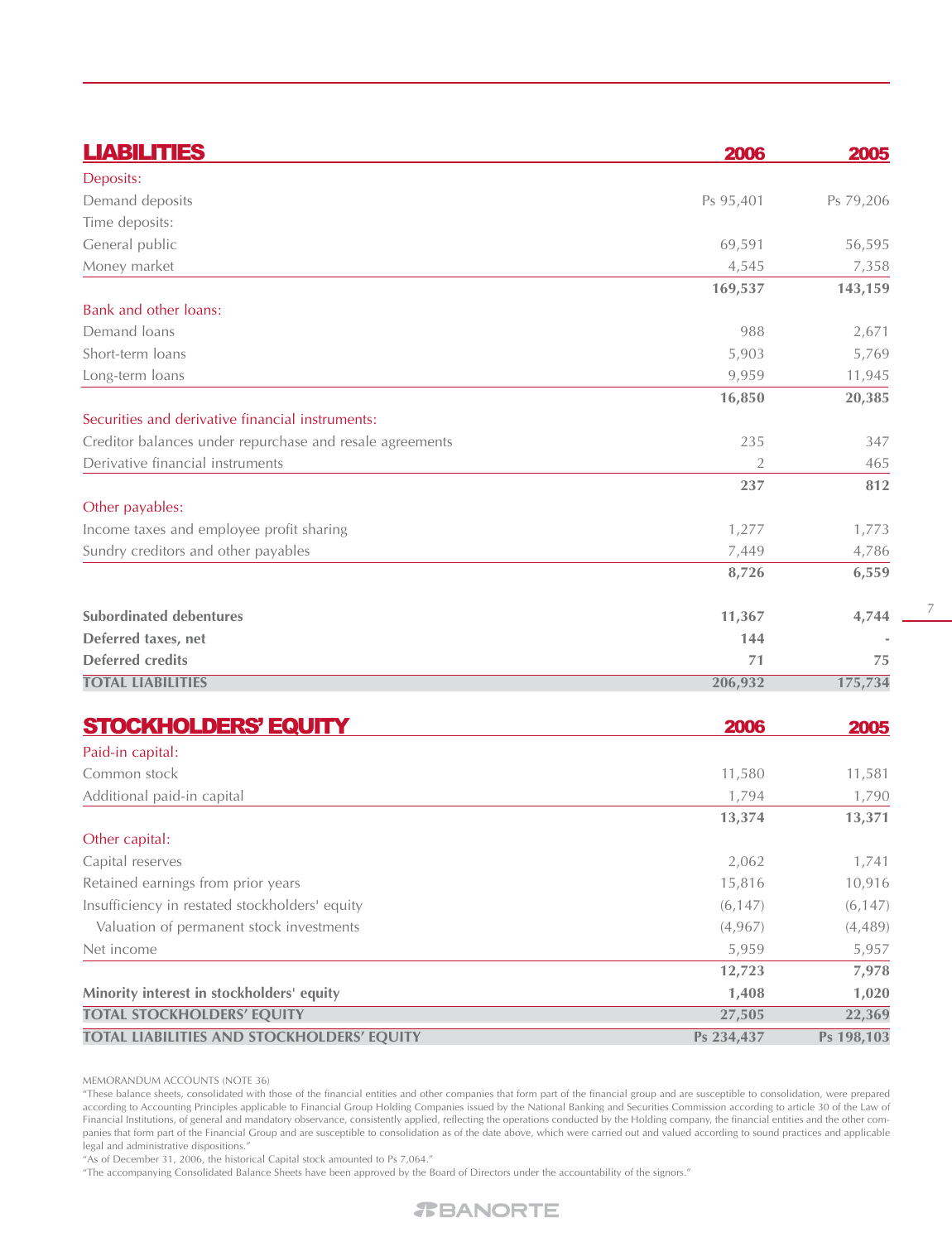| <b>LIABILITIES</b>                                       | 2006       | 2005       |
|----------------------------------------------------------|------------|------------|
| Deposits:                                                |            |            |
| Demand deposits                                          | Ps 95,401  | Ps 79,206  |
| Time deposits:                                           |            |            |
| General public                                           | 69,591     | 56,595     |
| Money market                                             | 4,545      | 7,358      |
|                                                          | 169,537    | 143,159    |
| Bank and other loans:                                    |            |            |
| Demand loans                                             | 988        | 2,671      |
| Short-term loans                                         | 5,903      | 5,769      |
| Long-term loans                                          | 9,959      | 11,945     |
|                                                          | 16,850     | 20,385     |
| Securities and derivative financial instruments:         |            |            |
| Creditor balances under repurchase and resale agreements | 235        | 347        |
| Derivative financial instruments                         | 2          | 465        |
|                                                          | 237        | 812        |
| Other payables:                                          |            |            |
| Income taxes and employee profit sharing                 | 1,277      | 1,773      |
| Sundry creditors and other payables                      | 7,449      | 4,786      |
|                                                          | 8,726      | 6,559      |
| <b>Subordinated debentures</b>                           | 11,367     | 4,744      |
| Deferred taxes, net                                      | 144        |            |
| <b>Deferred credits</b>                                  | 71         | 75         |
| <b>TOTAL LIABILITIES</b>                                 | 206,932    | 175,734    |
| <b>STOCKHOLDERS' EQUITY</b>                              | 2006       | 2005       |
| Paid-in capital:                                         |            |            |
| Common stock                                             | 11,580     | 11,581     |
| Additional paid-in capital                               | 1,794      | 1,790      |
|                                                          | 13,374     | 13,371     |
| Other capital:                                           |            |            |
| Capital reserves                                         | 2,062      | 1,741      |
| Retained earnings from prior years                       | 15,816     | 10,916     |
| Insufficiency in restated stockholders' equity           | (6, 147)   | (6, 147)   |
| Valuation of permanent stock investments                 | (4,967)    | (4, 489)   |
| Net income                                               | 5,959      | 5,957      |
|                                                          | 12,723     | 7,978      |
| Minority interest in stockholders' equity                | 1,408      | 1,020      |
| <b>TOTAL STOCKHOLDERS' EQUITY</b>                        | 27,505     | 22,369     |
| TOTAL LIABILITIES AND STOCKHOLDERS' EQUITY               | Ps 234,437 | Ps 198,103 |

7

MEMORANDUM ACCOUNTS (NOTE 36)

"These balance sheets, consolidated with those of the financial entities and other companies that form part of the financial group and are susceptible to consolidation, were prepared according to Accounting Principles applicable to Financial Group Holding Companies issued by the National Banking and Securities Commission according to article 30 of the Law of Financial Institutions, of general and mandatory observance, consistently applied, reflecting the operations conducted by the Holding company, the financial entities and the other companies that form part of the Financial Group and are susceptible to consolidation as of the date above, which were carried out and valued according to sound practices and applicable legal and administrative dispositions."

"As of December 31, 2006, the historical Capital stock amounted to Ps 7,064."

"The accompanying Consolidated Balance Sheets have been approved by the Board of Directors under the accountability of the signors."

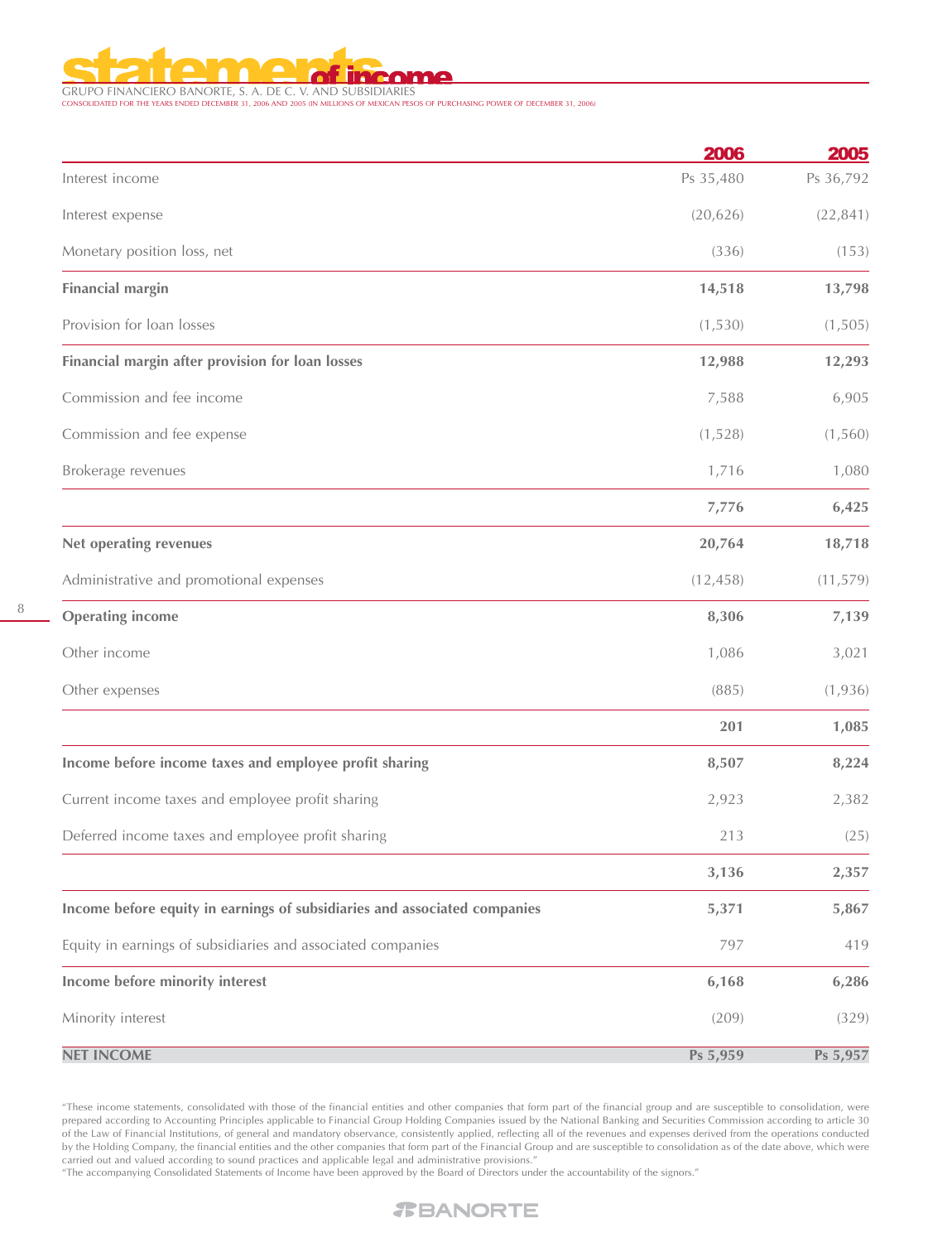

GRUPO FINANCIERO BANORTE, S. A. DE C. V. AND SUBSIDIARIES CONSOLIDATED FOR THE YEARS ENDED DECEMBER 31, 2006 AND 2005 (IN MILLIONS OF MEXICAN PESOS OF PURCHASING POWER OF DECEMBER 31, 2006)

|                                                                           | 2006      | 2005      |
|---------------------------------------------------------------------------|-----------|-----------|
| Interest income                                                           | Ps 35,480 | Ps 36,792 |
| Interest expense                                                          | (20, 626) | (22, 841) |
| Monetary position loss, net                                               | (336)     | (153)     |
| <b>Financial margin</b>                                                   | 14,518    | 13,798    |
| Provision for loan losses                                                 | (1,530)   | (1,505)   |
| Financial margin after provision for loan losses                          | 12,988    | 12,293    |
| Commission and fee income                                                 | 7,588     | 6,905     |
| Commission and fee expense                                                | (1,528)   | (1, 560)  |
| Brokerage revenues                                                        | 1,716     | 1,080     |
|                                                                           | 7,776     | 6,425     |
| Net operating revenues                                                    | 20,764    | 18,718    |
| Administrative and promotional expenses                                   | (12, 458) | (11, 579) |
| <b>Operating income</b>                                                   | 8,306     | 7,139     |
| Other income                                                              | 1,086     | 3,021     |
| Other expenses                                                            | (885)     | (1,936)   |
|                                                                           | 201       | 1,085     |
| Income before income taxes and employee profit sharing                    | 8,507     | 8,224     |
| Current income taxes and employee profit sharing                          | 2,923     | 2,382     |
| Deferred income taxes and employee profit sharing                         | 213       | (25)      |
|                                                                           | 3,136     | 2,357     |
| Income before equity in earnings of subsidiaries and associated companies | 5,371     | 5,867     |
| Equity in earnings of subsidiaries and associated companies               | 797       | 419       |
| Income before minority interest                                           | 6,168     | 6,286     |
| Minority interest                                                         | (209)     | (329)     |
| <b>NET INCOME</b>                                                         | Ps 5,959  | Ps 5,957  |

"These income statements, consolidated with those of the financial entities and other companies that form part of the financial group and are susceptible to consolidation, were prepared according to Accounting Principles applicable to Financial Group Holding Companies issued by the National Banking and Securities Commission according to article 30 of the Law of Financial Institutions, of general and mandatory observance, consistently applied, reflecting all of the revenues and expenses derived from the operations conducted by the Holding Company, the financial entities and the other companies that form part of the Financial Group and are susceptible to consolidation as of the date above, which were carried out and valued according to sound practices and applicable legal and administrative provisions."

"The accompanying Consolidated Statements of Income have been approved by the Board of Directors under the accountability of the signors."

# 8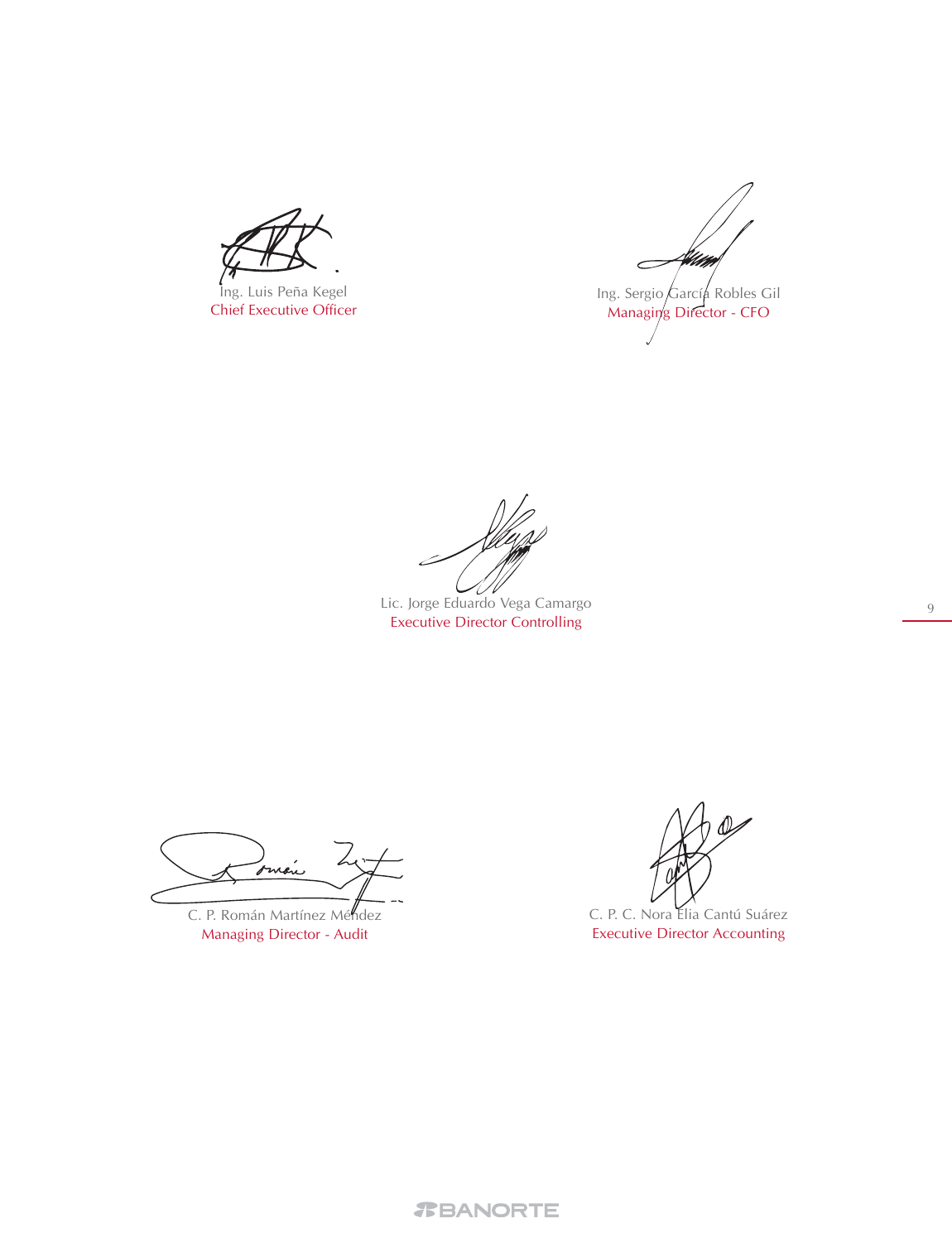Ing. Luis Peña Kegel Chief Executive Officer

Hilde Ing. Sergio García Robles Gil Managing Director - CFO

Lic. Jorge Eduardo Vega Camargo Executive Director Controlling

Imán

C. P. Román Martínez Méndez Managing Director - Audit

C. P. C. Nora Elia Cantú Suárez Executive Director Accounting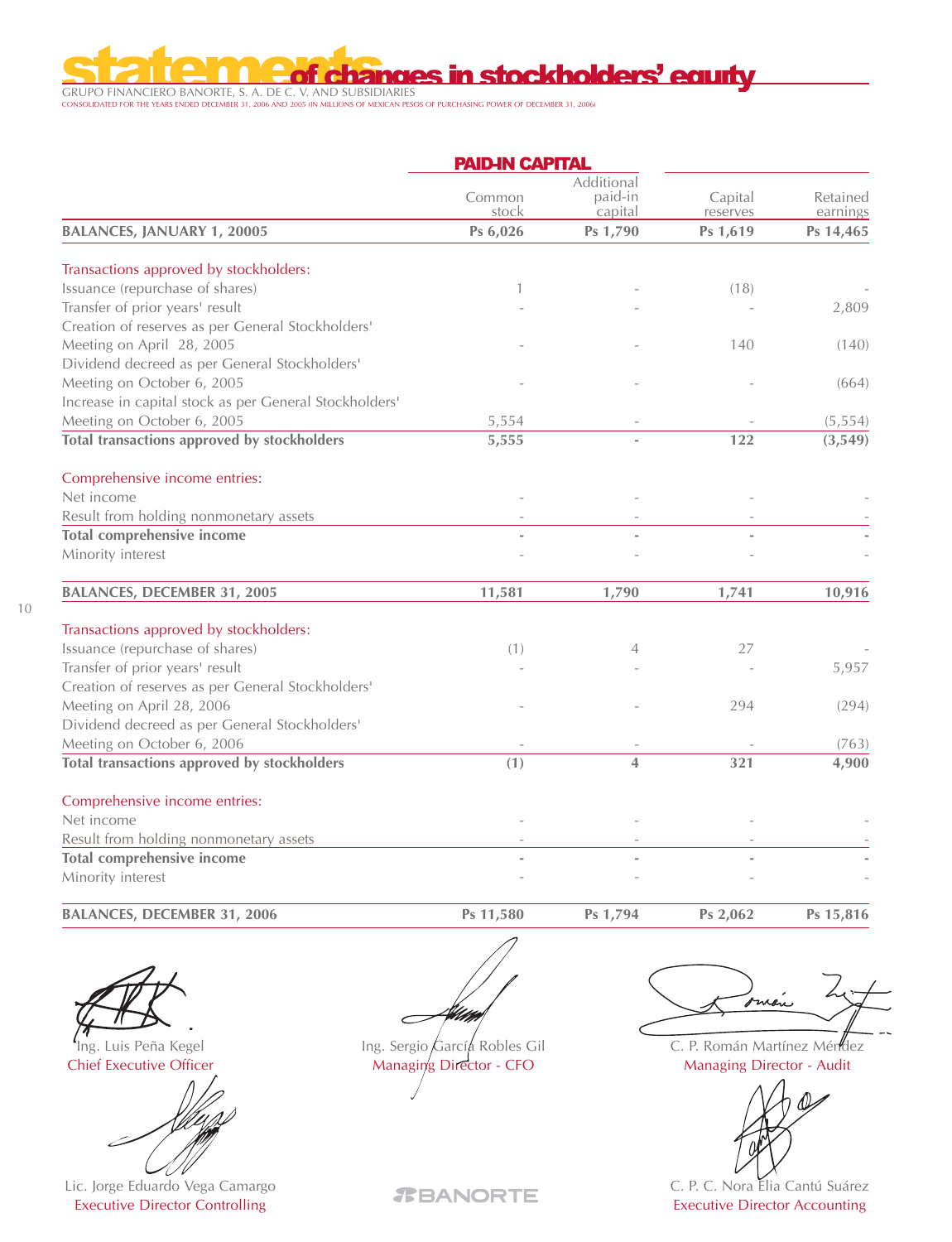GRUPO FINANCIERO BANORTE, S. A. DE C. V. AND SUBSIDIARIES CONSOLIDATED FOR THE YEARS ENDED DECEMBER 31, 2006 AND 2005 (IN MILLIONS OF MEXICAN PESOS OF PURCHASING POWER OF DECEMBER 31, 2006)

r e

|                                                        | <b>PAID-IN CAPITAL</b> |                                  |                     |                      |
|--------------------------------------------------------|------------------------|----------------------------------|---------------------|----------------------|
|                                                        | Common<br>stock        | Additional<br>paid-in<br>capital | Capital<br>reserves | Retained<br>earnings |
| <b>BALANCES, JANUARY 1, 20005</b>                      | Ps 6,026               | Ps 1,790                         | Ps 1,619            | Ps 14,465            |
| Transactions approved by stockholders:                 |                        |                                  |                     |                      |
| Issuance (repurchase of shares)                        | 1                      |                                  | (18)                |                      |
| Transfer of prior years' result                        |                        |                                  |                     | 2,809                |
| Creation of reserves as per General Stockholders'      |                        |                                  |                     |                      |
| Meeting on April 28, 2005                              |                        |                                  | 140                 | (140)                |
| Dividend decreed as per General Stockholders'          |                        |                                  |                     |                      |
| Meeting on October 6, 2005                             |                        |                                  |                     | (664)                |
| Increase in capital stock as per General Stockholders' |                        |                                  |                     |                      |
| Meeting on October 6, 2005                             | 5,554                  |                                  |                     | (5, 554)             |
| Total transactions approved by stockholders            | 5,555                  |                                  | 122                 | (3, 549)             |
| Comprehensive income entries:                          |                        |                                  |                     |                      |
| Net income                                             |                        |                                  |                     |                      |
| Result from holding nonmonetary assets                 |                        |                                  |                     |                      |
| <b>Total comprehensive income</b>                      |                        | $\overline{a}$                   |                     |                      |
| Minority interest                                      |                        |                                  |                     |                      |
| <b>BALANCES, DECEMBER 31, 2005</b>                     | 11,581                 | 1,790                            | 1,741               | 10,916               |
| Transactions approved by stockholders:                 |                        |                                  |                     |                      |
| Issuance (repurchase of shares)                        | (1)                    | 4                                | 27                  |                      |
| Transfer of prior years' result                        |                        |                                  |                     | 5,957                |
| Creation of reserves as per General Stockholders'      |                        |                                  |                     |                      |
| Meeting on April 28, 2006                              |                        |                                  | 294                 | (294)                |
| Dividend decreed as per General Stockholders'          |                        |                                  |                     |                      |
| Meeting on October 6, 2006                             |                        |                                  |                     | (763)                |
| Total transactions approved by stockholders            | (1)                    | 4                                | 321                 | 4,900                |
| Comprehensive income entries:                          |                        |                                  |                     |                      |
| Net income                                             |                        |                                  |                     |                      |
| Result from holding nonmonetary assets                 |                        |                                  |                     |                      |
| <b>Total comprehensive income</b>                      |                        |                                  |                     |                      |
| Minority interest                                      |                        |                                  |                     |                      |

**BALANCES, DECEMBER 31, 2006**

**Ps 11,580**

**Ps 1,794**

**Ps 15,816**

10

Ing. Luis Peña Kegel Chief Executive Officer

Lic. Jorge Eduardo Vega Camargo Executive Director Controlling

With  $\subset$ 

Ing. Sergio García Robles Gil Managing Director - CFO

one

**Ps 2,062**

C. P. Román Martínez Méndez Managing Director - Audit



C. P. C. Nora Elia Cantú Suárez Executive Director Accounting

*TBANORTE*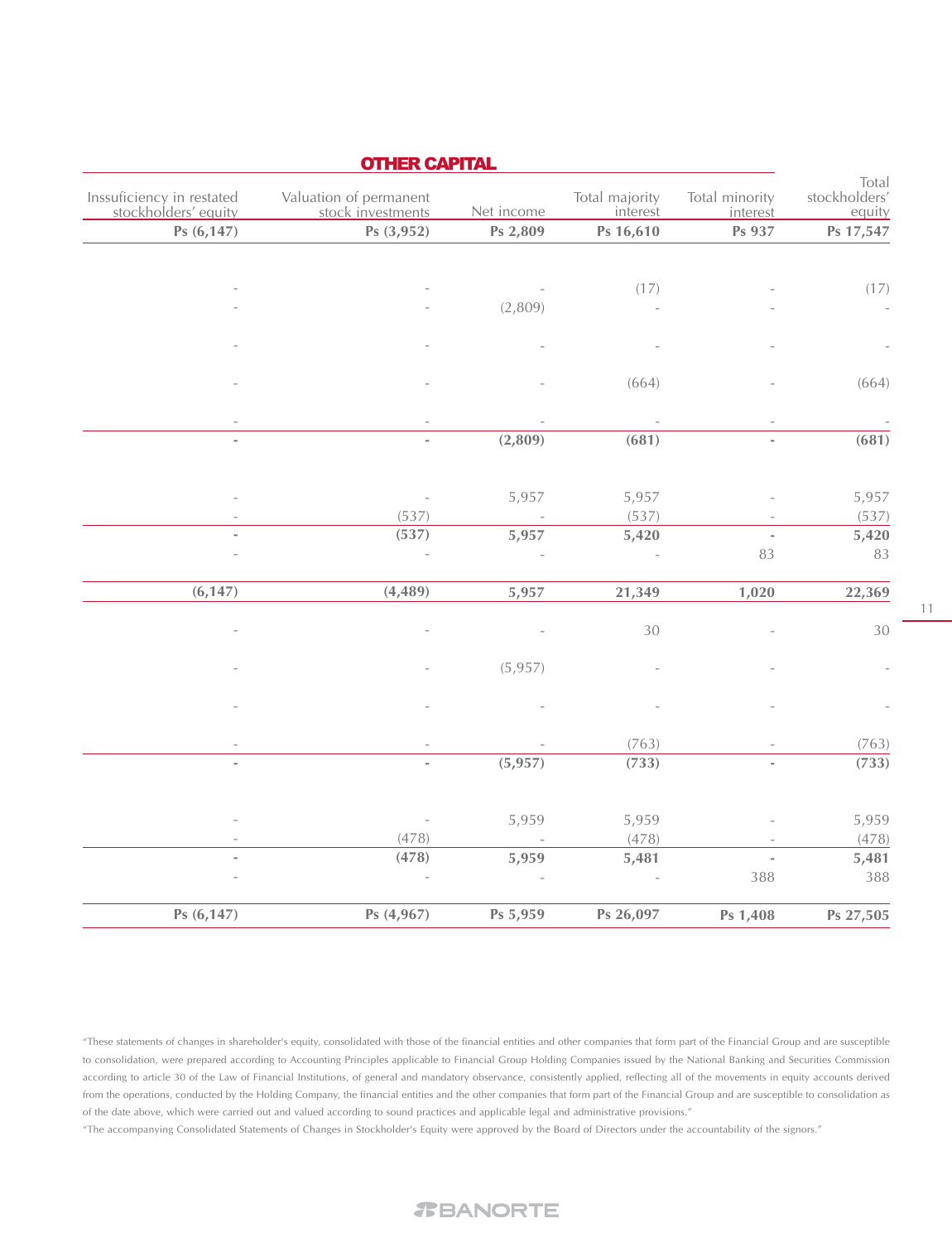|                                  |                            |                            |            | <b>OTHER CAPITAL</b>                        |                                                   |
|----------------------------------|----------------------------|----------------------------|------------|---------------------------------------------|---------------------------------------------------|
| Total<br>stockholders'<br>equity | Total minority<br>interest | Total majority<br>interest | Net income | Valuation of permanent<br>stock investments | Inssuficiency in restated<br>stockholders' equity |
| Ps 17,547                        | Ps 937                     | Ps 16,610                  | Ps 2,809   | Ps (3,952)                                  | Ps $(6, 147)$                                     |
|                                  |                            |                            |            |                                             |                                                   |
|                                  |                            |                            |            |                                             |                                                   |
| (17)                             |                            | (17)                       |            |                                             |                                                   |
|                                  |                            |                            | (2,809)    |                                             |                                                   |
|                                  |                            |                            |            |                                             |                                                   |
|                                  |                            |                            |            |                                             |                                                   |
| (664)                            |                            | (664)                      |            |                                             |                                                   |
|                                  |                            |                            |            |                                             |                                                   |
|                                  |                            |                            |            |                                             |                                                   |
| (681)                            | $\overline{\phantom{a}}$   | (681)                      | (2,809)    | $\overline{\phantom{0}}$                    | i.                                                |
|                                  |                            |                            |            |                                             |                                                   |
| 5,957                            |                            | 5,957                      | 5,957      |                                             |                                                   |
| (537)                            |                            | (537)                      |            | (537)                                       |                                                   |
| 5,420                            |                            | 5,420                      | 5,957      | (537)                                       |                                                   |
| 83                               | 83                         |                            |            |                                             |                                                   |
|                                  |                            |                            |            |                                             |                                                   |
| 22,369                           | 1,020                      | 21,349                     | 5,957      | (4, 489)                                    | (6, 147)                                          |
| $30\,$                           |                            | 30                         |            |                                             |                                                   |
|                                  |                            |                            |            |                                             |                                                   |
|                                  |                            |                            | (5, 957)   |                                             |                                                   |
|                                  |                            |                            |            |                                             |                                                   |
|                                  |                            |                            |            |                                             |                                                   |
|                                  |                            |                            |            |                                             |                                                   |
| (763)                            |                            | (763)                      |            |                                             |                                                   |
| (733)                            |                            | (733)                      | (5, 957)   | $\overline{\phantom{a}}$                    | i.                                                |
|                                  |                            |                            |            |                                             |                                                   |
| 5,959                            |                            | 5,959                      | 5,959      |                                             |                                                   |
| (478)                            |                            | (478)                      |            | (478)                                       |                                                   |
| 5,481                            |                            | 5,481                      | 5,959      | (478)                                       |                                                   |
| 388                              | 388                        |                            |            |                                             |                                                   |
|                                  |                            |                            |            |                                             |                                                   |
| Ps 27,505                        | Ps 1,408                   | Ps 26,097                  | Ps 5,959   | Ps (4,967)                                  | Ps $(6, 147)$                                     |

"These statements of changes in shareholder's equity, consolidated with those of the financial entities and other companies that form part of the Financial Group and are susceptible to consolidation, were prepared according to Accounting Principles applicable to Financial Group Holding Companies issued by the National Banking and Securities Commission according to article 30 of the Law of Financial Institutions, of general and mandatory observance, consistently applied, reflecting all of the movements in equity accounts derived from the operations, conducted by the Holding Company, the financial entities and the other companies that form part of the Financial Group and are susceptible to consolidation as of the date above, which were carried out and valued according to sound practices and applicable legal and administrative provisions."

"The accompanying Consolidated Statements of Changes in Stockholder's Equity were approved by the Board of Directors under the accountability of the signors."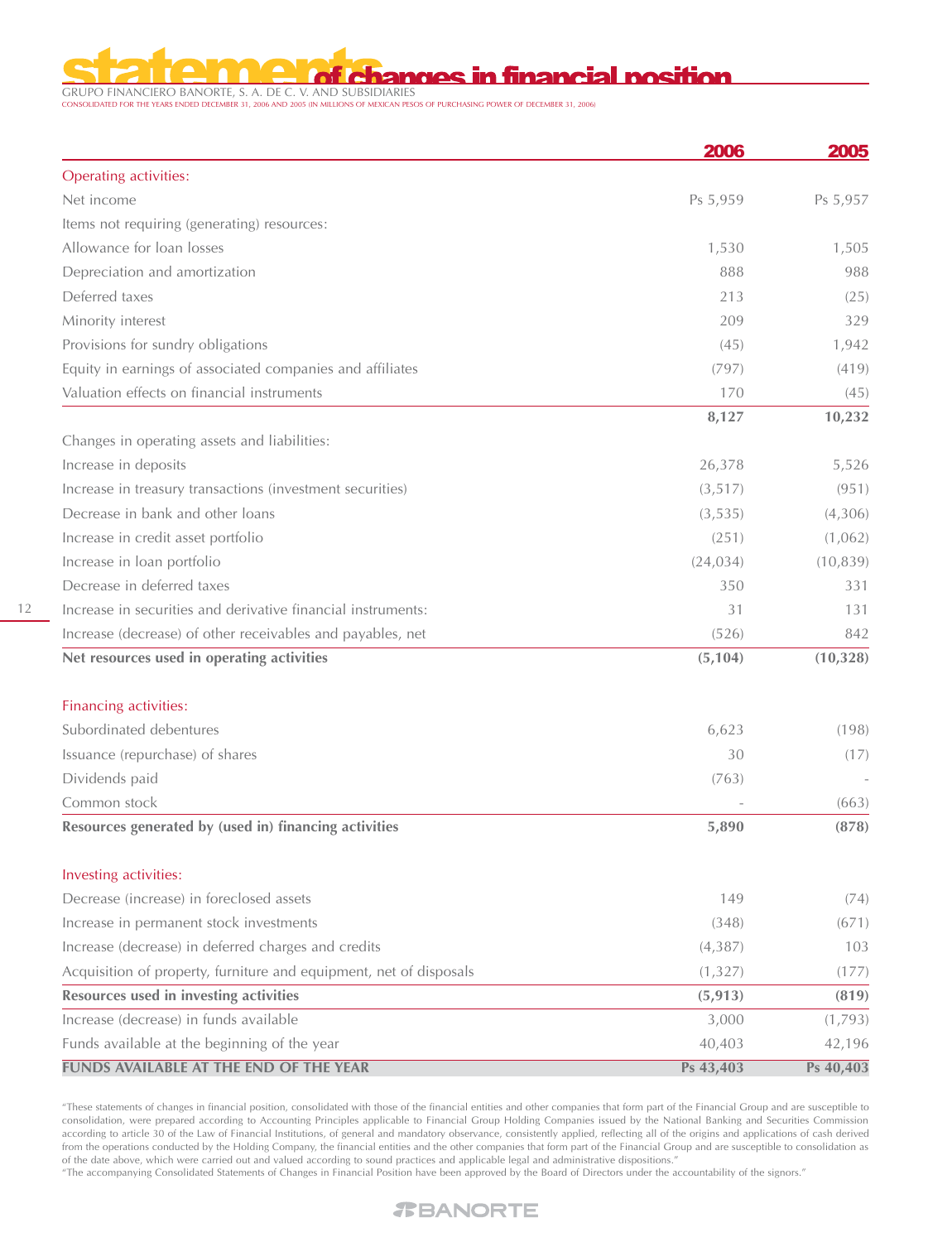# <u>i changes in financial nosition</u>

GRUPO FINANCIERO BANORTE, S. A. DE C. V. AND SUBSIDIARIES CONSOLIDATED FOR THE YEARS ENDED DECEMBER 31, 2006 AND 2005 (IN MILLIONS OF MEXICAN PESOS OF PURCHASING POWER OF DECEMBER 31, 2006)

|                                                                    | 2006      | 2005      |
|--------------------------------------------------------------------|-----------|-----------|
| Operating activities:                                              |           |           |
| Net income                                                         | Ps 5,959  | Ps 5,957  |
| Items not requiring (generating) resources:                        |           |           |
| Allowance for loan losses                                          | 1,530     | 1,505     |
| Depreciation and amortization                                      | 888       | 988       |
| Deferred taxes                                                     | 213       | (25)      |
| Minority interest                                                  | 209       | 329       |
| Provisions for sundry obligations                                  | (45)      | 1,942     |
| Equity in earnings of associated companies and affiliates          | (797)     | (419)     |
| Valuation effects on financial instruments                         | 170       | (45)      |
|                                                                    | 8,127     | 10,232    |
| Changes in operating assets and liabilities:                       |           |           |
| Increase in deposits                                               | 26,378    | 5,526     |
| Increase in treasury transactions (investment securities)          | (3, 517)  | (951)     |
| Decrease in bank and other loans                                   | (3, 535)  | (4,306)   |
| Increase in credit asset portfolio                                 | (251)     | (1,062)   |
| Increase in loan portfolio                                         | (24, 034) | (10, 839) |
| Decrease in deferred taxes                                         | 350       | 331       |
| Increase in securities and derivative financial instruments:       | 31        | 131       |
| Increase (decrease) of other receivables and payables, net         | (526)     | 842       |
| Net resources used in operating activities                         | (5, 104)  | (10, 328) |
| Financing activities:                                              |           |           |
| Subordinated debentures                                            | 6,623     | (198)     |
| Issuance (repurchase) of shares                                    | 30        | (17)      |
| Dividends paid                                                     | (763)     |           |
| Common stock                                                       |           | (663)     |
| Resources generated by (used in) financing activities              | 5,890     | (878)     |
| Investing activities:                                              |           |           |
| Decrease (increase) in foreclosed assets                           | 149       | (74)      |
| Increase in permanent stock investments                            | (348)     | (671)     |
| Increase (decrease) in deferred charges and credits                | (4, 387)  | 103       |
| Acquisition of property, furniture and equipment, net of disposals | (1, 327)  | (177)     |
| Resources used in investing activities                             | (5, 913)  | (819)     |
| Increase (decrease) in funds available                             | 3,000     | (1,793)   |

"These statements of changes in financial position, consolidated with those of the financial entities and other companies that form part of the Financial Group and are susceptible to consolidation, were prepared according to Accounting Principles applicable to Financial Group Holding Companies issued by the National Banking and Securities Commission according to article 30 of the Law of Financial Institutions, of general and mandatory observance, consistently applied, reflecting all of the origins and applications of cash derived from the operations conducted by the Holding Company, the financial entities and the other companies that form part of the Financial Group and are susceptible to consolidation as of the date above, which were carried out and valued according to sound practices and applicable legal and administrative dispositions."

40,403 **Ps 43,403**

42,196 **Ps 40,403**

"The accompanying Consolidated Statements of Changes in Financial Position have been approved by the Board of Directors under the accountability of the signors."

Funds available at the beginning of the year **FUNDS AVAILABLE AT THE END OF THE YEAR**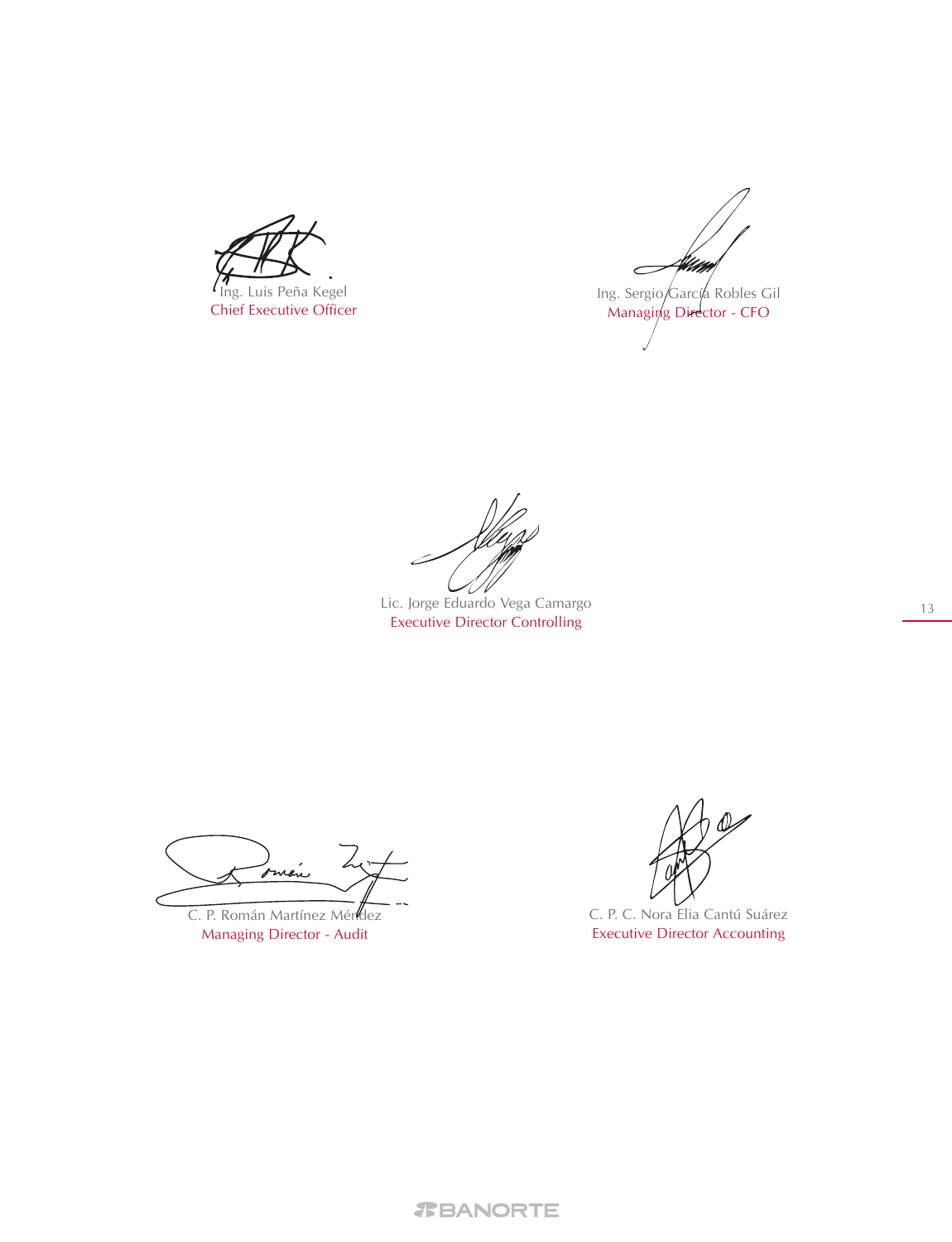Ing. Luis Peña Kegel Chief Executive Officer

 $\epsilon$ Ing. Sergio García Robles Gil Managing Director - CFO

Lic. Jorge Eduardo Vega Camargo Executive Director Controlling

Imón

C. P. Román Martínez Méndez Managing Director - Audit

C. P. C. Nora Elia Cantú Suárez Executive Director Accounting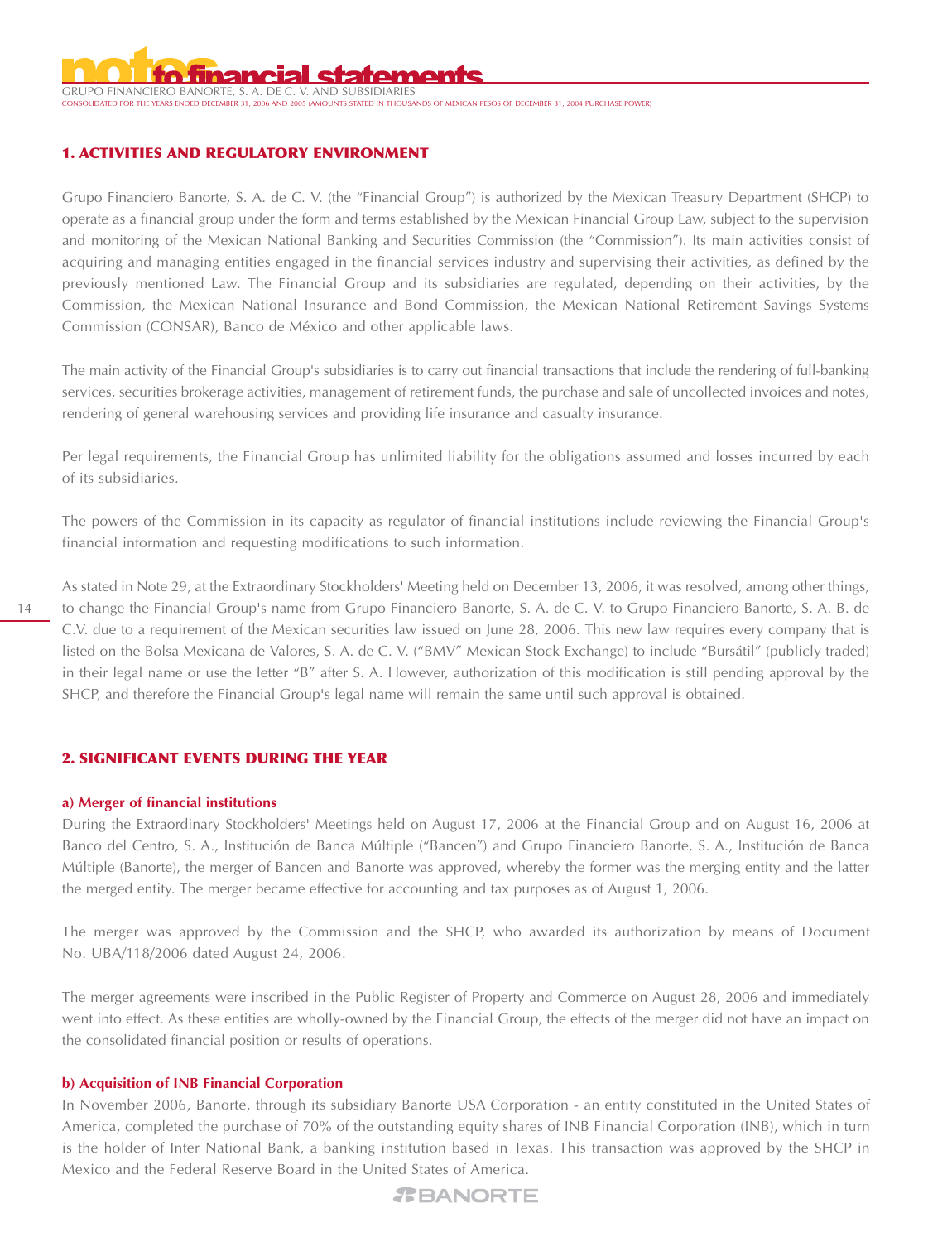

**COUNTS STATED IN THOUSANDS OF MEXICAN PESOS OF DECEMBER 31, 2004 PURCHASE POWER)** 

# **1. ACTIVITIES AND REGULATORY ENVIRONMENT**

Grupo Financiero Banorte, S. A. de C. V. (the "Financial Group") is authorized by the Mexican Treasury Department (SHCP) to operate as a financial group under the form and terms established by the Mexican Financial Group Law, subject to the supervision and monitoring of the Mexican National Banking and Securities Commission (the "Commission"). Its main activities consist of acquiring and managing entities engaged in the financial services industry and supervising their activities, as defined by the previously mentioned Law. The Financial Group and its subsidiaries are regulated, depending on their activities, by the Commission, the Mexican National Insurance and Bond Commission, the Mexican National Retirement Savings Systems Commission (CONSAR), Banco de México and other applicable laws.

The main activity of the Financial Group's subsidiaries is to carry out financial transactions that include the rendering of full-banking services, securities brokerage activities, management of retirement funds, the purchase and sale of uncollected invoices and notes, rendering of general warehousing services and providing life insurance and casualty insurance.

Per legal requirements, the Financial Group has unlimited liability for the obligations assumed and losses incurred by each of its subsidiaries.

The powers of the Commission in its capacity as regulator of financial institutions include reviewing the Financial Group's financial information and requesting modifications to such information.

As stated in Note 29, at the Extraordinary Stockholders' Meeting held on December 13, 2006, it was resolved, among other things, to change the Financial Group's name from Grupo Financiero Banorte, S. A. de C. V. to Grupo Financiero Banorte, S. A. B. de C.V. due to a requirement of the Mexican securities law issued on June 28, 2006. This new law requires every company that is listed on the Bolsa Mexicana de Valores, S. A. de C. V. ("BMV" Mexican Stock Exchange) to include "Bursátil" (publicly traded) in their legal name or use the letter "B" after S. A. However, authorization of this modification is still pending approval by the SHCP, and therefore the Financial Group's legal name will remain the same until such approval is obtained.

# **2. SIGNIFICANT EVENTS DURING THE YEAR**

#### **a) Merger of financial institutions**

During the Extraordinary Stockholders' Meetings held on August 17, 2006 at the Financial Group and on August 16, 2006 at Banco del Centro, S. A., Institución de Banca Múltiple ("Bancen") and Grupo Financiero Banorte, S. A., Institución de Banca Múltiple (Banorte), the merger of Bancen and Banorte was approved, whereby the former was the merging entity and the latter the merged entity. The merger became effective for accounting and tax purposes as of August 1, 2006.

The merger was approved by the Commission and the SHCP, who awarded its authorization by means of Document No. UBA/118/2006 dated August 24, 2006.

The merger agreements were inscribed in the Public Register of Property and Commerce on August 28, 2006 and immediately went into effect. As these entities are wholly-owned by the Financial Group, the effects of the merger did not have an impact on the consolidated financial position or results of operations.

# **b) Acquisition of INB Financial Corporation**

In November 2006, Banorte, through its subsidiary Banorte USA Corporation - an entity constituted in the United States of America, completed the purchase of 70% of the outstanding equity shares of INB Financial Corporation (INB), which in turn is the holder of Inter National Bank, a banking institution based in Texas. This transaction was approved by the SHCP in Mexico and the Federal Reserve Board in the United States of America.

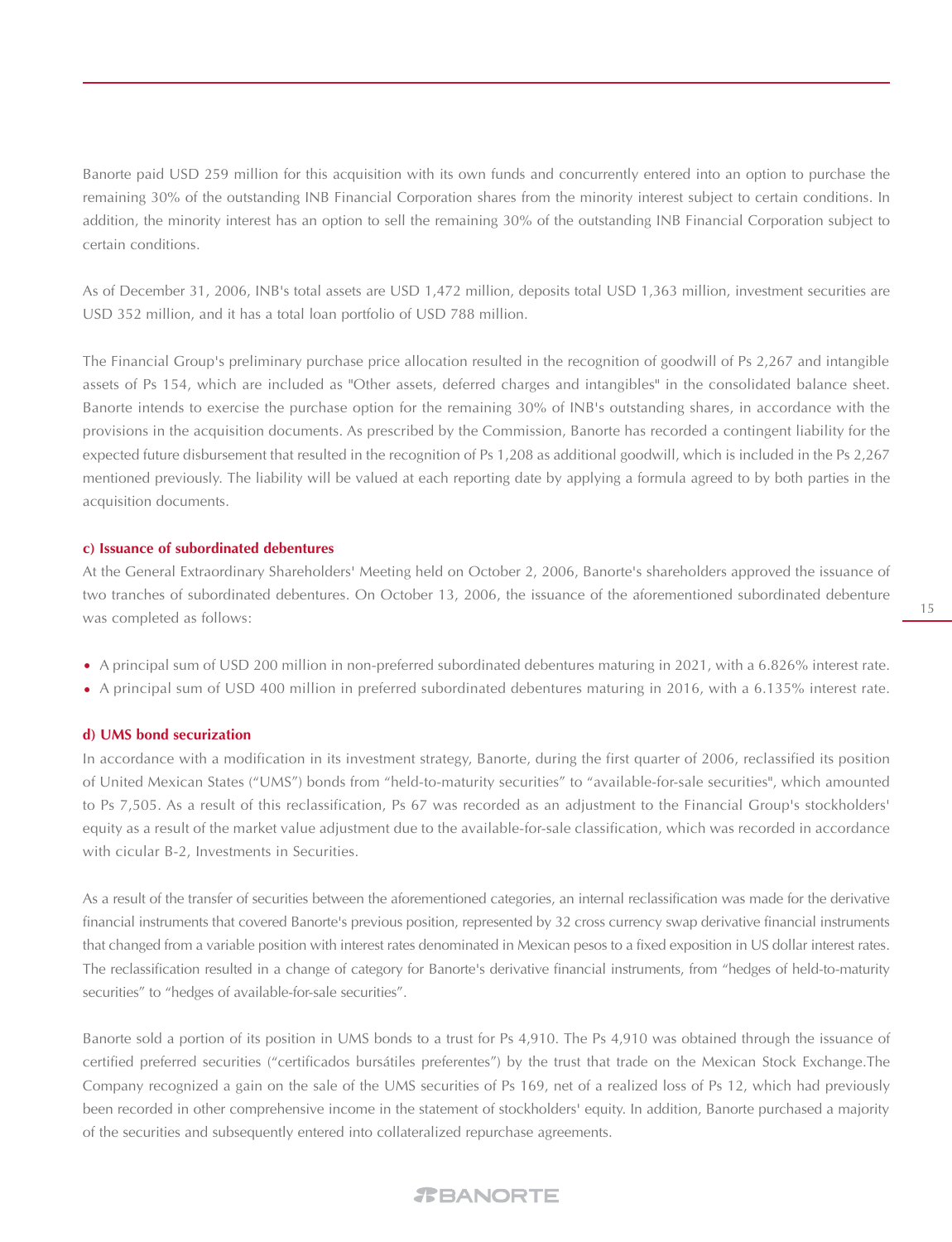Banorte paid USD 259 million for this acquisition with its own funds and concurrently entered into an option to purchase the remaining 30% of the outstanding INB Financial Corporation shares from the minority interest subject to certain conditions. In addition, the minority interest has an option to sell the remaining 30% of the outstanding INB Financial Corporation subject to certain conditions.

As of December 31, 2006, INB's total assets are USD 1,472 million, deposits total USD 1,363 million, investment securities are USD 352 million, and it has a total loan portfolio of USD 788 million.

The Financial Group's preliminary purchase price allocation resulted in the recognition of goodwill of Ps 2,267 and intangible assets of Ps 154, which are included as "Other assets, deferred charges and intangibles" in the consolidated balance sheet. Banorte intends to exercise the purchase option for the remaining 30% of INB's outstanding shares, in accordance with the provisions in the acquisition documents. As prescribed by the Commission, Banorte has recorded a contingent liability for the expected future disbursement that resulted in the recognition of Ps 1,208 as additional goodwill, which is included in the Ps 2,267 mentioned previously. The liability will be valued at each reporting date by applying a formula agreed to by both parties in the acquisition documents.

### **c) Issuance of subordinated debentures**

At the General Extraordinary Shareholders' Meeting held on October 2, 2006, Banorte's shareholders approved the issuance of two tranches of subordinated debentures. On October 13, 2006, the issuance of the aforementioned subordinated debenture was completed as follows:

- A principal sum of USD 200 million in non-preferred subordinated debentures maturing in 2021, with a 6.826% interest rate.
- A principal sum of USD 400 million in preferred subordinated debentures maturing in 2016, with a 6.135% interest rate. •

#### **d) UMS bond securization**

In accordance with a modification in its investment strategy, Banorte, during the first quarter of 2006, reclassified its position of United Mexican States ("UMS") bonds from "held-to-maturity securities" to "available-for-sale securities", which amounted to Ps 7,505. As a result of this reclassification, Ps 67 was recorded as an adjustment to the Financial Group's stockholders' equity as a result of the market value adjustment due to the available-for-sale classification, which was recorded in accordance with cicular B-2, Investments in Securities.

As a result of the transfer of securities between the aforementioned categories, an internal reclassification was made for the derivative financial instruments that covered Banorte's previous position, represented by 32 cross currency swap derivative financial instruments that changed from a variable position with interest rates denominated in Mexican pesos to a fixed exposition in US dollar interest rates. The reclassification resulted in a change of category for Banorte's derivative financial instruments, from "hedges of held-to-maturity securities" to "hedges of available-for-sale securities".

Banorte sold a portion of its position in UMS bonds to a trust for Ps 4,910. The Ps 4,910 was obtained through the issuance of certified preferred securities ("certificados bursátiles preferentes") by the trust that trade on the Mexican Stock Exchange.The Company recognized a gain on the sale of the UMS securities of Ps 169, net of a realized loss of Ps 12, which had previously been recorded in other comprehensive income in the statement of stockholders' equity. In addition, Banorte purchased a majority of the securities and subsequently entered into collateralized repurchase agreements.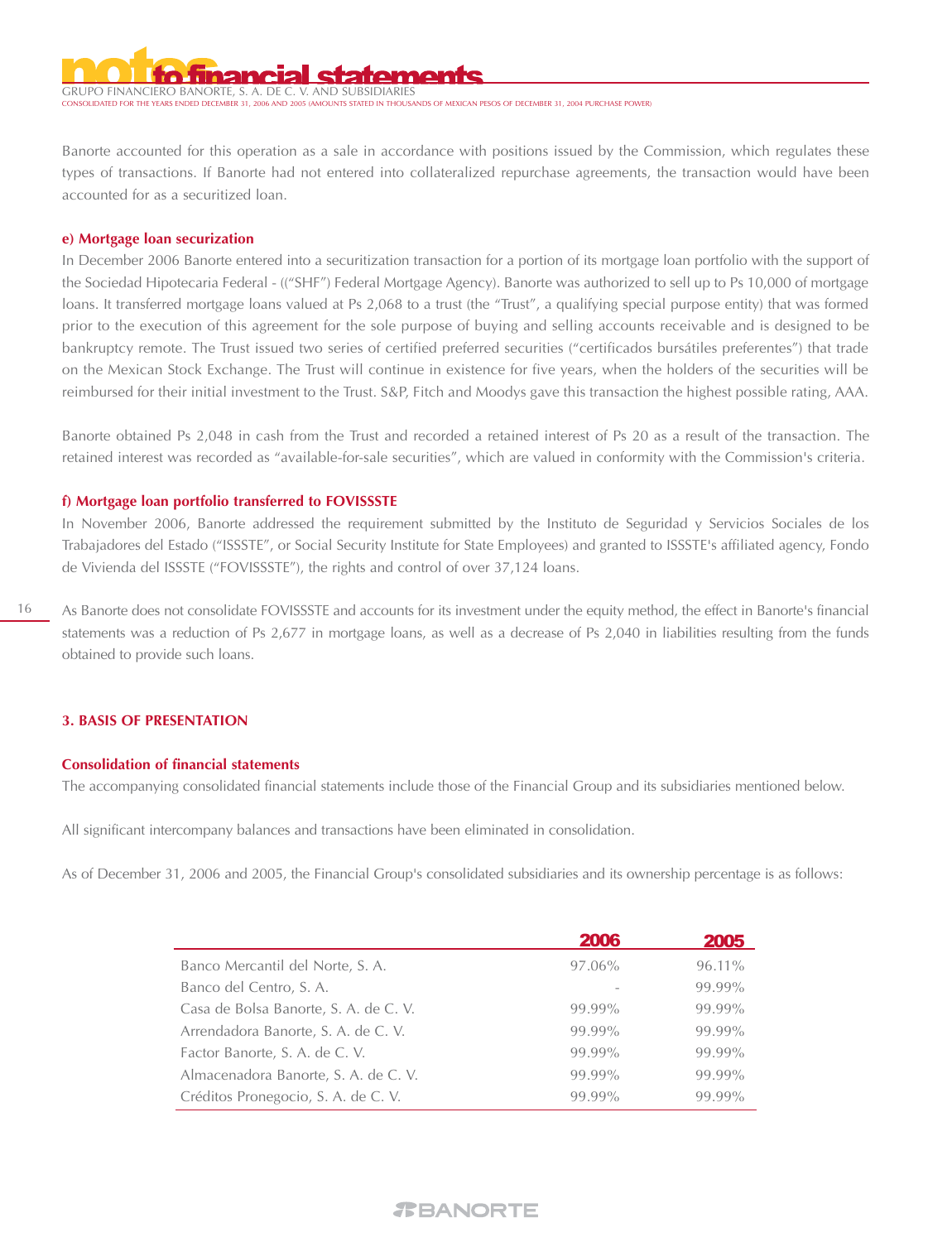# GRUPO FINANCIERO BANORTE, S. A. DE C

STATED IN THOUSANDS OF MEXICAN PESOS OF DECEMBER 31, 2004 PURCHASE POWER)

Banorte accounted for this operation as a sale in accordance with positions issued by the Commission, which regulates these types of transactions. If Banorte had not entered into collateralized repurchase agreements, the transaction would have been accounted for as a securitized loan.

#### **e) Mortgage loan securization**

In December 2006 Banorte entered into a securitization transaction for a portion of its mortgage loan portfolio with the support of the Sociedad Hipotecaria Federal - (("SHF") Federal Mortgage Agency). Banorte was authorized to sell up to Ps 10,000 of mortgage loans. It transferred mortgage loans valued at Ps 2,068 to a trust (the "Trust", a qualifying special purpose entity) that was formed prior to the execution of this agreement for the sole purpose of buying and selling accounts receivable and is designed to be bankruptcy remote. The Trust issued two series of certified preferred securities ("certificados bursátiles preferentes") that trade on the Mexican Stock Exchange. The Trust will continue in existence for five years, when the holders of the securities will be reimbursed for their initial investment to the Trust. S&P, Fitch and Moodys gave this transaction the highest possible rating, AAA.

Banorte obtained Ps 2,048 in cash from the Trust and recorded a retained interest of Ps 20 as a result of the transaction. The retained interest was recorded as "available-for-sale securities", which are valued in conformity with the Commission's criteria.

#### **f) Mortgage loan portfolio transferred to FOVISSSTE**

In November 2006, Banorte addressed the requirement submitted by the Instituto de Seguridad y Servicios Sociales de los Trabajadores del Estado ("ISSSTE", or Social Security Institute for State Employees) and granted to ISSSTE's affiliated agency, Fondo de Vivienda del ISSSTE ("FOVISSSTE"), the rights and control of over 37,124 loans.

As Banorte does not consolidate FOVISSSTE and accounts for its investment under the equity method, the effect in Banorte's financial statements was a reduction of Ps 2,677 in mortgage loans, as well as a decrease of Ps 2,040 in liabilities resulting from the funds obtained to provide such loans.

# **3. BASIS OF PRESENTATION**

# **Consolidation of financial statements**

The accompanying consolidated financial statements include those of the Financial Group and its subsidiaries mentioned below.

All significant intercompany balances and transactions have been eliminated in consolidation.

As of December 31, 2006 and 2005, the Financial Group's consolidated subsidiaries and its ownership percentage is as follows:

|                                       | 2006   | 2005   |
|---------------------------------------|--------|--------|
| Banco Mercantil del Norte, S. A.      | 97.06% | 96.11% |
| Banco del Centro, S. A.               |        | 99.99% |
| Casa de Bolsa Banorte, S. A. de C. V. | 99.99% | 99.99% |
| Arrendadora Banorte, S. A. de C. V.   | 99.99% | 99.99% |
| Factor Banorte, S. A. de C. V.        | 99.99% | 99.99% |
| Almacenadora Banorte, S. A. de C. V.  | 99.99% | 99.99% |
| Créditos Pronegocio, S. A. de C. V.   | 99.99% | 99.99% |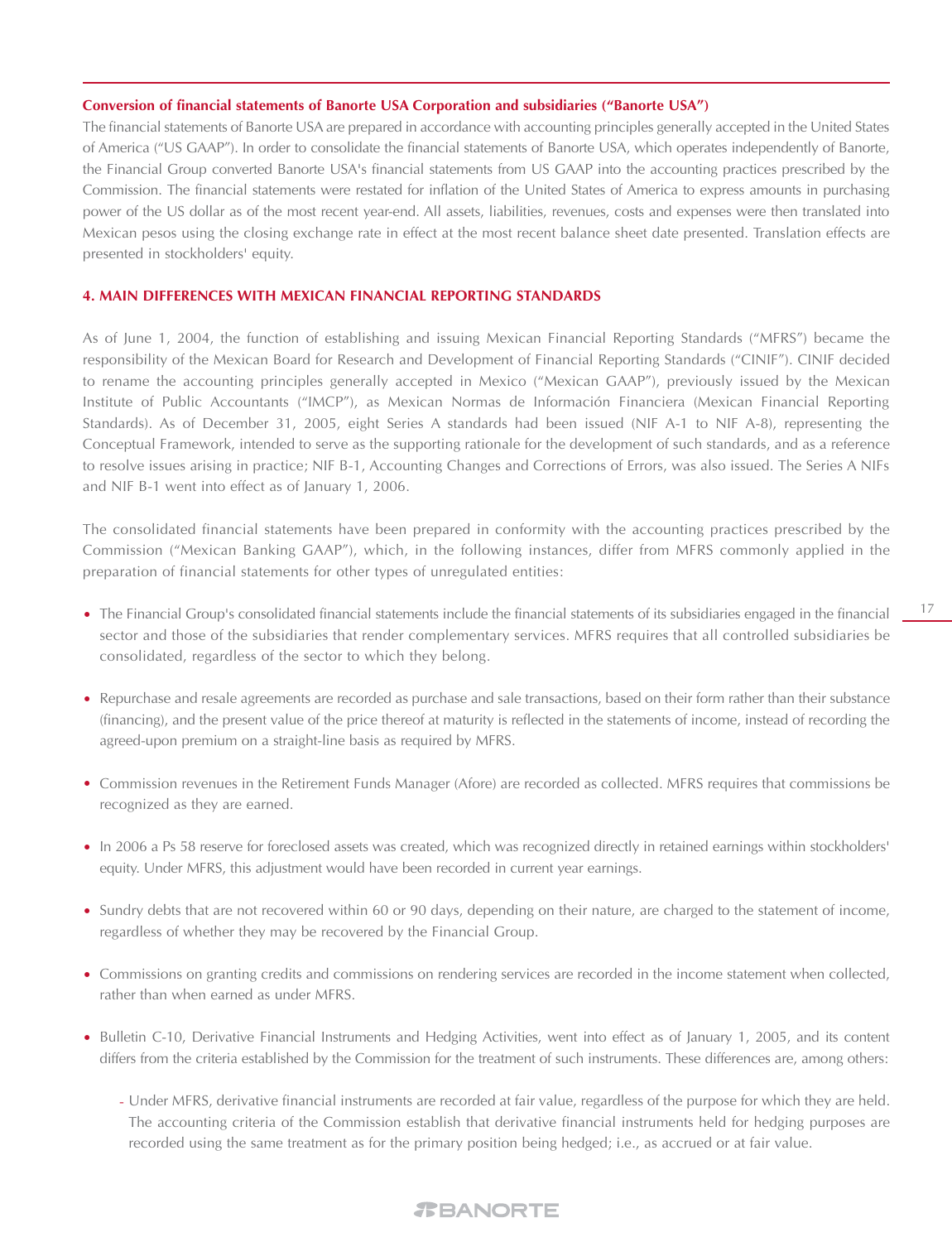#### **Conversion of financial statements of Banorte USA Corporation and subsidiaries ("Banorte USA")**

The financial statements of Banorte USA are prepared in accordance with accounting principles generally accepted in the United States of America ("US GAAP"). In order to consolidate the financial statements of Banorte USA, which operates independently of Banorte, the Financial Group converted Banorte USA's financial statements from US GAAP into the accounting practices prescribed by the Commission. The financial statements were restated for inflation of the United States of America to express amounts in purchasing power of the US dollar as of the most recent year-end. All assets, liabilities, revenues, costs and expenses were then translated into Mexican pesos using the closing exchange rate in effect at the most recent balance sheet date presented. Translation effects are presented in stockholders' equity.

# **4. MAIN DIFFERENCES WITH MEXICAN FINANCIAL REPORTING STANDARDS**

As of June 1, 2004, the function of establishing and issuing Mexican Financial Reporting Standards ("MFRS") became the responsibility of the Mexican Board for Research and Development of Financial Reporting Standards ("CINIF"). CINIF decided to rename the accounting principles generally accepted in Mexico ("Mexican GAAP"), previously issued by the Mexican Institute of Public Accountants ("IMCP"), as Mexican Normas de Información Financiera (Mexican Financial Reporting Standards). As of December 31, 2005, eight Series A standards had been issued (NIF A-1 to NIF A-8), representing the Conceptual Framework, intended to serve as the supporting rationale for the development of such standards, and as a reference to resolve issues arising in practice; NIF B-1, Accounting Changes and Corrections of Errors, was also issued. The Series A NIFs and NIF B-1 went into effect as of January 1, 2006.

The consolidated financial statements have been prepared in conformity with the accounting practices prescribed by the Commission ("Mexican Banking GAAP"), which, in the following instances, differ from MFRS commonly applied in the preparation of financial statements for other types of unregulated entities:

- The Financial Group's consolidated financial statements include the financial statements of its subsidiaries engaged in the financial sector and those of the subsidiaries that render complementary services. MFRS requires that all controlled subsidiaries be consolidated, regardless of the sector to which they belong.
- Repurchase and resale agreements are recorded as purchase and sale transactions, based on their form rather than their substance (financing), and the present value of the price thereof at maturity is reflected in the statements of income, instead of recording the agreed-upon premium on a straight-line basis as required by MFRS.
- Commission revenues in the Retirement Funds Manager (Afore) are recorded as collected. MFRS requires that commissions be recognized as they are earned.
- In 2006 a Ps 58 reserve for foreclosed assets was created, which was recognized directly in retained earnings within stockholders' equity. Under MFRS, this adjustment would have been recorded in current year earnings.
- Sundry debts that are not recovered within 60 or 90 days, depending on their nature, are charged to the statement of income, regardless of whether they may be recovered by the Financial Group.
- Commissions on granting credits and commissions on rendering services are recorded in the income statement when collected, rather than when earned as under MFRS.
- Bulletin C-10, Derivative Financial Instruments and Hedging Activities, went into effect as of January 1, 2005, and its content differs from the criteria established by the Commission for the treatment of such instruments. These differences are, among others:
	- Under MFRS, derivative financial instruments are recorded at fair value, regardless of the purpose for which they are held. -The accounting criteria of the Commission establish that derivative financial instruments held for hedging purposes are recorded using the same treatment as for the primary position being hedged; i.e., as accrued or at fair value.

# *REANORTE*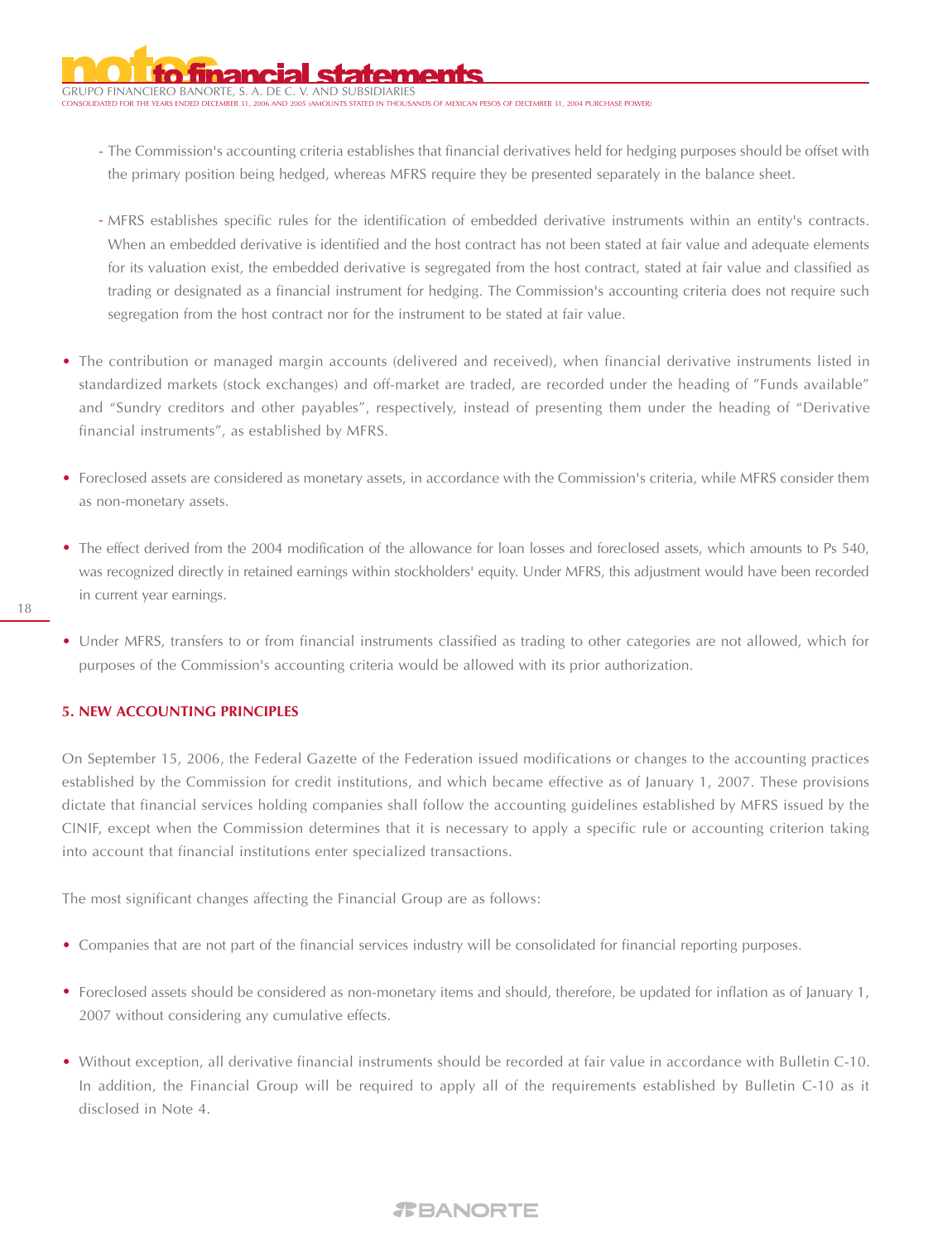GRUPO FINANCIERO BANORTE, S. A. DE C. V. AND SUBSIDIARIES CONSOLIDATED FOR THE YEARS ENDED DECEMBER 31, 2006 AND 2005 (AMOUNTS STATED IN THOUSANDS OF MEXICAN PESOS OF DECEMBER 31, 2004 PURCHASE POWER)

- The Commission's accounting criteria establishes that financial derivatives held for hedging purposes should be offset with the primary position being hedged, whereas MFRS require they be presented separately in the balance sheet.
- MFRS establishes specific rules for the identification of embedded derivative instruments within an entity's contracts. When an embedded derivative is identified and the host contract has not been stated at fair value and adequate elements for its valuation exist, the embedded derivative is segregated from the host contract, stated at fair value and classified as trading or designated as a financial instrument for hedging. The Commission's accounting criteria does not require such segregation from the host contract nor for the instrument to be stated at fair value.
- The contribution or managed margin accounts (delivered and received), when financial derivative instruments listed in standardized markets (stock exchanges) and off-market are traded, are recorded under the heading of "Funds available" and "Sundry creditors and other payables", respectively, instead of presenting them under the heading of "Derivative financial instruments", as established by MFRS.
- Foreclosed assets are considered as monetary assets, in accordance with the Commission's criteria, while MFRS consider them as non-monetary assets.
- The effect derived from the 2004 modification of the allowance for loan losses and foreclosed assets, which amounts to Ps 540, was recognized directly in retained earnings within stockholders' equity. Under MFRS, this adjustment would have been recorded in current year earnings.

• Under MFRS, transfers to or from financial instruments classified as trading to other categories are not allowed, which for purposes of the Commission's accounting criteria would be allowed with its prior authorization.

# **5. NEW ACCOUNTING PRINCIPLES**

On September 15, 2006, the Federal Gazette of the Federation issued modifications or changes to the accounting practices established by the Commission for credit institutions, and which became effective as of January 1, 2007. These provisions dictate that financial services holding companies shall follow the accounting guidelines established by MFRS issued by the CINIF, except when the Commission determines that it is necessary to apply a specific rule or accounting criterion taking into account that financial institutions enter specialized transactions.

The most significant changes affecting the Financial Group are as follows:

- Companies that are not part of the financial services industry will be consolidated for financial reporting purposes.
- Foreclosed assets should be considered as non-monetary items and should, therefore, be updated for inflation as of January 1, 2007 without considering any cumulative effects.
- Without exception, all derivative financial instruments should be recorded at fair value in accordance with Bulletin C-10. In addition, the Financial Group will be required to apply all of the requirements established by Bulletin C-10 as it disclosed in Note 4.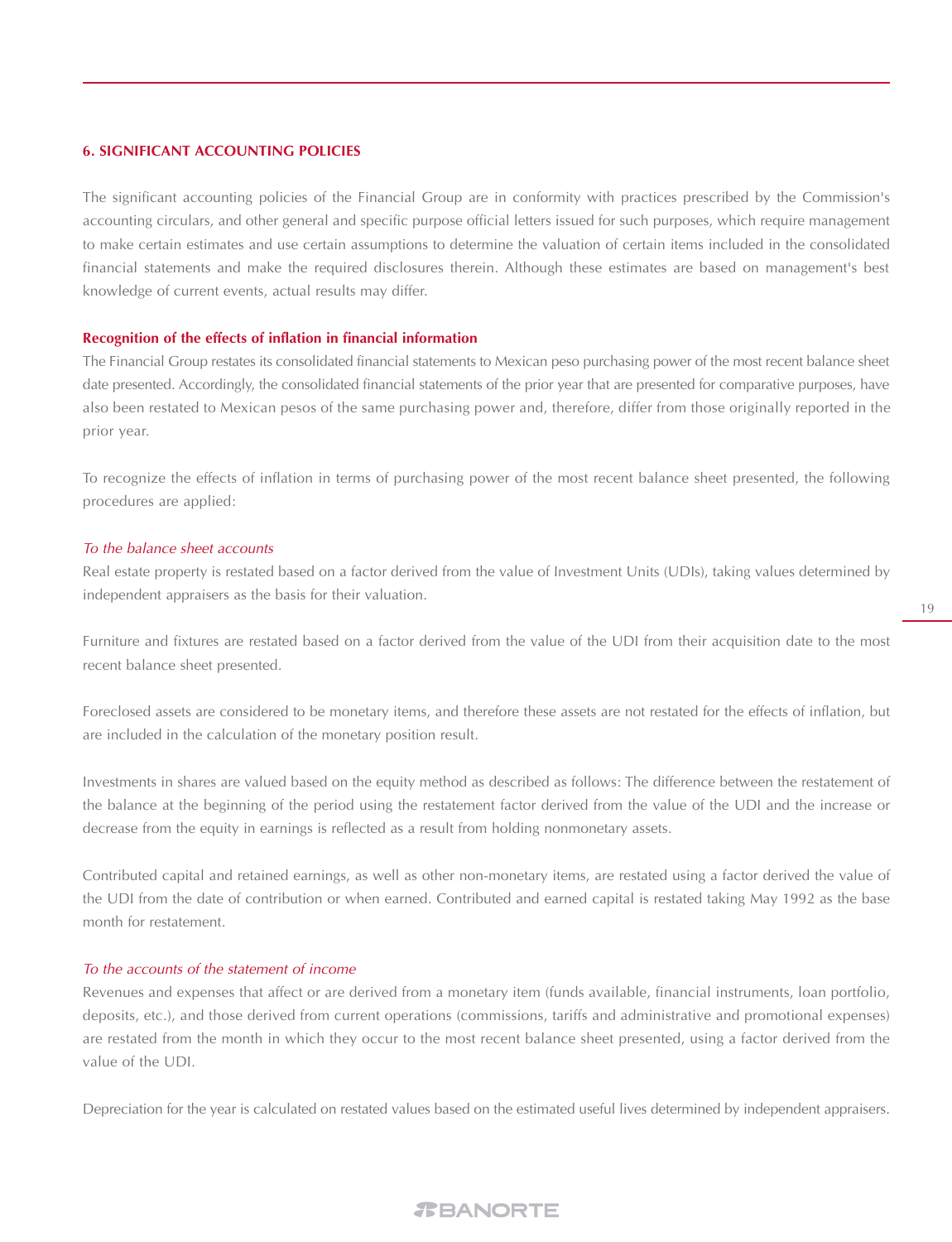# **6. SIGNIFICANT ACCOUNTING POLICIES**

The significant accounting policies of the Financial Group are in conformity with practices prescribed by the Commission's accounting circulars, and other general and specific purpose official letters issued for such purposes, which require management to make certain estimates and use certain assumptions to determine the valuation of certain items included in the consolidated financial statements and make the required disclosures therein. Although these estimates are based on management's best knowledge of current events, actual results may differ.

#### **Recognition of the effects of inflation in financial information**

The Financial Group restates its consolidated financial statements to Mexican peso purchasing power of the most recent balance sheet date presented. Accordingly, the consolidated financial statements of the prior year that are presented for comparative purposes, have also been restated to Mexican pesos of the same purchasing power and, therefore, differ from those originally reported in the prior year.

To recognize the effects of inflation in terms of purchasing power of the most recent balance sheet presented, the following procedures are applied:

#### To the balance sheet accounts

Real estate property is restated based on a factor derived from the value of Investment Units (UDIs), taking values determined by independent appraisers as the basis for their valuation.

Furniture and fixtures are restated based on a factor derived from the value of the UDI from their acquisition date to the most recent balance sheet presented.

Foreclosed assets are considered to be monetary items, and therefore these assets are not restated for the effects of inflation, but are included in the calculation of the monetary position result.

Investments in shares are valued based on the equity method as described as follows: The difference between the restatement of the balance at the beginning of the period using the restatement factor derived from the value of the UDI and the increase or decrease from the equity in earnings is reflected as a result from holding nonmonetary assets.

Contributed capital and retained earnings, as well as other non-monetary items, are restated using a factor derived the value of the UDI from the date of contribution or when earned. Contributed and earned capital is restated taking May 1992 as the base month for restatement.

# To the accounts of the statement of income

Revenues and expenses that affect or are derived from a monetary item (funds available, financial instruments, loan portfolio, deposits, etc.), and those derived from current operations (commissions, tariffs and administrative and promotional expenses) are restated from the month in which they occur to the most recent balance sheet presented, using a factor derived from the value of the UDI.

Depreciation for the year is calculated on restated values based on the estimated useful lives determined by independent appraisers.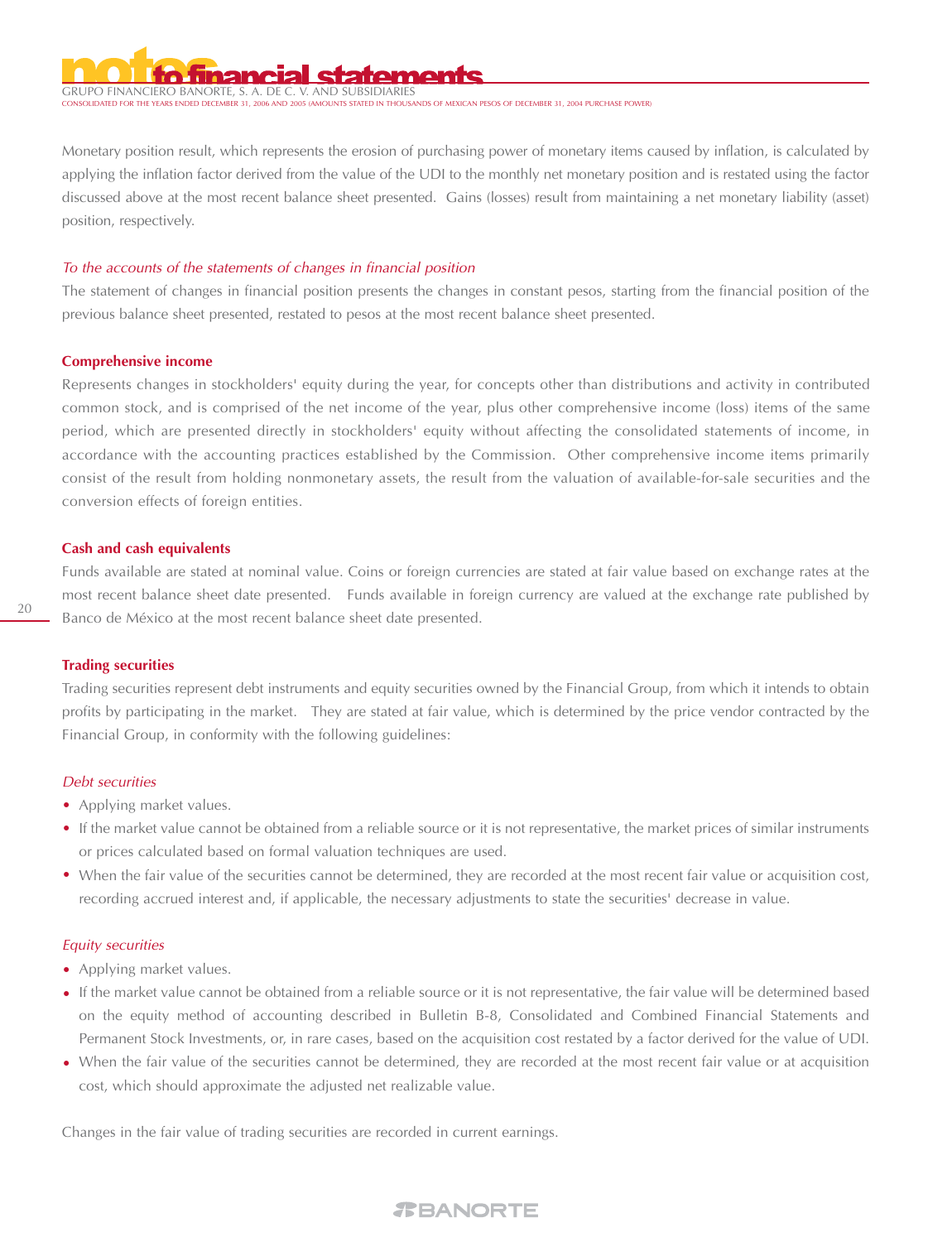# GRUPO FINANCIERO BANORTE, S. A. DE C. V. AND SUBSIDIARIES

.<br>TTS STATED IN THOUSANDS OF MEXICAN PESOS OF DECEMBER 31, 2004 PURCHASE POWER)

Monetary position result, which represents the erosion of purchasing power of monetary items caused by inflation, is calculated by applying the inflation factor derived from the value of the UDI to the monthly net monetary position and is restated using the factor discussed above at the most recent balance sheet presented. Gains (losses) result from maintaining a net monetary liability (asset) position, respectively.

#### To the accounts of the statements of changes in financial position

The statement of changes in financial position presents the changes in constant pesos, starting from the financial position of the previous balance sheet presented, restated to pesos at the most recent balance sheet presented.

#### **Comprehensive income**

Represents changes in stockholders' equity during the year, for concepts other than distributions and activity in contributed common stock, and is comprised of the net income of the year, plus other comprehensive income (loss) items of the same period, which are presented directly in stockholders' equity without affecting the consolidated statements of income, in accordance with the accounting practices established by the Commission. Other comprehensive income items primarily consist of the result from holding nonmonetary assets, the result from the valuation of available-for-sale securities and the conversion effects of foreign entities.

#### **Cash and cash equivalents**

Funds available are stated at nominal value. Coins or foreign currencies are stated at fair value based on exchange rates at the most recent balance sheet date presented. Funds available in foreign currency are valued at the exchange rate published by Banco de México at the most recent balance sheet date presented.

#### **Trading securities**

Trading securities represent debt instruments and equity securities owned by the Financial Group, from which it intends to obtain profits by participating in the market. They are stated at fair value, which is determined by the price vendor contracted by the Financial Group, in conformity with the following guidelines:

#### Debt securities

- Applying market values.
- If the market value cannot be obtained from a reliable source or it is not representative, the market prices of similar instruments or prices calculated based on formal valuation techniques are used.
- When the fair value of the securities cannot be determined, they are recorded at the most recent fair value or acquisition cost, recording accrued interest and, if applicable, the necessary adjustments to state the securities' decrease in value.

#### Equity securities

- Applying market values.
- If the market value cannot be obtained from a reliable source or it is not representative, the fair value will be determined based on the equity method of accounting described in Bulletin B-8, Consolidated and Combined Financial Statements and Permanent Stock Investments, or, in rare cases, based on the acquisition cost restated by a factor derived for the value of UDI.
- When the fair value of the securities cannot be determined, they are recorded at the most recent fair value or at acquisition cost, which should approximate the adjusted net realizable value.

Changes in the fair value of trading securities are recorded in current earnings.

# 20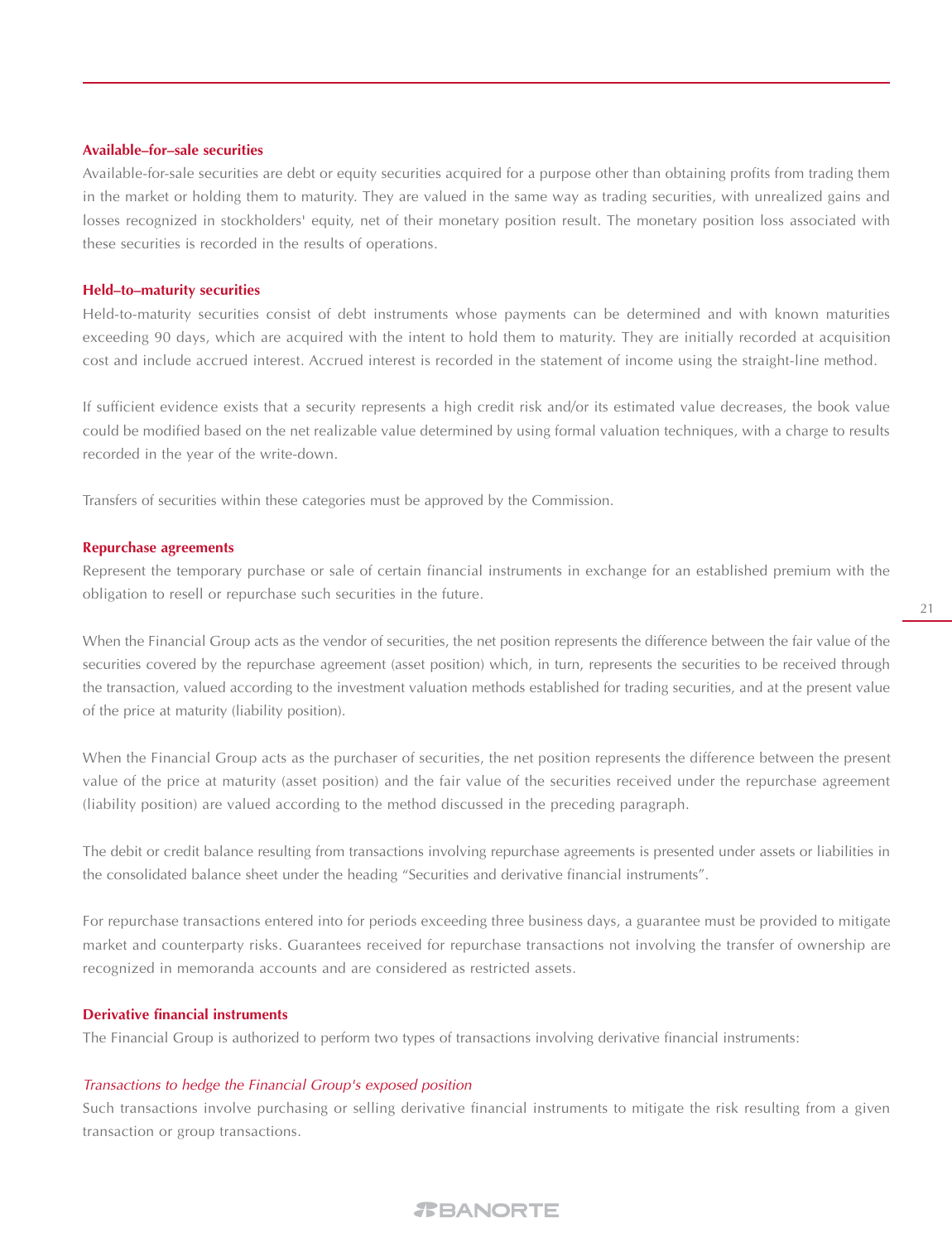# **Available–for–sale securities**

Available-for-sale securities are debt or equity securities acquired for a purpose other than obtaining profits from trading them in the market or holding them to maturity. They are valued in the same way as trading securities, with unrealized gains and losses recognized in stockholders' equity, net of their monetary position result. The monetary position loss associated with these securities is recorded in the results of operations.

# **Held–to–maturity securities**

Held-to-maturity securities consist of debt instruments whose payments can be determined and with known maturities exceeding 90 days, which are acquired with the intent to hold them to maturity. They are initially recorded at acquisition cost and include accrued interest. Accrued interest is recorded in the statement of income using the straight-line method.

If sufficient evidence exists that a security represents a high credit risk and/or its estimated value decreases, the book value could be modified based on the net realizable value determined by using formal valuation techniques, with a charge to results recorded in the year of the write-down.

Transfers of securities within these categories must be approved by the Commission.

#### **Repurchase agreements**

Represent the temporary purchase or sale of certain financial instruments in exchange for an established premium with the obligation to resell or repurchase such securities in the future.

When the Financial Group acts as the vendor of securities, the net position represents the difference between the fair value of the securities covered by the repurchase agreement (asset position) which, in turn, represents the securities to be received through the transaction, valued according to the investment valuation methods established for trading securities, and at the present value of the price at maturity (liability position).

When the Financial Group acts as the purchaser of securities, the net position represents the difference between the present value of the price at maturity (asset position) and the fair value of the securities received under the repurchase agreement (liability position) are valued according to the method discussed in the preceding paragraph.

The debit or credit balance resulting from transactions involving repurchase agreements is presented under assets or liabilities in the consolidated balance sheet under the heading "Securities and derivative financial instruments".

For repurchase transactions entered into for periods exceeding three business days, a guarantee must be provided to mitigate market and counterparty risks. Guarantees received for repurchase transactions not involving the transfer of ownership are recognized in memoranda accounts and are considered as restricted assets.

#### **Derivative financial instruments**

The Financial Group is authorized to perform two types of transactions involving derivative financial instruments:

#### Transactions to hedge the Financial Group's exposed position

Such transactions involve purchasing or selling derivative financial instruments to mitigate the risk resulting from a given transaction or group transactions.

#### 21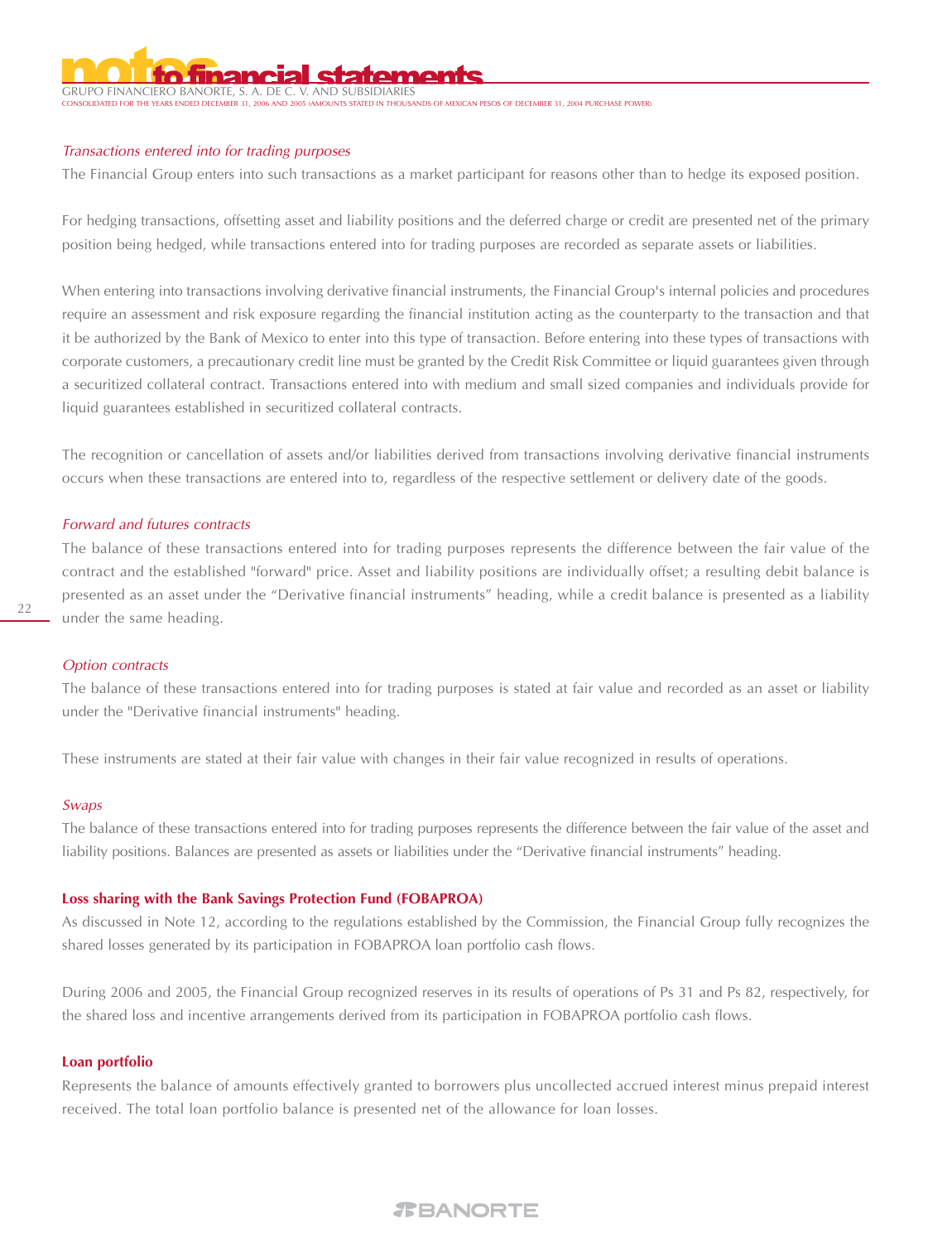GRUPO FINANCIERO BANORTE, S. A. DE STATED IN THOUSANDS OF MEXICAN PESOS OF DECEMBER 31, 2004 PURCHASE POWER)

#### Transactions entered into for trading purposes

The Financial Group enters into such transactions as a market participant for reasons other than to hedge its exposed position.

For hedging transactions, offsetting asset and liability positions and the deferred charge or credit are presented net of the primary position being hedged, while transactions entered into for trading purposes are recorded as separate assets or liabilities.

When entering into transactions involving derivative financial instruments, the Financial Group's internal policies and procedures require an assessment and risk exposure regarding the financial institution acting as the counterparty to the transaction and that it be authorized by the Bank of Mexico to enter into this type of transaction. Before entering into these types of transactions with corporate customers, a precautionary credit line must be granted by the Credit Risk Committee or liquid guarantees given through a securitized collateral contract. Transactions entered into with medium and small sized companies and individuals provide for liquid guarantees established in securitized collateral contracts.

The recognition or cancellation of assets and/or liabilities derived from transactions involving derivative financial instruments occurs when these transactions are entered into to, regardless of the respective settlement or delivery date of the goods.

### Forward and futures contracts

The balance of these transactions entered into for trading purposes represents the difference between the fair value of the contract and the established "forward" price. Asset and liability positions are individually offset; a resulting debit balance is presented as an asset under the "Derivative financial instruments" heading, while a credit balance is presented as a liability under the same heading.

# Option contracts

The balance of these transactions entered into for trading purposes is stated at fair value and recorded as an asset or liability under the "Derivative financial instruments" heading.

These instruments are stated at their fair value with changes in their fair value recognized in results of operations.

# Swaps

The balance of these transactions entered into for trading purposes represents the difference between the fair value of the asset and liability positions. Balances are presented as assets or liabilities under the "Derivative financial instruments" heading.

# **Loss sharing with the Bank Savings Protection Fund (FOBAPROA)**

As discussed in Note 12, according to the regulations established by the Commission, the Financial Group fully recognizes the shared losses generated by its participation in FOBAPROA loan portfolio cash flows.

During 2006 and 2005, the Financial Group recognized reserves in its results of operations of Ps 31 and Ps 82, respectively, for the shared loss and incentive arrangements derived from its participation in FOBAPROA portfolio cash flows.

#### **Loan portfolio**

Represents the balance of amounts effectively granted to borrowers plus uncollected accrued interest minus prepaid interest received. The total loan portfolio balance is presented net of the allowance for loan losses.

# 22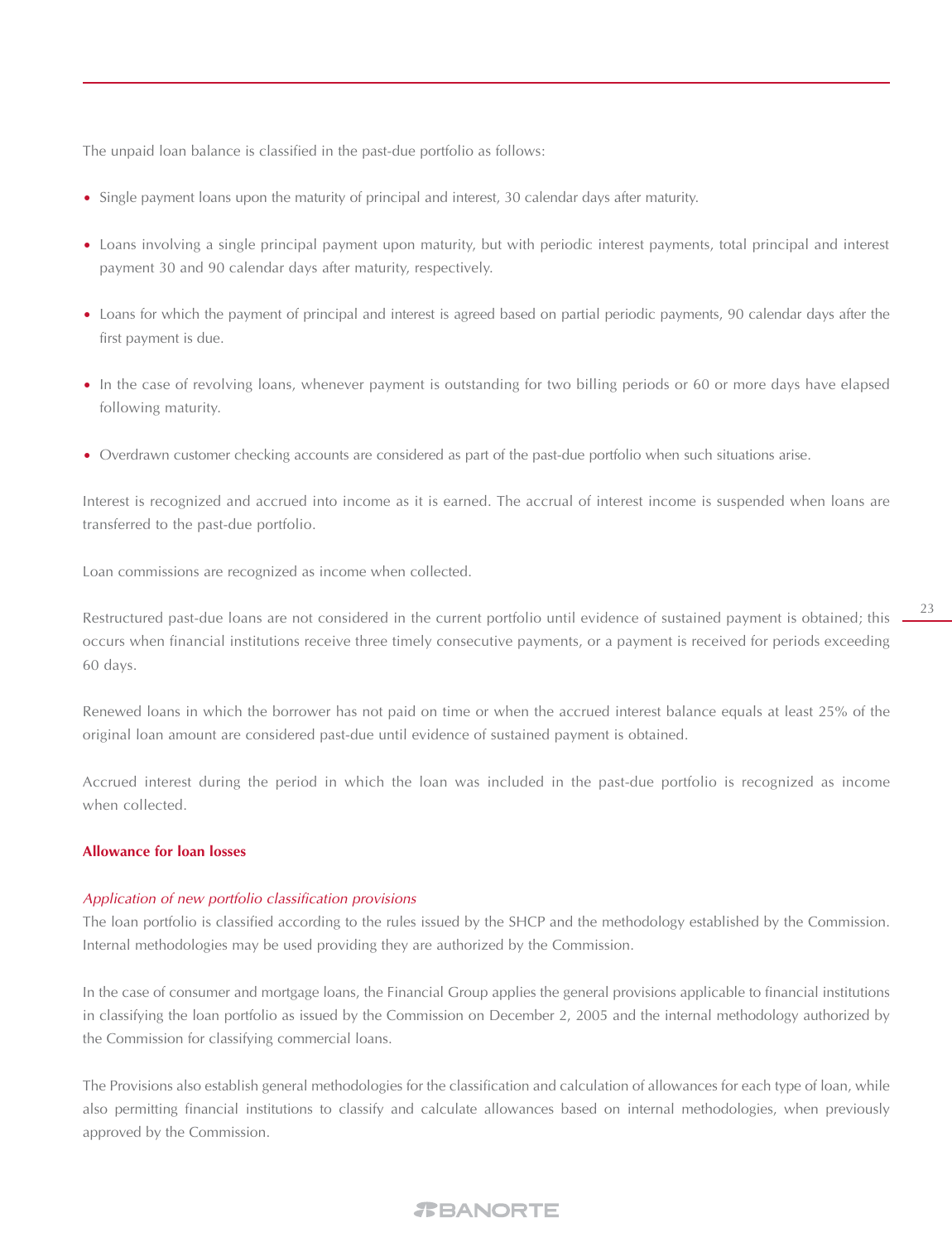The unpaid loan balance is classified in the past-due portfolio as follows:

- Single payment loans upon the maturity of principal and interest, 30 calendar days after maturity.
- Loans involving a single principal payment upon maturity, but with periodic interest payments, total principal and interest payment 30 and 90 calendar days after maturity, respectively.
- Loans for which the payment of principal and interest is agreed based on partial periodic payments, 90 calendar days after the first payment is due.
- In the case of revolving loans, whenever payment is outstanding for two billing periods or 60 or more days have elapsed following maturity.
- Overdrawn customer checking accounts are considered as part of the past-due portfolio when such situations arise. •

Interest is recognized and accrued into income as it is earned. The accrual of interest income is suspended when loans are transferred to the past-due portfolio.

Loan commissions are recognized as income when collected.

Restructured past-due loans are not considered in the current portfolio until evidence of sustained payment is obtained; this occurs when financial institutions receive three timely consecutive payments, or a payment is received for periods exceeding 60 days.

Renewed loans in which the borrower has not paid on time or when the accrued interest balance equals at least 25% of the original loan amount are considered past-due until evidence of sustained payment is obtained.

Accrued interest during the period in which the loan was included in the past-due portfolio is recognized as income when collected.

#### **Allowance for loan losses**

# Application of new portfolio classification provisions

The loan portfolio is classified according to the rules issued by the SHCP and the methodology established by the Commission. Internal methodologies may be used providing they are authorized by the Commission.

In the case of consumer and mortgage loans, the Financial Group applies the general provisions applicable to financial institutions in classifying the loan portfolio as issued by the Commission on December 2, 2005 and the internal methodology authorized by the Commission for classifying commercial loans.

The Provisions also establish general methodologies for the classification and calculation of allowances for each type of loan, while also permitting financial institutions to classify and calculate allowances based on internal methodologies, when previously approved by the Commission.

# *REANORTE*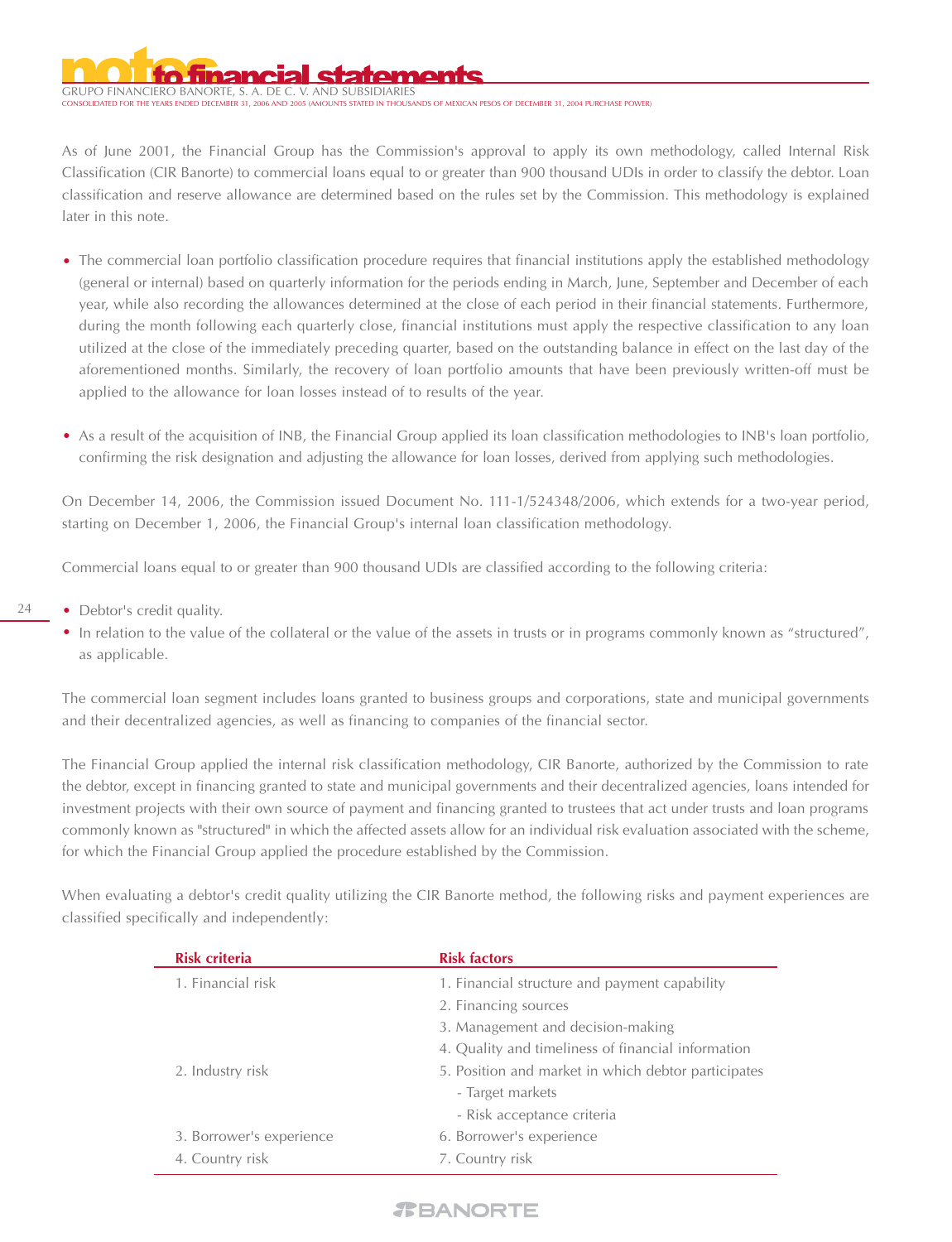GRUPO FINANCIERO BANORTE, S. A. DE C

STATED IN THOUSANDS OF MEXICAN PESOS OF DECEMBER 31, 2004 PURCHASE POWER)

As of June 2001, the Financial Group has the Commission's approval to apply its own methodology, called Internal Risk Classification (CIR Banorte) to commercial loans equal to or greater than 900 thousand UDIs in order to classify the debtor. Loan classification and reserve allowance are determined based on the rules set by the Commission. This methodology is explained later in this note.

- The commercial loan portfolio classification procedure requires that financial institutions apply the established methodology (general or internal) based on quarterly information for the periods ending in March, June, September and December of each year, while also recording the allowances determined at the close of each period in their financial statements. Furthermore, during the month following each quarterly close, financial institutions must apply the respective classification to any loan utilized at the close of the immediately preceding quarter, based on the outstanding balance in effect on the last day of the aforementioned months. Similarly, the recovery of loan portfolio amounts that have been previously written-off must be applied to the allowance for loan losses instead of to results of the year.
- As a result of the acquisition of INB, the Financial Group applied its loan classification methodologies to INB's loan portfolio, confirming the risk designation and adjusting the allowance for loan losses, derived from applying such methodologies.

On December 14, 2006, the Commission issued Document No. 111-1/524348/2006, which extends for a two-year period, starting on December 1, 2006, the Financial Group's internal loan classification methodology.

Commercial loans equal to or greater than 900 thousand UDIs are classified according to the following criteria:

- 24 • Debtor's credit quality.
	- In relation to the value of the collateral or the value of the assets in trusts or in programs commonly known as "structured", as applicable.

The commercial loan segment includes loans granted to business groups and corporations, state and municipal governments and their decentralized agencies, as well as financing to companies of the financial sector.

The Financial Group applied the internal risk classification methodology, CIR Banorte, authorized by the Commission to rate the debtor, except in financing granted to state and municipal governments and their decentralized agencies, loans intended for investment projects with their own source of payment and financing granted to trustees that act under trusts and loan programs commonly known as "structured" in which the affected assets allow for an individual risk evaluation associated with the scheme, for which the Financial Group applied the procedure established by the Commission.

When evaluating a debtor's credit quality utilizing the CIR Banorte method, the following risks and payment experiences are classified specifically and independently:

| <b>Risk criteria</b>     | <b>Risk factors</b>                                 |
|--------------------------|-----------------------------------------------------|
| 1. Financial risk        | 1. Financial structure and payment capability       |
|                          | 2. Financing sources                                |
|                          | 3. Management and decision-making                   |
|                          | 4. Quality and timeliness of financial information  |
| 2. Industry risk         | 5. Position and market in which debtor participates |
|                          | - Target markets                                    |
|                          | - Risk acceptance criteria                          |
| 3. Borrower's experience | 6. Borrower's experience                            |
| 4. Country risk          | 7. Country risk                                     |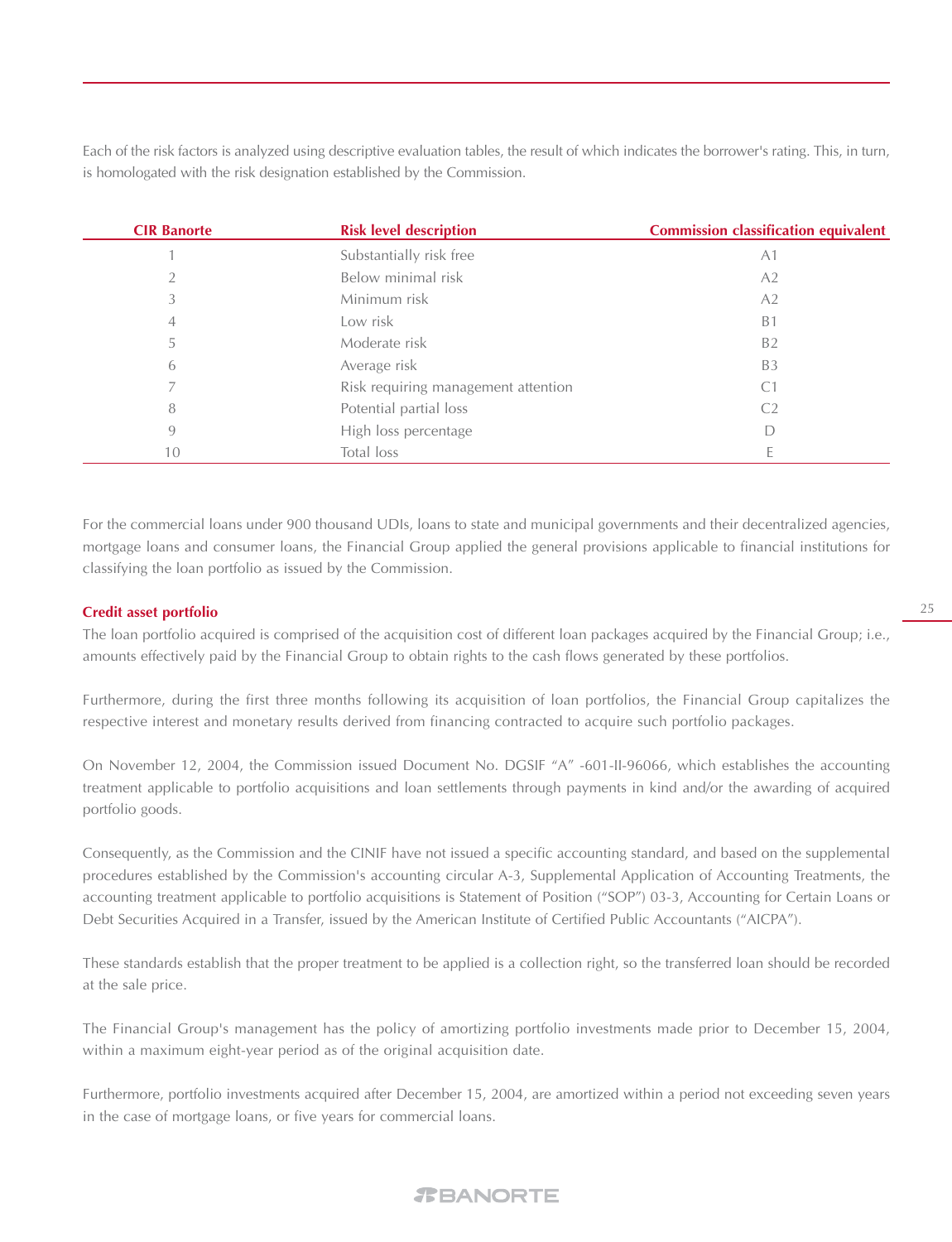Each of the risk factors is analyzed using descriptive evaluation tables, the result of which indicates the borrower's rating. This, in turn, is homologated with the risk designation established by the Commission.

| <b>CIR Banorte</b> | <b>Risk level description</b>       | <b>Commission classification equivalent</b> |
|--------------------|-------------------------------------|---------------------------------------------|
|                    | Substantially risk free             | A <sub>1</sub>                              |
|                    | Below minimal risk                  | A2                                          |
| 3                  | Minimum risk                        | A <sub>2</sub>                              |
| 4                  | Low risk                            | B <sub>1</sub>                              |
|                    | Moderate risk                       | <b>B2</b>                                   |
| 6                  | Average risk                        | B <sub>3</sub>                              |
|                    | Risk requiring management attention | C <sub>1</sub>                              |
| 8                  | Potential partial loss              | C <sub>2</sub>                              |
| 9                  | High loss percentage                | D                                           |
| 10                 | Total loss                          |                                             |

For the commercial loans under 900 thousand UDIs, loans to state and municipal governments and their decentralized agencies, mortgage loans and consumer loans, the Financial Group applied the general provisions applicable to financial institutions for classifying the loan portfolio as issued by the Commission.

# **Credit asset portfolio**

The loan portfolio acquired is comprised of the acquisition cost of different loan packages acquired by the Financial Group; i.e., amounts effectively paid by the Financial Group to obtain rights to the cash flows generated by these portfolios.

Furthermore, during the first three months following its acquisition of loan portfolios, the Financial Group capitalizes the respective interest and monetary results derived from financing contracted to acquire such portfolio packages.

On November 12, 2004, the Commission issued Document No. DGSIF "A" -601-II-96066, which establishes the accounting treatment applicable to portfolio acquisitions and loan settlements through payments in kind and/or the awarding of acquired portfolio goods.

Consequently, as the Commission and the CINIF have not issued a specific accounting standard, and based on the supplemental procedures established by the Commission's accounting circular A-3, Supplemental Application of Accounting Treatments, the accounting treatment applicable to portfolio acquisitions is Statement of Position ("SOP") 03-3, Accounting for Certain Loans or Debt Securities Acquired in a Transfer, issued by the American Institute of Certified Public Accountants ("AICPA").

These standards establish that the proper treatment to be applied is a collection right, so the transferred loan should be recorded at the sale price.

The Financial Group's management has the policy of amortizing portfolio investments made prior to December 15, 2004, within a maximum eight-year period as of the original acquisition date.

Furthermore, portfolio investments acquired after December 15, 2004, are amortized within a period not exceeding seven years in the case of mortgage loans, or five years for commercial loans.

#### 25

# *TBANORTE*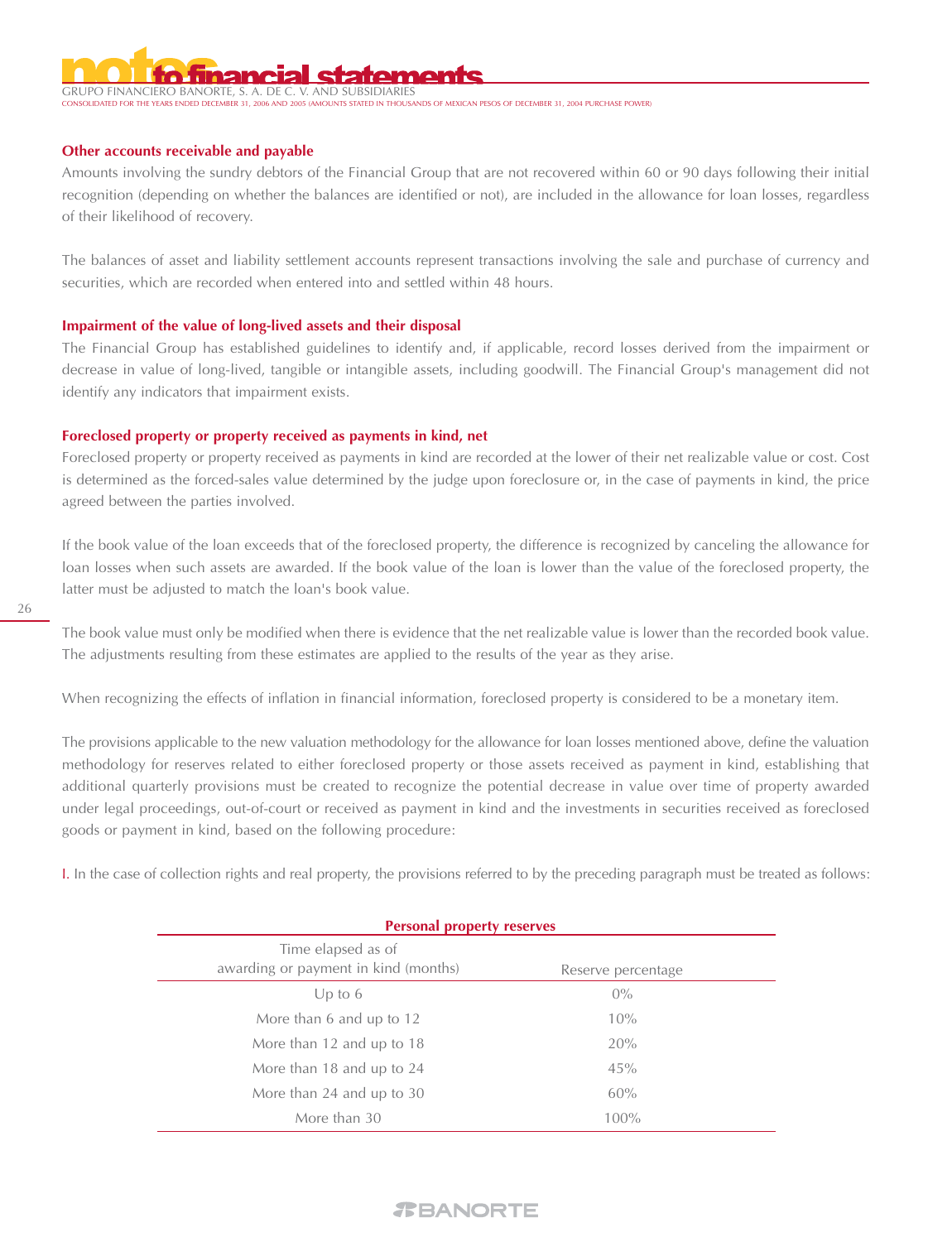GRUPO FINANCIERO BANORTE, S. A. DE --------<br>Thousands of mexican pesos of december 31, 2004 purchase power!

# **Other accounts receivable and payable**

Amounts involving the sundry debtors of the Financial Group that are not recovered within 60 or 90 days following their initial recognition (depending on whether the balances are identified or not), are included in the allowance for loan losses, regardless of their likelihood of recovery.

The balances of asset and liability settlement accounts represent transactions involving the sale and purchase of currency and securities, which are recorded when entered into and settled within 48 hours.

# **Impairment of the value of long-lived assets and their disposal**

The Financial Group has established guidelines to identify and, if applicable, record losses derived from the impairment or decrease in value of long-lived, tangible or intangible assets, including goodwill. The Financial Group's management did not identify any indicators that impairment exists.

### **Foreclosed property or property received as payments in kind, net**

Foreclosed property or property received as payments in kind are recorded at the lower of their net realizable value or cost. Cost is determined as the forced-sales value determined by the judge upon foreclosure or, in the case of payments in kind, the price agreed between the parties involved.

If the book value of the loan exceeds that of the foreclosed property, the difference is recognized by canceling the allowance for loan losses when such assets are awarded. If the book value of the loan is lower than the value of the foreclosed property, the latter must be adjusted to match the loan's book value.

The book value must only be modified when there is evidence that the net realizable value is lower than the recorded book value. The adjustments resulting from these estimates are applied to the results of the year as they arise.

When recognizing the effects of inflation in financial information, foreclosed property is considered to be a monetary item.

The provisions applicable to the new valuation methodology for the allowance for loan losses mentioned above, define the valuation methodology for reserves related to either foreclosed property or those assets received as payment in kind, establishing that additional quarterly provisions must be created to recognize the potential decrease in value over time of property awarded under legal proceedings, out-of-court or received as payment in kind and the investments in securities received as foreclosed goods or payment in kind, based on the following procedure:

I. In the case of collection rights and real property, the provisions referred to by the preceding paragraph must be treated as follows:

| <b>Personal property reserves</b>                          |                    |  |  |
|------------------------------------------------------------|--------------------|--|--|
| Time elapsed as of<br>awarding or payment in kind (months) | Reserve percentage |  |  |
| Up to $6$                                                  | $0\%$              |  |  |
| More than 6 and up to 12                                   | 10%                |  |  |
| More than 12 and up to 18                                  | 20%                |  |  |
| More than 18 and up to 24                                  | 45%                |  |  |
| More than 24 and up to 30                                  | 60%                |  |  |
| More than 30                                               | 100%               |  |  |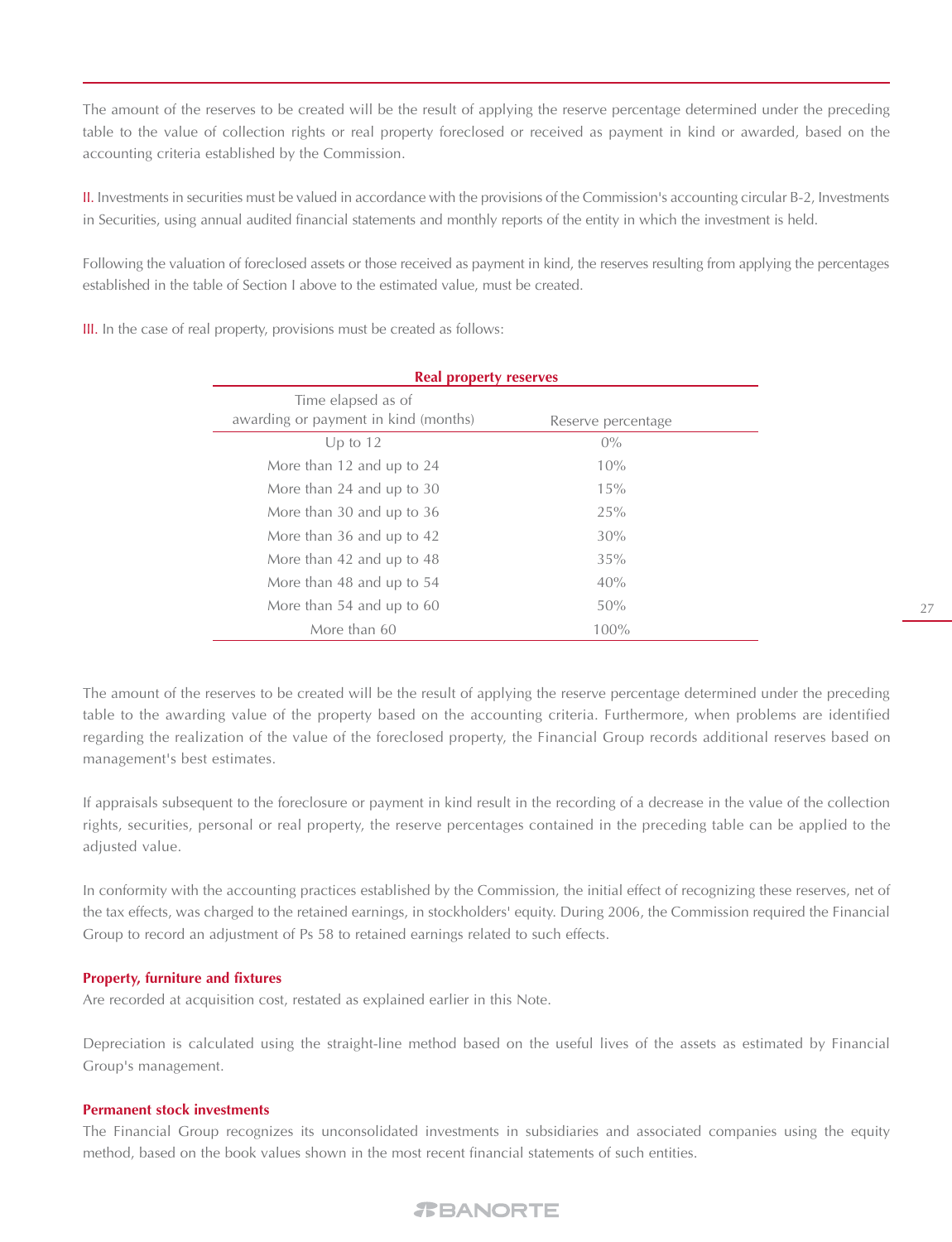The amount of the reserves to be created will be the result of applying the reserve percentage determined under the preceding table to the value of collection rights or real property foreclosed or received as payment in kind or awarded, based on the accounting criteria established by the Commission.

II. Investments in securities must be valued in accordance with the provisions of the Commission's accounting circular B-2, Investments in Securities, using annual audited financial statements and monthly reports of the entity in which the investment is held.

Following the valuation of foreclosed assets or those received as payment in kind, the reserves resulting from applying the percentages established in the table of Section I above to the estimated value, must be created.

III. In the case of real property, provisions must be created as follows:

| <b>Real property reserves</b>                              |                    |  |  |
|------------------------------------------------------------|--------------------|--|--|
| Time elapsed as of<br>awarding or payment in kind (months) | Reserve percentage |  |  |
| Up to $12$                                                 | $0\%$              |  |  |
| More than 12 and up to 24                                  | 10%                |  |  |
| More than 24 and up to 30                                  | 15%                |  |  |
| More than 30 and up to 36                                  | 25%                |  |  |
| More than 36 and up to 42                                  | 30%                |  |  |
| More than 42 and up to 48                                  | 35%                |  |  |
| More than 48 and up to 54                                  | 40%                |  |  |
| More than 54 and up to 60                                  | 50%                |  |  |
| More than 60                                               | 100%               |  |  |

The amount of the reserves to be created will be the result of applying the reserve percentage determined under the preceding table to the awarding value of the property based on the accounting criteria. Furthermore, when problems are identified regarding the realization of the value of the foreclosed property, the Financial Group records additional reserves based on management's best estimates.

If appraisals subsequent to the foreclosure or payment in kind result in the recording of a decrease in the value of the collection rights, securities, personal or real property, the reserve percentages contained in the preceding table can be applied to the adjusted value.

In conformity with the accounting practices established by the Commission, the initial effect of recognizing these reserves, net of the tax effects, was charged to the retained earnings, in stockholders' equity. During 2006, the Commission required the Financial Group to record an adjustment of Ps 58 to retained earnings related to such effects.

# **Property, furniture and fixtures**

Are recorded at acquisition cost, restated as explained earlier in this Note.

Depreciation is calculated using the straight-line method based on the useful lives of the assets as estimated by Financial Group's management.

# **Permanent stock investments**

The Financial Group recognizes its unconsolidated investments in subsidiaries and associated companies using the equity method, based on the book values shown in the most recent financial statements of such entities.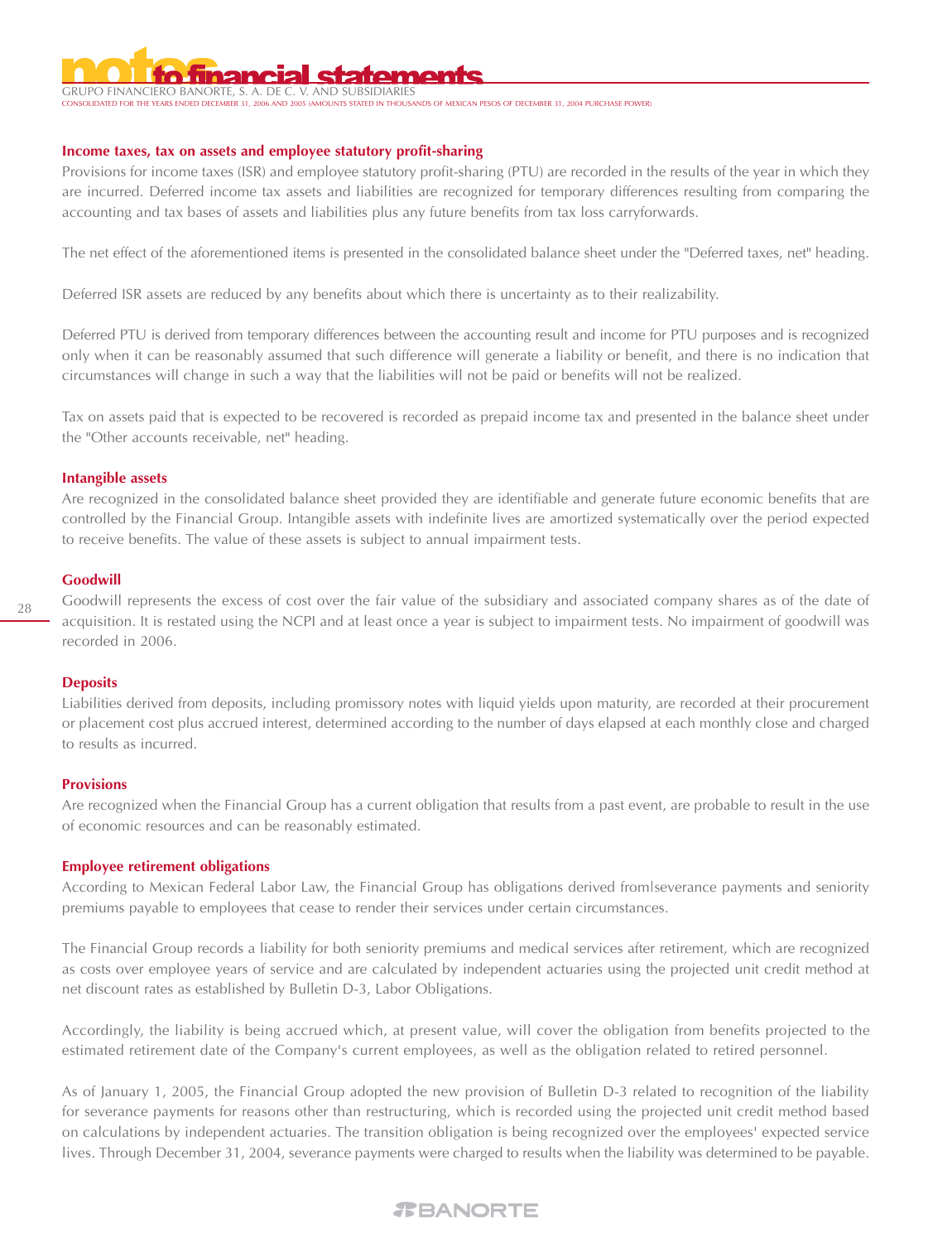# GRUPO FINANCIERO BANORTE, S. A. DE C.

STATED IN THOUSANDS OF MEXICAN PESOS OF DECEMBER 31, 2004 PURCHASE POWER)

# **Income taxes, tax on assets and employee statutory profit-sharing**

Provisions for income taxes (ISR) and employee statutory profit-sharing (PTU) are recorded in the results of the year in which they are incurred. Deferred income tax assets and liabilities are recognized for temporary differences resulting from comparing the accounting and tax bases of assets and liabilities plus any future benefits from tax loss carryforwards.

The net effect of the aforementioned items is presented in the consolidated balance sheet under the "Deferred taxes, net" heading.

Deferred ISR assets are reduced by any benefits about which there is uncertainty as to their realizability.

Deferred PTU is derived from temporary differences between the accounting result and income for PTU purposes and is recognized only when it can be reasonably assumed that such difference will generate a liability or benefit, and there is no indication that circumstances will change in such a way that the liabilities will not be paid or benefits will not be realized.

Tax on assets paid that is expected to be recovered is recorded as prepaid income tax and presented in the balance sheet under the "Other accounts receivable, net" heading.

#### **Intangible assets**

Are recognized in the consolidated balance sheet provided they are identifiable and generate future economic benefits that are controlled by the Financial Group. Intangible assets with indefinite lives are amortized systematically over the period expected to receive benefits. The value of these assets is subject to annual impairment tests.

#### **Goodwill**

Goodwill represents the excess of cost over the fair value of the subsidiary and associated company shares as of the date of acquisition. It is restated using the NCPI and at least once a year is subject to impairment tests. No impairment of goodwill was recorded in 2006.

# **Deposits**

Liabilities derived from deposits, including promissory notes with liquid yields upon maturity, are recorded at their procurement or placement cost plus accrued interest, determined according to the number of days elapsed at each monthly close and charged to results as incurred.

# **Provisions**

Are recognized when the Financial Group has a current obligation that results from a past event, are probable to result in the use of economic resources and can be reasonably estimated.

# **Employee retirement obligations**

According to Mexican Federal Labor Law, the Financial Group has obligations derived from|severance payments and seniority premiums payable to employees that cease to render their services under certain circumstances.

The Financial Group records a liability for both seniority premiums and medical services after retirement, which are recognized as costs over employee years of service and are calculated by independent actuaries using the projected unit credit method at net discount rates as established by Bulletin D-3, Labor Obligations.

Accordingly, the liability is being accrued which, at present value, will cover the obligation from benefits projected to the estimated retirement date of the Company's current employees, as well as the obligation related to retired personnel.

As of January 1, 2005, the Financial Group adopted the new provision of Bulletin D-3 related to recognition of the liability for severance payments for reasons other than restructuring, which is recorded using the projected unit credit method based on calculations by independent actuaries. The transition obligation is being recognized over the employees' expected service lives. Through December 31, 2004, severance payments were charged to results when the liability was determined to be payable.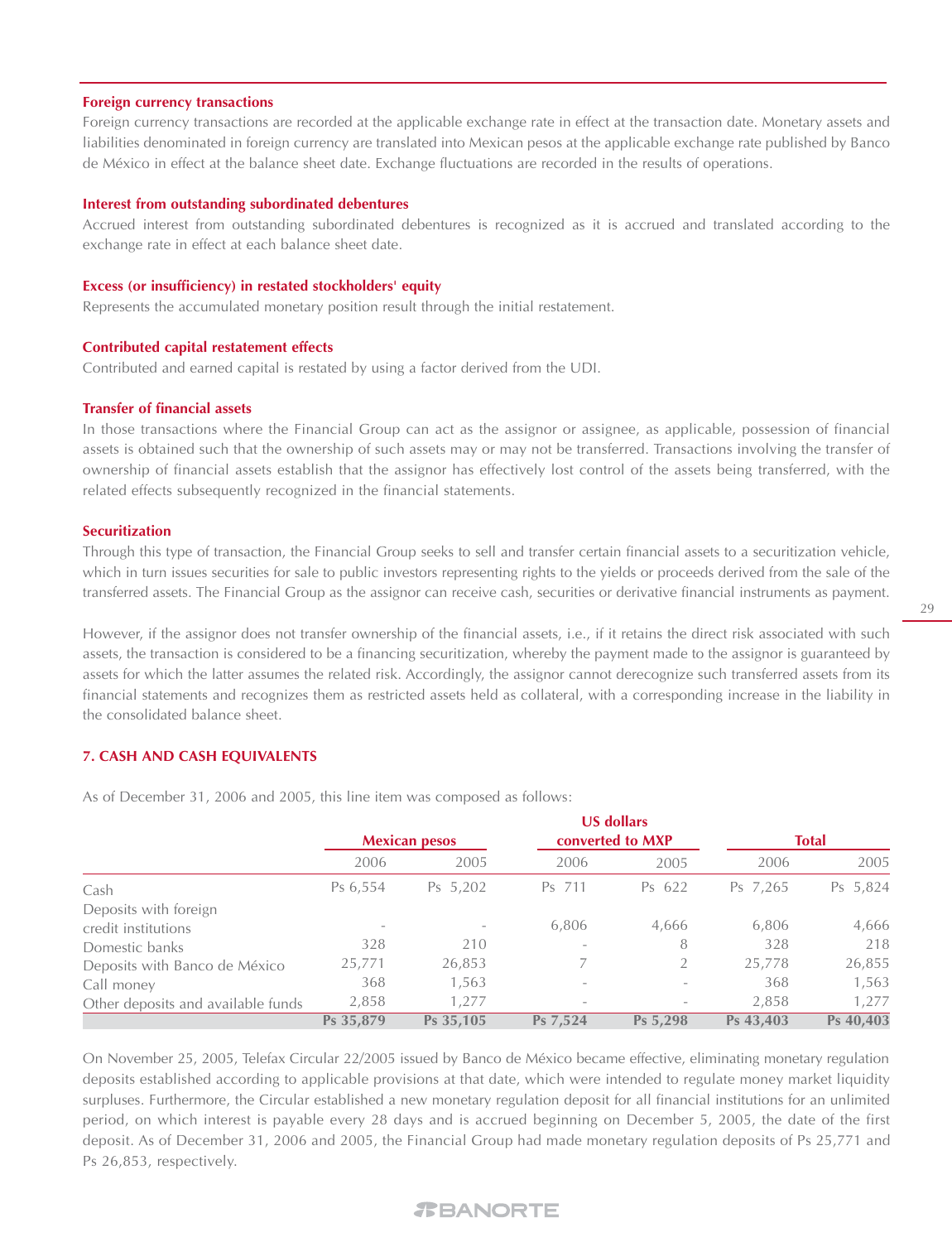#### **Foreign currency transactions**

Foreign currency transactions are recorded at the applicable exchange rate in effect at the transaction date. Monetary assets and liabilities denominated in foreign currency are translated into Mexican pesos at the applicable exchange rate published by Banco de México in effect at the balance sheet date. Exchange fluctuations are recorded in the results of operations.

#### **Interest from outstanding subordinated debentures**

Accrued interest from outstanding subordinated debentures is recognized as it is accrued and translated according to the exchange rate in effect at each balance sheet date.

#### **Excess (or insufficiency) in restated stockholders' equity**

Represents the accumulated monetary position result through the initial restatement.

#### **Contributed capital restatement effects**

Contributed and earned capital is restated by using a factor derived from the UDI.

#### **Transfer of financial assets**

In those transactions where the Financial Group can act as the assignor or assignee, as applicable, possession of financial assets is obtained such that the ownership of such assets may or may not be transferred. Transactions involving the transfer of ownership of financial assets establish that the assignor has effectively lost control of the assets being transferred, with the related effects subsequently recognized in the financial statements.

#### **Securitization**

Through this type of transaction, the Financial Group seeks to sell and transfer certain financial assets to a securitization vehicle, which in turn issues securities for sale to public investors representing rights to the yields or proceeds derived from the sale of the transferred assets. The Financial Group as the assignor can receive cash, securities or derivative financial instruments as payment.

However, if the assignor does not transfer ownership of the financial assets, i.e., if it retains the direct risk associated with such assets, the transaction is considered to be a financing securitization, whereby the payment made to the assignor is guaranteed by assets for which the latter assumes the related risk. Accordingly, the assignor cannot derecognize such transferred assets from its financial statements and recognizes them as restricted assets held as collateral, with a corresponding increase in the liability in the consolidated balance sheet.

### **7. CASH AND CASH EQUIVALENTS**

As of December 31, 2006 and 2005, this line item was composed as follows:

|                                    | <b>Mexican pesos</b> |           |                          | <b>US dollars</b><br>converted to MXP |           | <b>Total</b> |  |
|------------------------------------|----------------------|-----------|--------------------------|---------------------------------------|-----------|--------------|--|
|                                    | 2006                 | 2005      | 2006                     | 2005                                  | 2006      | 2005         |  |
| Cash                               | Ps 6,554             | Ps 5,202  | Ps 711                   | Ps 622                                | Ps 7,265  | Ps 5,824     |  |
| Deposits with foreign              |                      |           |                          |                                       |           |              |  |
| credit institutions                |                      |           | 6,806                    | 4,666                                 | 6,806     | 4,666        |  |
| Domestic banks                     | 328                  | 210       | $\qquad \qquad =$        | 8                                     | 328       | 218          |  |
| Deposits with Banco de México      | 25,771               | 26,853    |                          |                                       | 25.778    | 26,855       |  |
| Call money                         | 368                  | 1,563     | $\overline{\phantom{0}}$ |                                       | 368       | 1,563        |  |
| Other deposits and available funds | 2,858                | 1,277     | $\qquad \qquad =$        |                                       | 2.858     | 1,277        |  |
|                                    | Ps 35,879            | Ps 35,105 | Ps 7,524                 | Ps 5,298                              | Ps 43,403 | Ps 40,403    |  |

On November 25, 2005, Telefax Circular 22/2005 issued by Banco de México became effective, eliminating monetary regulation deposits established according to applicable provisions at that date, which were intended to regulate money market liquidity surpluses. Furthermore, the Circular established a new monetary regulation deposit for all financial institutions for an unlimited period, on which interest is payable every 28 days and is accrued beginning on December 5, 2005, the date of the first deposit. As of December 31, 2006 and 2005, the Financial Group had made monetary regulation deposits of Ps 25,771 and Ps 26,853, respectively.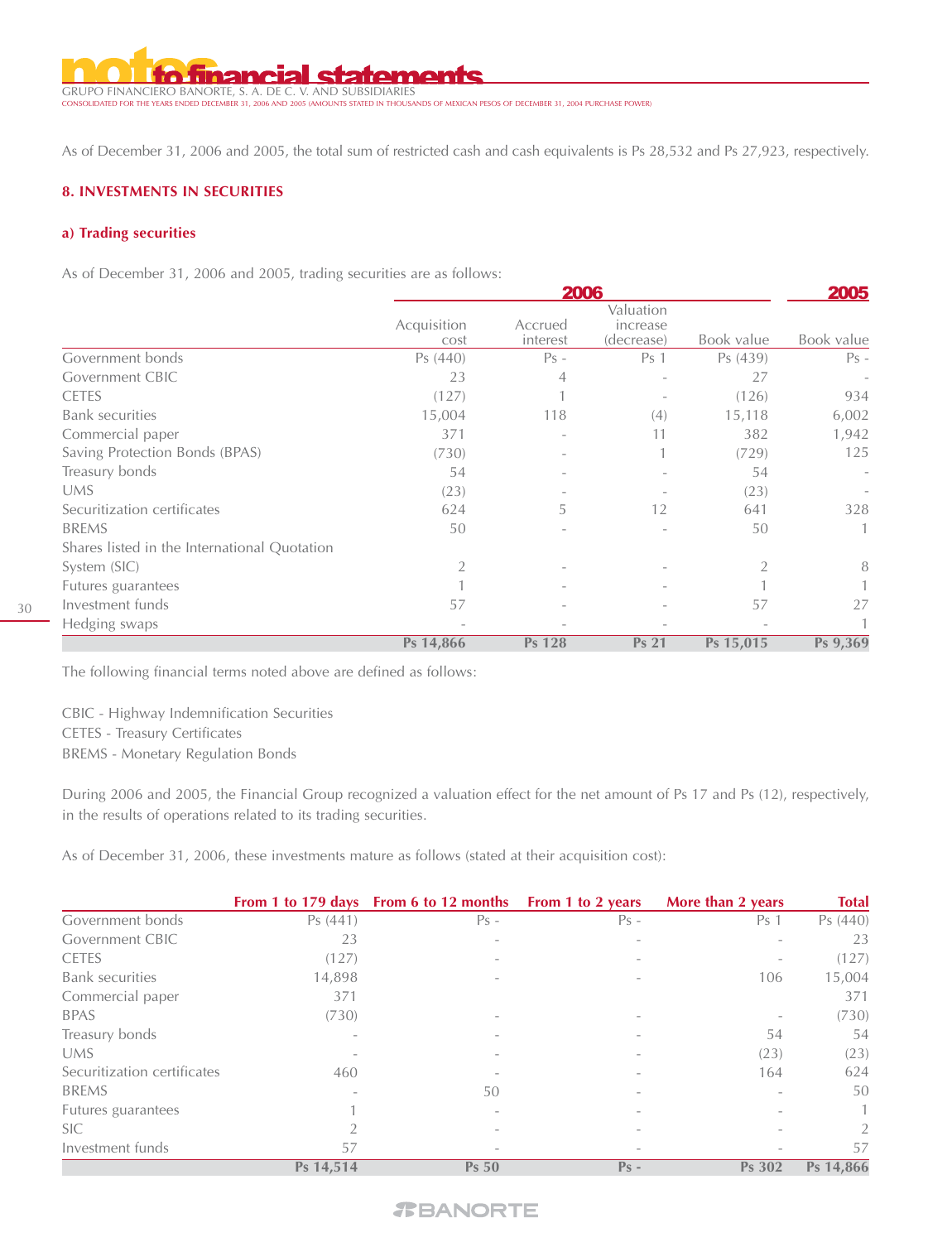**statements** GRUPO FINANCIERO BANORTE, S. A. DE C. V. AND SUBSIDIARIES CONSOLIDATED FOR THE YEARS ENDED DECEMBER 31, 2006 AND 2005 (AMOUNTS STATED IN THOUSANDS OF MEXICAN PESOS OF DECEMBER 31, 2004 PURCHASE POWER)

As of December 31, 2006 and 2005, the total sum of restricted cash and cash equivalents is Ps 28,532 and Ps 27,923, respectively.

# **8. INVESTMENTS IN SECURITIES**

### **a) Trading securities**

As of December 31, 2006 and 2005, trading securities are as follows:

|                                              | <b>2006</b>         |                     |                                     |            |                           |
|----------------------------------------------|---------------------|---------------------|-------------------------------------|------------|---------------------------|
|                                              | Acquisition<br>cost | Accrued<br>interest | Valuation<br>increase<br>(decrease) | Book value | <b>2005</b><br>Book value |
| Government bonds                             | Ps (440)            | $Ps -$              | Ps 1                                | Ps (439)   | $Ps -$                    |
| <b>Government CBIC</b>                       | 23                  | 4                   |                                     | 27         | $\overline{\phantom{a}}$  |
| <b>CETES</b>                                 | (127)               |                     |                                     | (126)      | 934                       |
| <b>Bank securities</b>                       | 15,004              | 118                 | (4)                                 | 15,118     | 6,002                     |
| Commercial paper                             | 371                 |                     | 11                                  | 382        | 1,942                     |
| Saving Protection Bonds (BPAS)               | (730)               |                     |                                     | (729)      | 125                       |
| Treasury bonds                               | 54                  |                     |                                     | 54         | $\overline{\phantom{a}}$  |
| <b>UMS</b>                                   | (23)                |                     |                                     | (23)       |                           |
| Securitization certificates                  | 624                 | 5                   | 12                                  | 641        | 328                       |
| <b>BREMS</b>                                 | 50                  |                     |                                     | 50         | 1                         |
| Shares listed in the International Quotation |                     |                     |                                     |            |                           |
| System (SIC)                                 | 2                   |                     |                                     |            | 8                         |
| Futures guarantees                           |                     |                     |                                     |            |                           |
| Investment funds                             | 57                  |                     |                                     | 57         | 27                        |
| Hedging swaps                                |                     |                     |                                     |            |                           |
|                                              | Ps 14,866           | Ps 128              | <b>Ps 21</b>                        | Ps 15,015  | Ps 9,369                  |

The following financial terms noted above are defined as follows:

CBIC - Highway Indemnification Securities CETES - Treasury Certificates BREMS - Monetary Regulation Bonds

During 2006 and 2005, the Financial Group recognized a valuation effect for the net amount of Ps 17 and Ps (12), respectively, in the results of operations related to its trading securities.

As of December 31, 2006, these investments mature as follows (stated at their acquisition cost):

|                             |           | From 1 to 179 days From 6 to 12 months From 1 to 2 years |                          | More than 2 years        | <b>Total</b> |
|-----------------------------|-----------|----------------------------------------------------------|--------------------------|--------------------------|--------------|
| Government bonds            | Ps(441)   | $Ps -$                                                   | $Ps -$                   | Ps <sub>1</sub>          | Ps (440)     |
| <b>Government CBIC</b>      | 23        | $\overline{\phantom{a}}$                                 |                          | $\overline{\phantom{a}}$ | 23           |
| <b>CETES</b>                | (127)     |                                                          |                          |                          | (127)        |
| <b>Bank</b> securities      | 14,898    |                                                          |                          | 106                      | 15,004       |
| Commercial paper            | 371       |                                                          |                          |                          | 371          |
| <b>BPAS</b>                 | (730)     |                                                          | $\overline{\phantom{a}}$ |                          | (730)        |
| Treasury bonds              |           |                                                          |                          | 54                       | 54           |
| <b>UMS</b>                  |           |                                                          |                          | (23)                     | (23)         |
| Securitization certificates | 460       |                                                          |                          | 164                      | 624          |
| <b>BREMS</b>                |           | 50                                                       |                          |                          | 50           |
| Futures guarantees          |           |                                                          |                          |                          |              |
| <b>SIC</b>                  |           |                                                          |                          |                          | 2            |
| Investment funds            | 57        |                                                          |                          |                          | 57           |
|                             | Ps 14,514 | <b>Ps 50</b>                                             | $Ps -$                   | <b>Ps 302</b>            | Ps 14,866    |

# *TBANORTE*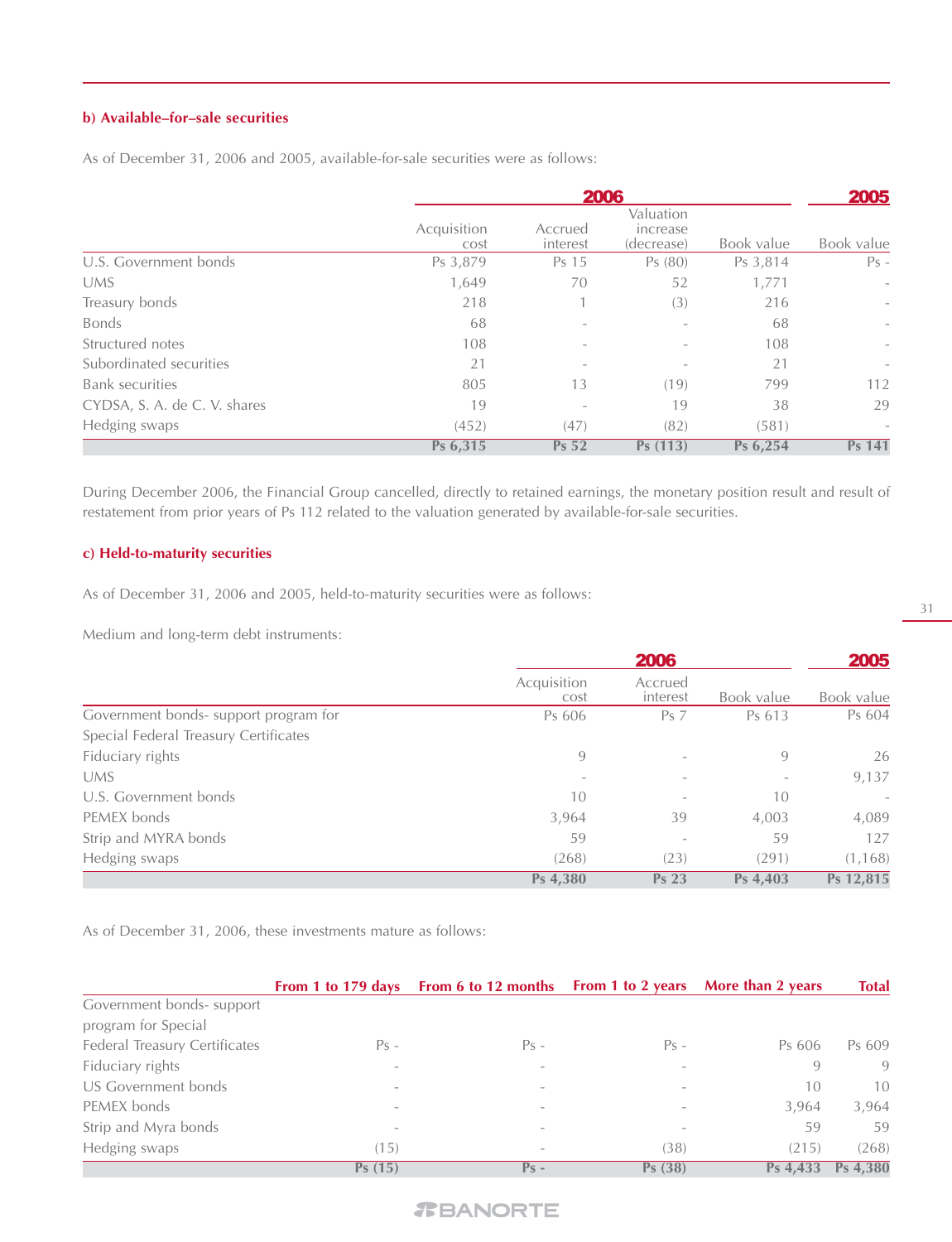# **b) Available–for–sale securities**

|                              |                     | 2005                               |                                     |            |                          |
|------------------------------|---------------------|------------------------------------|-------------------------------------|------------|--------------------------|
|                              | Acquisition<br>cost | <b>2006</b><br>Accrued<br>interest | Valuation<br>increase<br>(decrease) | Book value | Book value               |
| U.S. Government bonds        | Ps 3,879            | Ps 15                              | Ps(80)                              | Ps 3,814   | $Ps -$                   |
| <b>UMS</b>                   | 1,649               | 70                                 | 52                                  | 1,771      | $\overline{\phantom{a}}$ |
| Treasury bonds               | 218                 |                                    | (3)                                 | 216        | $\overline{\phantom{a}}$ |
| <b>Bonds</b>                 | 68                  | $\overline{\phantom{a}}$           |                                     | 68         | $\overline{\phantom{a}}$ |
| Structured notes             | 108                 | $\overline{\phantom{0}}$           |                                     | 108        | $\overline{\phantom{a}}$ |
| Subordinated securities      | 21                  | $\overline{\phantom{a}}$           |                                     | 21         | $\overline{\phantom{a}}$ |
| <b>Bank</b> securities       | 805                 | 13                                 | (19)                                | 799        | 112                      |
| CYDSA, S. A. de C. V. shares | 19                  | $\overline{\phantom{a}}$           | 19                                  | 38         | 29                       |
| Hedging swaps                | (452)               | (47)                               | (82)                                | (581)      | $\qquad \qquad -$        |
|                              | Ps 6,315            | <b>Ps 52</b>                       | Ps (113)                            | Ps 6,254   | Ps 141                   |

As of December 31, 2006 and 2005, available-for-sale securities were as follows:

During December 2006, the Financial Group cancelled, directly to retained earnings, the monetary position result and result of restatement from prior years of Ps 112 related to the valuation generated by available-for-sale securities.

# **c) Held-to-maturity securities**

As of December 31, 2006 and 2005, held-to-maturity securities were as follows:

Medium and long-term debt instruments:

|                                       | <b>2006</b>              |                          |            | 2005       |  |
|---------------------------------------|--------------------------|--------------------------|------------|------------|--|
|                                       | Acquisition<br>cost      | Accrued<br>interest      | Book value | Book value |  |
| Government bonds- support program for | Ps 606                   | Ps <sub>7</sub>          | Ps 613     | Ps 604     |  |
| Special Federal Treasury Certificates |                          |                          |            |            |  |
| Fiduciary rights                      | 9                        |                          | 9          | 26         |  |
| <b>UMS</b>                            | $\overline{\phantom{a}}$ | $\overline{\phantom{0}}$ |            | 9,137      |  |
| U.S. Government bonds                 | 10                       | $\overline{\phantom{a}}$ | 10         |            |  |
| PEMEX bonds                           | 3,964                    | 39                       | 4,003      | 4,089      |  |
| Strip and MYRA bonds                  | 59                       | $\overline{\phantom{a}}$ | 59         | 127        |  |
| Hedging swaps                         | (268)                    | (23)                     | (291)      | (1, 168)   |  |
|                                       | Ps 4,380                 | <b>Ps 23</b>             | Ps 4,403   | Ps 12,815  |  |

As of December 31, 2006, these investments mature as follows:

|                               |                          | From 1 to 179 days From 6 to 12 months From 1 to 2 years More than 2 years |        |          | <b>Total</b> |
|-------------------------------|--------------------------|----------------------------------------------------------------------------|--------|----------|--------------|
| Government bonds- support     |                          |                                                                            |        |          |              |
| program for Special           |                          |                                                                            |        |          |              |
| Federal Treasury Certificates | $Ps -$                   | $Ps -$                                                                     | $Ps -$ | Ps 606   | Ps 609       |
| Fiduciary rights              | $\overline{\phantom{a}}$ | $\overline{\phantom{a}}$                                                   |        | 9        | 9            |
| US Government bonds           | $\overline{\phantom{a}}$ | $\overline{\phantom{a}}$                                                   |        | 10       | 10           |
| PEMEX bonds                   | $\overline{\phantom{a}}$ | $\overline{\phantom{a}}$                                                   |        | 3.964    | 3,964        |
| Strip and Myra bonds          |                          | $\overline{\phantom{a}}$                                                   |        | 59       | 59           |
| Hedging swaps                 | (15)                     | $\overline{\phantom{a}}$                                                   | (38)   | (215)    | (268)        |
|                               | Ps(15)                   | $Ps -$                                                                     | Ps(38) | Ps 4.433 | Ps 4.380     |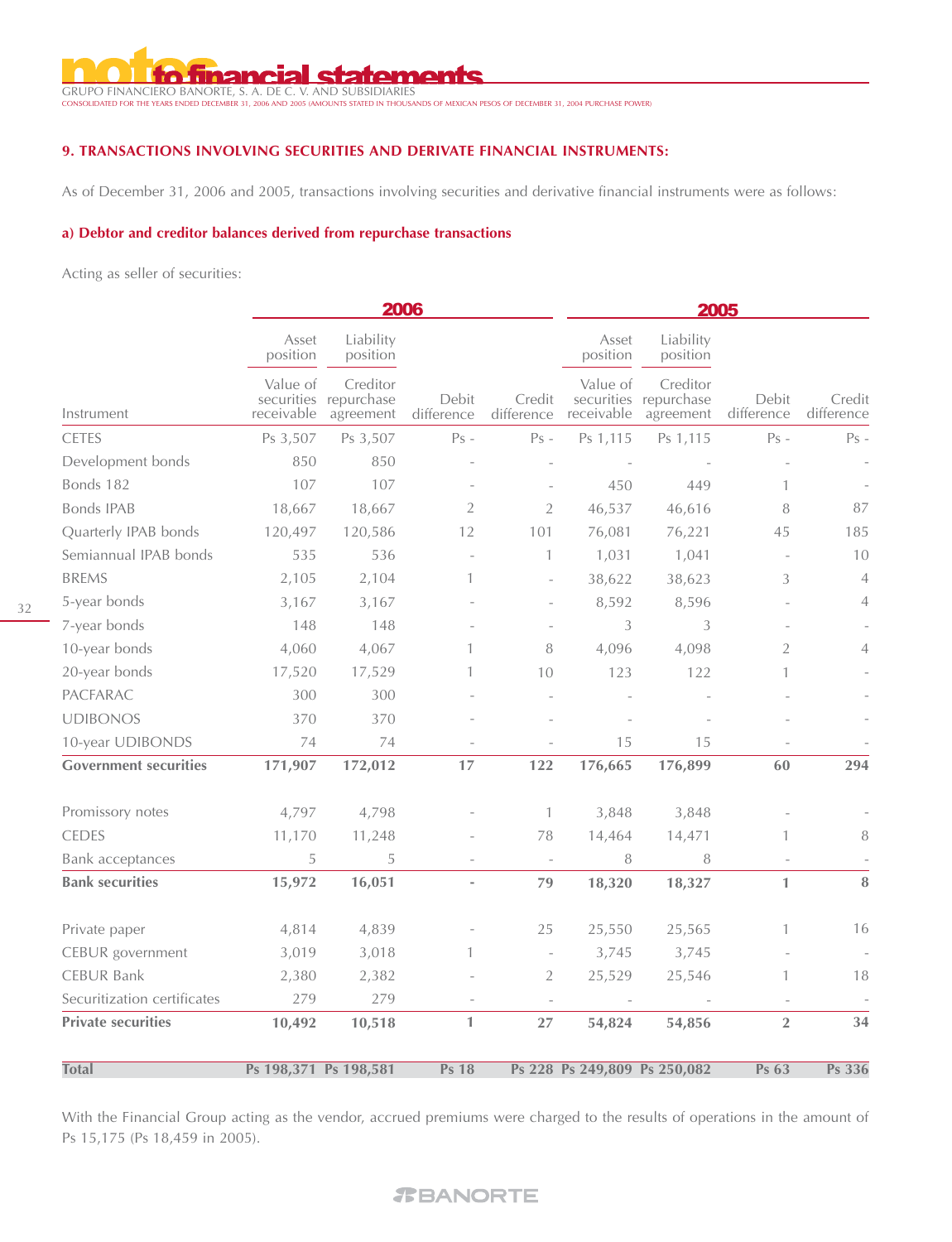# **I statements**

GRUPO FINANCIERO BANORTE, S. A. DE C. V. AND SUBSIDIARIES CONSOLIDATED FOR THE YEARS ENDED DECEMBER 31, 2006 AND 2005 (AMOUNTS STATED IN THOUSANDS OF MEXICAN PESOS OF DECEMBER 31, 2004 PURCHASE POWER)

# **9. TRANSACTIONS INVOLVING SECURITIES AND DERIVATE FINANCIAL INSTRUMENTS:**

As of December 31, 2006 and 2005, transactions involving securities and derivative financial instruments were as follows:

#### **a) Debtor and creditor balances derived from repurchase transactions**

Acting as seller of securities:

|                              | 2006                   |                                                |                          | 2005                     |                              |                                                |                     |                      |
|------------------------------|------------------------|------------------------------------------------|--------------------------|--------------------------|------------------------------|------------------------------------------------|---------------------|----------------------|
|                              | Asset<br>position      | Liability<br>position                          |                          |                          | Asset<br>position            | Liability<br>position                          |                     |                      |
| Instrument                   | Value of<br>receivable | Creditor<br>securities repurchase<br>agreement | Debit<br>difference      | Credit<br>difference     | Value of<br>receivable       | Creditor<br>securities repurchase<br>agreement | Debit<br>difference | Credit<br>difference |
| <b>CETES</b>                 | Ps 3,507               | Ps 3,507                                       | $Ps -$                   | $Ps -$                   | Ps 1,115                     | Ps 1,115                                       | $Ps -$              | $Ps -$               |
| Development bonds            | 850                    | 850                                            |                          |                          |                              |                                                |                     |                      |
| Bonds 182                    | 107                    | 107                                            |                          |                          | 450                          | 449                                            |                     |                      |
| <b>Bonds IPAB</b>            | 18,667                 | 18,667                                         | $\overline{2}$           | $\overline{2}$           | 46,537                       | 46,616                                         | 8                   | 87                   |
| Quarterly IPAB bonds         | 120,497                | 120,586                                        | 12                       | 101                      | 76,081                       | 76,221                                         | 45                  | 185                  |
| Semiannual IPAB bonds        | 535                    | 536                                            | $\bar{ }$                | 1                        | 1,031                        | 1,041                                          |                     | 10                   |
| <b>BREMS</b>                 | 2,105                  | 2,104                                          | 1                        | $\overline{\phantom{a}}$ | 38,622                       | 38,623                                         | 3                   | $\overline{4}$       |
| 5-year bonds                 | 3,167                  | 3,167                                          |                          |                          | 8,592                        | 8,596                                          |                     | 4                    |
| 7-year bonds                 | 148                    | 148                                            |                          |                          | 3                            | 3                                              |                     |                      |
| 10-year bonds                | 4,060                  | 4,067                                          | 1                        | 8                        | 4,096                        | 4,098                                          | $\overline{2}$      | 4                    |
| 20-year bonds                | 17,520                 | 17,529                                         | 1                        | 10                       | 123                          | 122                                            |                     |                      |
| PACFARAC                     | 300                    | 300                                            |                          |                          |                              |                                                |                     |                      |
| <b>UDIBONOS</b>              | 370                    | 370                                            |                          |                          |                              |                                                |                     |                      |
| 10-year UDIBONDS             | 74                     | 74                                             |                          |                          | 15                           | 15                                             |                     |                      |
| <b>Government securities</b> | 171,907                | 172,012                                        | 17                       | 122                      | 176,665                      | 176,899                                        | 60                  | 294                  |
| Promissory notes             | 4,797                  | 4,798                                          |                          | 1                        | 3,848                        | 3,848                                          |                     |                      |
| <b>CEDES</b>                 | 11,170                 | 11,248                                         |                          | 78                       | 14,464                       | 14,471                                         |                     | $\, 8$               |
| Bank acceptances             | 5                      | 5                                              |                          | $\overline{\phantom{a}}$ | 8                            | 8                                              |                     |                      |
| <b>Bank securities</b>       | 15,972                 | 16,051                                         | $\overline{\phantom{a}}$ | 79                       | 18,320                       | 18,327                                         | 1                   | $\bf 8$              |
| Private paper                | 4,814                  | 4,839                                          |                          | 25                       | 25,550                       | 25,565                                         |                     | 16                   |
| CEBUR government             | 3,019                  | 3,018                                          |                          |                          | 3,745                        | 3,745                                          |                     |                      |
| <b>CEBUR Bank</b>            | 2,380                  | 2,382                                          |                          | 2                        | 25,529                       | 25,546                                         |                     | 18                   |
| Securitization certificates  | 279                    | 279                                            |                          |                          |                              |                                                |                     |                      |
| <b>Private securities</b>    | 10,492                 | 10,518                                         | $\mathbf{1}$             | 27                       | 54,824                       | 54,856                                         | $\overline{2}$      | 34                   |
| <b>Total</b>                 |                        | Ps 198,371 Ps 198,581                          | Ps 18                    |                          | Ps 228 Ps 249,809 Ps 250,082 |                                                | <b>Ps 63</b>        | <b>Ps 336</b>        |

With the Financial Group acting as the vendor, accrued premiums were charged to the results of operations in the amount of Ps 15,175 (Ps 18,459 in 2005).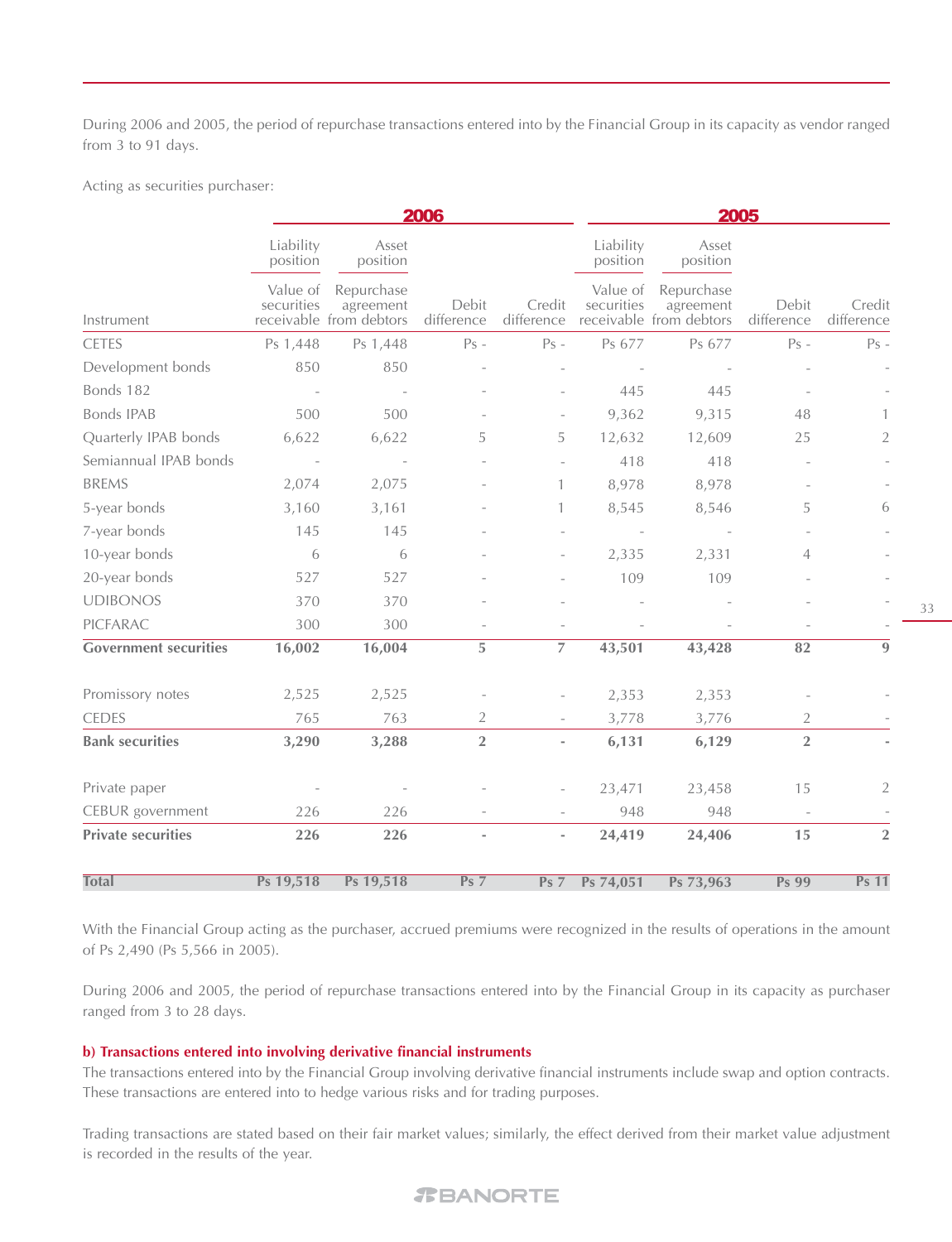During 2006 and 2005, the period of repurchase transactions entered into by the Financial Group in its capacity as vendor ranged from 3 to 91 days.

Acting as securities purchaser:

|                              |                        | 2006                                               |                          |                          | 2005                   |                                                    |                     |                      |
|------------------------------|------------------------|----------------------------------------------------|--------------------------|--------------------------|------------------------|----------------------------------------------------|---------------------|----------------------|
|                              | Liability<br>position  | Asset<br>position                                  |                          |                          | Liability<br>position  | Asset<br>position                                  |                     |                      |
| Instrument                   | Value of<br>securities | Repurchase<br>agreement<br>receivable from debtors | Debit<br>difference      | Credit<br>difference     | Value of<br>securities | Repurchase<br>agreement<br>receivable from debtors | Debit<br>difference | Credit<br>difference |
| <b>CETES</b>                 | Ps 1,448               | Ps 1,448                                           | $Ps -$                   | $Ps -$                   | Ps 677                 | Ps 677                                             | $Ps -$              | $Ps -$               |
| Development bonds            | 850                    | 850                                                |                          |                          |                        |                                                    |                     |                      |
| Bonds 182                    |                        |                                                    |                          |                          | 445                    | 445                                                |                     |                      |
| <b>Bonds IPAB</b>            | 500                    | 500                                                |                          | $\equiv$                 | 9,362                  | 9,315                                              | 48                  | 1                    |
| Quarterly IPAB bonds         | 6,622                  | 6,622                                              | 5                        | 5                        | 12,632                 | 12,609                                             | 25                  | 2                    |
| Semiannual IPAB bonds        |                        |                                                    |                          |                          | 418                    | 418                                                |                     |                      |
| <b>BREMS</b>                 | 2,074                  | 2,075                                              |                          | $\mathbf{1}$             | 8,978                  | 8,978                                              |                     |                      |
| 5-year bonds                 | 3,160                  | 3,161                                              |                          | $\mathbf{1}$             | 8,545                  | 8,546                                              | 5                   | 6                    |
| 7-year bonds                 | 145                    | 145                                                |                          |                          |                        |                                                    |                     |                      |
| 10-year bonds                | 6                      | 6                                                  |                          |                          | 2,335                  | 2,331                                              | $\overline{4}$      |                      |
| 20-year bonds                | 527                    | 527                                                |                          |                          | 109                    | 109                                                |                     |                      |
| <b>UDIBONOS</b>              | 370                    | 370                                                |                          |                          |                        |                                                    |                     |                      |
| PICFARAC                     | 300                    | 300                                                |                          |                          |                        |                                                    |                     |                      |
| <b>Government securities</b> | 16,002                 | 16,004                                             | 5                        | $\overline{7}$           | 43,501                 | 43,428                                             | 82                  | 9                    |
| Promissory notes             | 2,525                  | 2,525                                              |                          |                          | 2,353                  | 2,353                                              |                     |                      |
| <b>CEDES</b>                 | 765                    | 763                                                | 2                        |                          | 3,778                  | 3,776                                              | 2                   |                      |
| <b>Bank securities</b>       | 3,290                  | 3,288                                              | $\sqrt{2}$               | $\overline{\phantom{a}}$ | 6,131                  | 6,129                                              | $\overline{2}$      |                      |
| Private paper                |                        |                                                    |                          |                          | 23,471                 | 23,458                                             | 15                  | $\overline{2}$       |
| CEBUR government             | 226                    | 226                                                |                          |                          | 948                    | 948                                                |                     |                      |
| <b>Private securities</b>    | 226                    | 226                                                | $\overline{\phantom{a}}$ | $\overline{\phantom{a}}$ | 24,419                 | 24,406                                             | 15                  | $\overline{2}$       |
| <b>Total</b>                 | Ps 19,518              | Ps 19,518                                          | Ps <sub>7</sub>          | Ps <sub>7</sub>          | Ps 74,051              | Ps 73,963                                          | <b>Ps 99</b>        | <b>Ps 11</b>         |

With the Financial Group acting as the purchaser, accrued premiums were recognized in the results of operations in the amount of Ps 2,490 (Ps 5,566 in 2005).

During 2006 and 2005, the period of repurchase transactions entered into by the Financial Group in its capacity as purchaser ranged from 3 to 28 days.

# **b) Transactions entered into involving derivative financial instruments**

The transactions entered into by the Financial Group involving derivative financial instruments include swap and option contracts. These transactions are entered into to hedge various risks and for trading purposes.

Trading transactions are stated based on their fair market values; similarly, the effect derived from their market value adjustment is recorded in the results of the year.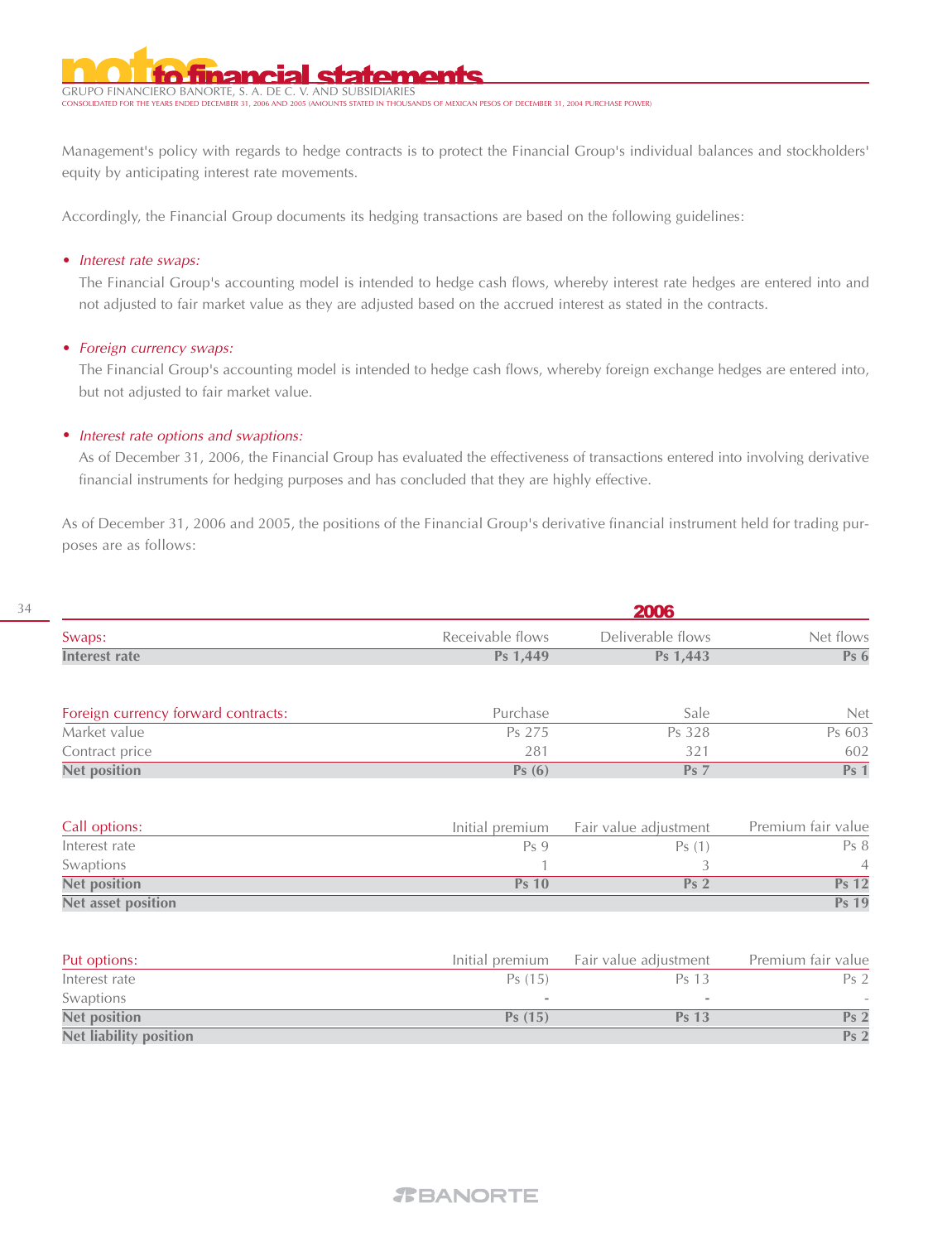GRUPO FINANCIERO BANORTE, S. A. DE C. V. AND SUBSIDIARIES CONDED IN THOUSANDS OF MEXICAN PESOS OF DECEMBER 31, 2004 PURCHASE POWER)

Management's policy with regards to hedge contracts is to protect the Financial Group's individual balances and stockholders' equity by anticipating interest rate movements.

Accordingly, the Financial Group documents its hedging transactions are based on the following guidelines:

# • Interest rate swaps:

The Financial Group's accounting model is intended to hedge cash flows, whereby interest rate hedges are entered into and not adjusted to fair market value as they are adjusted based on the accrued interest as stated in the contracts.

# • Foreign currency swaps:

34

The Financial Group's accounting model is intended to hedge cash flows, whereby foreign exchange hedges are entered into, but not adjusted to fair market value.

# • Interest rate options and swaptions:

As of December 31, 2006, the Financial Group has evaluated the effectiveness of transactions entered into involving derivative financial instruments for hedging purposes and has concluded that they are highly effective.

As of December 31, 2006 and 2005, the positions of the Financial Group's derivative financial instrument held for trading purposes are as follows:

|                                     |                          | 2006                  |                    |
|-------------------------------------|--------------------------|-----------------------|--------------------|
| Swaps:                              | Receivable flows         | Deliverable flows     | Net flows          |
| <b>Interest rate</b>                | Ps 1,449                 | Ps 1,443              | Ps6                |
| Foreign currency forward contracts: | Purchase                 | Sale                  | <b>Net</b>         |
| Market value                        | Ps 275                   | Ps 328                | Ps 603             |
| Contract price                      | 281                      | 321                   | 602                |
| <b>Net position</b>                 | Ps(6)                    | <b>Ps</b> 7           | Ps <sub>1</sub>    |
| Call options:                       | Initial premium          | Fair value adjustment | Premium fair value |
| Interest rate                       | Ps 9                     | Ps(1)                 | Ps 8               |
| Swaptions                           |                          | 3                     | 4                  |
| <b>Net position</b>                 | <b>Ps 10</b>             | Ps <sub>2</sub>       | <b>Ps 12</b>       |
| <b>Net asset position</b>           |                          |                       | <b>Ps 19</b>       |
| Put options:                        | Initial premium          | Fair value adjustment | Premium fair value |
| Interest rate                       | Ps(15)                   | Ps 13                 | Ps <sub>2</sub>    |
| Swaptions                           | $\overline{\phantom{a}}$ |                       |                    |
| <b>Net position</b>                 | Ps(15)                   | <b>Ps 13</b>          | Ps <sub>2</sub>    |
| <b>Net liability position</b>       |                          |                       | Ps <sub>2</sub>    |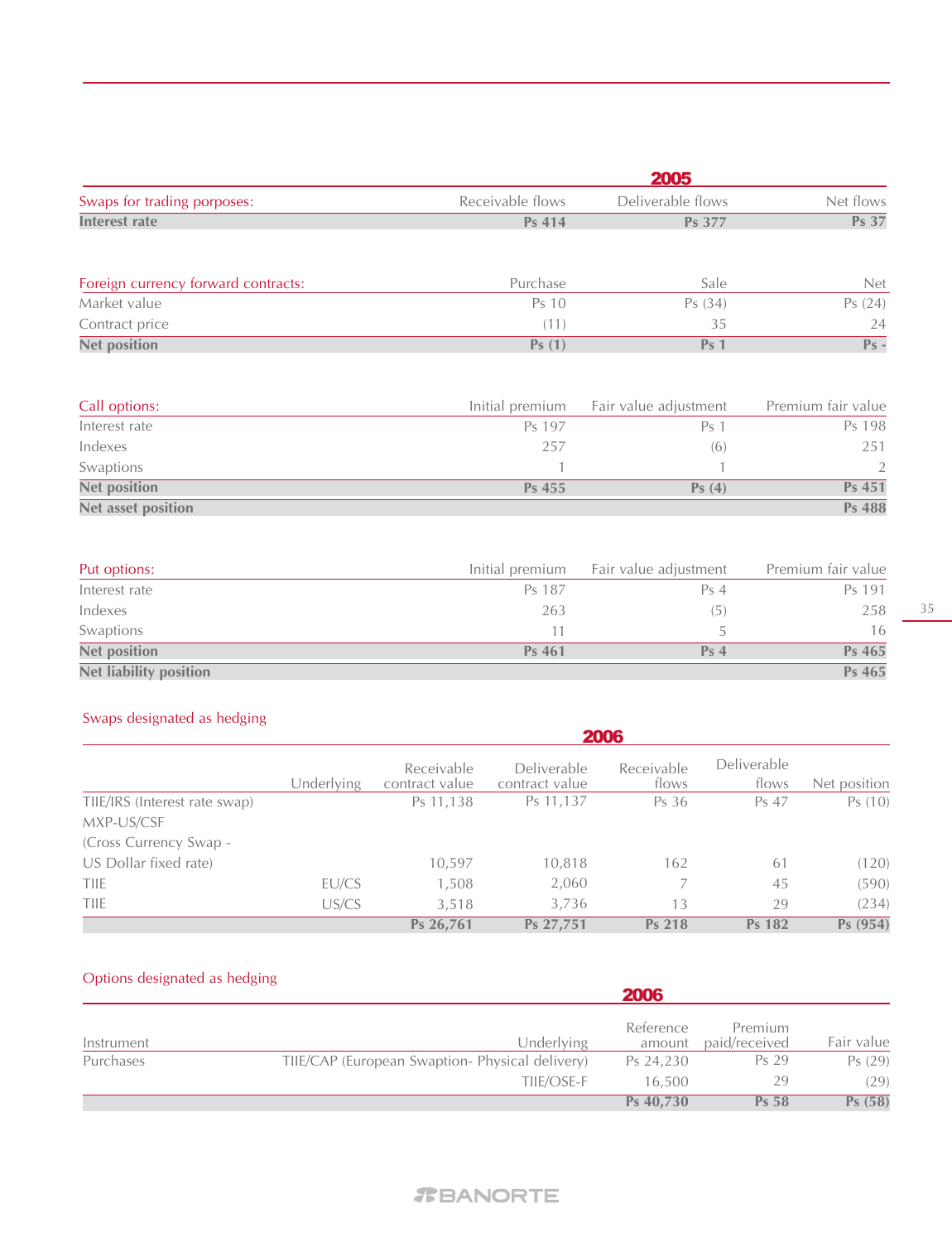|                                     | 2005             |                       |                    |  |  |  |
|-------------------------------------|------------------|-----------------------|--------------------|--|--|--|
| Swaps for trading porposes:         | Receivable flows | Deliverable flows     | Net flows          |  |  |  |
| <b>Interest rate</b>                | Ps 414           | <b>Ps 377</b>         | Ps 37              |  |  |  |
| Foreign currency forward contracts: | Purchase         | Sale                  | <b>Net</b>         |  |  |  |
| Market value                        | Ps 10            | Ps(34)                | Ps(24)             |  |  |  |
| Contract price                      | (11)             | 35                    | 24                 |  |  |  |
| <b>Net position</b>                 | Ps(1)            | Ps <sub>1</sub>       | $Ps -$             |  |  |  |
| Call options:                       | Initial premium  | Fair value adjustment | Premium fair value |  |  |  |
| Interest rate                       | Ps 197           | Ps <sub>1</sub>       | Ps 198             |  |  |  |
| Indexes                             | 257              | (6)                   | 251                |  |  |  |
| Swaptions                           | 1                |                       | 2                  |  |  |  |
| <b>Net position</b>                 | Ps 455           | Ps(4)                 | Ps 451             |  |  |  |

| Put options:                  | Initial premium | Fair value adjustment | Premium fair value |
|-------------------------------|-----------------|-----------------------|--------------------|
| Interest rate                 | Ps 187          | Ps <sub>4</sub>       | Ps 191             |
| Indexes                       | 263             | (5)                   | 258                |
| Swaptions                     |                 |                       | 16                 |
| <b>Net position</b>           | Ps 461          | Ps <sub>4</sub>       | Ps 465             |
| <b>Net liability position</b> |                 |                       | Ps 465             |

# Swaps designated as hedging

**Net asset position**

|                               | 2006       |                              |                               |                     |                      |              |
|-------------------------------|------------|------------------------------|-------------------------------|---------------------|----------------------|--------------|
|                               | Underlying | Receivable<br>contract value | Deliverable<br>contract value | Receivable<br>flows | Deliverable<br>flows | Net position |
| TIIE/IRS (Interest rate swap) |            | Ps 11,138                    | Ps 11,137                     | Ps 36               | Ps 47                | Ps(10)       |
| MXP-US/CSF                    |            |                              |                               |                     |                      |              |
| (Cross Currency Swap -        |            |                              |                               |                     |                      |              |
| US Dollar fixed rate)         |            | 10,597                       | 10,818                        | 162                 | 61                   | (120)        |
| <b>TIIE</b>                   | EU/CS      | 1,508                        | 2,060                         |                     | 45                   | (590)        |
| <b>TIIE</b>                   | US/CS      | 3,518                        | 3,736                         | 13                  | 29                   | (234)        |
|                               |            | Ps 26,761                    | Ps 27,751                     | Ps 218              | Ps 182               | Ps(954)      |

# Options designated as hedging

|                                                 | 2006      |                          |            |
|-------------------------------------------------|-----------|--------------------------|------------|
| Underlying                                      | Reference | Premium<br>paid/received | Fair value |
| TIIE/CAP (European Swaption- Physical delivery) | Ps 24,230 | Ps 29                    | Ps (29)    |
| TIIE/OSE-F                                      | 16,500    | 29                       | (29)       |
|                                                 | Ps 40,730 | <b>Ps 58</b>             | Ps(58)     |
|                                                 |           |                          | amount     |

# *T***BANORTE**

**Ps 451 Ps 488**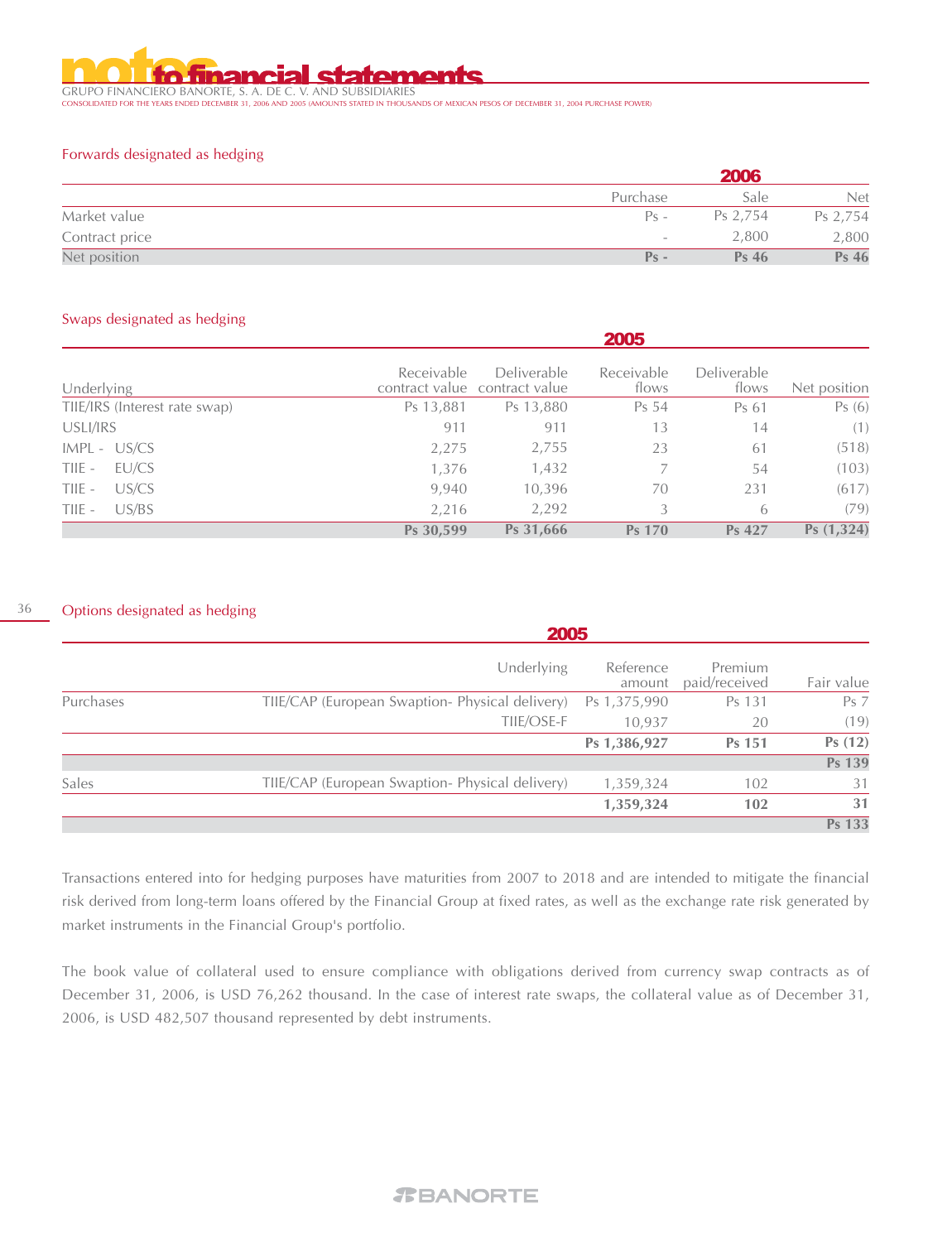GRUPO FINANCIERO BANORTE, S. A. DE C. V. AND SUBSIDIARIES CONSOLIDATED FOR THE YEARS ENDED DECEMBER 31, 2006 AND 2005 (AMOUNTS STATED IN THOUSANDS OF MEXICAN PESOS OF DECEMBER 31, 2004 PURCHASE POWER)

#### Forwards designated as hedging

|                |                          | 2006             |            |  |  |
|----------------|--------------------------|------------------|------------|--|--|
|                | Purchase                 | Sale             | <b>Net</b> |  |  |
| Market value   | $P_S$ –                  | Ps 2.754         | Ps 2,754   |  |  |
| Contract price | $\overline{\phantom{a}}$ | 2,800            | 2,800      |  |  |
| Net position   | $Ps -$                   | Ps <sub>46</sub> | Ps 46      |  |  |

#### Swaps designated as hedging

|                               |            |                                                     | 2005                |                             |              |
|-------------------------------|------------|-----------------------------------------------------|---------------------|-----------------------------|--------------|
| Underlying                    | Receivable | <b>Deliverable</b><br>contract value contract value | Receivable<br>flows | <b>Deliverable</b><br>flows | Net position |
| TIIE/IRS (Interest rate swap) | Ps 13,881  | Ps 13,880                                           | Ps 54               | Ps 61                       | Ps(6)        |
| USLI/IRS                      | 911        | 911                                                 | 13                  | 14                          | (1)          |
| $IMPL - US/CS$                | 2,275      | 2,755                                               | 23                  | 61                          | (518)        |
| EU/CS<br>TIIE -               | 1,376      | 1,432                                               |                     | 54                          | (103)        |
| US/CS<br>TIIE -               | 9,940      | 10,396                                              | 70                  | 231                         | (617)        |
| US/BS<br>TIIE -               | 2,216      | 2,292                                               | 3                   | 6                           | (79)         |
|                               | Ps 30,599  | Ps 31,666                                           | <b>Ps 170</b>       | Ps 427                      | Ps(1,324)    |

#### 36 Options designated as hedging

|           | 2005                                                        |                     |                          |                 |
|-----------|-------------------------------------------------------------|---------------------|--------------------------|-----------------|
|           | Underlying                                                  | Reference<br>amount | Premium<br>paid/received | Fair value      |
| Purchases | TIIE/CAP (European Swaption-Physical delivery) Ps 1,375,990 |                     | Ps 131                   | Ps <sub>7</sub> |
|           | TIIE/OSE-F                                                  | 10,937              | 20                       | (19)            |
|           |                                                             | Ps 1,386,927        | <b>Ps 151</b>            | Ps(12)          |
|           |                                                             |                     |                          | <b>Ps 139</b>   |
| Sales     | TIIE/CAP (European Swaption- Physical delivery)             | 1,359,324           | 102                      | 31              |
|           |                                                             | 1,359,324           | 102                      | 31              |
|           |                                                             |                     |                          | Ps 133          |

Transactions entered into for hedging purposes have maturities from 2007 to 2018 and are intended to mitigate the financial risk derived from long-term loans offered by the Financial Group at fixed rates, as well as the exchange rate risk generated by market instruments in the Financial Group's portfolio.

The book value of collateral used to ensure compliance with obligations derived from currency swap contracts as of December 31, 2006, is USD 76,262 thousand. In the case of interest rate swaps, the collateral value as of December 31, 2006, is USD 482,507 thousand represented by debt instruments.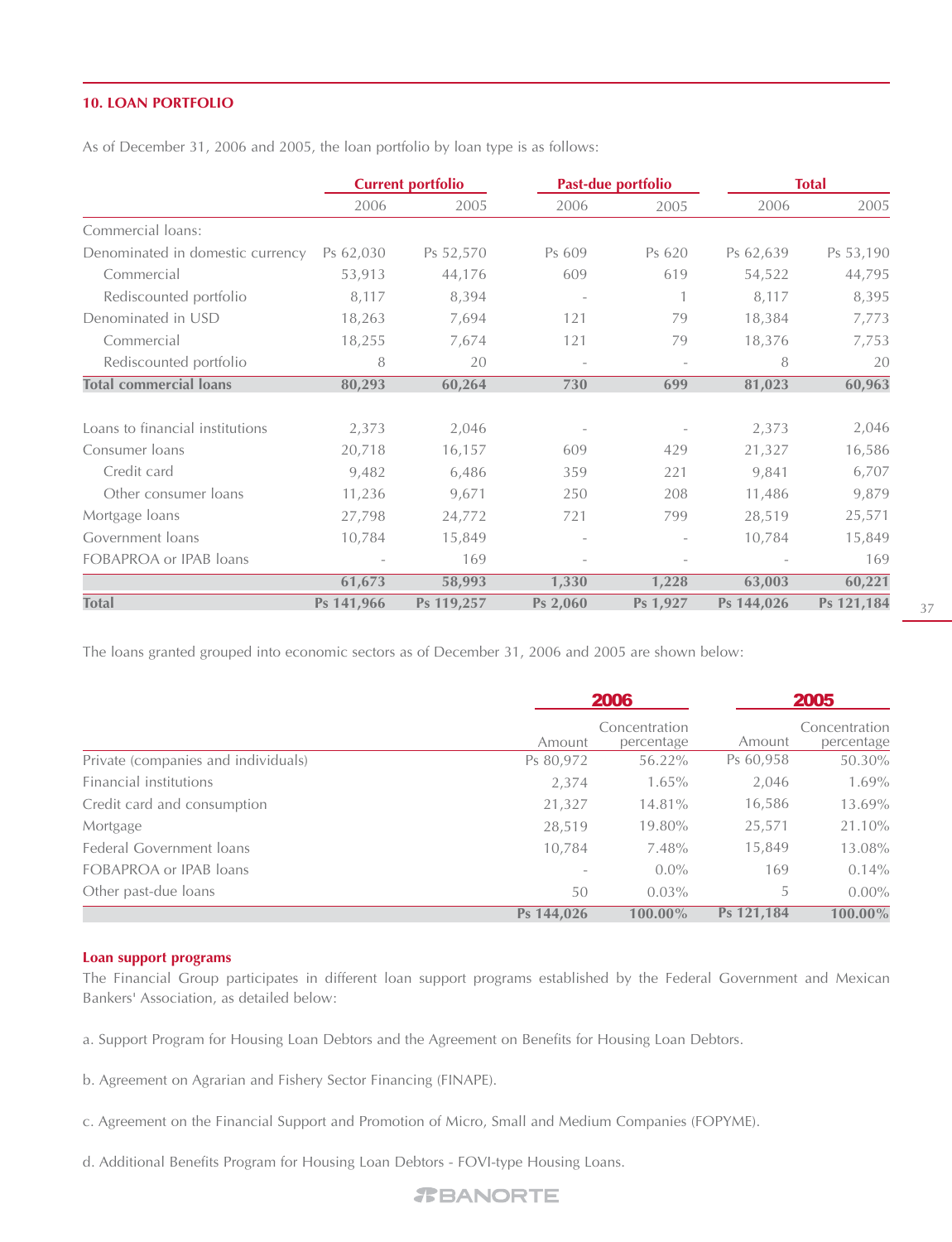#### **10. LOAN PORTFOLIO**

As of December 31, 2006 and 2005, the loan portfolio by loan type is as follows:

|                                  | <b>Current portfolio</b> |            |          | Past-due portfolio |            | <b>Total</b> |  |
|----------------------------------|--------------------------|------------|----------|--------------------|------------|--------------|--|
|                                  | 2006                     | 2005       | 2006     | 2005               | 2006       | 2005         |  |
| Commercial loans:                |                          |            |          |                    |            |              |  |
| Denominated in domestic currency | Ps 62,030                | Ps 52,570  | Ps 609   | Ps 620             | Ps 62,639  | Ps 53,190    |  |
| Commercial                       | 53,913                   | 44,176     | 609      | 619                | 54,522     | 44,795       |  |
| Rediscounted portfolio           | 8,117                    | 8,394      |          |                    | 8,117      | 8,395        |  |
| Denominated in USD               | 18,263                   | 7,694      | 121      | 79                 | 18,384     | 7,773        |  |
| Commercial                       | 18,255                   | 7,674      | 121      | 79                 | 18,376     | 7,753        |  |
| Rediscounted portfolio           | 8                        | 20         |          | $\qquad \qquad -$  | 8          | 20           |  |
| <b>Total commercial loans</b>    | 80,293                   | 60,264     | 730      | 699                | 81,023     | 60,963       |  |
| Loans to financial institutions  | 2,373                    | 2,046      |          |                    | 2,373      | 2,046        |  |
| Consumer loans                   | 20,718                   | 16,157     | 609      | 429                | 21,327     | 16,586       |  |
| Credit card                      | 9,482                    | 6,486      | 359      | 221                | 9,841      | 6,707        |  |
| Other consumer loans             | 11,236                   | 9,671      | 250      | 208                | 11,486     | 9,879        |  |
| Mortgage loans                   | 27,798                   | 24,772     | 721      | 799                | 28,519     | 25,571       |  |
| Government loans                 | 10,784                   | 15,849     |          |                    | 10,784     | 15,849       |  |
| FOBAPROA or IPAB loans           |                          | 169        |          |                    |            | 169          |  |
|                                  | 61,673                   | 58,993     | 1,330    | 1,228              | 63,003     | 60,221       |  |
| <b>Total</b>                     | Ps 141,966               | Ps 119,257 | Ps 2,060 | Ps 1,927           | Ps 144,026 | Ps 121,184   |  |

The loans granted grouped into economic sectors as of December 31, 2006 and 2005 are shown below:

|                                     | 2006                     |                             |            | 2005                        |
|-------------------------------------|--------------------------|-----------------------------|------------|-----------------------------|
|                                     | Amount                   | Concentration<br>percentage | Amount     | Concentration<br>percentage |
| Private (companies and individuals) | Ps 80,972                | 56.22%                      | Ps 60,958  | 50.30%                      |
| Financial institutions              | 2,374                    | $1.65\%$                    | 2,046      | 1.69%                       |
| Credit card and consumption         | 21,327                   | 14.81%                      | 16,586     | 13.69%                      |
| Mortgage                            | 28,519                   | 19.80%                      | 25,571     | 21.10%                      |
| Federal Government loans            | 10,784                   | 7.48%                       | 15,849     | 13.08%                      |
| FOBAPROA or IPAB loans              | $\overline{\phantom{a}}$ | $0.0\%$                     | 169        | 0.14%                       |
| Other past-due loans                | 50                       | $0.03\%$                    | 5.         | $0.00\%$                    |
|                                     | Ps 144,026               | 100.00%                     | Ps 121,184 | 100.00%                     |

#### **Loan support programs**

The Financial Group participates in different loan support programs established by the Federal Government and Mexican Bankers' Association, as detailed below:

a. Support Program for Housing Loan Debtors and the Agreement on Benefits for Housing Loan Debtors.

b. Agreement on Agrarian and Fishery Sector Financing (FINAPE).

c. Agreement on the Financial Support and Promotion of Micro, Small and Medium Companies (FOPYME).

d. Additional Benefits Program for Housing Loan Debtors - FOVI-type Housing Loans.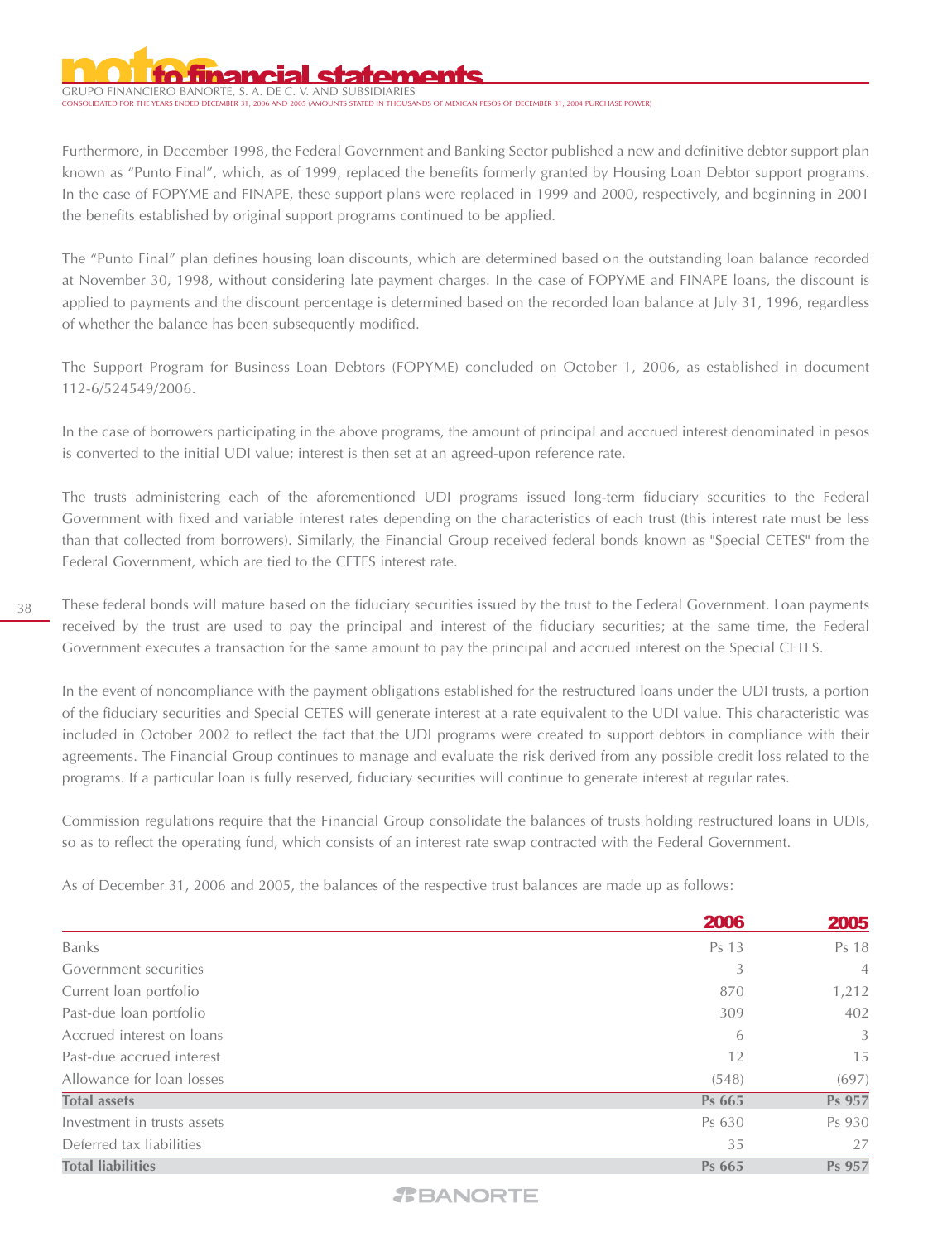GRUPO FINANCIERO BANORTE, S. A. DE C. .<br>NTS STATED IN THOUSANDS OF MEXICAN PESOS OF DECEMBER 31, 2004 PURCHASE POWER)

Furthermore, in December 1998, the Federal Government and Banking Sector published a new and definitive debtor support plan known as "Punto Final", which, as of 1999, replaced the benefits formerly granted by Housing Loan Debtor support programs. In the case of FOPYME and FINAPE, these support plans were replaced in 1999 and 2000, respectively, and beginning in 2001 the benefits established by original support programs continued to be applied.

The "Punto Final" plan defines housing loan discounts, which are determined based on the outstanding loan balance recorded at November 30, 1998, without considering late payment charges. In the case of FOPYME and FINAPE loans, the discount is applied to payments and the discount percentage is determined based on the recorded loan balance at July 31, 1996, regardless of whether the balance has been subsequently modified.

The Support Program for Business Loan Debtors (FOPYME) concluded on October 1, 2006, as established in document 112-6/524549/2006.

In the case of borrowers participating in the above programs, the amount of principal and accrued interest denominated in pesos is converted to the initial UDI value; interest is then set at an agreed-upon reference rate.

The trusts administering each of the aforementioned UDI programs issued long-term fiduciary securities to the Federal Government with fixed and variable interest rates depending on the characteristics of each trust (this interest rate must be less than that collected from borrowers). Similarly, the Financial Group received federal bonds known as "Special CETES" from the Federal Government, which are tied to the CETES interest rate.

These federal bonds will mature based on the fiduciary securities issued by the trust to the Federal Government. Loan payments received by the trust are used to pay the principal and interest of the fiduciary securities; at the same time, the Federal Government executes a transaction for the same amount to pay the principal and accrued interest on the Special CETES.

In the event of noncompliance with the payment obligations established for the restructured loans under the UDI trusts, a portion of the fiduciary securities and Special CETES will generate interest at a rate equivalent to the UDI value. This characteristic was included in October 2002 to reflect the fact that the UDI programs were created to support debtors in compliance with their agreements. The Financial Group continues to manage and evaluate the risk derived from any possible credit loss related to the programs. If a particular loan is fully reserved, fiduciary securities will continue to generate interest at regular rates.

Commission regulations require that the Financial Group consolidate the balances of trusts holding restructured loans in UDIs, so as to reflect the operating fund, which consists of an interest rate swap contracted with the Federal Government.

As of December 31, 2006 and 2005, the balances of the respective trust balances are made up as follows:

|                             | 2006   | 2005           |
|-----------------------------|--------|----------------|
| <b>Banks</b>                | Ps 13  | Ps 18          |
| Government securities       | 3      | $\overline{4}$ |
| Current loan portfolio      | 870    | 1,212          |
| Past-due loan portfolio     | 309    | 402            |
| Accrued interest on loans   | 6      | 3              |
| Past-due accrued interest   | 12     | 15             |
| Allowance for loan losses   | (548)  | (697)          |
| <b>Total assets</b>         | Ps 665 | Ps 957         |
| Investment in trusts assets | Ps 630 | Ps 930         |
| Deferred tax liabilities    | 35     | 27             |
| <b>Total liabilities</b>    | Ps 665 | Ps 957         |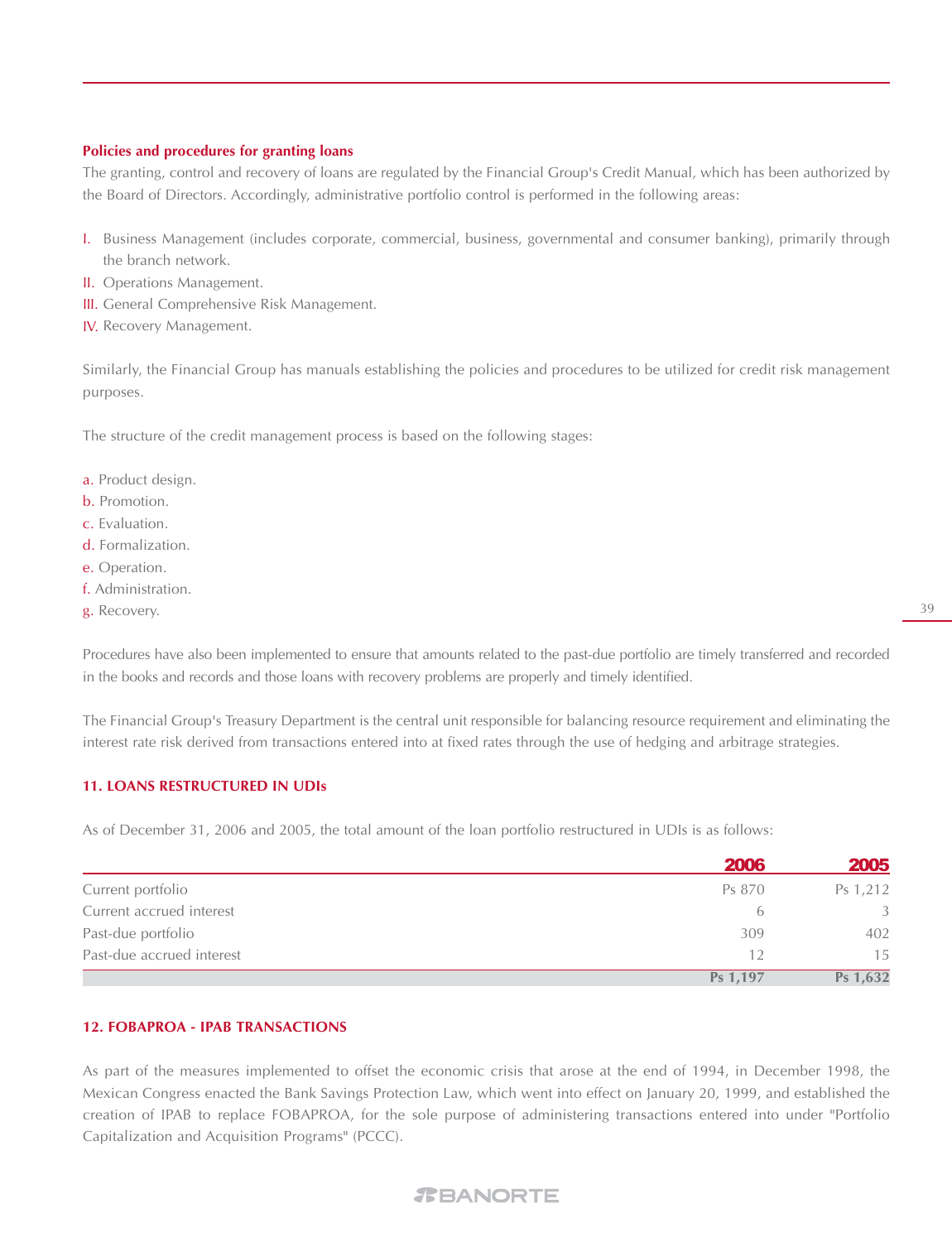#### **Policies and procedures for granting loans**

The granting, control and recovery of loans are regulated by the Financial Group's Credit Manual, which has been authorized by the Board of Directors. Accordingly, administrative portfolio control is performed in the following areas:

- Business Management (includes corporate, commercial, business, governmental and consumer banking), primarily through I. the branch network.
- II. Operations Management.
- III. General Comprehensive Risk Management.
- **IV.** Recovery Management.

Similarly, the Financial Group has manuals establishing the policies and procedures to be utilized for credit risk management purposes.

The structure of the credit management process is based on the following stages:

- a. Product design.
- b. Promotion.
- c. Evaluation.
- d. Formalization.
- e. Operation.
- f. Administration.
- g. Recovery.

Procedures have also been implemented to ensure that amounts related to the past-due portfolio are timely transferred and recorded in the books and records and those loans with recovery problems are properly and timely identified.

The Financial Group's Treasury Department is the central unit responsible for balancing resource requirement and eliminating the interest rate risk derived from transactions entered into at fixed rates through the use of hedging and arbitrage strategies.

#### **11. LOANS RESTRUCTURED IN UDIs**

As of December 31, 2006 and 2005, the total amount of the loan portfolio restructured in UDIs is as follows:

|                           | <b>2006</b> | 2005     |
|---------------------------|-------------|----------|
| Current portfolio         | Ps 870      | Ps 1,212 |
| Current accrued interest  | $\sigma$    | 3        |
| Past-due portfolio        | 309         | 402      |
| Past-due accrued interest | 12          | 15       |
|                           | Ps 1,197    | Ps 1,632 |

#### **12. FOBAPROA - IPAB TRANSACTIONS**

As part of the measures implemented to offset the economic crisis that arose at the end of 1994, in December 1998, the Mexican Congress enacted the Bank Savings Protection Law, which went into effect on January 20, 1999, and established the creation of IPAB to replace FOBAPROA, for the sole purpose of administering transactions entered into under "Portfolio Capitalization and Acquisition Programs" (PCCC).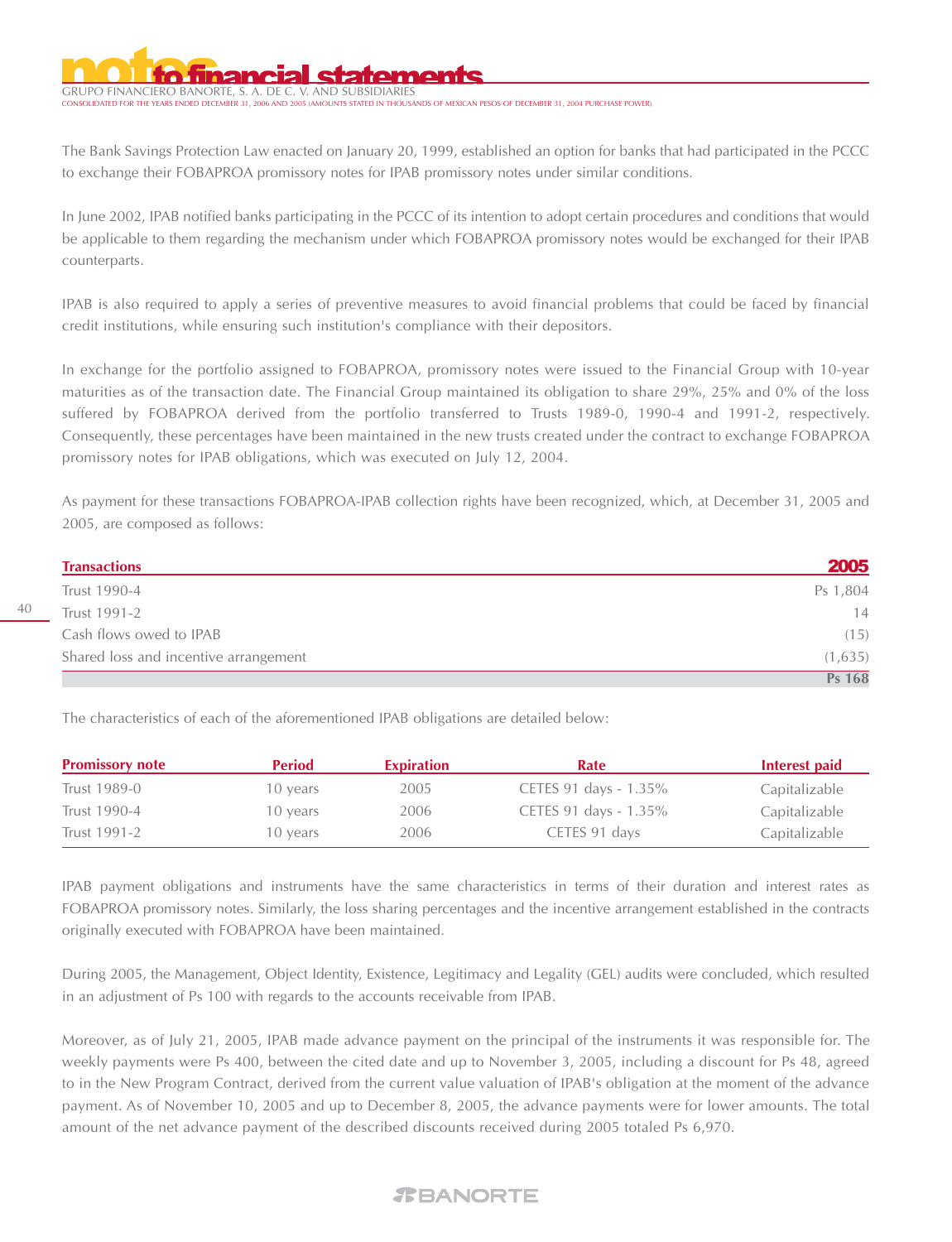GRUPO FINANCIERO BANORTE, S. A. DE C. V. AND SUBSIDIARIES STATED IN THOUSANDS OF MEXICAN PESOS OF DECEMBER 31, 2004 PURCHASE POWER)

The Bank Savings Protection Law enacted on January 20, 1999, established an option for banks that had participated in the PCCC to exchange their FOBAPROA promissory notes for IPAB promissory notes under similar conditions.

In June 2002, IPAB notified banks participating in the PCCC of its intention to adopt certain procedures and conditions that would be applicable to them regarding the mechanism under which FOBAPROA promissory notes would be exchanged for their IPAB counterparts.

IPAB is also required to apply a series of preventive measures to avoid financial problems that could be faced by financial credit institutions, while ensuring such institution's compliance with their depositors.

In exchange for the portfolio assigned to FOBAPROA, promissory notes were issued to the Financial Group with 10-year maturities as of the transaction date. The Financial Group maintained its obligation to share 29%, 25% and 0% of the loss suffered by FOBAPROA derived from the portfolio transferred to Trusts 1989-0, 1990-4 and 1991-2, respectively. Consequently, these percentages have been maintained in the new trusts created under the contract to exchange FOBAPROA promissory notes for IPAB obligations, which was executed on July 12, 2004.

As payment for these transactions FOBAPROA-IPAB collection rights have been recognized, which, at December 31, 2005 and 2005, are composed as follows:

| <b>Transactions</b>                   | 2005          |
|---------------------------------------|---------------|
| Trust 1990-4                          | Ps 1,804      |
| Trust 1991-2                          | 14            |
| Cash flows owed to IPAB               | (15)          |
| Shared loss and incentive arrangement | (1,635)       |
|                                       | <b>Ps 168</b> |

The characteristics of each of the aforementioned IPAB obligations are detailed below:

| <b>Promissory note</b> | <b>Period</b> | <b>Expiration</b> | Rate                  | Interest paid |
|------------------------|---------------|-------------------|-----------------------|---------------|
| Trust 1989-0           | 10 years      | 2005              | CETES 91 days - 1.35% | Capitalizable |
| Trust 1990-4           | 10 years      | 2006              | CETES 91 days - 1.35% | Capitalizable |
| Trust 1991-2           | 10 years      | 2006              | CETES 91 days         | Capitalizable |

IPAB payment obligations and instruments have the same characteristics in terms of their duration and interest rates as FOBAPROA promissory notes. Similarly, the loss sharing percentages and the incentive arrangement established in the contracts originally executed with FOBAPROA have been maintained.

During 2005, the Management, Object Identity, Existence, Legitimacy and Legality (GEL) audits were concluded, which resulted in an adjustment of Ps 100 with regards to the accounts receivable from IPAB.

Moreover, as of July 21, 2005, IPAB made advance payment on the principal of the instruments it was responsible for. The weekly payments were Ps 400, between the cited date and up to November 3, 2005, including a discount for Ps 48, agreed to in the New Program Contract, derived from the current value valuation of IPAB's obligation at the moment of the advance payment. As of November 10, 2005 and up to December 8, 2005, the advance payments were for lower amounts. The total amount of the net advance payment of the described discounts received during 2005 totaled Ps 6,970.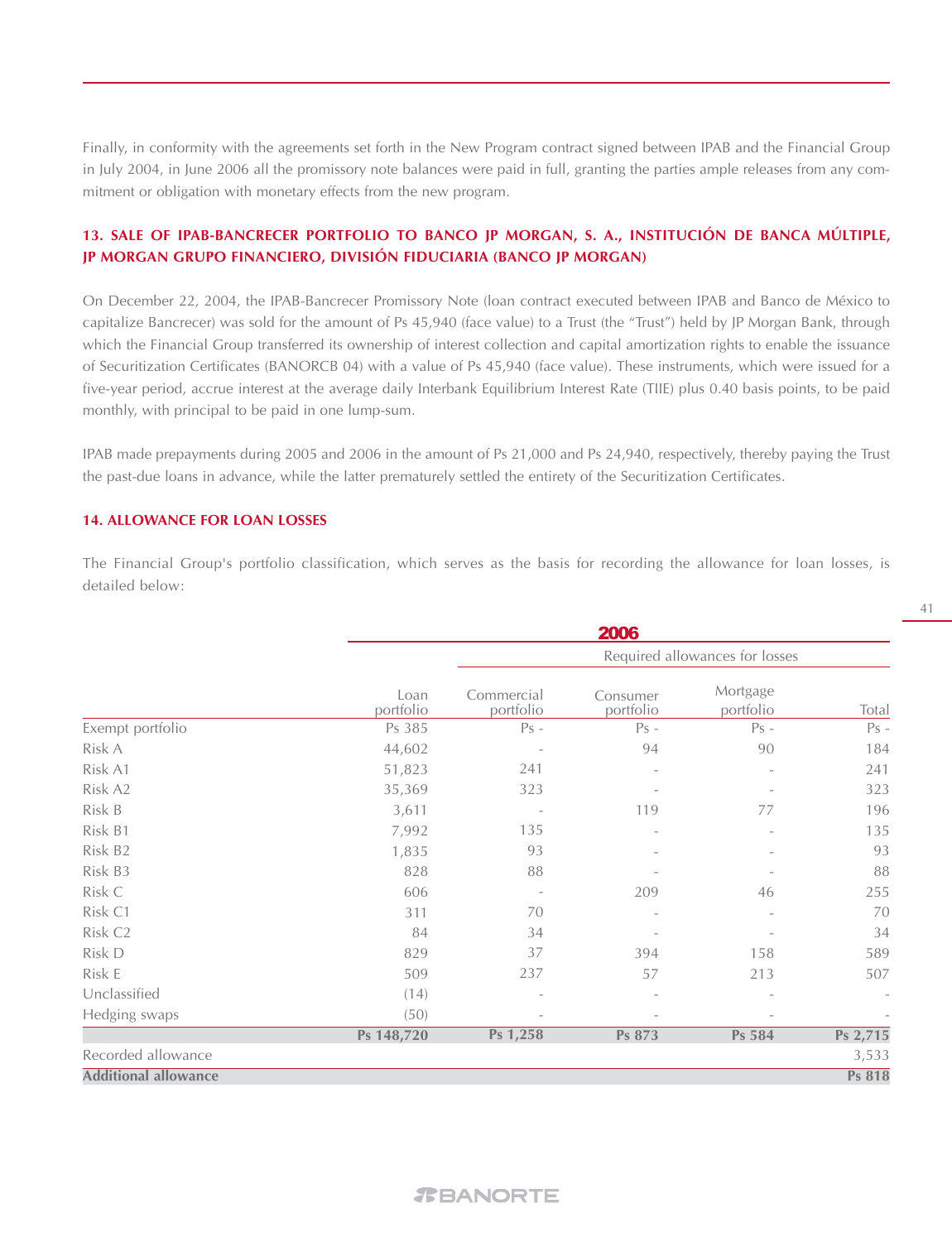Finally, in conformity with the agreements set forth in the New Program contract signed between IPAB and the Financial Group in July 2004, in June 2006 all the promissory note balances were paid in full, granting the parties ample releases from any commitment or obligation with monetary effects from the new program.

# **13. SALE OF IPAB-BANCRECER PORTFOLIO TO BANCO JP MORGAN, S. A., INSTITUCIÓN DE BANCA MÚLTIPLE, JP MORGAN GRUPO FINANCIERO, DIVISIÓN FIDUCIARIA (BANCO JP MORGAN)**

On December 22, 2004, the IPAB-Bancrecer Promissory Note (loan contract executed between IPAB and Banco de México to capitalize Bancrecer) was sold for the amount of Ps 45,940 (face value) to a Trust (the "Trust") held by JP Morgan Bank, through which the Financial Group transferred its ownership of interest collection and capital amortization rights to enable the issuance of Securitization Certificates (BANORCB 04) with a value of Ps 45,940 (face value). These instruments, which were issued for a five-year period, accrue interest at the average daily Interbank Equilibrium Interest Rate (TIIE) plus 0.40 basis points, to be paid monthly, with principal to be paid in one lump-sum.

IPAB made prepayments during 2005 and 2006 in the amount of Ps 21,000 and Ps 24,940, respectively, thereby paying the Trust the past-due loans in advance, while the latter prematurely settled the entirety of the Securitization Certificates.

#### **14. ALLOWANCE FOR LOAN LOSSES**

The Financial Group's portfolio classification, which serves as the basis for recording the allowance for loan losses, is detailed below:

|                             |                   |                          | 2006                           |                       |                          |
|-----------------------------|-------------------|--------------------------|--------------------------------|-----------------------|--------------------------|
|                             |                   |                          | Required allowances for losses |                       |                          |
|                             | Loan<br>portfolio | Commercial<br>portfolio  | Consumer<br>portfolio          | Mortgage<br>portfolio | Total                    |
| Exempt portfolio            | Ps 385            | $Ps -$                   | $Ps -$                         | $Ps -$                | $Ps -$                   |
| Risk A                      | 44,602            |                          | 94                             | 90                    | 184                      |
| Risk A1                     | 51,823            | 241                      |                                |                       | 241                      |
| Risk A2                     | 35,369            | 323                      |                                |                       | 323                      |
| Risk B                      | 3,611             |                          | 119                            | 77                    | 196                      |
| Risk B1                     | 7,992             | 135                      |                                |                       | 135                      |
| Risk B2                     | 1,835             | 93                       |                                |                       | 93                       |
| Risk B3                     | 828               | 88                       |                                |                       | 88                       |
| Risk C                      | 606               |                          | 209                            | 46                    | 255                      |
| Risk C1                     | 311               | 70                       | $\overline{\phantom{a}}$       |                       | 70                       |
| Risk C <sub>2</sub>         | 84                | 34                       |                                |                       | 34                       |
| Risk D                      | 829               | 37                       | 394                            | 158                   | 589                      |
| Risk E                      | 509               | 237                      | 57                             | 213                   | 507                      |
| Unclassified                | (14)              | $\overline{\phantom{a}}$ | $\overline{\phantom{a}}$       |                       | $\overline{\phantom{a}}$ |
| Hedging swaps               | (50)              | $\overline{\phantom{a}}$ |                                |                       |                          |
|                             | Ps 148,720        | Ps 1,258                 | Ps 873                         | Ps 584                | Ps 2,715                 |
| Recorded allowance          |                   |                          |                                |                       | 3,533                    |
| <b>Additional allowance</b> |                   |                          |                                |                       | Ps 818                   |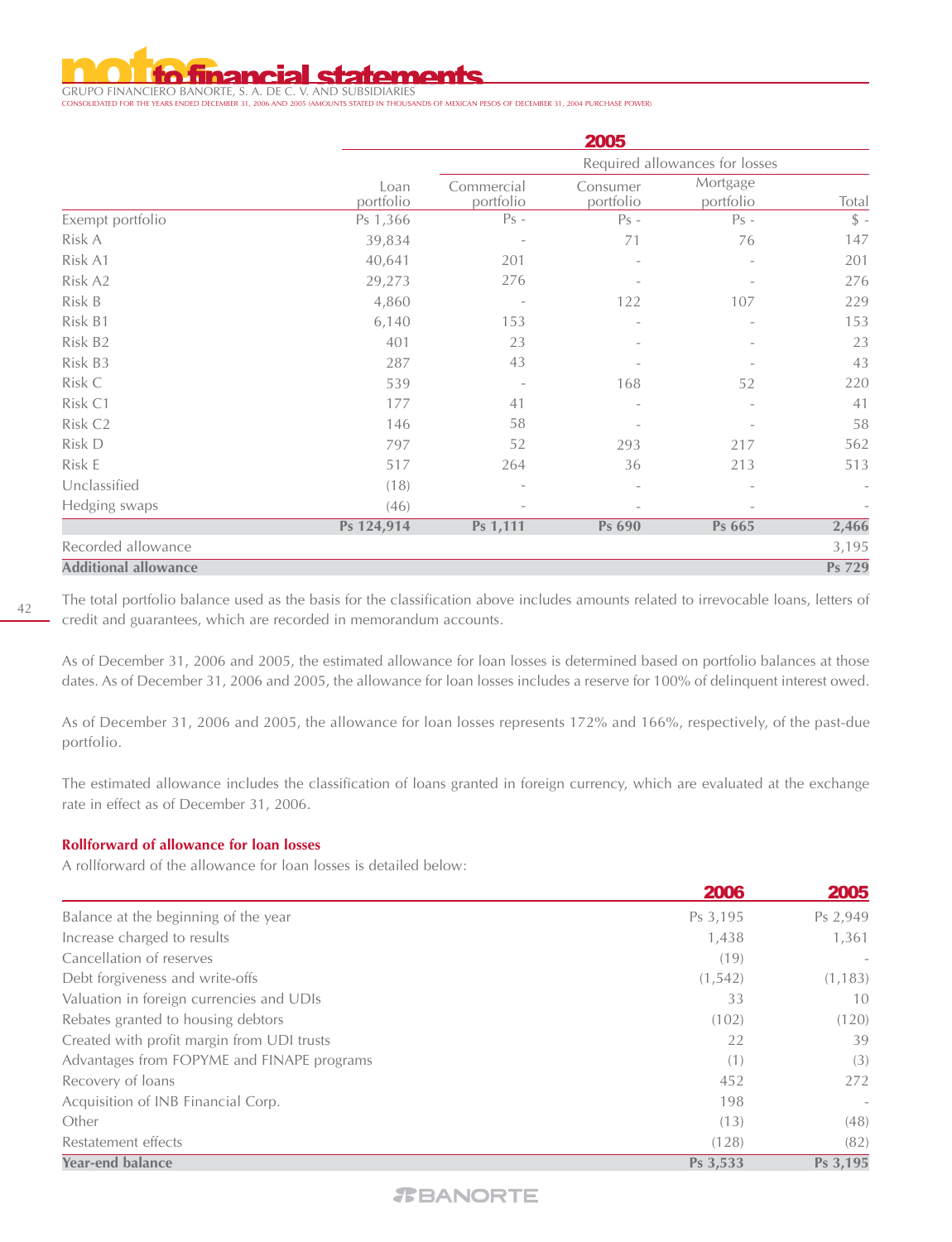

GRUPO FINANCIERO BANORTE, S. A. DE C. V. AND SUBSIDIARIES CONSOLIDATED FOR THE YEARS ENDED DECEMBER 31, 2006 AND 2005 (AMOUNTS STATED IN THOUSANDS OF MEXICAN PESOS OF DECEMBER 31, 2004 PURCHASE POWER)

|                             | 2005              |                          |                          |                                |                          |  |  |
|-----------------------------|-------------------|--------------------------|--------------------------|--------------------------------|--------------------------|--|--|
|                             |                   |                          |                          | Required allowances for losses |                          |  |  |
|                             | Loan<br>portfolio | Commercial<br>portfolio  | Consumer<br>portfolio    | Mortgage<br>portfolio          | Total                    |  |  |
| Exempt portfolio            | Ps 1,366          | $Ps -$                   | $Ps -$                   | $Ps -$                         | $\frac{1}{2}$ -          |  |  |
| Risk A                      | 39,834            | $\overline{\phantom{a}}$ | 71                       | 76                             | 147                      |  |  |
| Risk A1                     | 40,641            | 201                      |                          |                                | 201                      |  |  |
| Risk A2                     | 29,273            | 276                      |                          |                                | 276                      |  |  |
| Risk B                      | 4,860             |                          | 122                      | 107                            | 229                      |  |  |
| Risk B1                     | 6,140             | 153                      |                          |                                | 153                      |  |  |
| Risk B2                     | 401               | 23                       |                          |                                | 23                       |  |  |
| Risk B3                     | 287               | 43                       |                          |                                | 43                       |  |  |
| Risk C                      | 539               | $\overline{\phantom{a}}$ | 168                      | 52                             | 220                      |  |  |
| Risk C1                     | 177               | 41                       | $\overline{\phantom{0}}$ |                                | 41                       |  |  |
| Risk C <sub>2</sub>         | 146               | 58                       |                          |                                | 58                       |  |  |
| Risk D                      | 797               | 52                       | 293                      | 217                            | 562                      |  |  |
| Risk E                      | 517               | 264                      | 36                       | 213                            | 513                      |  |  |
| Unclassified                | (18)              | $\overline{\phantom{m}}$ | $\overline{\phantom{0}}$ |                                | $\overline{\phantom{a}}$ |  |  |
| Hedging swaps               | (46)              |                          |                          |                                |                          |  |  |
|                             | Ps 124,914        | Ps 1,111                 | Ps 690                   | Ps 665                         | 2,466                    |  |  |
| Recorded allowance          |                   |                          |                          |                                | 3,195                    |  |  |
| <b>Additional allowance</b> |                   |                          |                          |                                | Ps 729                   |  |  |

The total portfolio balance used as the basis for the classification above includes amounts related to irrevocable loans, letters of credit and guarantees, which are recorded in memorandum accounts.

As of December 31, 2006 and 2005, the estimated allowance for loan losses is determined based on portfolio balances at those dates. As of December 31, 2006 and 2005, the allowance for loan losses includes a reserve for 100% of delinquent interest owed.

As of December 31, 2006 and 2005, the allowance for loan losses represents 172% and 166%, respectively, of the past-due portfolio.

The estimated allowance includes the classification of loans granted in foreign currency, which are evaluated at the exchange rate in effect as of December 31, 2006.

#### **Rollforward of allowance for loan losses**

A rollforward of the allowance for loan losses is detailed below:

|                                            | 2006     | <b>2005</b> |
|--------------------------------------------|----------|-------------|
| Balance at the beginning of the year       | Ps 3,195 | Ps 2,949    |
| Increase charged to results                | 1,438    | 1,361       |
| Cancellation of reserves                   | (19)     |             |
| Debt forgiveness and write-offs            | (1, 542) | (1, 183)    |
| Valuation in foreign currencies and UDIs   | 33       | 10          |
| Rebates granted to housing debtors         | (102)    | (120)       |
| Created with profit margin from UDI trusts | 22       | 39          |
| Advantages from FOPYME and FINAPE programs | (1)      | (3)         |
| Recovery of loans                          | 452      | 272         |
| Acquisition of INB Financial Corp.         | 198      |             |
| Other                                      | (13)     | (48)        |
| Restatement effects                        | (128)    | (82)        |
| <b>Year-end balance</b>                    | Ps 3,533 | Ps 3,195    |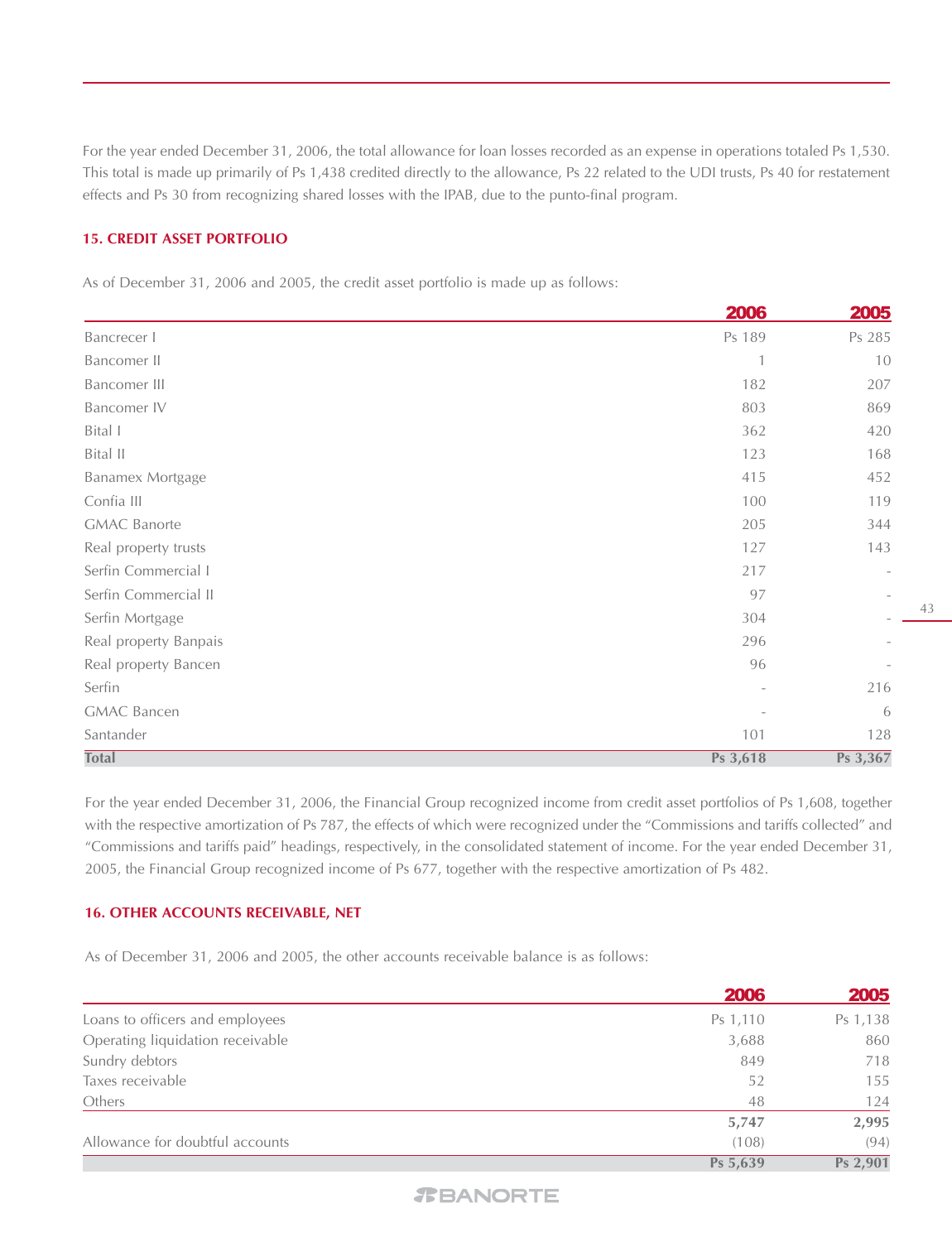For the year ended December 31, 2006, the total allowance for loan losses recorded as an expense in operations totaled Ps 1,530. This total is made up primarily of Ps 1,438 credited directly to the allowance, Ps 22 related to the UDI trusts, Ps 40 for restatement effects and Ps 30 from recognizing shared losses with the IPAB, due to the punto-final program.

#### **15. CREDIT ASSET PORTFOLIO**

As of December 31, 2006 and 2005, the credit asset portfolio is made up as follows:

|                       | 2006     | 2005     |
|-----------------------|----------|----------|
| Bancrecer I           | Ps 189   | Ps 285   |
| Bancomer II           |          | 10       |
| Bancomer III          | 182      | 207      |
| Bancomer IV           | 803      | 869      |
| Bital I               | 362      | 420      |
| Bital II              | 123      | 168      |
| Banamex Mortgage      | 415      | 452      |
| Confia III            | 100      | 119      |
| <b>GMAC Banorte</b>   | 205      | 344      |
| Real property trusts  | 127      | 143      |
| Serfin Commercial I   | 217      |          |
| Serfin Commercial II  | 97       |          |
| Serfin Mortgage       | 304      |          |
| Real property Banpais | 296      |          |
| Real property Bancen  | 96       |          |
| Serfin                |          | 216      |
| <b>GMAC Bancen</b>    |          | 6        |
| Santander             | 101      | 128      |
| <b>Total</b>          | Ps 3,618 | Ps 3,367 |

For the year ended December 31, 2006, the Financial Group recognized income from credit asset portfolios of Ps 1,608, together with the respective amortization of Ps 787, the effects of which were recognized under the "Commissions and tariffs collected" and "Commissions and tariffs paid" headings, respectively, in the consolidated statement of income. For the year ended December 31, 2005, the Financial Group recognized income of Ps 677, together with the respective amortization of Ps 482.

#### **16. OTHER ACCOUNTS RECEIVABLE, NET**

As of December 31, 2006 and 2005, the other accounts receivable balance is as follows:

|                                  | <b>2006</b> | 2005     |
|----------------------------------|-------------|----------|
| Loans to officers and employees  | Ps 1,110    | Ps 1,138 |
| Operating liquidation receivable | 3,688       | 860      |
| Sundry debtors                   | 849         | 718      |
| Taxes receivable                 | 52          | 155      |
| Others                           | 48          | 124      |
|                                  | 5,747       | 2,995    |
| Allowance for doubtful accounts  | (108)       | (94)     |
|                                  | Ps 5,639    | Ps 2,901 |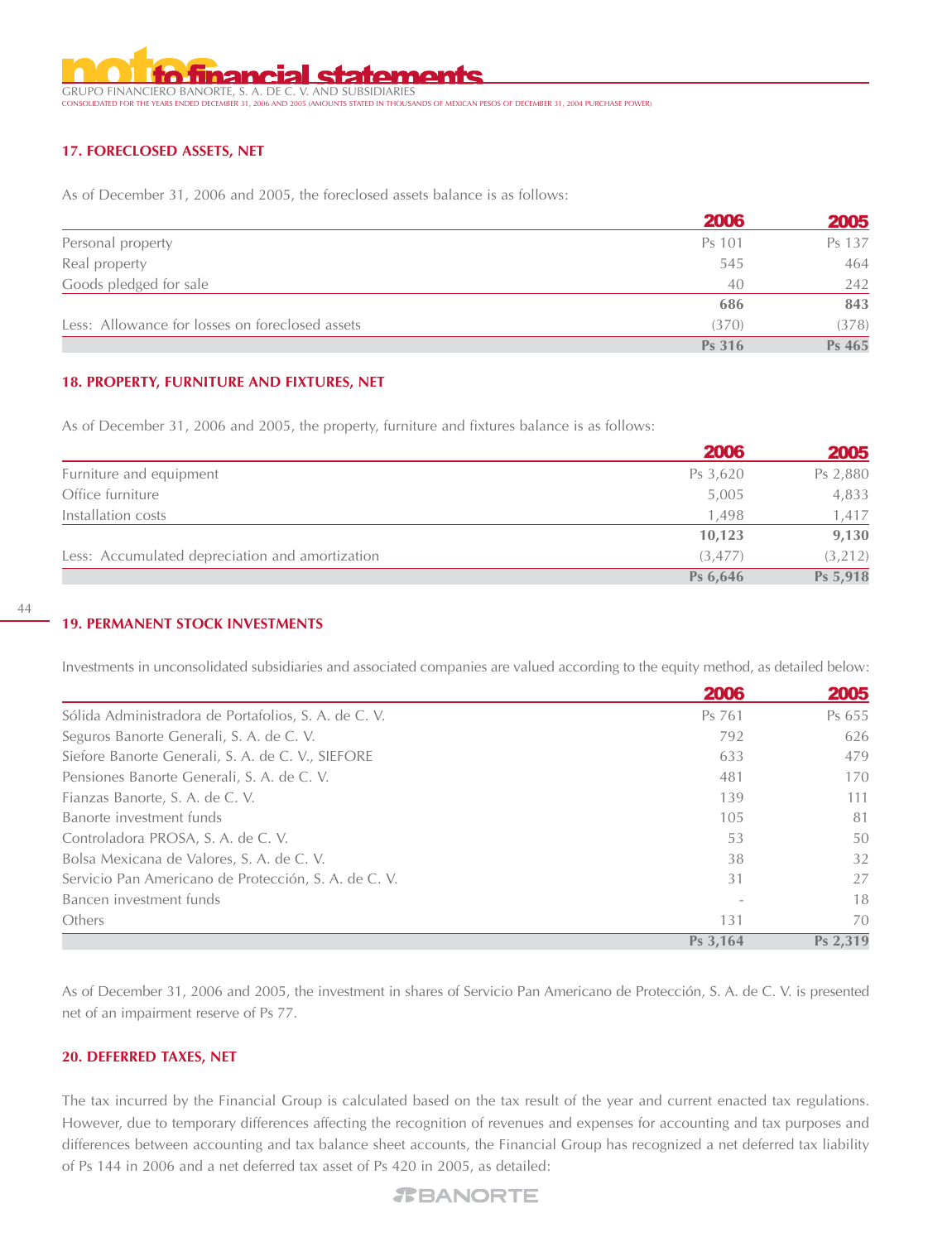GRUPO FINANCIERO BANORTE, S. A. DE C. V. AND SUBSIDIARIES<br>consolidated for the years ended december 31, 2006 and 2005 (amounts stated in thous*a* CONSOLIDATED FOR THE YEARS ENDED DECEMBER 31, 2006 AND 2005 (AMOUNTS STATED IN THOUSANDS OF MEXICAN PESOS OF DECEMBER 31, 2004 PURCHASE POWER)

#### **17. FORECLOSED ASSETS, NET**

As of December 31, 2006 and 2005, the foreclosed assets balance is as follows:

|                                                 | 2006   | 2005   |
|-------------------------------------------------|--------|--------|
| Personal property                               | Ps 101 | Ps 137 |
| Real property                                   | 545    | 464    |
| Goods pledged for sale                          | 40     | 242    |
|                                                 | 686    | 843    |
| Less: Allowance for losses on foreclosed assets | (370)  | (378)  |
|                                                 | Ps 316 | Ps 465 |

#### **18. PROPERTY, FURNITURE AND FIXTURES, NET**

As of December 31, 2006 and 2005, the property, furniture and fixtures balance is as follows:

|                                                 | <b>2006</b> | <b>2005</b> |
|-------------------------------------------------|-------------|-------------|
| Furniture and equipment                         | Ps 3,620    | Ps 2,880    |
| Office furniture                                | 5,005       | 4,833       |
| Installation costs                              | 1,498       | 1,417       |
|                                                 | 10,123      | 9,130       |
| Less: Accumulated depreciation and amortization | (3.477)     | (3,212)     |
|                                                 | Ps 6,646    | Ps 5,918    |

#### **19. PERMANENT STOCK INVESTMENTS**

Investments in unconsolidated subsidiaries and associated companies are valued according to the equity method, as detailed below:

|                                                      | 2006     | 2005     |
|------------------------------------------------------|----------|----------|
| Sólida Administradora de Portafolios, S. A. de C. V. | Ps 761   | Ps 655   |
| Seguros Banorte Generali, S. A. de C. V.             | 792      | 626      |
| Siefore Banorte Generali, S. A. de C. V., SIEFORE    | 633      | 479      |
| Pensiones Banorte Generali, S. A. de C. V.           | 481      | 170      |
| Fianzas Banorte, S. A. de C. V.                      | 139      | 111      |
| Banorte investment funds                             | 105      | 81       |
| Controladora PROSA, S. A. de C. V.                   | 53       | 50       |
| Bolsa Mexicana de Valores, S. A. de C. V.            | 38       | 32       |
| Servicio Pan Americano de Protección, S. A. de C. V. | 31       | 27       |
| Bancen investment funds                              |          | 18       |
| Others                                               | 131      | 70       |
|                                                      | Ps 3,164 | Ps 2.319 |

As of December 31, 2006 and 2005, the investment in shares of Servicio Pan Americano de Protección, S. A. de C. V. is presented net of an impairment reserve of Ps 77.

#### **20. DEFERRED TAXES, NET**

The tax incurred by the Financial Group is calculated based on the tax result of the year and current enacted tax regulations. However, due to temporary differences affecting the recognition of revenues and expenses for accounting and tax purposes and differences between accounting and tax balance sheet accounts, the Financial Group has recognized a net deferred tax liability of Ps 144 in 2006 and a net deferred tax asset of Ps 420 in 2005, as detailed: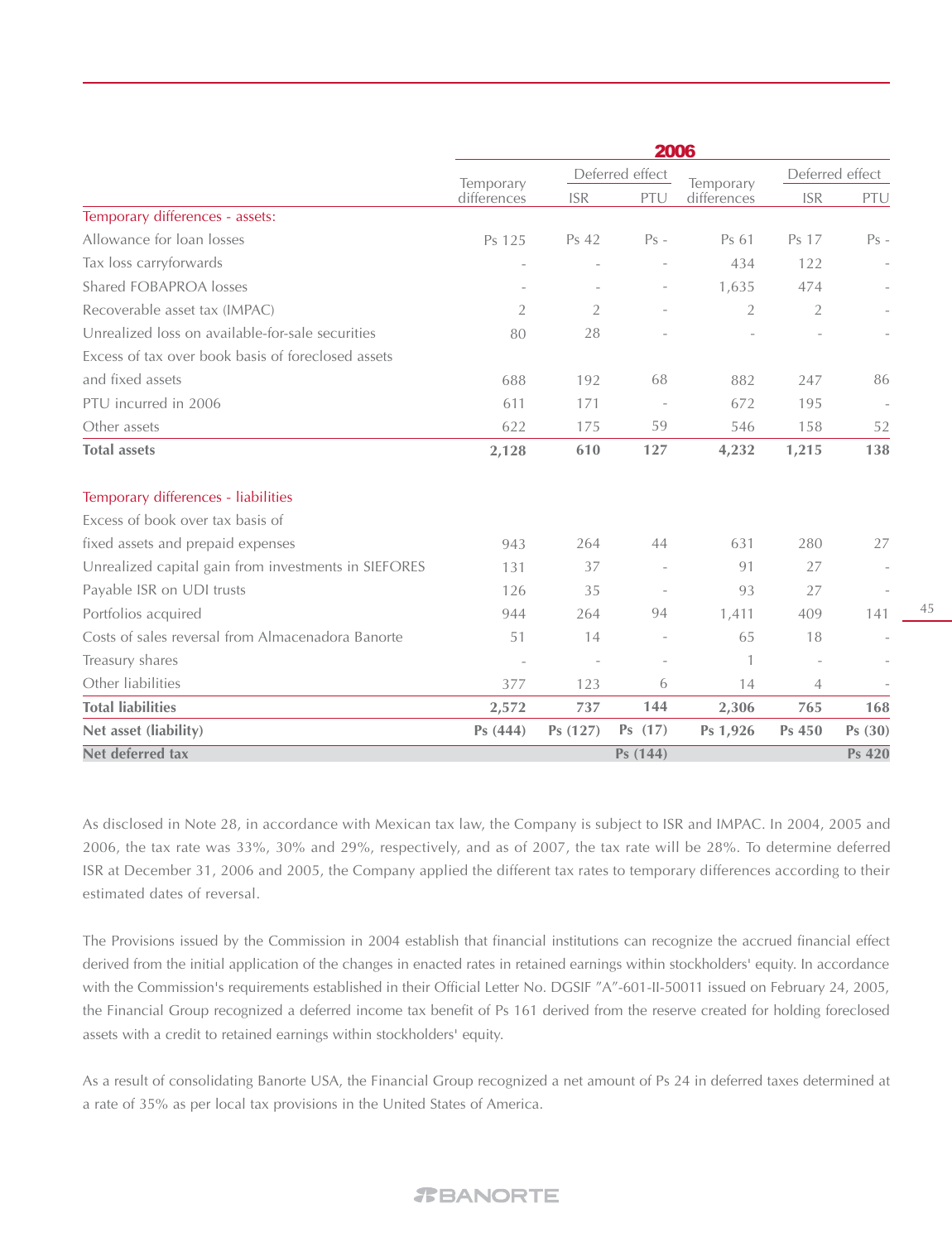|                                                      | 2006           |                |                          |                |                |                 |
|------------------------------------------------------|----------------|----------------|--------------------------|----------------|----------------|-----------------|
|                                                      | Temporary      |                | Deferred effect          | Temporary      |                | Deferred effect |
|                                                      | differences    | <b>ISR</b>     | PTU                      | differences    | <b>ISR</b>     | PTU             |
| Temporary differences - assets:                      |                |                |                          |                |                |                 |
| Allowance for loan losses                            | Ps 125         | Ps 42          | $Ps -$                   | Ps 61          | Ps 17          | $Ps -$          |
| Tax loss carryforwards                               |                |                |                          | 434            | 122            |                 |
| <b>Shared FOBAPROA losses</b>                        |                |                | $\overline{\phantom{a}}$ | 1,635          | 474            |                 |
| Recoverable asset tax (IMPAC)                        | $\overline{2}$ | $\overline{2}$ |                          | $\overline{2}$ | $\overline{2}$ |                 |
| Unrealized loss on available-for-sale securities     | 80             | 28             |                          |                |                |                 |
| Excess of tax over book basis of foreclosed assets   |                |                |                          |                |                |                 |
| and fixed assets                                     | 688            | 192            | 68                       | 882            | 247            | 86              |
| PTU incurred in 2006                                 | 611            | 171            |                          | 672            | 195            |                 |
| Other assets                                         | 622            | 175            | 59                       | 546            | 158            | 52              |
| <b>Total assets</b>                                  | 2,128          | 610            | 127                      | 4,232          | 1,215          | 138             |
| Temporary differences - liabilities                  |                |                |                          |                |                |                 |
| Excess of book over tax basis of                     |                |                |                          |                |                |                 |
| fixed assets and prepaid expenses                    | 943            | 264            | 44                       | 631            | 280            | 27              |
| Unrealized capital gain from investments in SIEFORES | 131            | 37             |                          | 91             | 27             |                 |
| Payable ISR on UDI trusts                            | 126            | 35             |                          | 93             | 27             | $\sim$          |
| Portfolios acquired                                  | 944            | 264            | 94                       | 1,411          | 409            | 141             |
| Costs of sales reversal from Almacenadora Banorte    | 51             | 14             | $\overline{\phantom{a}}$ | 65             | 18             |                 |
| Treasury shares                                      |                |                |                          | $\mathbf{1}$   |                |                 |
| Other liabilities                                    | 377            | 123            | 6                        | 14             | $\overline{4}$ |                 |
| <b>Total liabilities</b>                             | 2,572          | 737            | 144                      | 2,306          | 765            | 168             |
| Net asset (liability)                                | Ps (444)       | Ps (127)       | Ps (17)                  | Ps 1,926       | Ps 450         | Ps(30)          |
| Net deferred tax                                     |                |                | Ps (144)                 |                |                | <b>Ps 420</b>   |

As disclosed in Note 28, in accordance with Mexican tax law, the Company is subject to ISR and IMPAC. In 2004, 2005 and 2006, the tax rate was 33%, 30% and 29%, respectively, and as of 2007, the tax rate will be 28%. To determine deferred ISR at December 31, 2006 and 2005, the Company applied the different tax rates to temporary differences according to their estimated dates of reversal.

The Provisions issued by the Commission in 2004 establish that financial institutions can recognize the accrued financial effect derived from the initial application of the changes in enacted rates in retained earnings within stockholders' equity. In accordance with the Commission's requirements established in their Official Letter No. DGSIF "A"-601-II-50011 issued on February 24, 2005, the Financial Group recognized a deferred income tax benefit of Ps 161 derived from the reserve created for holding foreclosed assets with a credit to retained earnings within stockholders' equity.

As a result of consolidating Banorte USA, the Financial Group recognized a net amount of Ps 24 in deferred taxes determined at a rate of 35% as per local tax provisions in the United States of America.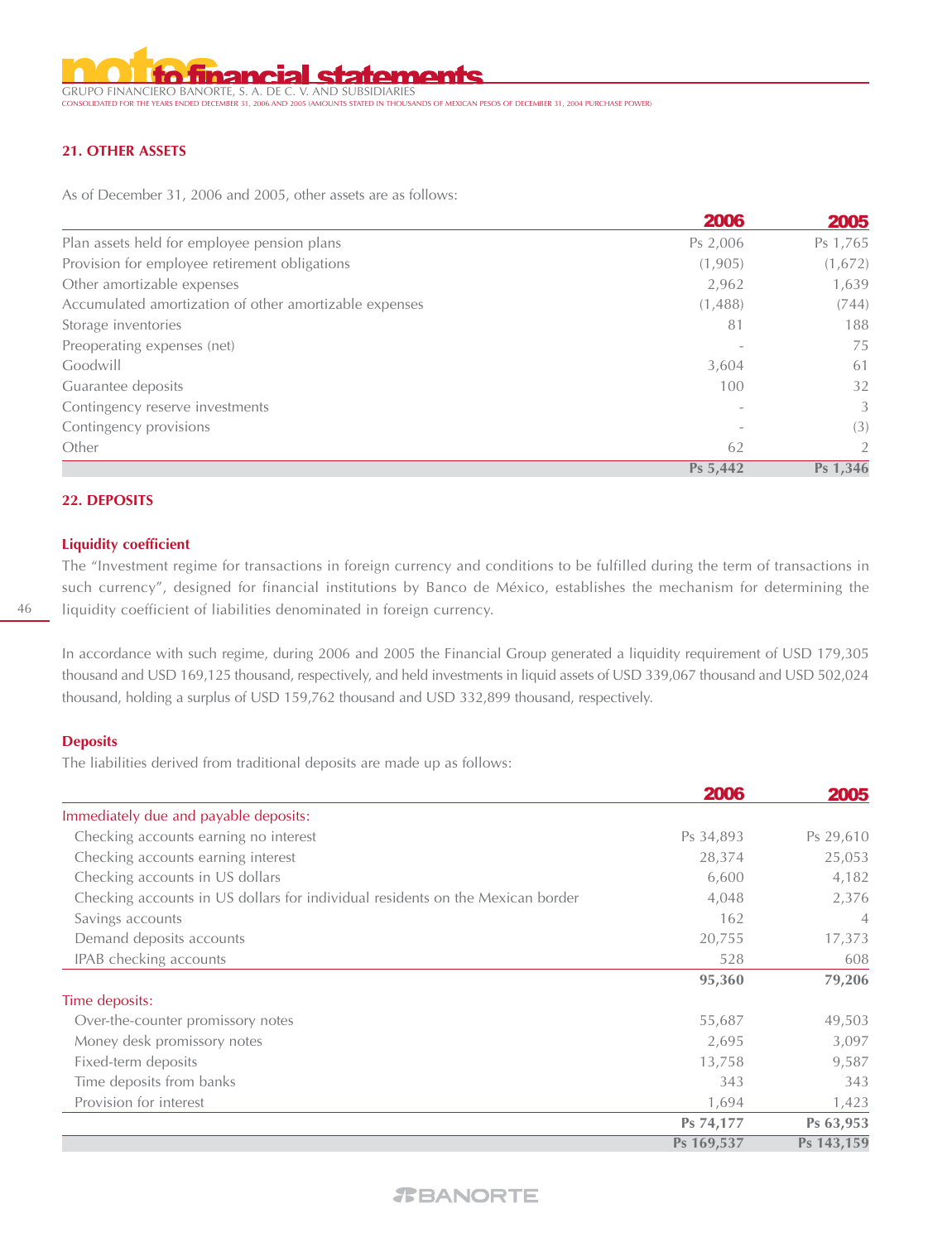**statem** GRUPO FINANCIERO BANORTE, S. A. DE C. V. AND SUBSIDIARIES CONDED IN THOUSANDS OF MEXICAN PESOS OF DECEMBER 31, 2004 PURCHASE POWER)

#### **21. OTHER ASSETS**

As of December 31, 2006 and 2005, other assets are as follows:

|                                                        | <b>2006</b> | 2005     |
|--------------------------------------------------------|-------------|----------|
| Plan assets held for employee pension plans            | Ps 2,006    | Ps 1,765 |
| Provision for employee retirement obligations          | (1,905)     | (1,672)  |
| Other amortizable expenses                             | 2,962       | 1,639    |
| Accumulated amortization of other amortizable expenses | (1,488)     | (744)    |
| Storage inventories                                    | 81          | 188      |
| Preoperating expenses (net)                            |             | 75       |
| Goodwill                                               | 3,604       | 61       |
| Guarantee deposits                                     | 100         | 32       |
| Contingency reserve investments                        |             | 3        |
| Contingency provisions                                 |             | (3)      |
| Other                                                  | 62          | 2        |
|                                                        | Ps 5,442    | Ps 1,346 |

#### **22. DEPOSITS**

#### **Liquidity coefficient**

The "Investment regime for transactions in foreign currency and conditions to be fulfilled during the term of transactions in such currency", designed for financial institutions by Banco de México, establishes the mechanism for determining the liquidity coefficient of liabilities denominated in foreign currency.

In accordance with such regime, during 2006 and 2005 the Financial Group generated a liquidity requirement of USD 179,305 thousand and USD 169,125 thousand, respectively, and held investments in liquid assets of USD 339,067 thousand and USD 502,024 thousand, holding a surplus of USD 159,762 thousand and USD 332,899 thousand, respectively.

#### **Deposits**

The liabilities derived from traditional deposits are made up as follows:

|                                                                                | 2006       | 2005       |
|--------------------------------------------------------------------------------|------------|------------|
| Immediately due and payable deposits:                                          |            |            |
| Checking accounts earning no interest                                          | Ps 34,893  | Ps 29,610  |
| Checking accounts earning interest                                             | 28,374     | 25,053     |
| Checking accounts in US dollars                                                | 6,600      | 4,182      |
| Checking accounts in US dollars for individual residents on the Mexican border | 4,048      | 2,376      |
| Savings accounts                                                               | 162        | 4          |
| Demand deposits accounts                                                       | 20,755     | 17,373     |
| IPAB checking accounts                                                         | 528        | 608        |
|                                                                                | 95,360     | 79,206     |
| Time deposits:                                                                 |            |            |
| Over-the-counter promissory notes                                              | 55,687     | 49,503     |
| Money desk promissory notes                                                    | 2,695      | 3,097      |
| Fixed-term deposits                                                            | 13,758     | 9,587      |
| Time deposits from banks                                                       | 343        | 343        |
| Provision for interest                                                         | 1,694      | 1,423      |
|                                                                                | Ps 74,177  | Ps 63,953  |
|                                                                                | Ps 169,537 | Ps 143,159 |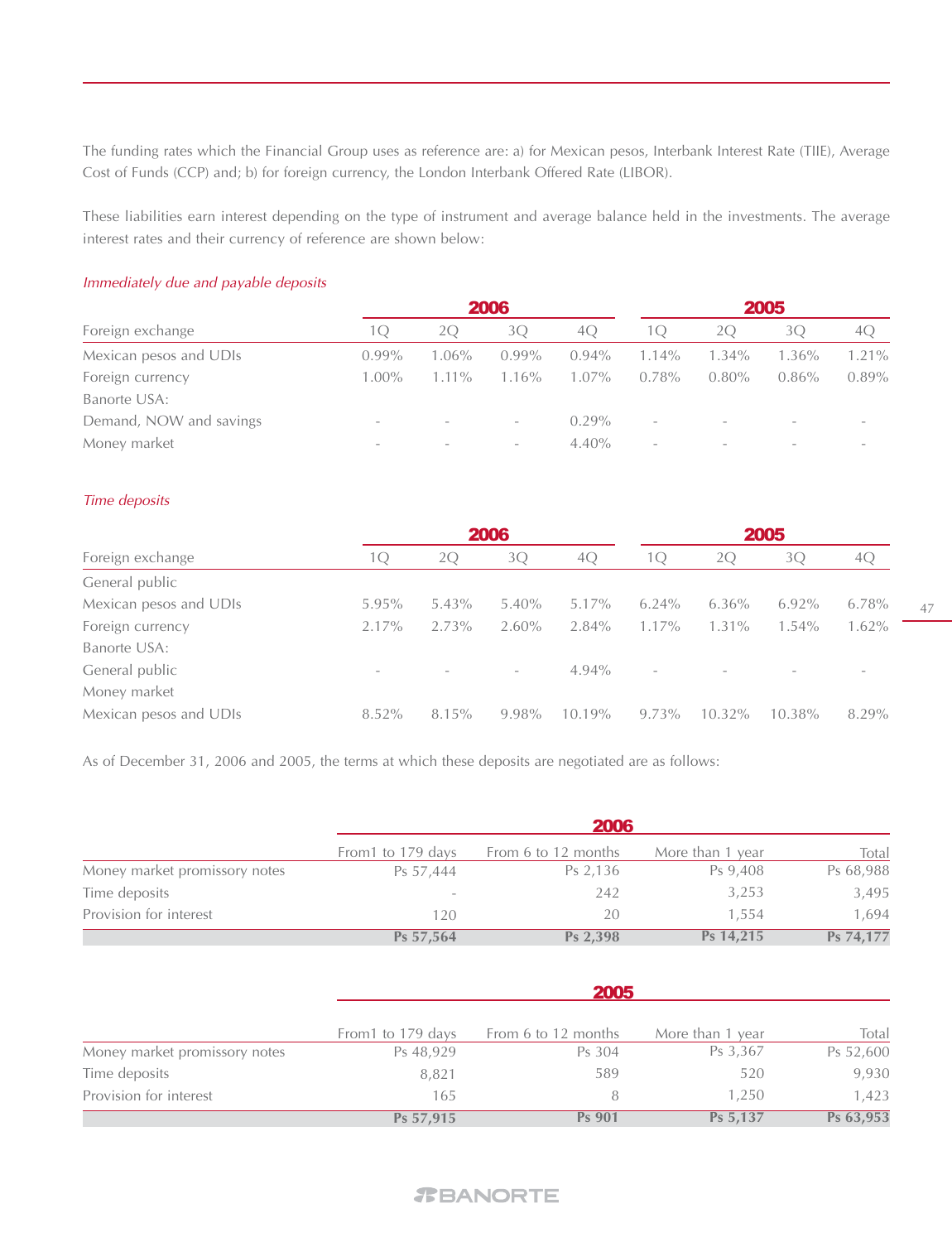The funding rates which the Financial Group uses as reference are: a) for Mexican pesos, Interbank Interest Rate (TIIE), Average Cost of Funds (CCP) and; b) for foreign currency, the London Interbank Offered Rate (LIBOR).

These liabilities earn interest depending on the type of instrument and average balance held in the investments. The average interest rates and their currency of reference are shown below:

#### Immediately due and payable deposits

|                          |          |                          | 2005     |                          |          |          |                          |
|--------------------------|----------|--------------------------|----------|--------------------------|----------|----------|--------------------------|
| $\vert$ ( )              | 20       | 3O                       | 40       | IО                       | 20       | 30       | 40                       |
| $0.99\%$                 | $1.06\%$ | $0.99\%$                 | $0.94\%$ | $1.14\%$                 | $1.34\%$ | $1.36\%$ | 1.21%                    |
| $1.00\%$                 | $1.11\%$ | $1.16\%$                 | $1.07\%$ | $0.78\%$                 | $0.80\%$ | $0.86\%$ | $0.89\%$                 |
|                          |          |                          |          |                          |          |          |                          |
| $\overline{\phantom{a}}$ |          | $\overline{\phantom{a}}$ | $0.29\%$ | $\overline{\phantom{0}}$ |          |          |                          |
| $\overline{\phantom{a}}$ |          | $\overline{\phantom{a}}$ | $4.40\%$ | $\overline{\phantom{a}}$ |          |          | $\overline{\phantom{a}}$ |
|                          |          |                          | 2006     |                          |          |          |                          |

#### Time deposits

|                        |                          | 2006     |                          |           | 2005                     |           |           |          |
|------------------------|--------------------------|----------|--------------------------|-----------|--------------------------|-----------|-----------|----------|
| Foreign exchange       | TQ.                      | 2O       | 3Q                       | 4O        | 10                       | 20        | 30        | 4C       |
| General public         |                          |          |                          |           |                          |           |           |          |
| Mexican pesos and UDIs | $5.95\%$                 | $5.43\%$ | $5.40\%$                 | $5.17\%$  | $6.24\%$                 | $6.36\%$  | $6.92\%$  | $6.78\%$ |
| Foreign currency       | 2.17%                    | 2.73%    | $2.60\%$                 | $2.84\%$  | $1.17\%$                 | $1.31\%$  | $1.54\%$  | $1.62\%$ |
| Banorte USA:           |                          |          |                          |           |                          |           |           |          |
| General public         | $\overline{\phantom{0}}$ |          | $\overline{\phantom{a}}$ | $4.94\%$  | $\overline{\phantom{0}}$ |           |           |          |
| Money market           |                          |          |                          |           |                          |           |           |          |
| Mexican pesos and UDIs | 8.52%                    | 8.15%    | 9.98%                    | $10.19\%$ | $9.73\%$                 | $10.32\%$ | $10.38\%$ | 8.29%    |

As of December 31, 2006 and 2005, the terms at which these deposits are negotiated are as follows:

|                               | <b>2006</b>              |                     |                  |           |  |  |
|-------------------------------|--------------------------|---------------------|------------------|-----------|--|--|
|                               | From 1 to 179 days       | From 6 to 12 months | More than 1 year | Total     |  |  |
| Money market promissory notes | Ps 57,444                | Ps 2,136            | Ps 9,408         | Ps 68,988 |  |  |
| Time deposits                 | $\overline{\phantom{a}}$ | 242                 | 3,253            | 3,495     |  |  |
| Provision for interest        | 120                      | 20                  | 1.554            | 1,694     |  |  |
|                               | Ps 57,564                | Ps 2,398            | Ps 14,215        | Ps 74,177 |  |  |

|                               | 2005               |                     |                  |           |  |  |  |
|-------------------------------|--------------------|---------------------|------------------|-----------|--|--|--|
|                               | From 1 to 179 days | From 6 to 12 months | More than 1 year | Total     |  |  |  |
| Money market promissory notes | Ps 48,929          | Ps 304              | Ps 3,367         | Ps 52,600 |  |  |  |
| Time deposits                 | 8,821              | 589                 | 520              | 9,930     |  |  |  |
| Provision for interest        | 165                | 8                   | 1.250            | 1.423     |  |  |  |
|                               | Ps 57,915          | <b>Ps 901</b>       | Ps 5,137         | Ps 63,953 |  |  |  |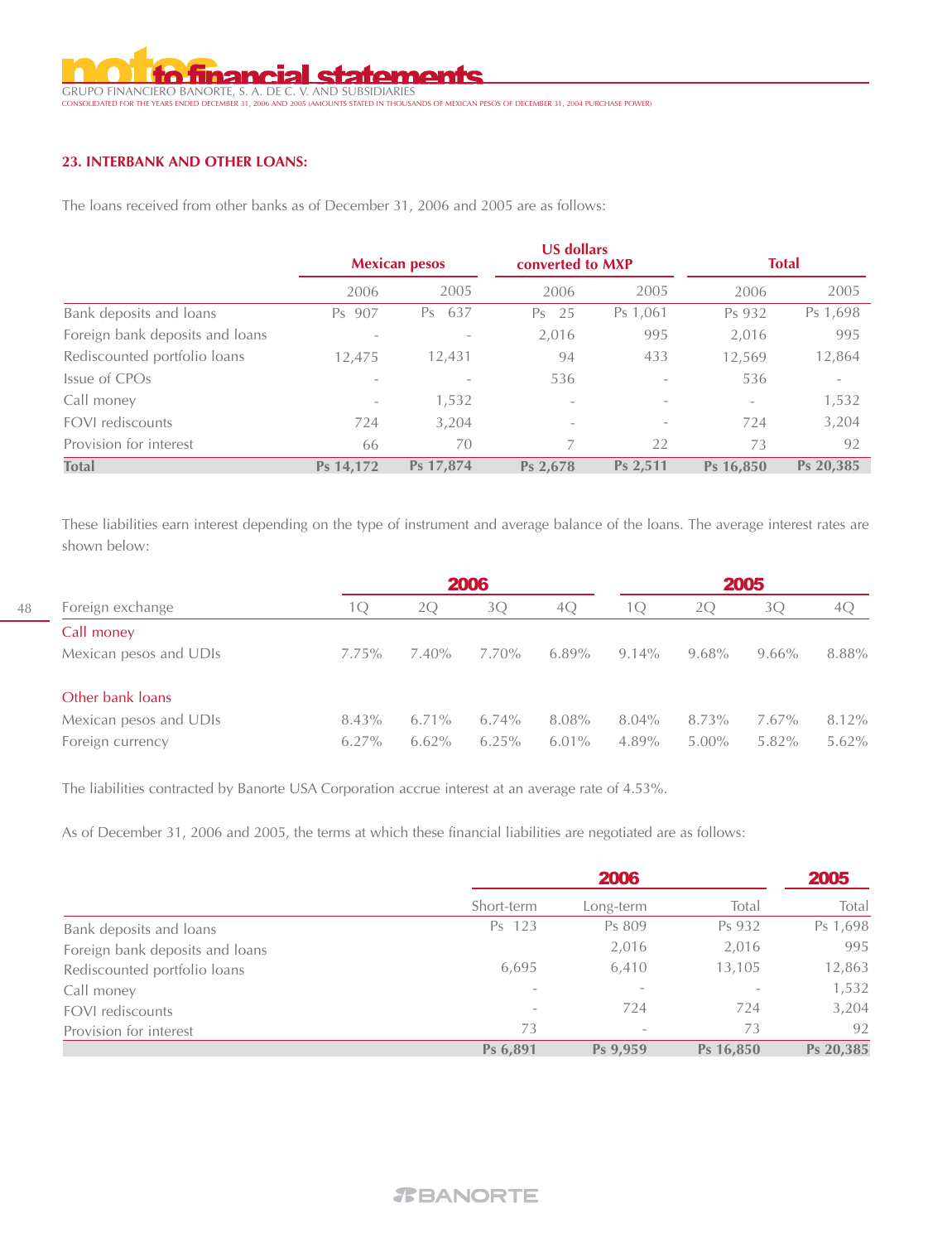# <u>I statements</u> GRUPO FINANCIERO BANORTE, S. A. DE C. V. AND SUBSIDIARIES CONSOLIDATED FOR THE YEARS ENDED DECEMBER 31, 2006 AND 2005 (AMOUNTS STATED IN THOUSANDS OF MEXICAN PESOS OF DECEMBER 31, 2004 PURCHASE POWER)

#### **23. INTERBANK AND OTHER LOANS:**

The loans received from other banks as of December 31, 2006 and 2005 are as follows:

|                                 |                          | <b>Mexican pesos</b> |                          | <b>US dollars</b><br>converted to MXP |                          | <b>Total</b>             |  |
|---------------------------------|--------------------------|----------------------|--------------------------|---------------------------------------|--------------------------|--------------------------|--|
|                                 | 2006                     | 2005                 | 2006                     | 2005                                  | 2006                     | 2005                     |  |
| Bank deposits and loans         | Ps 907                   | 637<br>Ps            | 25<br>Ps                 | Ps 1,061                              | Ps 932                   | Ps 1,698                 |  |
| Foreign bank deposits and loans |                          |                      | 2,016                    | 995                                   | 2,016                    | 995                      |  |
| Rediscounted portfolio loans    | 12.475                   | 12,431               | 94                       | 433                                   | 12,569                   | 12,864                   |  |
| Issue of CPOs                   |                          |                      | 536                      |                                       | 536                      | $\overline{\phantom{a}}$ |  |
| Call money                      | $\overline{\phantom{a}}$ | 1,532                | $\overline{\phantom{a}}$ |                                       | $\overline{\phantom{0}}$ | 1,532                    |  |
| FOVI rediscounts                | 724                      | 3,204                | $\overline{\phantom{a}}$ |                                       | 724                      | 3,204                    |  |
| Provision for interest          | 66                       | 70                   |                          | 22                                    | 73                       | 92                       |  |
| <b>Total</b>                    | Ps 14,172                | Ps 17,874            | Ps 2,678                 | Ps 2,511                              | Ps 16.850                | Ps 20,385                |  |

These liabilities earn interest depending on the type of instrument and average balance of the loans. The average interest rates are shown below:

|                  |                        |          | 2006     |          |          | 2005     |          |          |          |
|------------------|------------------------|----------|----------|----------|----------|----------|----------|----------|----------|
| Foreign exchange | 1 ( )                  | 2O       | 3Q       | 4Q       | 10       | 2Q       | 3O       | 40       |          |
|                  | Call money             |          |          |          |          |          |          |          |          |
|                  | Mexican pesos and UDIs | $7.75\%$ | $7.40\%$ | 7.70%    | $6.89\%$ | $9.14\%$ | $9.68\%$ | $9.66\%$ | 8.88%    |
|                  | Other bank loans       |          |          |          |          |          |          |          |          |
|                  | Mexican pesos and UDIs | 8.43%    | $6.71\%$ | $6.74\%$ | 8.08%    | 8.04%    | 8.73%    | 7.67%    | 8.12%    |
|                  | Foreign currency       | $6.27\%$ | $6.62\%$ | 6.25%    | $6.01\%$ | $4.89\%$ | $5.00\%$ | 5.82%    | $5.62\%$ |
|                  |                        |          |          |          |          |          |          |          |          |

The liabilities contracted by Banorte USA Corporation accrue interest at an average rate of 4.53%.

As of December 31, 2006 and 2005, the terms at which these financial liabilities are negotiated are as follows:

|                                 | 2006       |           |                          | 2005      |
|---------------------------------|------------|-----------|--------------------------|-----------|
|                                 | Short-term | Long-term | Total                    | Total     |
| Bank deposits and loans         | Ps 123     | Ps 809    | Ps 932                   | Ps 1,698  |
| Foreign bank deposits and loans |            | 2,016     | 2,016                    | 995       |
| Rediscounted portfolio loans    | 6,695      | 6,410     | 13,105                   | 12,863    |
| Call money                      |            |           | $\overline{\phantom{a}}$ | 1,532     |
| FOVI rediscounts                |            | 724       | 724                      | 3,204     |
| Provision for interest          | 73         |           | 73                       | 92        |
|                                 | Ps 6,891   | Ps 9,959  | Ps 16,850                | Ps 20,385 |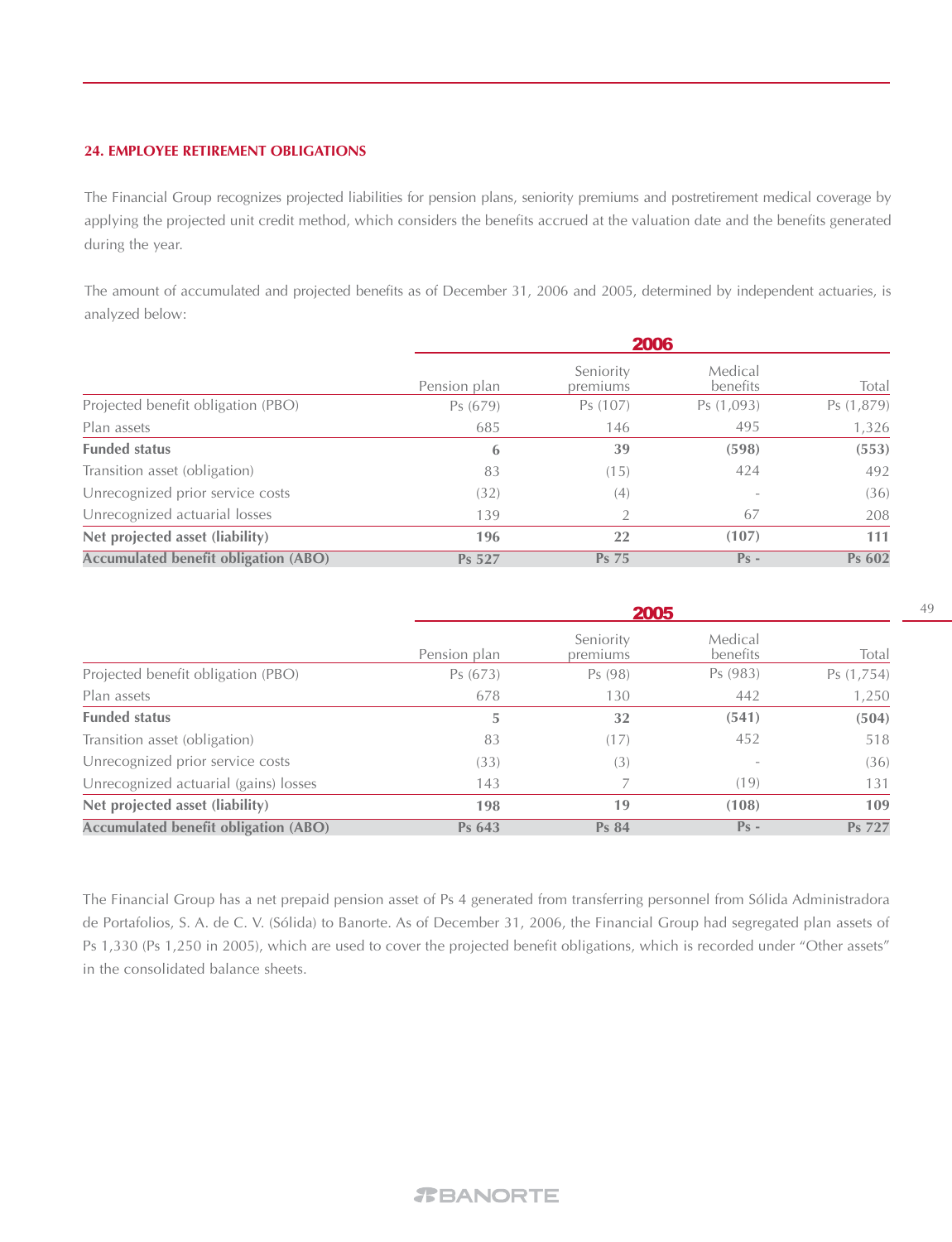#### **24. EMPLOYEE RETIREMENT OBLIGATIONS**

The Financial Group recognizes projected liabilities for pension plans, seniority premiums and postretirement medical coverage by applying the projected unit credit method, which considers the benefits accrued at the valuation date and the benefits generated during the year.

The amount of accumulated and projected benefits as of December 31, 2006 and 2005, determined by independent actuaries, is analyzed below:

|                                             | 2006         |                       |                     |            |  |  |
|---------------------------------------------|--------------|-----------------------|---------------------|------------|--|--|
|                                             | Pension plan | Seniority<br>premiums | Medical<br>benefits | Total      |  |  |
| Projected benefit obligation (PBO)          | Ps(679)      | Ps (107)              | Ps (1,093)          | Ps (1,879) |  |  |
| Plan assets                                 | 685          | 146                   | 495                 | 1,326      |  |  |
| <b>Funded status</b>                        | 6            | 39                    | (598)               | (553)      |  |  |
| Transition asset (obligation)               | 83           | (15)                  | 424                 | 492        |  |  |
| Unrecognized prior service costs            | (32)         | (4)                   |                     | (36)       |  |  |
| Unrecognized actuarial losses               | 139          | 2                     | 67                  | 208        |  |  |
| Net projected asset (liability)             | 196          | 22                    | (107)               | 111        |  |  |
| <b>Accumulated benefit obligation (ABO)</b> | Ps 527       | Ps 75                 | $Ps -$              | Ps 602     |  |  |

|                                             | 2005         |                       |                     |            |  |  |
|---------------------------------------------|--------------|-----------------------|---------------------|------------|--|--|
|                                             | Pension plan | Seniority<br>premiums | Medical<br>benefits | Total      |  |  |
| Projected benefit obligation (PBO)          | Ps (673)     | Ps (98)               | Ps (983)            | Ps (1,754) |  |  |
| Plan assets                                 | 678          | 130                   | 442                 | 1,250      |  |  |
| <b>Funded status</b>                        | 5            | 32                    | (541)               | (504)      |  |  |
| Transition asset (obligation)               | 83           | (17)                  | 452                 | 518        |  |  |
| Unrecognized prior service costs            | (33)         | (3)                   |                     | (36)       |  |  |
| Unrecognized actuarial (gains) losses       | 143          |                       | (19)                | 131        |  |  |
| Net projected asset (liability)             | 198          | 19                    | (108)               | 109        |  |  |
| <b>Accumulated benefit obligation (ABO)</b> | Ps 643       | <b>Ps 84</b>          | $Ps -$              | Ps 727     |  |  |

The Financial Group has a net prepaid pension asset of Ps 4 generated from transferring personnel from Sólida Administradora de Portafolios, S. A. de C. V. (Sólida) to Banorte. As of December 31, 2006, the Financial Group had segregated plan assets of Ps 1,330 (Ps 1,250 in 2005), which are used to cover the projected benefit obligations, which is recorded under "Other assets" in the consolidated balance sheets.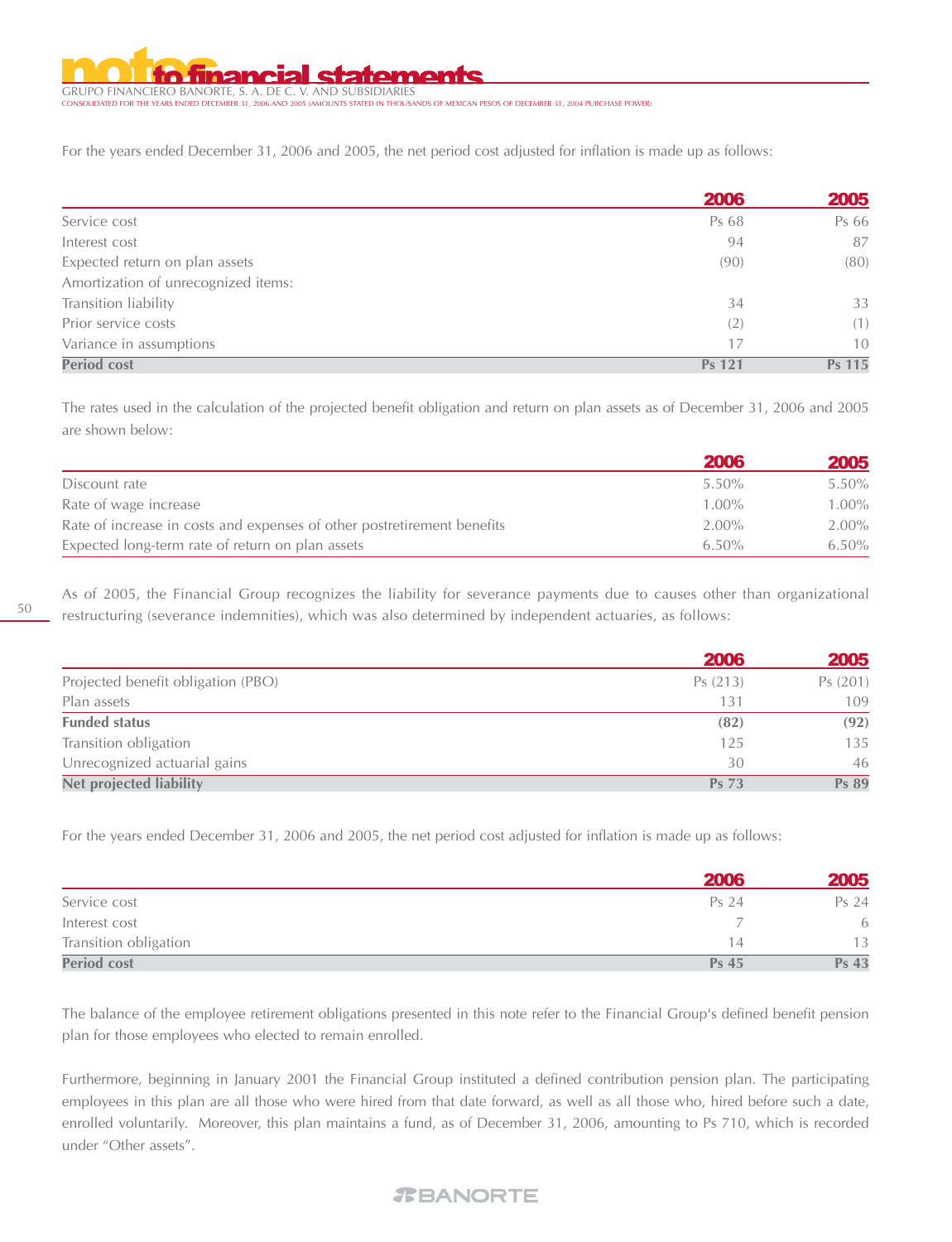GRUPO FINANCIERO BANORTE, S. A. DE C. V. AND SUBSIDIARIES CONDITION THE VEHICLE OF THE YEARD OF MEXICAN PESOS OF DECEMBER 31, 2004 PURCHASE POWER)

For the years ended December 31, 2006 and 2005, the net period cost adjusted for inflation is made up as follows:

|                                     | 2006   | 2005   |
|-------------------------------------|--------|--------|
| Service cost                        | Ps 68  | Ps 66  |
| Interest cost                       | 94     | 87     |
| Expected return on plan assets      | (90)   | (80)   |
| Amortization of unrecognized items: |        |        |
| Transition liability                | 34     | 33     |
| Prior service costs                 | (2)    | (1)    |
| Variance in assumptions             | 17     | 10     |
| <b>Period cost</b>                  | Ps 121 | Ps 115 |

The rates used in the calculation of the projected benefit obligation and return on plan assets as of December 31, 2006 and 2005 are shown below:

|                                                                         | 2006     | 2005     |
|-------------------------------------------------------------------------|----------|----------|
| Discount rate                                                           | $5.50\%$ | $5.50\%$ |
| Rate of wage increase                                                   | $1.00\%$ | $1.00\%$ |
| Rate of increase in costs and expenses of other postretirement benefits | $2.00\%$ | $2.00\%$ |
| Expected long-term rate of return on plan assets                        | $6.50\%$ | $6.50\%$ |

As of 2005, the Financial Group recognizes the liability for severance payments due to causes other than organizational restructuring (severance indemnities), which was also determined by independent actuaries, as follows:

|                                    | 2006         | 2005    |
|------------------------------------|--------------|---------|
| Projected benefit obligation (PBO) | Ps(213)      | Ps(201) |
| Plan assets                        | 131          | 109     |
| <b>Funded status</b>               | (82)         | (92)    |
| Transition obligation              | 125          | 135     |
| Unrecognized actuarial gains       | 30           | 46      |
| <b>Net projected liability</b>     | <b>Ps 73</b> | Ps 89   |

For the years ended December 31, 2006 and 2005, the net period cost adjusted for inflation is made up as follows:

|                       | 2006         | 2005  |
|-----------------------|--------------|-------|
| Service cost          | Ps 24        | Ps 24 |
| Interest cost         |              | 6     |
| Transition obligation | 14           | 13    |
| <b>Period cost</b>    | <b>Ps 45</b> | Ps 43 |

The balance of the employee retirement obligations presented in this note refer to the Financial Group's defined benefit pension plan for those employees who elected to remain enrolled.

Furthermore, beginning in January 2001 the Financial Group instituted a defined contribution pension plan. The participating employees in this plan are all those who were hired from that date forward, as well as all those who, hired before such a date, enrolled voluntarily. Moreover, this plan maintains a fund, as of December 31, 2006, amounting to Ps 710, which is recorded under "Other assets".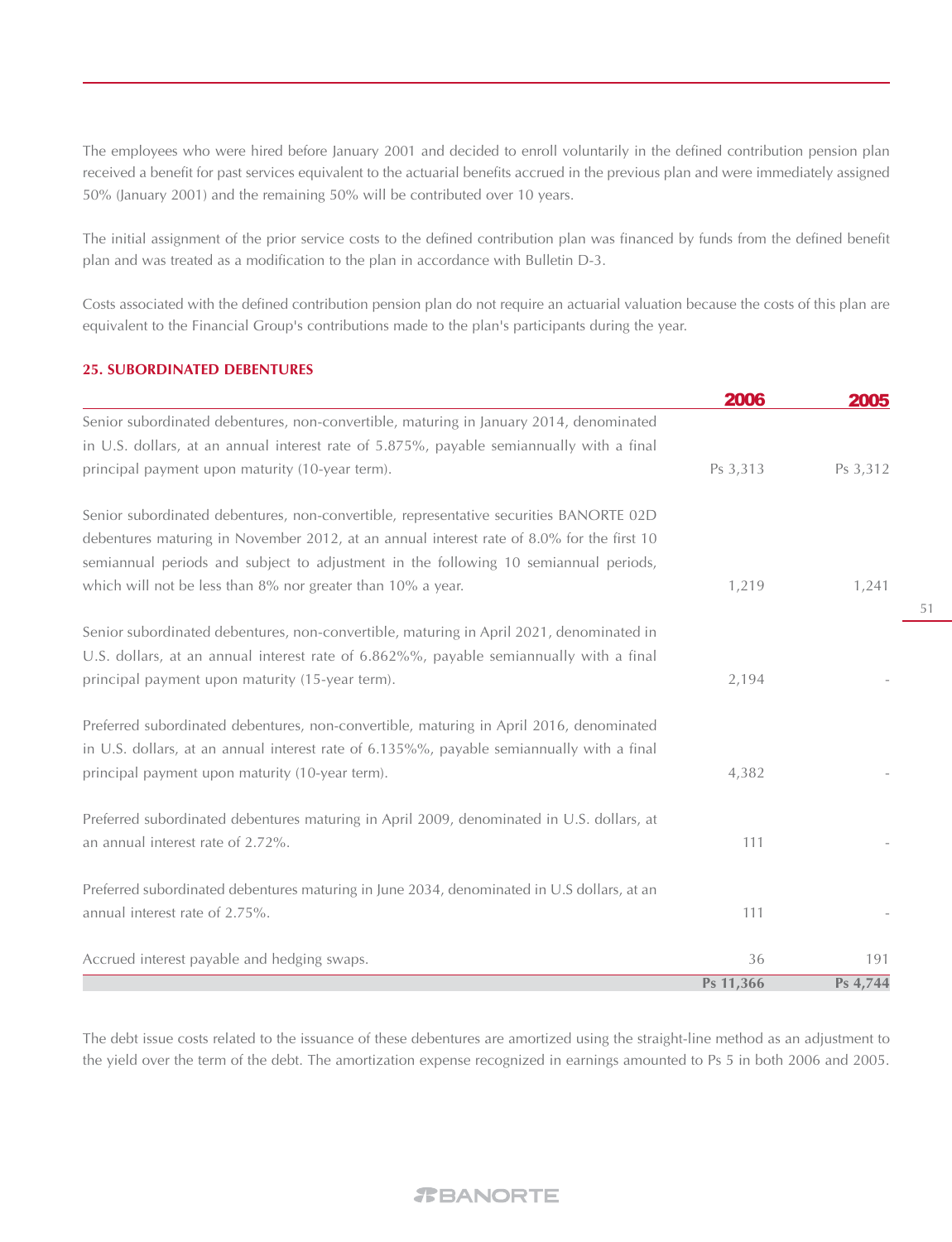The employees who were hired before January 2001 and decided to enroll voluntarily in the defined contribution pension plan received a benefit for past services equivalent to the actuarial benefits accrued in the previous plan and were immediately assigned 50% (January 2001) and the remaining 50% will be contributed over 10 years.

The initial assignment of the prior service costs to the defined contribution plan was financed by funds from the defined benefit plan and was treated as a modification to the plan in accordance with Bulletin D-3.

Costs associated with the defined contribution pension plan do not require an actuarial valuation because the costs of this plan are equivalent to the Financial Group's contributions made to the plan's participants during the year.

#### **25. SUBORDINATED DEBENTURES**

|                                                                                            | 2006      | 2005     |
|--------------------------------------------------------------------------------------------|-----------|----------|
| Senior subordinated debentures, non-convertible, maturing in January 2014, denominated     |           |          |
| in U.S. dollars, at an annual interest rate of 5.875%, payable semiannually with a final   |           |          |
| principal payment upon maturity (10-year term).                                            | Ps 3,313  | Ps 3,312 |
| Senior subordinated debentures, non-convertible, representative securities BANORTE 02D     |           |          |
| debentures maturing in November 2012, at an annual interest rate of 8.0% for the first 10  |           |          |
| semiannual periods and subject to adjustment in the following 10 semiannual periods,       |           |          |
| which will not be less than 8% nor greater than 10% a year.                                | 1,219     | 1,241    |
| Senior subordinated debentures, non-convertible, maturing in April 2021, denominated in    |           |          |
| U.S. dollars, at an annual interest rate of 6.862%%, payable semiannually with a final     |           |          |
| principal payment upon maturity (15-year term).                                            | 2,194     |          |
| Preferred subordinated debentures, non-convertible, maturing in April 2016, denominated    |           |          |
| in U.S. dollars, at an annual interest rate of 6.135%%, payable semiannually with a final  |           |          |
| principal payment upon maturity (10-year term).                                            | 4,382     |          |
| Preferred subordinated debentures maturing in April 2009, denominated in U.S. dollars, at  |           |          |
| an annual interest rate of 2.72%.                                                          | 111       |          |
| Preferred subordinated debentures maturing in June 2034, denominated in U.S dollars, at an |           |          |
| annual interest rate of 2.75%.                                                             | 111       |          |
| Accrued interest payable and hedging swaps.                                                | 36        | 191      |
|                                                                                            | Ps 11,366 | Ps 4,744 |

The debt issue costs related to the issuance of these debentures are amortized using the straight-line method as an adjustment to the yield over the term of the debt. The amortization expense recognized in earnings amounted to Ps 5 in both 2006 and 2005.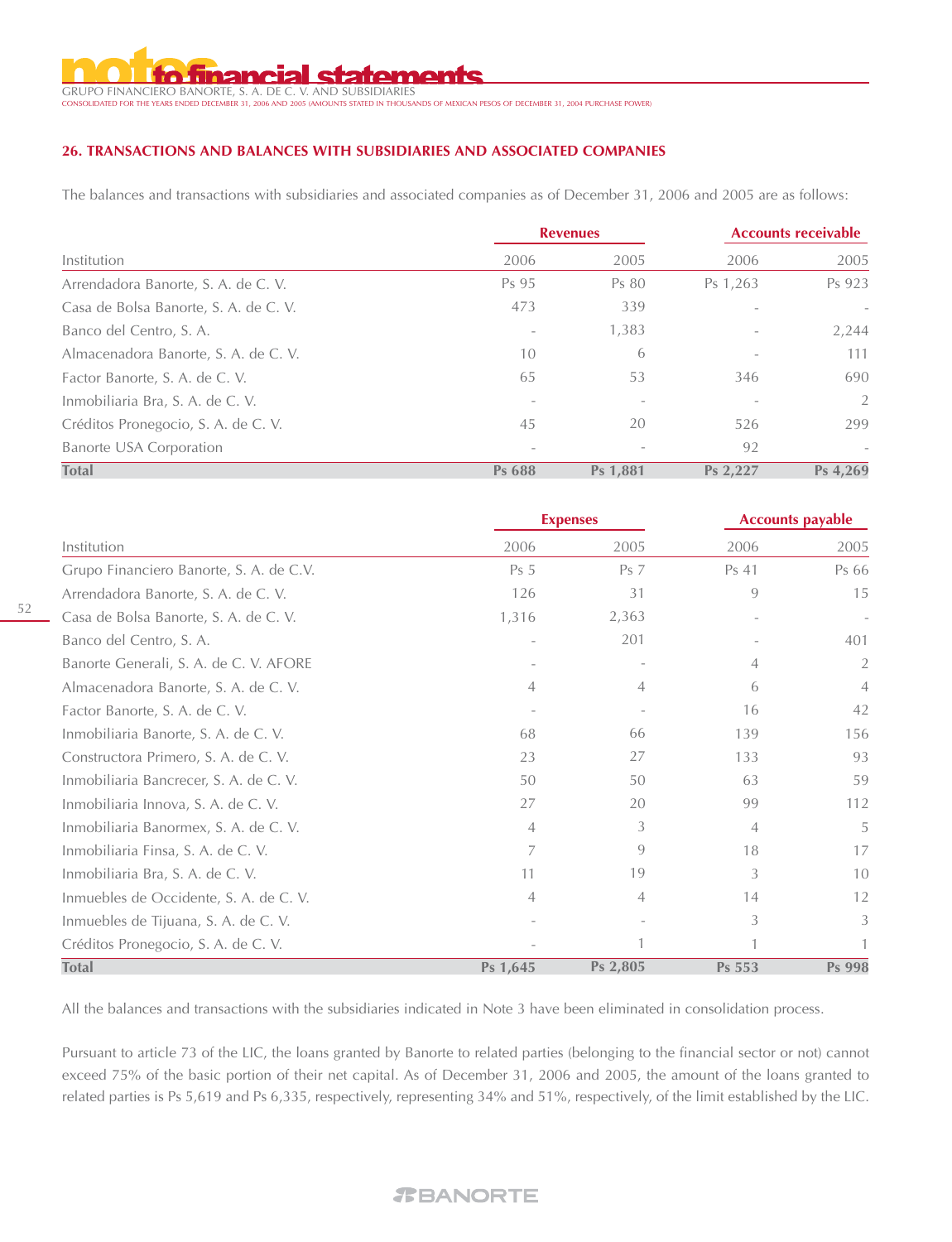anem

GRUPO FINANCIERO BANORTE, S. A. DE C. V. AND SUBSIDIARIES CONSOLIDATED IN THOUSANDS OF MEXICAN PESOS OF DECEMBER 31, 2004 PURCHASE POWER)

# **26. TRANSACTIONS AND BALANCES WITH SUBSIDIARIES AND ASSOCIATED COMPANIES**

The balances and transactions with subsidiaries and associated companies as of December 31, 2006 and 2005 are as follows:

|                                       |                          | <b>Revenues</b> |                          | <b>Accounts receivable</b> |  |
|---------------------------------------|--------------------------|-----------------|--------------------------|----------------------------|--|
| Institution                           | 2006                     | 2005            | 2006                     | 2005                       |  |
| Arrendadora Banorte, S. A. de C. V.   | Ps 95                    | Ps 80           | Ps 1,263                 | Ps 923                     |  |
| Casa de Bolsa Banorte, S. A. de C. V. | 473                      | 339             |                          |                            |  |
| Banco del Centro, S. A.               |                          | 1,383           |                          | 2,244                      |  |
| Almacenadora Banorte, S. A. de C. V.  | 10                       | 6               | $\overline{\phantom{a}}$ | 111                        |  |
| Factor Banorte, S. A. de C. V.        | 65                       | 53              | 346                      | 690                        |  |
| Inmobiliaria Bra, S. A. de C. V.      |                          |                 |                          | 2                          |  |
| Créditos Pronegocio, S. A. de C. V.   | 45                       | 20              | 526                      | 299                        |  |
| <b>Banorte USA Corporation</b>        | $\overline{\phantom{a}}$ |                 | 92                       | $\overline{\phantom{a}}$   |  |
| <b>Total</b>                          | Ps 688                   | Ps 1,881        | Ps 2.227                 | Ps 4.269                   |  |

|                                         |                 | <b>Expenses</b> | <b>Accounts payable</b> |                |
|-----------------------------------------|-----------------|-----------------|-------------------------|----------------|
| Institution                             | 2006            | 2005            | 2006                    | 2005           |
| Grupo Financiero Banorte, S. A. de C.V. | Ps <sub>5</sub> | Ps <sub>7</sub> | Ps 41                   | Ps 66          |
| Arrendadora Banorte, S. A. de C. V.     | 126             | 31              | 9                       | 15             |
| Casa de Bolsa Banorte, S. A. de C. V.   | 1,316           | 2,363           |                         |                |
| Banco del Centro, S. A.                 |                 | 201             |                         | 401            |
| Banorte Generali, S. A. de C. V. AFORE  |                 |                 | 4                       | 2              |
| Almacenadora Banorte, S. A. de C. V.    | 4               | 4               | 6                       | $\overline{4}$ |
| Factor Banorte, S. A. de C. V.          |                 |                 | 16                      | 42             |
| Inmobiliaria Banorte, S. A. de C. V.    | 68              | 66              | 139                     | 156            |
| Constructora Primero, S. A. de C. V.    | 23              | 27              | 133                     | 93             |
| Inmobiliaria Bancrecer, S. A. de C. V.  | 50              | 50              | 63                      | 59             |
| Inmobiliaria Innova, S. A. de C. V.     | 27              | 20              | 99                      | 112            |
| Inmobiliaria Banormex, S. A. de C. V.   | $\overline{4}$  | 3               | $\overline{4}$          | 5              |
| Inmobiliaria Finsa, S. A. de C. V.      | 7               | 9               | 18                      | 17             |
| Inmobiliaria Bra, S. A. de C. V.        | 11              | 19              | 3                       | 10             |
| Inmuebles de Occidente, S. A. de C. V.  | $\overline{4}$  | $\overline{4}$  | 14                      | 12             |
| Inmuebles de Tijuana, S. A. de C. V.    |                 |                 | 3                       | 3              |
| Créditos Pronegocio, S. A. de C. V.     |                 |                 |                         |                |
| <b>Total</b>                            | Ps 1,645        | Ps 2,805        | Ps 553                  | Ps 998         |

All the balances and transactions with the subsidiaries indicated in Note 3 have been eliminated in consolidation process.

Pursuant to article 73 of the LIC, the loans granted by Banorte to related parties (belonging to the financial sector or not) cannot exceed 75% of the basic portion of their net capital. As of December 31, 2006 and 2005, the amount of the loans granted to related parties is Ps 5,619 and Ps 6,335, respectively, representing 34% and 51%, respectively, of the limit established by the LIC.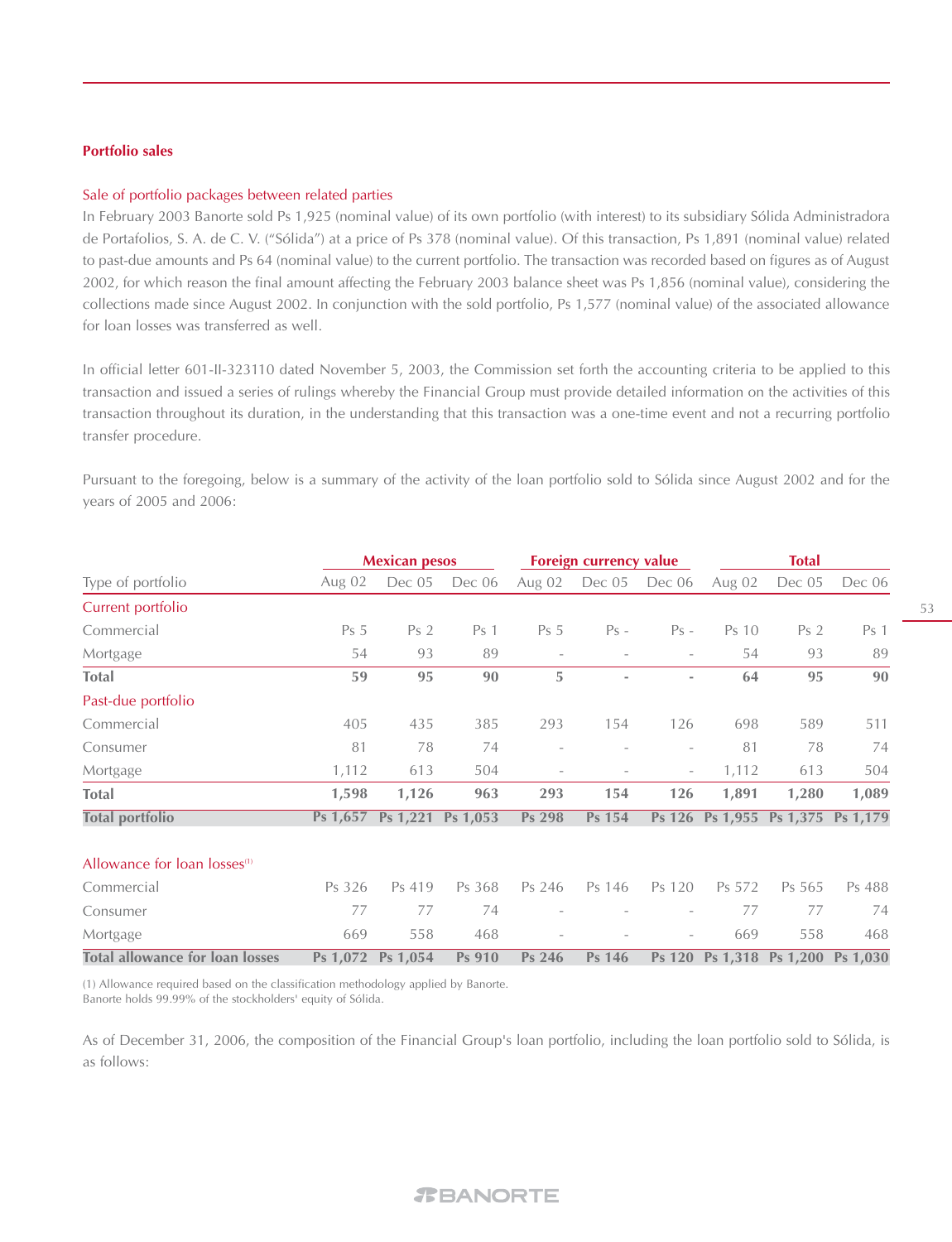#### **Portfolio sales**

#### Sale of portfolio packages between related parties

In February 2003 Banorte sold Ps 1,925 (nominal value) of its own portfolio (with interest) to its subsidiary Sólida Administradora de Portafolios, S. A. de C. V. ("Sólida") at a price of Ps 378 (nominal value). Of this transaction, Ps 1,891 (nominal value) related to past-due amounts and Ps 64 (nominal value) to the current portfolio. The transaction was recorded based on figures as of August 2002, for which reason the final amount affecting the February 2003 balance sheet was Ps 1,856 (nominal value), considering the collections made since August 2002. In conjunction with the sold portfolio, Ps 1,577 (nominal value) of the associated allowance for loan losses was transferred as well.

In official letter 601-II-323110 dated November 5, 2003, the Commission set forth the accounting criteria to be applied to this transaction and issued a series of rulings whereby the Financial Group must provide detailed information on the activities of this transaction throughout its duration, in the understanding that this transaction was a one-time event and not a recurring portfolio transfer procedure.

Pursuant to the foregoing, below is a summary of the activity of the loan portfolio sold to Sólida since August 2002 and for the years of 2005 and 2006:

|                                          | <b>Mexican pesos</b> |                            |                 | Foreign currency value   |        |                          | <b>Total</b> |                                   |        |
|------------------------------------------|----------------------|----------------------------|-----------------|--------------------------|--------|--------------------------|--------------|-----------------------------------|--------|
| Type of portfolio                        | Aug 02               | Dec 05                     | Dec 06          | Aug 02                   | Dec 05 | Dec 06                   | Aug 02       | Dec 05                            | Dec 06 |
| Current portfolio                        |                      |                            |                 |                          |        |                          |              |                                   |        |
| Commercial                               | Ps <sub>5</sub>      | Ps <sub>2</sub>            | Ps <sub>1</sub> | Ps <sub>5</sub>          | $Ps -$ | $Ps -$                   | Ps 10        | Ps <sub>2</sub>                   | Ps 1   |
| Mortgage                                 | 54                   | 93                         | 89              | $\overline{\phantom{a}}$ |        |                          | 54           | 93                                | 89     |
| <b>Total</b>                             | 59                   | 95                         | 90              | 5                        |        | $\overline{\phantom{a}}$ | 64           | 95                                | 90     |
| Past-due portfolio                       |                      |                            |                 |                          |        |                          |              |                                   |        |
| Commercial                               | 405                  | 435                        | 385             | 293                      | 154    | 126                      | 698          | 589                               | 511    |
| Consumer                                 | 81                   | 78                         | 74              | $\overline{\phantom{a}}$ |        | $\overline{\phantom{a}}$ | 81           | 78                                | 74     |
| Mortgage                                 | 1,112                | 613                        | 504             | $\overline{\phantom{0}}$ |        | $\overline{\phantom{a}}$ | 1,112        | 613                               | 504    |
| <b>Total</b>                             | 1,598                | 1,126                      | 963             | 293                      | 154    | 126                      | 1,891        | 1,280                             | 1,089  |
| <b>Total portfolio</b>                   |                      | Ps 1,657 Ps 1,221 Ps 1,053 |                 | Ps 298                   | Ps 154 |                          |              | Ps 126 Ps 1,955 Ps 1,375 Ps 1,179 |        |
| Allowance for loan losses <sup>(1)</sup> |                      |                            |                 |                          |        |                          |              |                                   |        |
| Commercial                               | Ps 326               | Ps 419                     | Ps 368          | Ps 246                   | Ps 146 | Ps 120                   | Ps 572       | Ps 565                            | Ps 488 |
| Consumer                                 | 77                   | 77                         | 74              |                          |        |                          | 77           | 77                                | 74     |
| Mortgage                                 | 669                  | 558                        | 468             |                          |        |                          | 669          | 558                               | 468    |
| <b>Total allowance for loan losses</b>   |                      | Ps 1,072 Ps 1,054          | Ps 910          | Ps 246                   | Ps 146 |                          |              | Ps 120 Ps 1,318 Ps 1,200 Ps 1,030 |        |

(1) Allowance required based on the classification methodology applied by Banorte. Banorte holds 99.99% of the stockholders' equity of Sólida.

As of December 31, 2006, the composition of the Financial Group's loan portfolio, including the loan portfolio sold to Sólida, is as follows: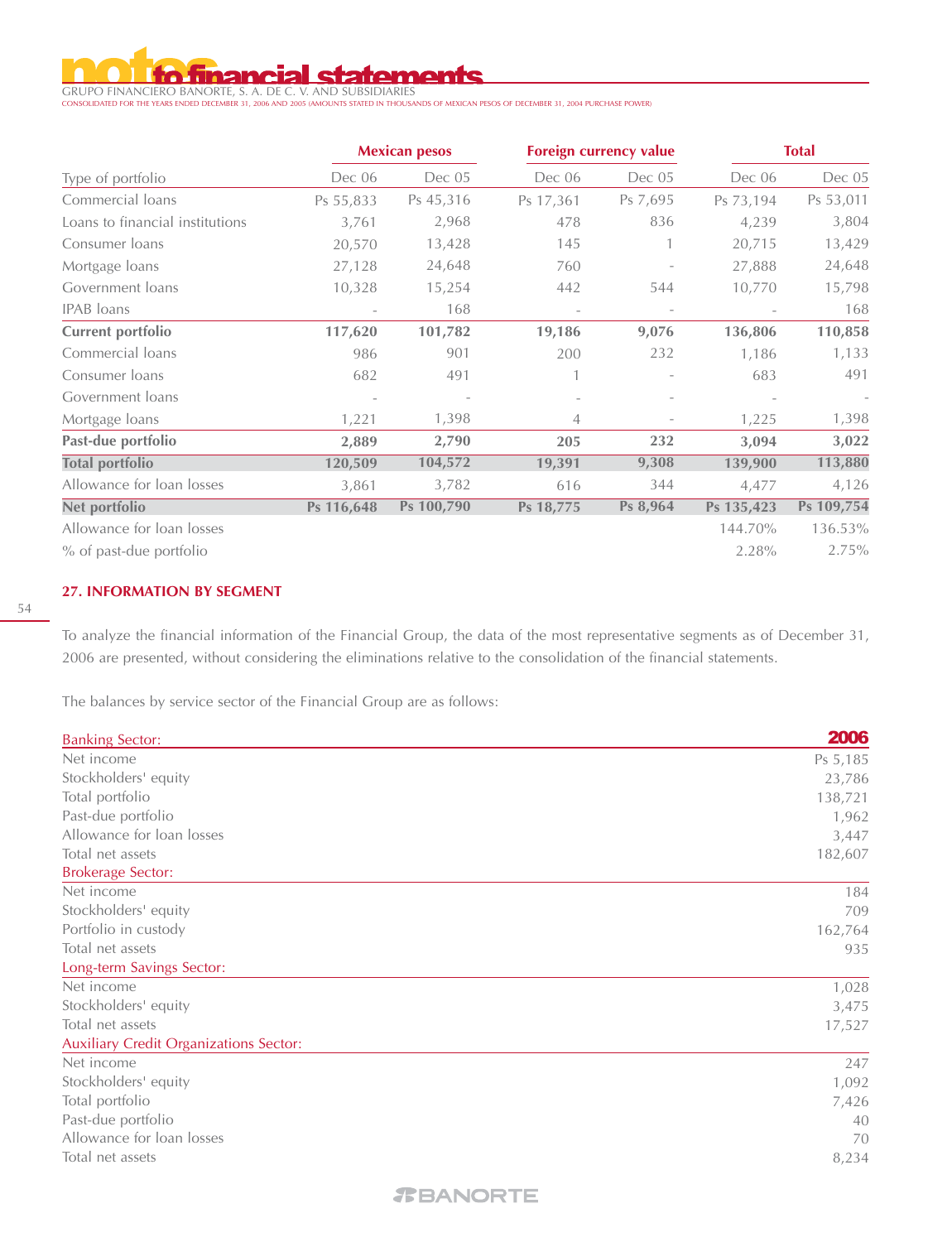# **inancial statements**

GRUPO FINANCIERO BANORTE, S. A. DE C. V. AND SUBSIDIARIES CONSOLIDATED FOR THE YEARS ENDED DECEMBER 31, 2006 AND 2005 (AMOUNTS STATED IN THOUSANDS OF MEXICAN PESOS OF DECEMBER 31, 2004 PURCHASE POWER)

|                                 |                          | <b>Mexican pesos</b> | Foreign currency value |                          |            | <b>Total</b> |
|---------------------------------|--------------------------|----------------------|------------------------|--------------------------|------------|--------------|
| Type of portfolio               | Dec 06                   | Dec 05               | Dec 06                 | Dec 05                   | Dec 06     | Dec 05       |
| Commercial loans                | Ps 55,833                | Ps 45,316            | Ps 17,361              | Ps 7,695                 | Ps 73,194  | Ps 53,011    |
| Loans to financial institutions | 3,761                    | 2,968                | 478                    | 836                      | 4,239      | 3,804        |
| Consumer loans                  | 20,570                   | 13,428               | 145                    |                          | 20,715     | 13,429       |
| Mortgage loans                  | 27,128                   | 24,648               | 760                    |                          | 27,888     | 24,648       |
| Government loans                | 10,328                   | 15,254               | 442                    | 544                      | 10,770     | 15,798       |
| <b>IPAB</b> loans               | $\overline{\phantom{a}}$ | 168                  |                        | $\overline{\phantom{a}}$ |            | 168          |
| <b>Current portfolio</b>        | 117,620                  | 101,782              | 19,186                 | 9,076                    | 136,806    | 110,858      |
| Commercial loans                | 986                      | 901                  | 200                    | 232                      | 1,186      | 1,133        |
| Consumer loans                  | 682                      | 491                  |                        |                          | 683        | 491          |
| Government loans                |                          |                      |                        |                          |            |              |
| Mortgage loans                  | 1,221                    | 1,398                | 4                      |                          | 1,225      | 1,398        |
| Past-due portfolio              | 2,889                    | 2,790                | 205                    | 232                      | 3,094      | 3,022        |
| <b>Total portfolio</b>          | 120,509                  | 104,572              | 19,391                 | 9,308                    | 139,900    | 113,880      |
| Allowance for loan losses       | 3,861                    | 3,782                | 616                    | 344                      | 4,477      | 4,126        |
| Net portfolio                   | Ps 116,648               | Ps 100,790           | Ps 18,775              | Ps 8,964                 | Ps 135,423 | Ps 109,754   |
| Allowance for loan losses       |                          |                      |                        |                          | 144.70%    | 136.53%      |
| % of past-due portfolio         |                          |                      |                        |                          | 2.28%      | 2.75%        |

#### **27. INFORMATION BY SEGMENT**

To analyze the financial information of the Financial Group, the data of the most representative segments as of December 31, 2006 are presented, without considering the eliminations relative to the consolidation of the financial statements.

The balances by service sector of the Financial Group are as follows:

| <b>Banking Sector:</b>                        | 2006     |
|-----------------------------------------------|----------|
| Net income                                    | Ps 5,185 |
| Stockholders' equity                          | 23,786   |
| Total portfolio                               | 138,721  |
| Past-due portfolio                            | 1,962    |
| Allowance for loan losses                     | 3,447    |
| Total net assets                              | 182,607  |
| <b>Brokerage Sector:</b>                      |          |
| Net income                                    | 184      |
| Stockholders' equity                          | 709      |
| Portfolio in custody                          | 162,764  |
| Total net assets                              | 935      |
| Long-term Savings Sector:                     |          |
| Net income                                    | 1,028    |
| Stockholders' equity                          | 3,475    |
| Total net assets                              | 17,527   |
| <b>Auxiliary Credit Organizations Sector:</b> |          |
| Net income                                    | 247      |
| Stockholders' equity                          | 1,092    |
| Total portfolio                               | 7,426    |
| Past-due portfolio                            | 40       |
| Allowance for loan losses                     | 70       |
| Total net assets                              | 8,234    |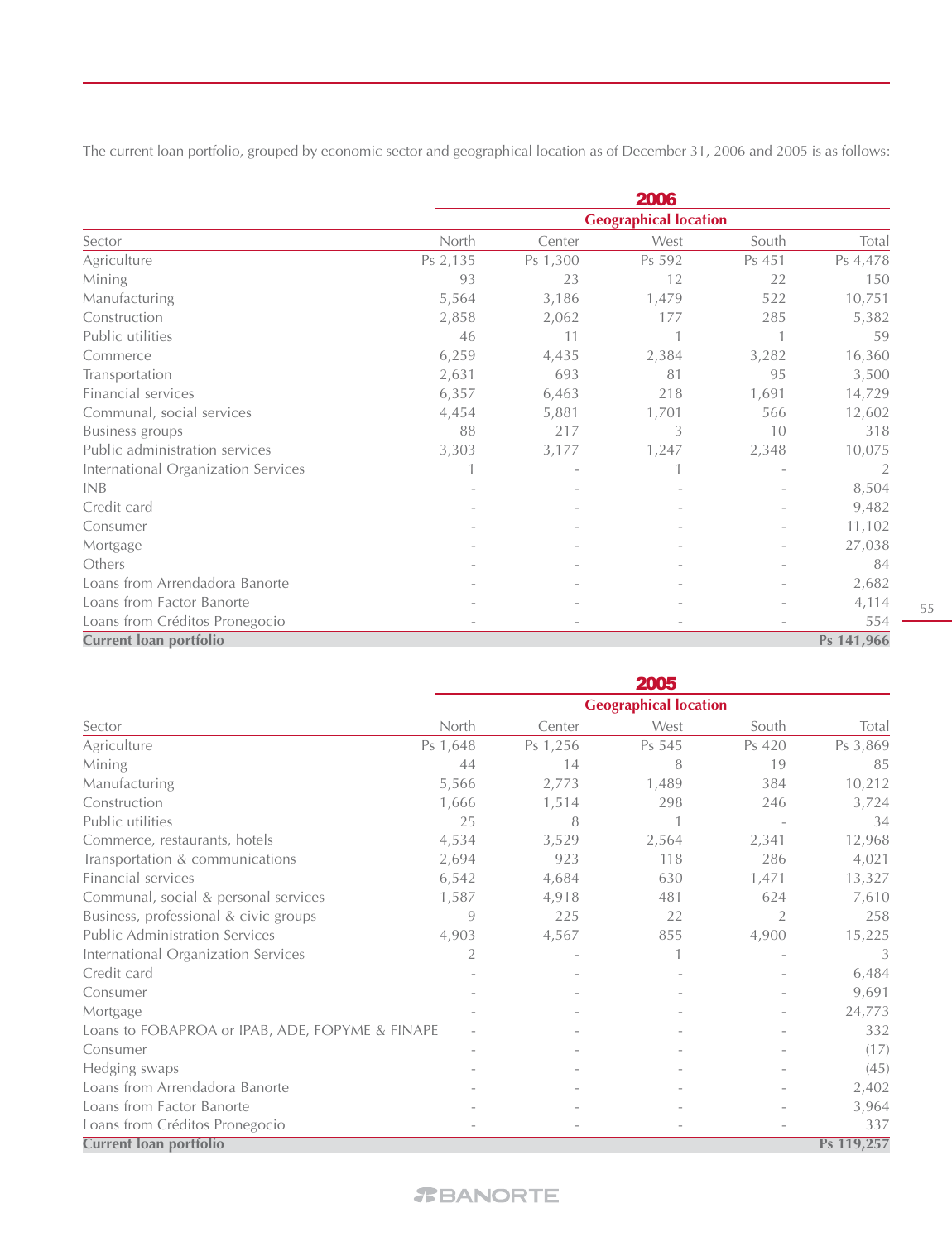The current loan portfolio, grouped by economic sector and geographical location as of December 31, 2006 and 2005 is as follows:

|                                     |          |          | 2006                         |        |            |
|-------------------------------------|----------|----------|------------------------------|--------|------------|
|                                     |          |          | <b>Geographical location</b> |        |            |
| Sector                              | North    | Center   | West                         | South  | Total      |
| Agriculture                         | Ps 2,135 | Ps 1,300 | Ps 592                       | Ps 451 | Ps 4,478   |
| Mining                              | 93       | 23       | 12                           | 22     | 150        |
| Manufacturing                       | 5,564    | 3,186    | 1,479                        | 522    | 10,751     |
| Construction                        | 2,858    | 2,062    | 177                          | 285    | 5,382      |
| Public utilities                    | 46       | 11       |                              | 1      | 59         |
| Commerce                            | 6,259    | 4,435    | 2,384                        | 3,282  | 16,360     |
| Transportation                      | 2,631    | 693      | 81                           | 95     | 3,500      |
| Financial services                  | 6,357    | 6,463    | 218                          | 1,691  | 14,729     |
| Communal, social services           | 4,454    | 5,881    | 1,701                        | 566    | 12,602     |
| <b>Business groups</b>              | 88       | 217      | 3                            | 10     | 318        |
| Public administration services      | 3,303    | 3,177    | 1,247                        | 2,348  | 10,075     |
| International Organization Services |          |          |                              |        | 2          |
| <b>INB</b>                          |          |          |                              |        | 8,504      |
| Credit card                         |          |          |                              |        | 9,482      |
| Consumer                            |          |          |                              |        | 11,102     |
| Mortgage                            |          |          |                              |        | 27,038     |
| Others                              |          |          |                              |        | 84         |
| Loans from Arrendadora Banorte      |          |          |                              |        | 2,682      |
| Loans from Factor Banorte           |          |          |                              |        | 4,114      |
| Loans from Créditos Pronegocio      |          |          |                              |        | 554        |
| Current loan portfolio              |          |          |                              |        | Ps 141,966 |

|                                                 |          |          | 2005                         |        |            |
|-------------------------------------------------|----------|----------|------------------------------|--------|------------|
|                                                 |          |          | <b>Geographical location</b> |        |            |
| Sector                                          | North    | Center   | West                         | South  | Total      |
| Agriculture                                     | Ps 1,648 | Ps 1,256 | Ps 545                       | Ps 420 | Ps 3,869   |
| Mining                                          | 44       | 14       | 8                            | 19     | 85         |
| Manufacturing                                   | 5,566    | 2,773    | 1,489                        | 384    | 10,212     |
| Construction                                    | 1,666    | 1,514    | 298                          | 246    | 3,724      |
| Public utilities                                | 25       | 8        |                              |        | 34         |
| Commerce, restaurants, hotels                   | 4,534    | 3,529    | 2,564                        | 2,341  | 12,968     |
| Transportation & communications                 | 2,694    | 923      | 118                          | 286    | 4,021      |
| Financial services                              | 6,542    | 4,684    | 630                          | 1,471  | 13,327     |
| Communal, social & personal services            | 1,587    | 4,918    | 481                          | 624    | 7,610      |
| Business, professional & civic groups           | 9        | 225      | 22                           | 2      | 258        |
| <b>Public Administration Services</b>           | 4,903    | 4,567    | 855                          | 4,900  | 15,225     |
| International Organization Services             | 2        |          |                              |        | 3          |
| Credit card                                     |          |          |                              |        | 6,484      |
| Consumer                                        |          |          |                              |        | 9,691      |
| Mortgage                                        |          |          |                              |        | 24,773     |
| Loans to FOBAPROA or IPAB, ADE, FOPYME & FINAPE |          |          |                              |        | 332        |
| Consumer                                        |          |          |                              |        | (17)       |
| Hedging swaps                                   |          |          |                              |        | (45)       |
| Loans from Arrendadora Banorte                  |          |          |                              |        | 2,402      |
| Loans from Factor Banorte                       |          |          |                              |        | 3,964      |
| Loans from Créditos Pronegocio                  |          |          | $\overline{\phantom{a}}$     |        | 337        |
| <b>Current loan portfolio</b>                   |          |          |                              |        | Ps 119,257 |

#### 55

# *T***BANORTE**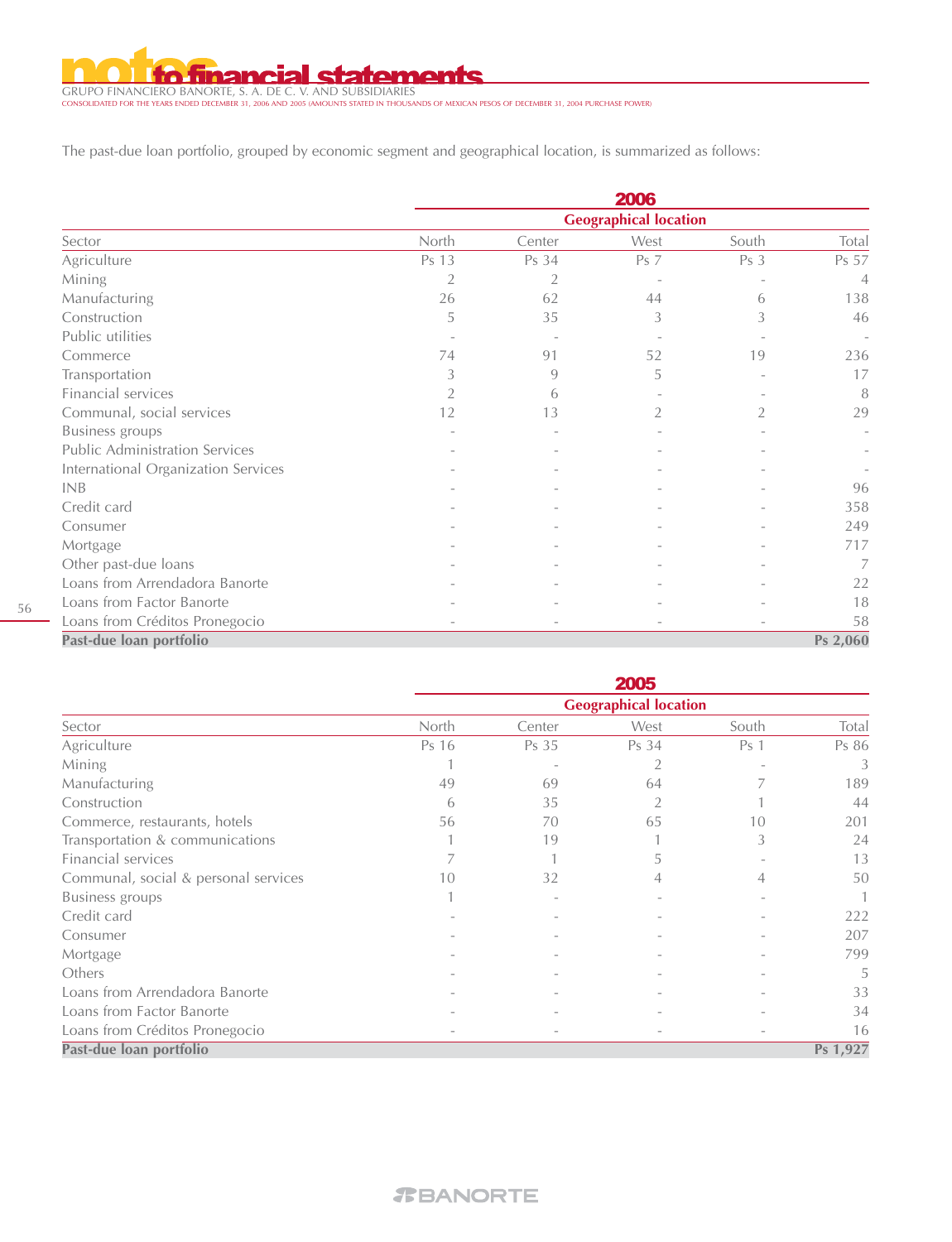inan **statements** ь

GRUPO FINANCIERO BANORTE, S. A. DE C. V. AND SUBSIDIARIES CONSOLIDATED FOR THE YEARS ENDED DECEMBER 31, 2006 AND 2005 (AMOUNTS STATED IN THOUSANDS OF MEXICAN PESOS OF DECEMBER 31, 2004 PURCHASE POWER)

The past-due loan portfolio, grouped by economic segment and geographical location, is summarized as follows:

|                                       | 2006           |                |                              |       |                          |  |  |  |  |
|---------------------------------------|----------------|----------------|------------------------------|-------|--------------------------|--|--|--|--|
|                                       |                |                | <b>Geographical location</b> |       |                          |  |  |  |  |
| Sector                                | North          | Center         | West                         | South | Total                    |  |  |  |  |
| Agriculture                           | Ps 13          | Ps 34          | <b>Ps</b> 7                  | Ps 3  | Ps 57                    |  |  |  |  |
| Mining                                | $\overline{2}$ | $\overline{2}$ |                              |       | $\overline{4}$           |  |  |  |  |
| Manufacturing                         | 26             | 62             | 44                           | 6     | 138                      |  |  |  |  |
| Construction                          | 5              | 35             | 3                            | 3     | 46                       |  |  |  |  |
| Public utilities                      |                |                |                              |       | $\overline{\phantom{a}}$ |  |  |  |  |
| Commerce                              | 74             | 91             | 52                           | 19    | 236                      |  |  |  |  |
| Transportation                        | 3              | 9              | 5                            |       | 17                       |  |  |  |  |
| Financial services                    |                | 6              |                              |       | 8                        |  |  |  |  |
| Communal, social services             | 12             | 13             | 2                            | 2     | 29                       |  |  |  |  |
| <b>Business</b> groups                |                |                |                              |       |                          |  |  |  |  |
| <b>Public Administration Services</b> |                |                |                              |       |                          |  |  |  |  |
| International Organization Services   |                |                |                              |       |                          |  |  |  |  |
| <b>INB</b>                            |                |                |                              |       | 96                       |  |  |  |  |
| Credit card                           |                |                |                              |       | 358                      |  |  |  |  |
| Consumer                              |                |                |                              |       | 249                      |  |  |  |  |
| Mortgage                              |                |                |                              |       | 717                      |  |  |  |  |
| Other past-due loans                  |                |                |                              |       | 7                        |  |  |  |  |
| Loans from Arrendadora Banorte        |                |                |                              |       | 22                       |  |  |  |  |
| Loans from Factor Banorte             |                |                |                              |       | 18                       |  |  |  |  |
| Loans from Créditos Pronegocio        |                |                |                              |       | 58                       |  |  |  |  |
| Past-due loan portfolio               |                |                |                              |       | Ps 2,060                 |  |  |  |  |

|                                      |       |        | 2005                         |                 |          |
|--------------------------------------|-------|--------|------------------------------|-----------------|----------|
|                                      |       |        | <b>Geographical location</b> |                 |          |
| Sector                               | North | Center | West                         | South           | Total    |
| Agriculture                          | Ps 16 | Ps 35  | Ps 34                        | Ps <sub>1</sub> | Ps 86    |
| Mining                               |       |        | 2                            |                 | 3        |
| Manufacturing                        | 49    | 69     | 64                           |                 | 189      |
| Construction                         | 6     | 35     |                              |                 | 44       |
| Commerce, restaurants, hotels        | 56    | 70     | 65                           | 10              | 201      |
| Transportation & communications      |       | 19     |                              | 3               | 24       |
| Financial services                   |       |        | 5                            |                 | 13       |
| Communal, social & personal services | 10    | 32     | 4                            | 4               | 50       |
| <b>Business</b> groups               |       |        |                              |                 |          |
| Credit card                          |       |        |                              |                 | 222      |
| Consumer                             |       |        |                              |                 | 207      |
| Mortgage                             |       |        |                              |                 | 799      |
| Others                               |       |        |                              |                 | 5        |
| Loans from Arrendadora Banorte       |       |        |                              |                 | 33       |
| Loans from Factor Banorte            |       |        |                              |                 | 34       |
| Loans from Créditos Pronegocio       |       |        |                              |                 | 16       |
| Past-due loan portfolio              |       |        |                              |                 | Ps 1,927 |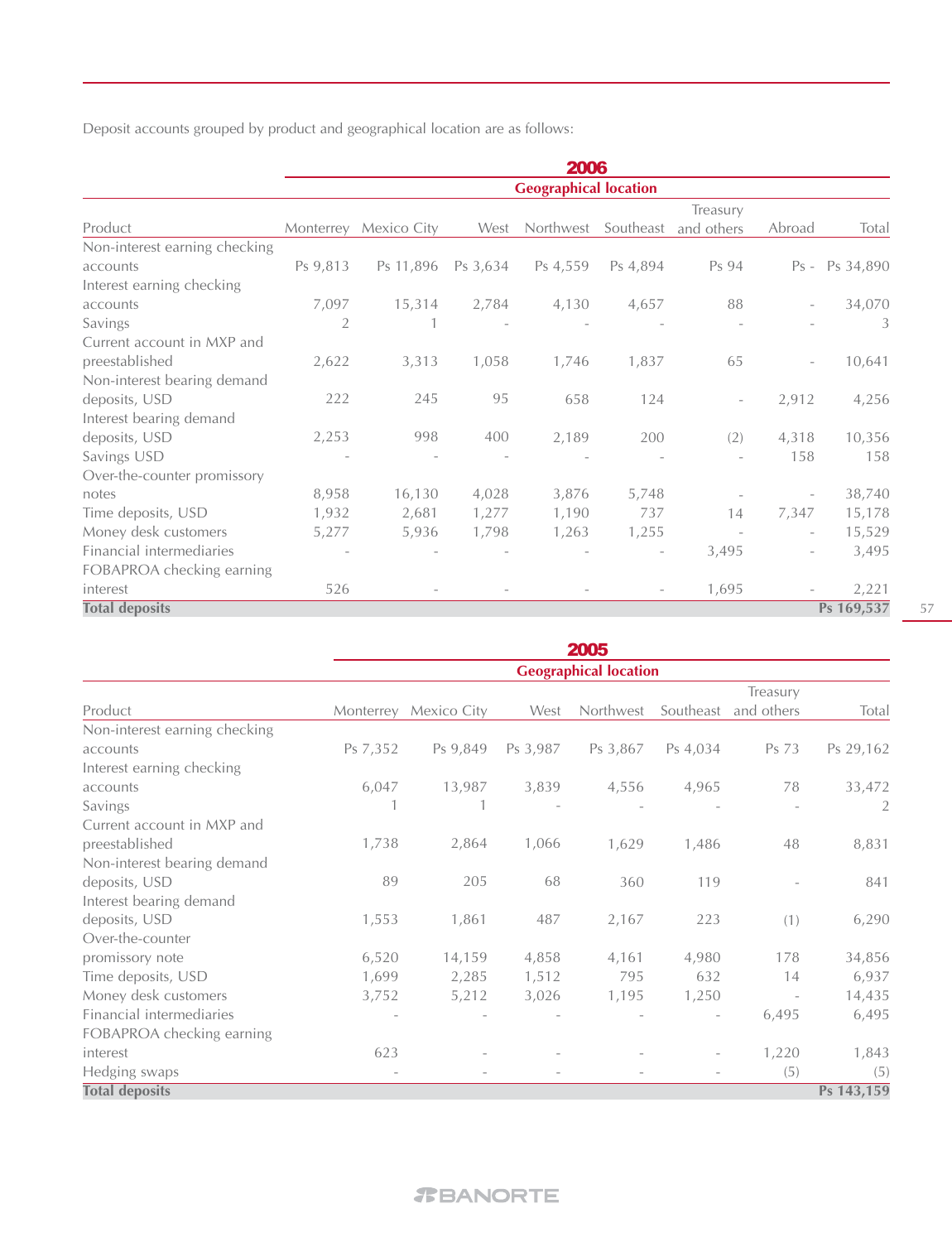Deposit accounts grouped by product and geographical location are as follows:

|                               |                |             |          | 2006                         |                          |                          |                          |                |
|-------------------------------|----------------|-------------|----------|------------------------------|--------------------------|--------------------------|--------------------------|----------------|
|                               |                |             |          | <b>Geographical location</b> |                          |                          |                          |                |
|                               |                |             |          |                              |                          | Treasury                 |                          |                |
| Product                       | Monterrey      | Mexico City | West     | Northwest                    | Southeast                | and others               | Abroad                   | Total          |
| Non-interest earning checking |                |             |          |                              |                          |                          |                          |                |
| accounts                      | Ps 9,813       | Ps 11,896   | Ps 3,634 | Ps 4,559                     | Ps 4,894                 | Ps 94                    |                          | Ps - Ps 34,890 |
| Interest earning checking     |                |             |          |                              |                          |                          |                          |                |
| accounts                      | 7,097          | 15,314      | 2,784    | 4,130                        | 4,657                    | 88                       |                          | 34,070         |
| Savings                       | $\overline{2}$ |             |          |                              |                          |                          |                          | 3              |
| Current account in MXP and    |                |             |          |                              |                          |                          |                          |                |
| preestablished                | 2,622          | 3,313       | 1,058    | 1,746                        | 1,837                    | 65                       | $\overline{\phantom{a}}$ | 10,641         |
| Non-interest bearing demand   |                |             |          |                              |                          |                          |                          |                |
| deposits, USD                 | 222            | 245         | 95       | 658                          | 124                      | $\overline{\phantom{a}}$ | 2,912                    | 4,256          |
| Interest bearing demand       |                |             |          |                              |                          |                          |                          |                |
| deposits, USD                 | 2,253          | 998         | 400      | 2,189                        | 200                      | (2)                      | 4,318                    | 10,356         |
| Savings USD                   |                |             |          |                              |                          |                          | 158                      | 158            |
| Over-the-counter promissory   |                |             |          |                              |                          |                          |                          |                |
| notes                         | 8,958          | 16,130      | 4,028    | 3,876                        | 5,748                    |                          |                          | 38,740         |
| Time deposits, USD            | 1,932          | 2,681       | 1,277    | 1,190                        | 737                      | 14                       | 7,347                    | 15,178         |
| Money desk customers          | 5,277          | 5,936       | 1,798    | 1,263                        | 1,255                    |                          |                          | 15,529         |
| Financial intermediaries      |                |             |          |                              | $\qquad \qquad -$        | 3,495                    |                          | 3,495          |
| FOBAPROA checking earning     |                |             |          |                              |                          |                          |                          |                |
| interest                      | 526            |             |          |                              | $\overline{\phantom{a}}$ | 1,695                    |                          | 2,221          |
| <b>Total deposits</b>         |                |             |          |                              |                          |                          |                          | Ps 169,537     |

|                               |           |             |          | 2005                         |           |                          |            |
|-------------------------------|-----------|-------------|----------|------------------------------|-----------|--------------------------|------------|
|                               |           |             |          | <b>Geographical location</b> |           |                          |            |
|                               |           |             |          |                              |           | Treasury                 |            |
| Product                       | Monterrey | Mexico City | West     | Northwest                    | Southeast | and others               | Total      |
| Non-interest earning checking |           |             |          |                              |           |                          |            |
| accounts                      | Ps 7,352  | Ps 9,849    | Ps 3,987 | Ps 3,867                     | Ps 4,034  | Ps 73                    | Ps 29,162  |
| Interest earning checking     |           |             |          |                              |           |                          |            |
| accounts                      | 6,047     | 13,987      | 3,839    | 4,556                        | 4,965     | 78                       | 33,472     |
| Savings                       |           |             |          |                              |           |                          | 2          |
| Current account in MXP and    |           |             |          |                              |           |                          |            |
| preestablished                | 1,738     | 2,864       | 1,066    | 1,629                        | 1,486     | 48                       | 8,831      |
| Non-interest bearing demand   |           |             |          |                              |           |                          |            |
| deposits, USD                 | 89        | 205         | 68       | 360                          | 119       |                          | 841        |
| Interest bearing demand       |           |             |          |                              |           |                          |            |
| deposits, USD                 | 1,553     | 1,861       | 487      | 2,167                        | 223       | (1)                      | 6,290      |
| Over-the-counter              |           |             |          |                              |           |                          |            |
| promissory note               | 6,520     | 14,159      | 4,858    | 4,161                        | 4,980     | 178                      | 34,856     |
| Time deposits, USD            | 1,699     | 2,285       | 1,512    | 795                          | 632       | 14                       | 6,937      |
| Money desk customers          | 3,752     | 5,212       | 3,026    | 1,195                        | 1,250     | $\overline{\phantom{a}}$ | 14,435     |
| Financial intermediaries      |           |             |          |                              |           | 6,495                    | 6,495      |
| FOBAPROA checking earning     |           |             |          |                              |           |                          |            |
| interest                      | 623       |             |          |                              |           | 1,220                    | 1,843      |
| Hedging swaps                 |           |             |          |                              |           | (5)                      | (5)        |
| <b>Total deposits</b>         |           |             |          |                              |           |                          | Ps 143,159 |

57

# *T***BANORTE**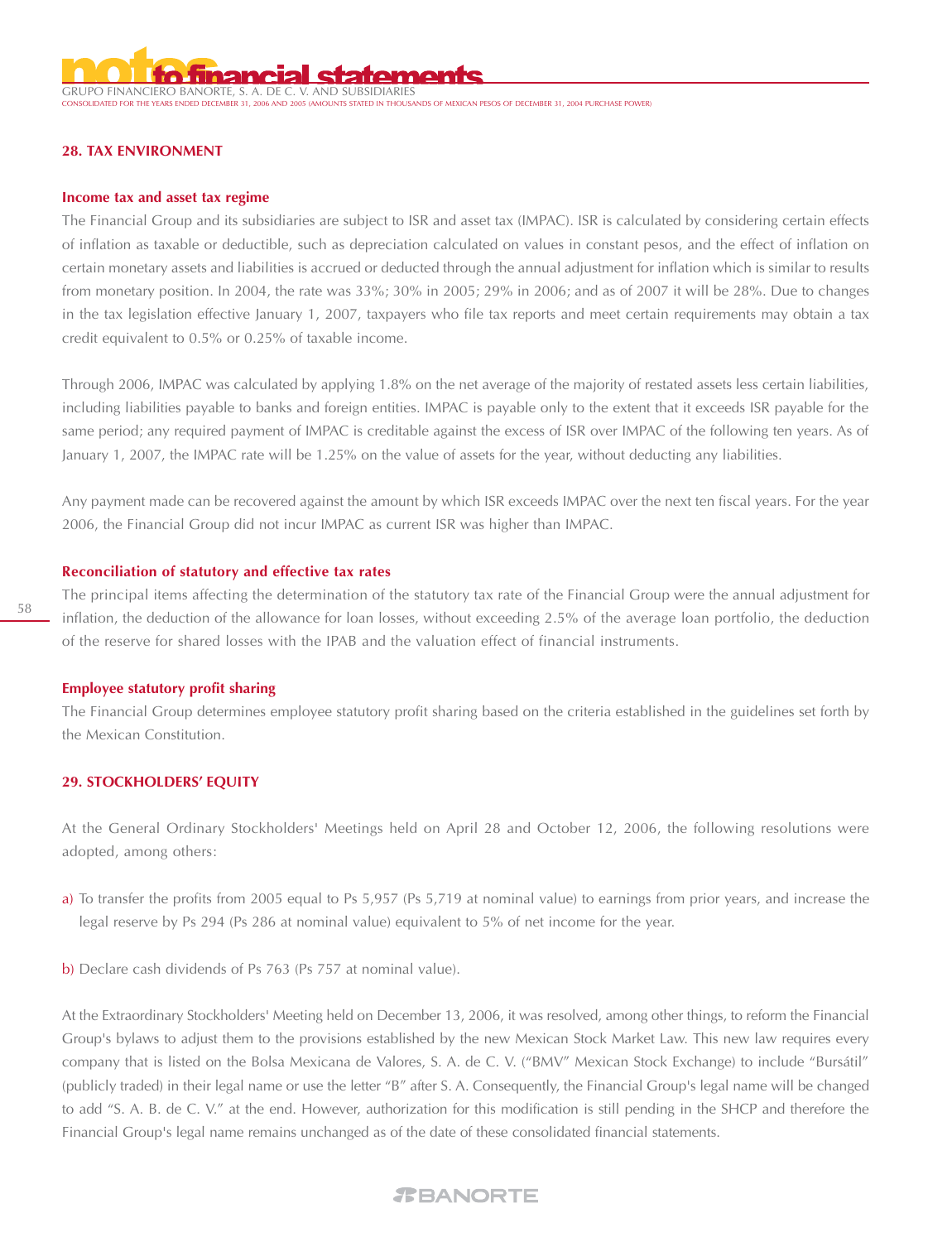GRUPO FINANCIERO BANORTE, S. A. DE C

. THE TEARS .<br>THOUSANDS OF MEXICAN PESOS OF DECEMBER 31, 2004 PURCHASE POWER!

#### **28. TAX ENVIRONMENT**

#### **Income tax and asset tax regime**

The Financial Group and its subsidiaries are subject to ISR and asset tax (IMPAC). ISR is calculated by considering certain effects of inflation as taxable or deductible, such as depreciation calculated on values in constant pesos, and the effect of inflation on certain monetary assets and liabilities is accrued or deducted through the annual adjustment for inflation which is similar to results from monetary position. In 2004, the rate was 33%; 30% in 2005; 29% in 2006; and as of 2007 it will be 28%. Due to changes in the tax legislation effective January 1, 2007, taxpayers who file tax reports and meet certain requirements may obtain a tax credit equivalent to 0.5% or 0.25% of taxable income.

Through 2006, IMPAC was calculated by applying 1.8% on the net average of the majority of restated assets less certain liabilities, including liabilities payable to banks and foreign entities. IMPAC is payable only to the extent that it exceeds ISR payable for the same period; any required payment of IMPAC is creditable against the excess of ISR over IMPAC of the following ten years. As of January 1, 2007, the IMPAC rate will be 1.25% on the value of assets for the year, without deducting any liabilities.

Any payment made can be recovered against the amount by which ISR exceeds IMPAC over the next ten fiscal years. For the year 2006, the Financial Group did not incur IMPAC as current ISR was higher than IMPAC.

#### **Reconciliation of statutory and effective tax rates**

The principal items affecting the determination of the statutory tax rate of the Financial Group were the annual adjustment for inflation, the deduction of the allowance for loan losses, without exceeding 2.5% of the average loan portfolio, the deduction of the reserve for shared losses with the IPAB and the valuation effect of financial instruments.

#### **Employee statutory profit sharing**

The Financial Group determines employee statutory profit sharing based on the criteria established in the guidelines set forth by the Mexican Constitution.

#### **29. STOCKHOLDERS' EQUITY**

At the General Ordinary Stockholders' Meetings held on April 28 and October 12, 2006, the following resolutions were adopted, among others:

- a) To transfer the profits from 2005 equal to Ps 5,957 (Ps 5,719 at nominal value) to earnings from prior years, and increase the legal reserve by Ps 294 (Ps 286 at nominal value) equivalent to 5% of net income for the year.
- b) Declare cash dividends of Ps 763 (Ps 757 at nominal value).

At the Extraordinary Stockholders' Meeting held on December 13, 2006, it was resolved, among other things, to reform the Financial Group's bylaws to adjust them to the provisions established by the new Mexican Stock Market Law. This new law requires every company that is listed on the Bolsa Mexicana de Valores, S. A. de C. V. ("BMV" Mexican Stock Exchange) to include "Bursátil" (publicly traded) in their legal name or use the letter "B" after S. A. Consequently, the Financial Group's legal name will be changed to add "S. A. B. de C. V." at the end. However, authorization for this modification is still pending in the SHCP and therefore the Financial Group's legal name remains unchanged as of the date of these consolidated financial statements.

# 58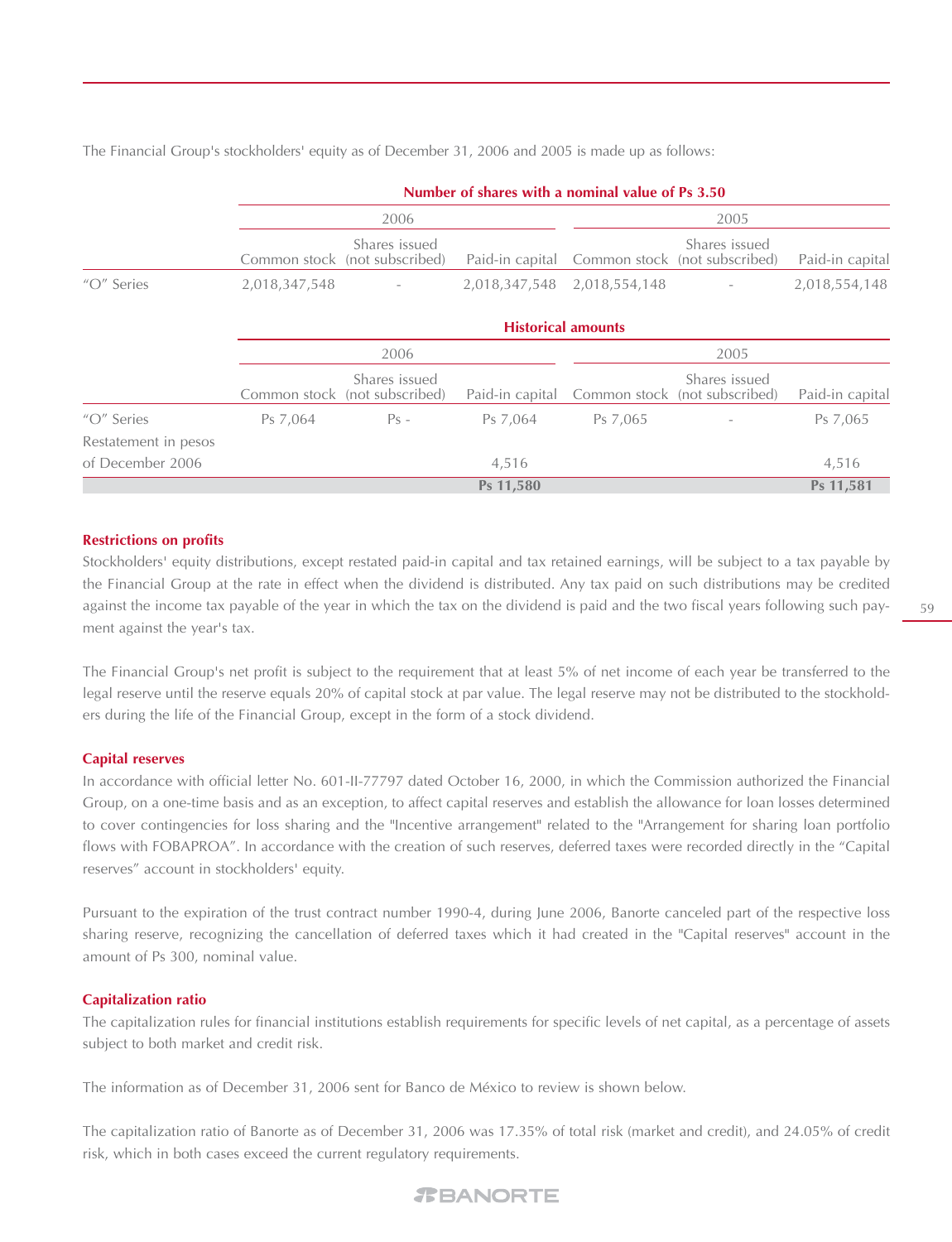The Financial Group's stockholders' equity as of December 31, 2006 and 2005 is made up as follows:

|                      |               | 2006                                           |                 |                                                                                                                                                                                      | 2005          |                 |
|----------------------|---------------|------------------------------------------------|-----------------|--------------------------------------------------------------------------------------------------------------------------------------------------------------------------------------|---------------|-----------------|
|                      |               | Shares issued<br>Common stock (not subscribed) | Paid-in capital |                                                                                                                                                                                      | Shares issued | Paid-in capital |
| "O" Series           | 2,018,347,548 |                                                | 2,018,347,548   | Number of shares with a nominal value of Ps 3.50<br>Common stock (not subscribed)<br>2,018,554,148<br><b>Historical amounts</b><br>2005<br>Common stock (not subscribed)<br>Ps 7,065 |               | 2,018,554,148   |
|                      |               |                                                |                 |                                                                                                                                                                                      |               |                 |
|                      |               | 2006                                           |                 |                                                                                                                                                                                      |               |                 |
|                      |               | Shares issued<br>Common stock (not subscribed) | Paid-in capital |                                                                                                                                                                                      | Shares issued | Paid-in capital |
| "O" Series           | Ps 7,064      | $Ps -$                                         | Ps 7,064        |                                                                                                                                                                                      |               | Ps 7,065        |
| Restatement in pesos |               |                                                |                 |                                                                                                                                                                                      |               |                 |
| of December 2006     |               |                                                | 4,516           |                                                                                                                                                                                      |               | 4,516           |
|                      |               |                                                | Ps 11,580       |                                                                                                                                                                                      |               | Ps 11,581       |

#### **Restrictions on profits**

Stockholders' equity distributions, except restated paid-in capital and tax retained earnings, will be subject to a tax payable by the Financial Group at the rate in effect when the dividend is distributed. Any tax paid on such distributions may be credited against the income tax payable of the year in which the tax on the dividend is paid and the two fiscal years following such payment against the year's tax.

The Financial Group's net profit is subject to the requirement that at least 5% of net income of each year be transferred to the legal reserve until the reserve equals 20% of capital stock at par value. The legal reserve may not be distributed to the stockholders during the life of the Financial Group, except in the form of a stock dividend.

#### **Capital reserves**

In accordance with official letter No. 601-II-77797 dated October 16, 2000, in which the Commission authorized the Financial Group, on a one-time basis and as an exception, to affect capital reserves and establish the allowance for loan losses determined to cover contingencies for loss sharing and the "Incentive arrangement" related to the "Arrangement for sharing loan portfolio flows with FOBAPROA". In accordance with the creation of such reserves, deferred taxes were recorded directly in the "Capital reserves" account in stockholders' equity.

Pursuant to the expiration of the trust contract number 1990-4, during June 2006, Banorte canceled part of the respective loss sharing reserve, recognizing the cancellation of deferred taxes which it had created in the "Capital reserves" account in the amount of Ps 300, nominal value.

#### **Capitalization ratio**

The capitalization rules for financial institutions establish requirements for specific levels of net capital, as a percentage of assets subject to both market and credit risk.

The information as of December 31, 2006 sent for Banco de México to review is shown below.

The capitalization ratio of Banorte as of December 31, 2006 was 17.35% of total risk (market and credit), and 24.05% of credit risk, which in both cases exceed the current regulatory requirements.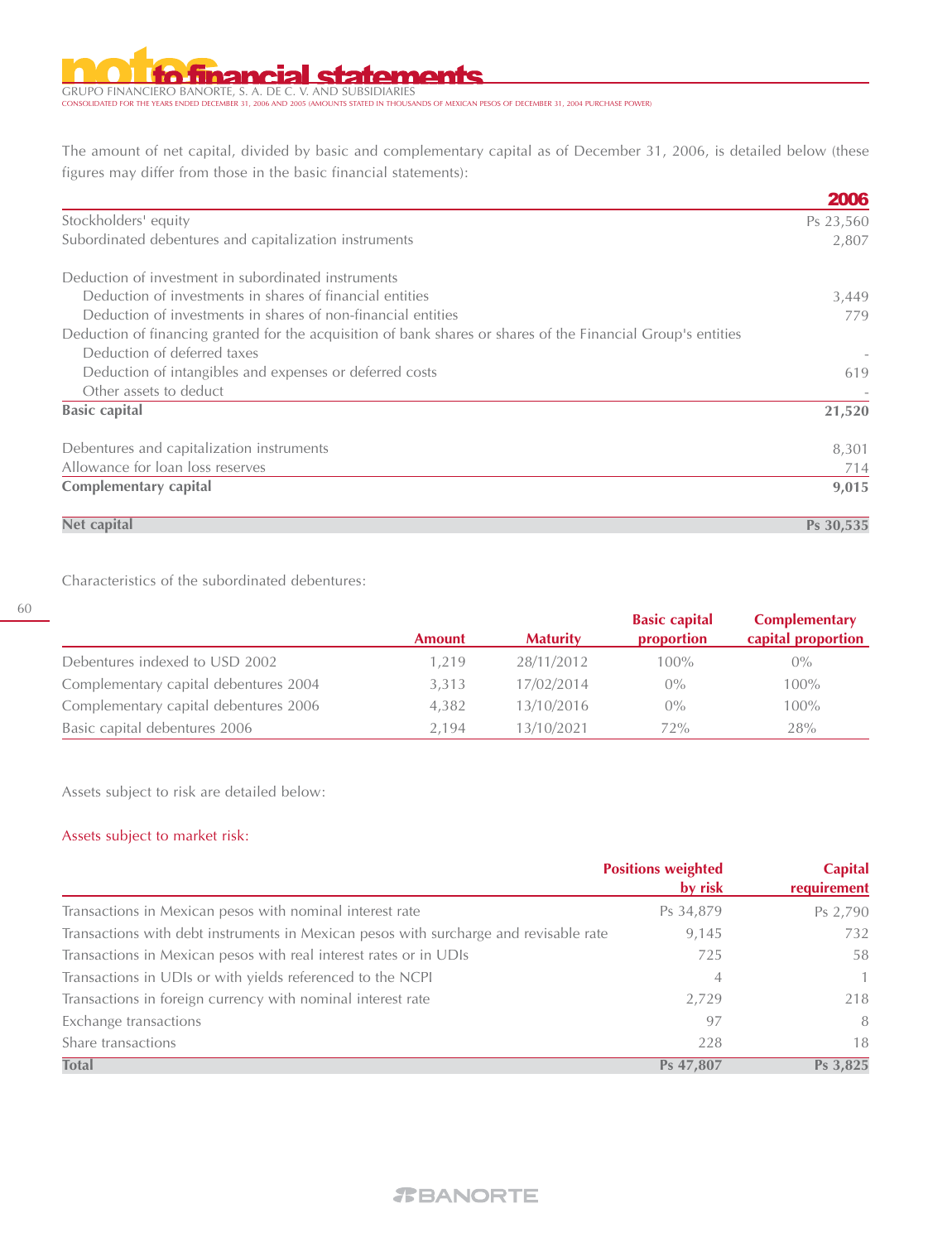#### al statements 'n.

GRUPO FINANCIERO BANORTE, S. A. DE C. V. AND SUBSIDIARIES CONSOLIDATED FOR THE YEARS ENDED DECEMBER 31, 2006 AND 2005 (AMOUNTS STATED IN THOUSANDS OF MEXICAN PESOS OF DECEMBER 31, 2004 PURCHASE POWER)

The amount of net capital, divided by basic and complementary capital as of December 31, 2006, is detailed below (these figures may differ from those in the basic financial statements):

|                                                                                                               | 2006      |
|---------------------------------------------------------------------------------------------------------------|-----------|
| Stockholders' equity                                                                                          | Ps 23,560 |
| Subordinated debentures and capitalization instruments                                                        | 2,807     |
| Deduction of investment in subordinated instruments                                                           |           |
| Deduction of investments in shares of financial entities                                                      | 3,449     |
| Deduction of investments in shares of non-financial entities                                                  | 779       |
| Deduction of financing granted for the acquisition of bank shares or shares of the Financial Group's entities |           |
| Deduction of deferred taxes                                                                                   |           |
| Deduction of intangibles and expenses or deferred costs                                                       | 619       |
| Other assets to deduct                                                                                        |           |
| <b>Basic capital</b>                                                                                          | 21,520    |
| Debentures and capitalization instruments                                                                     | 8,301     |
| Allowance for loan loss reserves                                                                              | 714       |
| <b>Complementary capital</b>                                                                                  | 9,015     |
| Net capital                                                                                                   | Ps 30,535 |

Characteristics of the subordinated debentures:

|                                       | <b>Amount</b> | <b>Maturity</b> | <b>Basic capital</b><br>proportion | <b>Complementary</b><br>capital proportion |
|---------------------------------------|---------------|-----------------|------------------------------------|--------------------------------------------|
| Debentures indexed to USD 2002        | 1.219         | 28/11/2012      | $100\%$                            | $0\%$                                      |
| Complementary capital debentures 2004 | 3.313         | 17/02/2014      | $0\%$                              | $100\%$                                    |
| Complementary capital debentures 2006 | 4.382         | 13/10/2016      | $0\%$                              | $100\%$                                    |
| Basic capital debentures 2006         | 2.194         | 13/10/2021      | 72%                                | 28%                                        |

Assets subject to risk are detailed below:

#### Assets subject to market risk:

60

|                                                                                       | <b>Positions weighted</b><br>by risk | <b>Capital</b><br>requirement |
|---------------------------------------------------------------------------------------|--------------------------------------|-------------------------------|
| Transactions in Mexican pesos with nominal interest rate                              | Ps 34,879                            | Ps 2,790                      |
| Transactions with debt instruments in Mexican pesos with surcharge and revisable rate | 9,145                                | 732                           |
| Transactions in Mexican pesos with real interest rates or in UDIs                     | 725                                  | 58                            |
| Transactions in UDIs or with yields referenced to the NCPI                            | $\overline{4}$                       | $\mathbf{1}$                  |
| Transactions in foreign currency with nominal interest rate                           | 2,729                                | 218                           |
| Exchange transactions                                                                 | 97                                   | 8                             |
| Share transactions                                                                    | 228                                  | 18                            |
| <b>Total</b>                                                                          | Ps 47,807                            | Ps 3,825                      |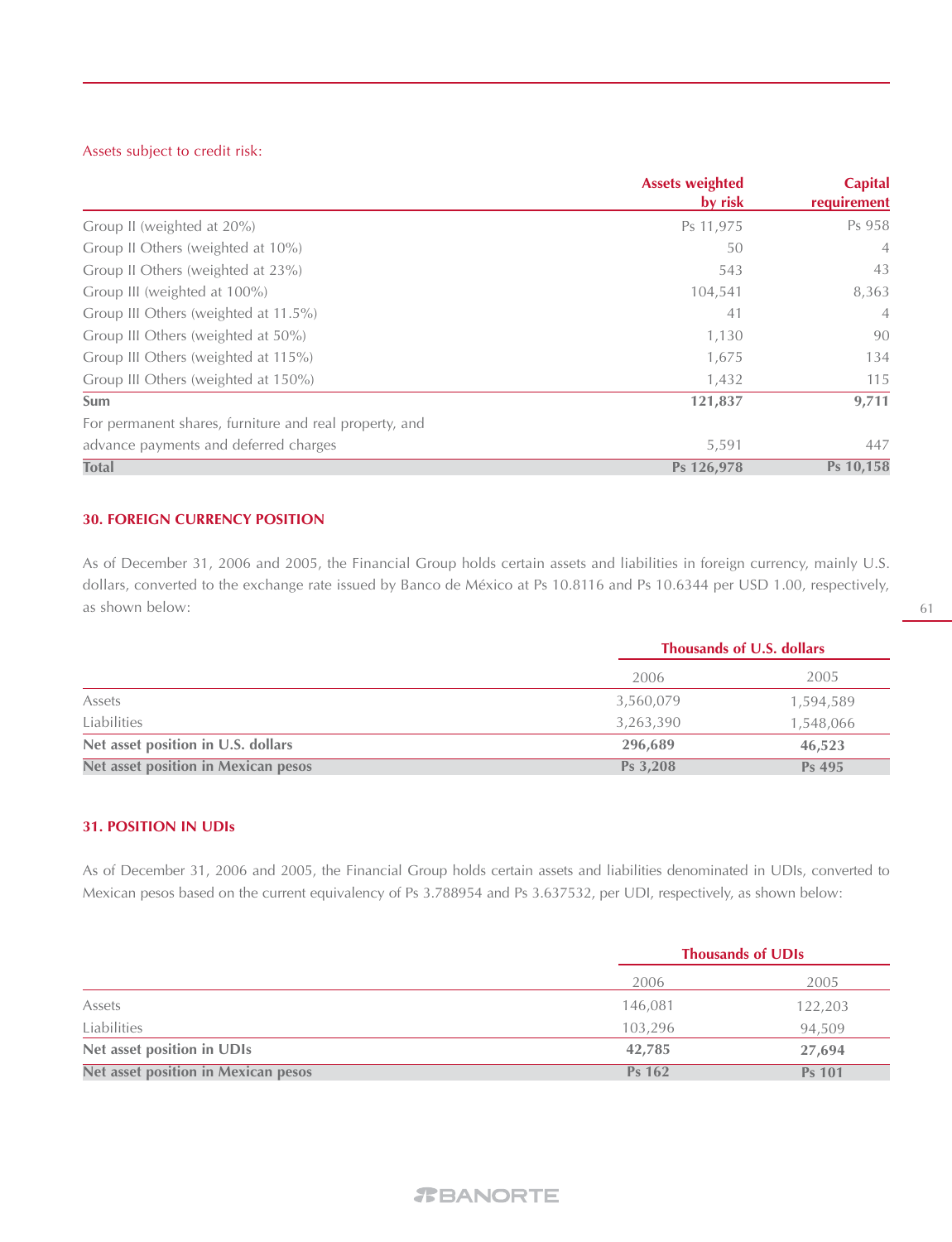#### Assets subject to credit risk:

|                                                        | <b>Assets weighted</b> | <b>Capital</b> |
|--------------------------------------------------------|------------------------|----------------|
|                                                        | by risk                | requirement    |
| Group II (weighted at 20%)                             | Ps 11,975              | Ps 958         |
| Group II Others (weighted at 10%)                      | 50                     | $\overline{4}$ |
| Group II Others (weighted at 23%)                      | 543                    | 43             |
| Group III (weighted at 100%)                           | 104,541                | 8,363          |
| Group III Others (weighted at 11.5%)                   | 41                     | $\overline{4}$ |
| Group III Others (weighted at 50%)                     | 1,130                  | 90             |
| Group III Others (weighted at 115%)                    | 1,675                  | 134            |
| Group III Others (weighted at 150%)                    | 1,432                  | 115            |
| Sum                                                    | 121,837                | 9,711          |
| For permanent shares, furniture and real property, and |                        |                |
| advance payments and deferred charges                  | 5,591                  | 447            |
| <b>Total</b>                                           | Ps 126,978             | Ps 10,158      |

#### **30. FOREIGN CURRENCY POSITION**

As of December 31, 2006 and 2005, the Financial Group holds certain assets and liabilities in foreign currency, mainly U.S. dollars, converted to the exchange rate issued by Banco de México at Ps 10.8116 and Ps 10.6344 per USD 1.00, respectively, as shown below:

|                                     |           | Thousands of U.S. dollars |  |
|-------------------------------------|-----------|---------------------------|--|
|                                     | 2006      | 2005                      |  |
| Assets                              | 3,560,079 | 1,594,589                 |  |
| Liabilities                         | 3,263,390 | 1,548,066                 |  |
| Net asset position in U.S. dollars  | 296,689   | 46,523                    |  |
| Net asset position in Mexican pesos | Ps 3,208  | Ps 495                    |  |

#### **31. POSITION IN UDIs**

As of December 31, 2006 and 2005, the Financial Group holds certain assets and liabilities denominated in UDIs, converted to Mexican pesos based on the current equivalency of Ps 3.788954 and Ps 3.637532, per UDI, respectively, as shown below:

|                                            |               | <b>Thousands of UDIs</b> |  |
|--------------------------------------------|---------------|--------------------------|--|
|                                            | 2006          | 2005                     |  |
| Assets                                     | 146,081       | 122,203                  |  |
| Liabilities                                | 103,296       | 94,509                   |  |
| Net asset position in UDIs                 | 42,785        | 27,694                   |  |
| <b>Net asset position in Mexican pesos</b> | <b>Ps 162</b> | <b>Ps 101</b>            |  |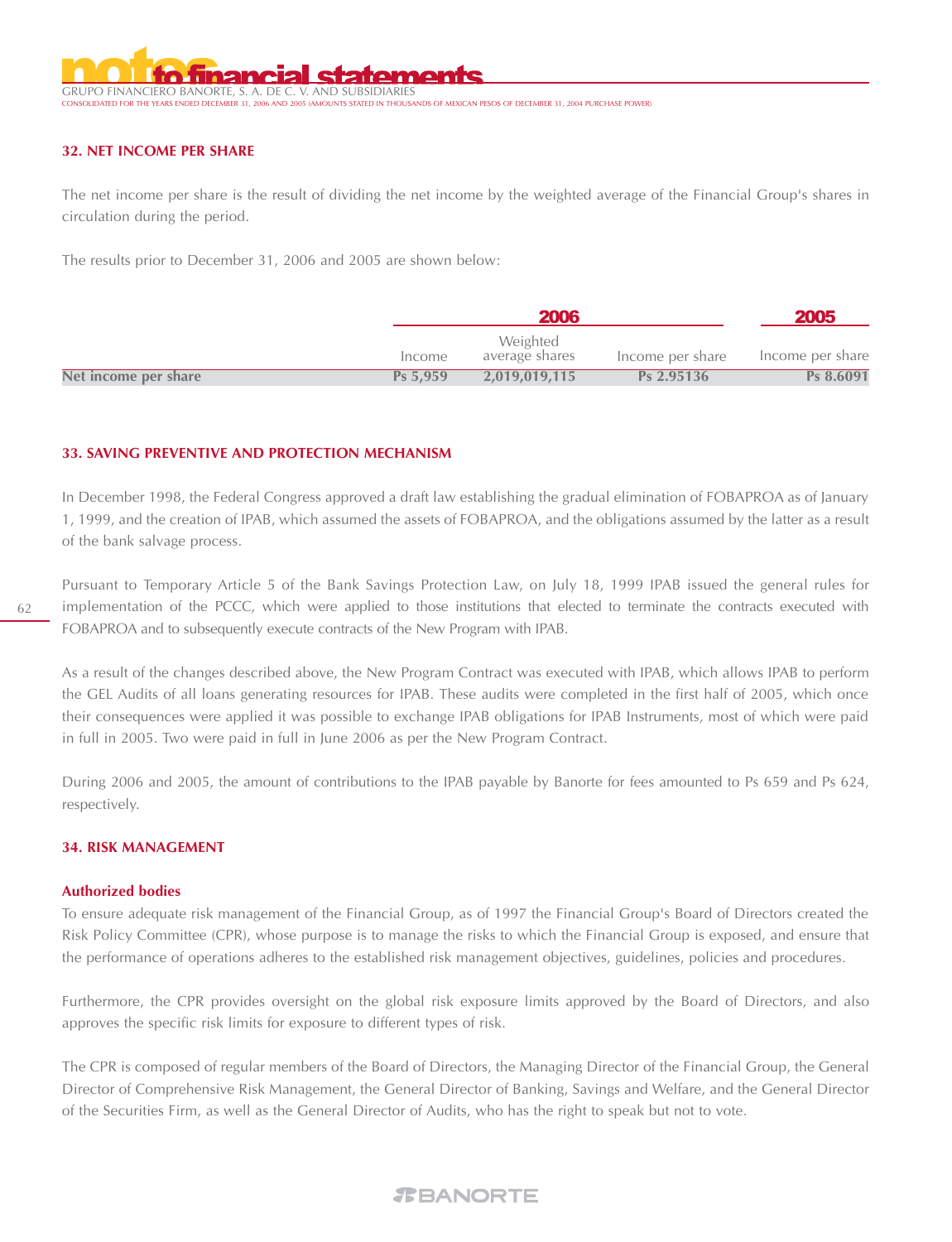

#### **32. NET INCOME PER SHARE**

The net income per share is the result of dividing the net income by the weighted average of the Financial Group's shares in circulation during the period.

The results prior to December 31, 2006 and 2005 are shown below:

|                      |          | 2006                       |                  |                  |
|----------------------|----------|----------------------------|------------------|------------------|
|                      | Income   | Weighted<br>average shares | Income per share | Income per share |
| Net income per share | Ps 5.959 | 2.019.019.115              | Ps 2.95136       | Ps 8.6091        |

#### **33. SAVING PREVENTIVE AND PROTECTION MECHANISM**

In December 1998, the Federal Congress approved a draft law establishing the gradual elimination of FOBAPROA as of January 1, 1999, and the creation of IPAB, which assumed the assets of FOBAPROA, and the obligations assumed by the latter as a result of the bank salvage process.

62

Pursuant to Temporary Article 5 of the Bank Savings Protection Law, on July 18, 1999 IPAB issued the general rules for implementation of the PCCC, which were applied to those institutions that elected to terminate the contracts executed with FOBAPROA and to subsequently execute contracts of the New Program with IPAB.

As a result of the changes described above, the New Program Contract was executed with IPAB, which allows IPAB to perform the GEL Audits of all loans generating resources for IPAB. These audits were completed in the first half of 2005, which once their consequences were applied it was possible to exchange IPAB obligations for IPAB Instruments, most of which were paid in full in 2005. Two were paid in full in June 2006 as per the New Program Contract.

During 2006 and 2005, the amount of contributions to the IPAB payable by Banorte for fees amounted to Ps 659 and Ps 624, respectively.

#### **34. RISK MANAGEMENT**

#### **Authorized bodies**

To ensure adequate risk management of the Financial Group, as of 1997 the Financial Group's Board of Directors created the Risk Policy Committee (CPR), whose purpose is to manage the risks to which the Financial Group is exposed, and ensure that the performance of operations adheres to the established risk management objectives, guidelines, policies and procedures.

Furthermore, the CPR provides oversight on the global risk exposure limits approved by the Board of Directors, and also approves the specific risk limits for exposure to different types of risk.

The CPR is composed of regular members of the Board of Directors, the Managing Director of the Financial Group, the General Director of Comprehensive Risk Management, the General Director of Banking, Savings and Welfare, and the General Director of the Securities Firm, as well as the General Director of Audits, who has the right to speak but not to vote.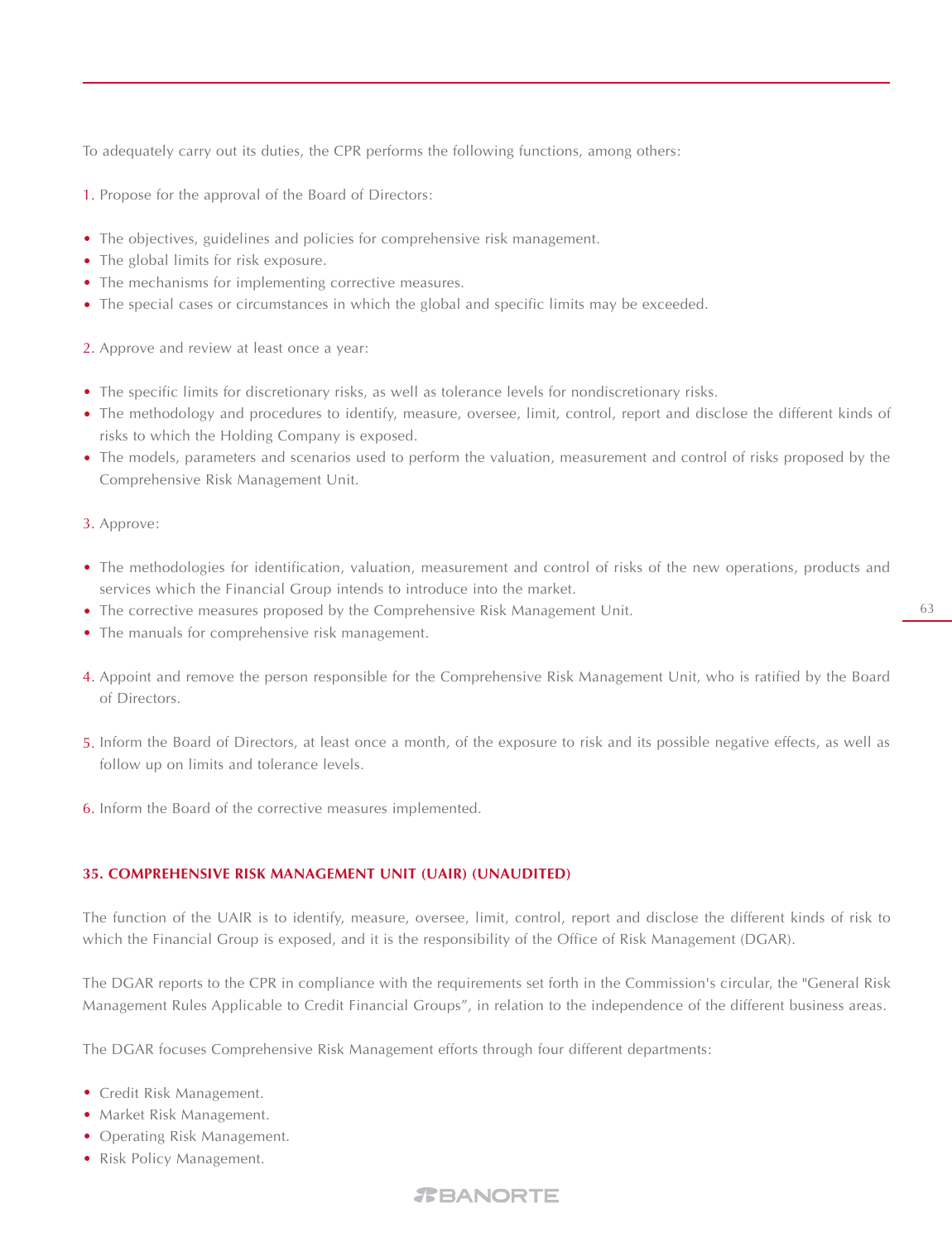To adequately carry out its duties, the CPR performs the following functions, among others:

**1.** Propose for the approval of the Board of Directors:

- The objectives, guidelines and policies for comprehensive risk management. •
- The global limits for risk exposure.
- The mechanisms for implementing corrective measures.
- The special cases or circumstances in which the global and specific limits may be exceeded.
- Approve and review at least once a year: 2.
- The specific limits for discretionary risks, as well as tolerance levels for nondiscretionary risks.
- The methodology and procedures to identify, measure, oversee, limit, control, report and disclose the different kinds of risks to which the Holding Company is exposed.
- The models, parameters and scenarios used to perform the valuation, measurement and control of risks proposed by the Comprehensive Risk Management Unit.
- 3. Approve:
- The methodologies for identification, valuation, measurement and control of risks of the new operations, products and services which the Financial Group intends to introduce into the market.
- The corrective measures proposed by the Comprehensive Risk Management Unit.
- The manuals for comprehensive risk management. •
- 4. Appoint and remove the person responsible for the Comprehensive Risk Management Unit, who is ratified by the Board of Directors.
- Inform the Board of Directors, at least once a month, of the exposure to risk and its possible negative effects, as well as 5. follow up on limits and tolerance levels.
- **6.** Inform the Board of the corrective measures implemented.

#### **35. COMPREHENSIVE RISK MANAGEMENT UNIT (UAIR) (UNAUDITED)**

The function of the UAIR is to identify, measure, oversee, limit, control, report and disclose the different kinds of risk to which the Financial Group is exposed, and it is the responsibility of the Office of Risk Management (DGAR).

The DGAR reports to the CPR in compliance with the requirements set forth in the Commission's circular, the "General Risk Management Rules Applicable to Credit Financial Groups", in relation to the independence of the different business areas.

The DGAR focuses Comprehensive Risk Management efforts through four different departments:

- Credit Risk Management.
- Market Risk Management.
- Operating Risk Management.
- Risk Policy Management.

# *REANORTE*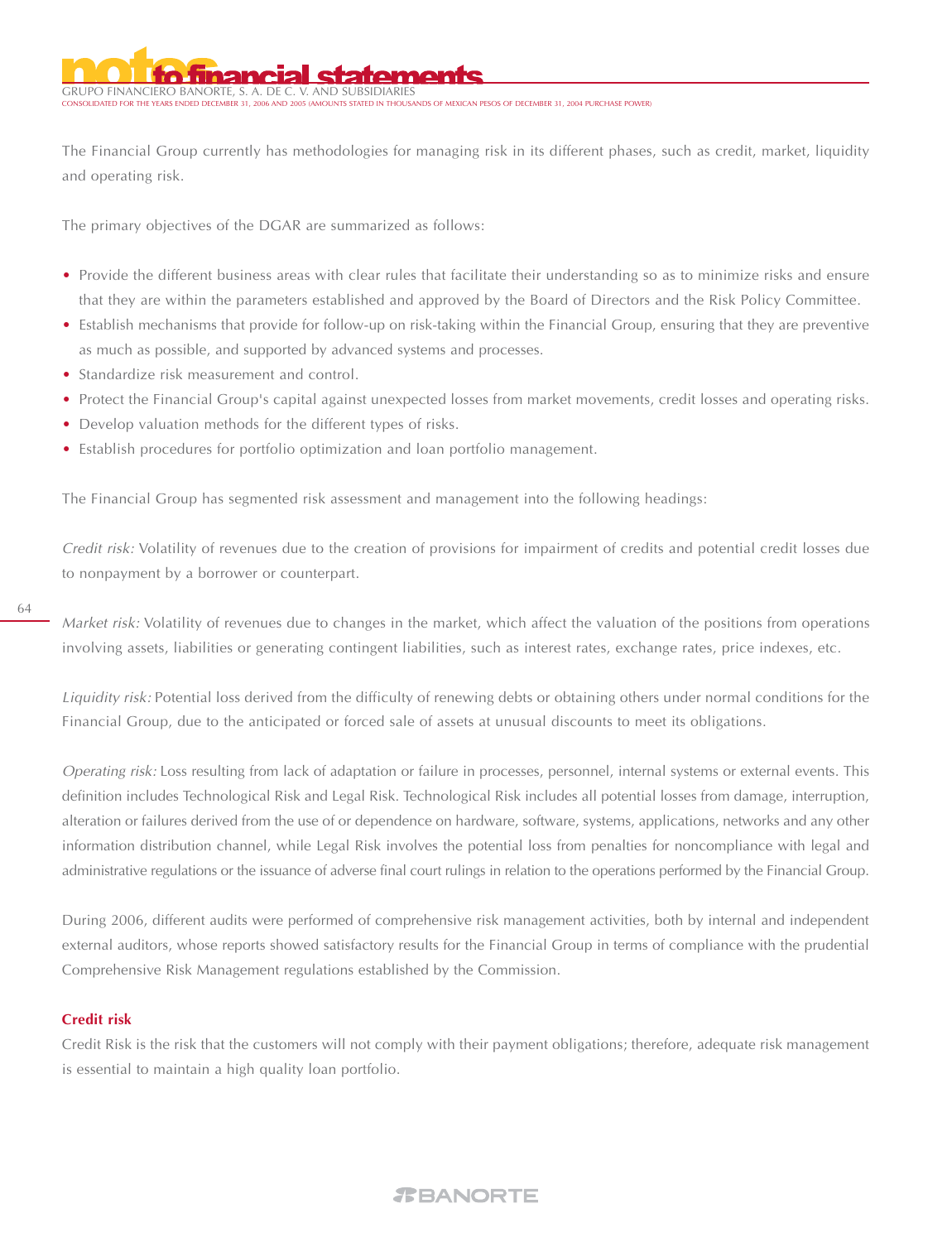GRUPO FINANCIERO BANORTE, S. A. --------<br>Thousands of mexican pesos of december 31, 2004 purchase power!

The Financial Group currently has methodologies for managing risk in its different phases, such as credit, market, liquidity and operating risk.

The primary objectives of the DGAR are summarized as follows:

- Provide the different business areas with clear rules that facilitate their understanding so as to minimize risks and ensure that they are within the parameters established and approved by the Board of Directors and the Risk Policy Committee.
- Establish mechanisms that provide for follow-up on risk-taking within the Financial Group, ensuring that they are preventive as much as possible, and supported by advanced systems and processes.
- Standardize risk measurement and control.
- Protect the Financial Group's capital against unexpected losses from market movements, credit losses and operating risks.
- Develop valuation methods for the different types of risks.
- Establish procedures for portfolio optimization and loan portfolio management.

The Financial Group has segmented risk assessment and management into the following headings:

Credit risk: Volatility of revenues due to the creation of provisions for impairment of credits and potential credit losses due to nonpayment by a borrower or counterpart.

Market risk: Volatility of revenues due to changes in the market, which affect the valuation of the positions from operations involving assets, liabilities or generating contingent liabilities, such as interest rates, exchange rates, price indexes, etc.

Liquidity risk: Potential loss derived from the difficulty of renewing debts or obtaining others under normal conditions for the Financial Group, due to the anticipated or forced sale of assets at unusual discounts to meet its obligations.

Operating risk: Loss resulting from lack of adaptation or failure in processes, personnel, internal systems or external events. This definition includes Technological Risk and Legal Risk. Technological Risk includes all potential losses from damage, interruption, alteration or failures derived from the use of or dependence on hardware, software, systems, applications, networks and any other information distribution channel, while Legal Risk involves the potential loss from penalties for noncompliance with legal and administrative regulations or the issuance of adverse final court rulings in relation to the operations performed by the Financial Group.

During 2006, different audits were performed of comprehensive risk management activities, both by internal and independent external auditors, whose reports showed satisfactory results for the Financial Group in terms of compliance with the prudential Comprehensive Risk Management regulations established by the Commission.

#### **Credit risk**

Credit Risk is the risk that the customers will not comply with their payment obligations; therefore, adequate risk management is essential to maintain a high quality loan portfolio.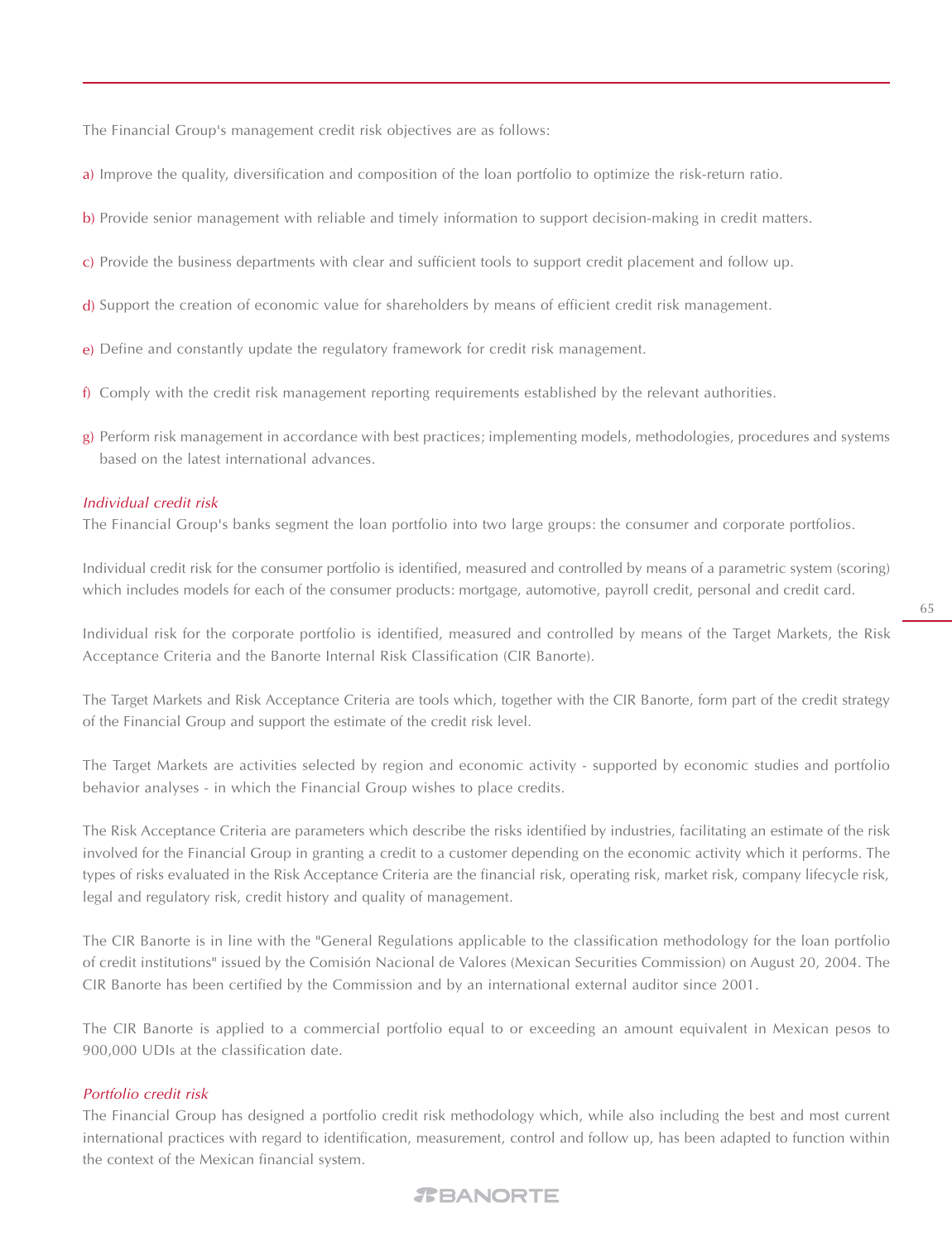The Financial Group's management credit risk objectives are as follows:

- a) Improve the quality, diversification and composition of the loan portfolio to optimize the risk-return ratio.
- Provide senior management with reliable and timely information to support decision-making in credit matters. b)
- Provide the business departments with clear and sufficient tools to support credit placement and follow up. c)
- **d**) Support the creation of economic value for shareholders by means of efficient credit risk management.
- e) Define and constantly update the regulatory framework for credit risk management.
- Comply with the credit risk management reporting requirements established by the relevant authorities. f)
- Perform risk management in accordance with best practices; implementing models, methodologies, procedures and systems g)based on the latest international advances.

#### Individual credit risk

The Financial Group's banks segment the loan portfolio into two large groups: the consumer and corporate portfolios.

Individual credit risk for the consumer portfolio is identified, measured and controlled by means of a parametric system (scoring) which includes models for each of the consumer products: mortgage, automotive, payroll credit, personal and credit card.

Individual risk for the corporate portfolio is identified, measured and controlled by means of the Target Markets, the Risk Acceptance Criteria and the Banorte Internal Risk Classification (CIR Banorte).

The Target Markets and Risk Acceptance Criteria are tools which, together with the CIR Banorte, form part of the credit strategy of the Financial Group and support the estimate of the credit risk level.

The Target Markets are activities selected by region and economic activity - supported by economic studies and portfolio behavior analyses - in which the Financial Group wishes to place credits.

The Risk Acceptance Criteria are parameters which describe the risks identified by industries, facilitating an estimate of the risk involved for the Financial Group in granting a credit to a customer depending on the economic activity which it performs. The types of risks evaluated in the Risk Acceptance Criteria are the financial risk, operating risk, market risk, company lifecycle risk, legal and regulatory risk, credit history and quality of management.

The CIR Banorte is in line with the "General Regulations applicable to the classification methodology for the loan portfolio of credit institutions" issued by the Comisión Nacional de Valores (Mexican Securities Commission) on August 20, 2004. The CIR Banorte has been certified by the Commission and by an international external auditor since 2001.

The CIR Banorte is applied to a commercial portfolio equal to or exceeding an amount equivalent in Mexican pesos to 900,000 UDIs at the classification date.

#### Portfolio credit risk

The Financial Group has designed a portfolio credit risk methodology which, while also including the best and most current international practices with regard to identification, measurement, control and follow up, has been adapted to function within the context of the Mexican financial system.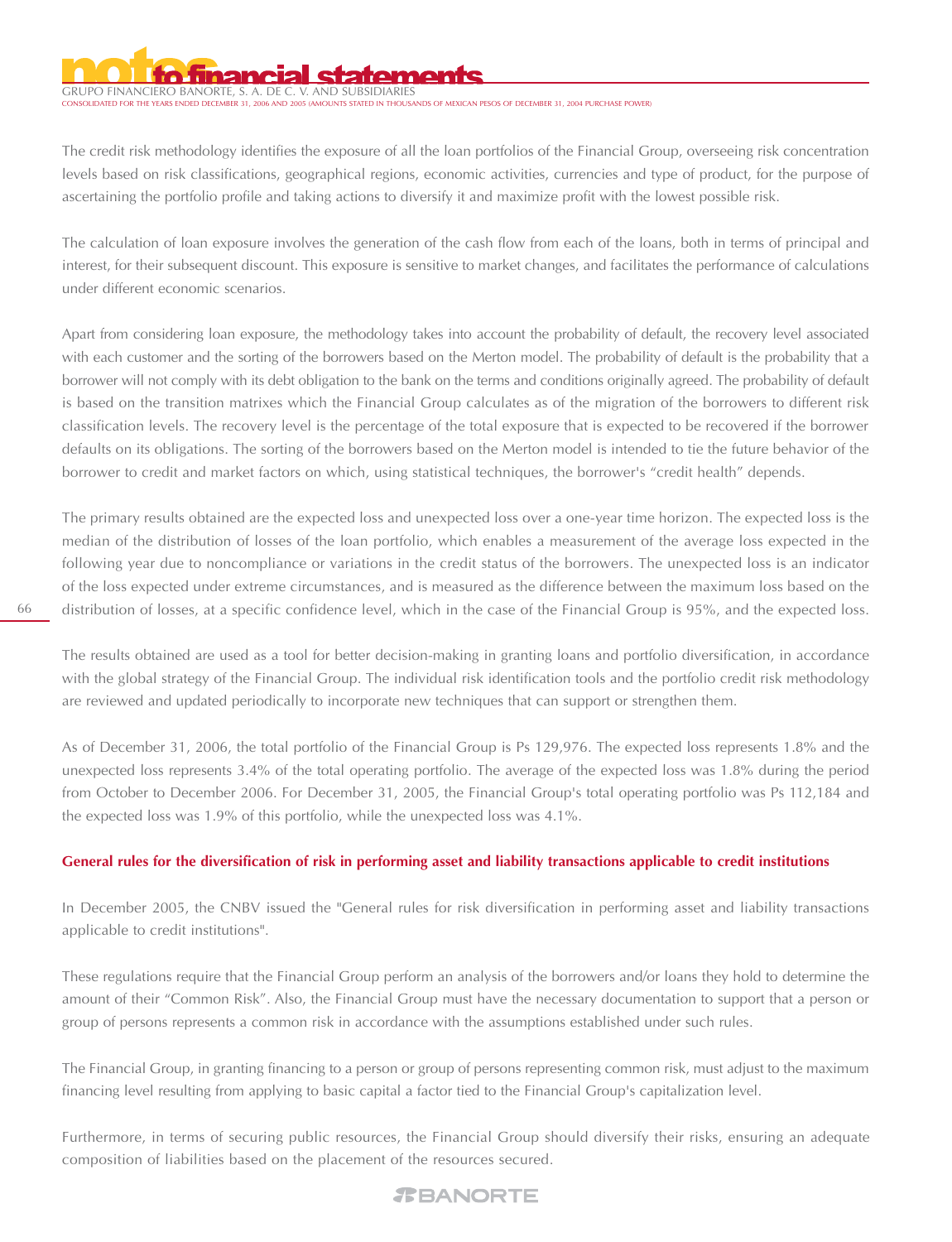# GRUPO FINANCIERO BANORTE, S. A. DE C

 $C = 2.44 \times 10^{11}$  amounts the Years of Mexican pesos of december 31, 2004 purchase power)

The credit risk methodology identifies the exposure of all the loan portfolios of the Financial Group, overseeing risk concentration levels based on risk classifications, geographical regions, economic activities, currencies and type of product, for the purpose of ascertaining the portfolio profile and taking actions to diversify it and maximize profit with the lowest possible risk.

The calculation of loan exposure involves the generation of the cash flow from each of the loans, both in terms of principal and interest, for their subsequent discount. This exposure is sensitive to market changes, and facilitates the performance of calculations under different economic scenarios.

Apart from considering loan exposure, the methodology takes into account the probability of default, the recovery level associated with each customer and the sorting of the borrowers based on the Merton model. The probability of default is the probability that a borrower will not comply with its debt obligation to the bank on the terms and conditions originally agreed. The probability of default is based on the transition matrixes which the Financial Group calculates as of the migration of the borrowers to different risk classification levels. The recovery level is the percentage of the total exposure that is expected to be recovered if the borrower defaults on its obligations. The sorting of the borrowers based on the Merton model is intended to tie the future behavior of the borrower to credit and market factors on which, using statistical techniques, the borrower's "credit health" depends.

The primary results obtained are the expected loss and unexpected loss over a one-year time horizon. The expected loss is the median of the distribution of losses of the loan portfolio, which enables a measurement of the average loss expected in the following year due to noncompliance or variations in the credit status of the borrowers. The unexpected loss is an indicator of the loss expected under extreme circumstances, and is measured as the difference between the maximum loss based on the distribution of losses, at a specific confidence level, which in the case of the Financial Group is 95%, and the expected loss.

The results obtained are used as a tool for better decision-making in granting loans and portfolio diversification, in accordance with the global strategy of the Financial Group. The individual risk identification tools and the portfolio credit risk methodology are reviewed and updated periodically to incorporate new techniques that can support or strengthen them.

As of December 31, 2006, the total portfolio of the Financial Group is Ps 129,976. The expected loss represents 1.8% and the unexpected loss represents 3.4% of the total operating portfolio. The average of the expected loss was 1.8% during the period from October to December 2006. For December 31, 2005, the Financial Group's total operating portfolio was Ps 112,184 and the expected loss was 1.9% of this portfolio, while the unexpected loss was 4.1%.

#### **General rules for the diversification of risk in performing asset and liability transactions applicable to credit institutions**

In December 2005, the CNBV issued the "General rules for risk diversification in performing asset and liability transactions applicable to credit institutions".

These regulations require that the Financial Group perform an analysis of the borrowers and/or loans they hold to determine the amount of their "Common Risk". Also, the Financial Group must have the necessary documentation to support that a person or group of persons represents a common risk in accordance with the assumptions established under such rules.

The Financial Group, in granting financing to a person or group of persons representing common risk, must adjust to the maximum financing level resulting from applying to basic capital a factor tied to the Financial Group's capitalization level.

Furthermore, in terms of securing public resources, the Financial Group should diversify their risks, ensuring an adequate composition of liabilities based on the placement of the resources secured.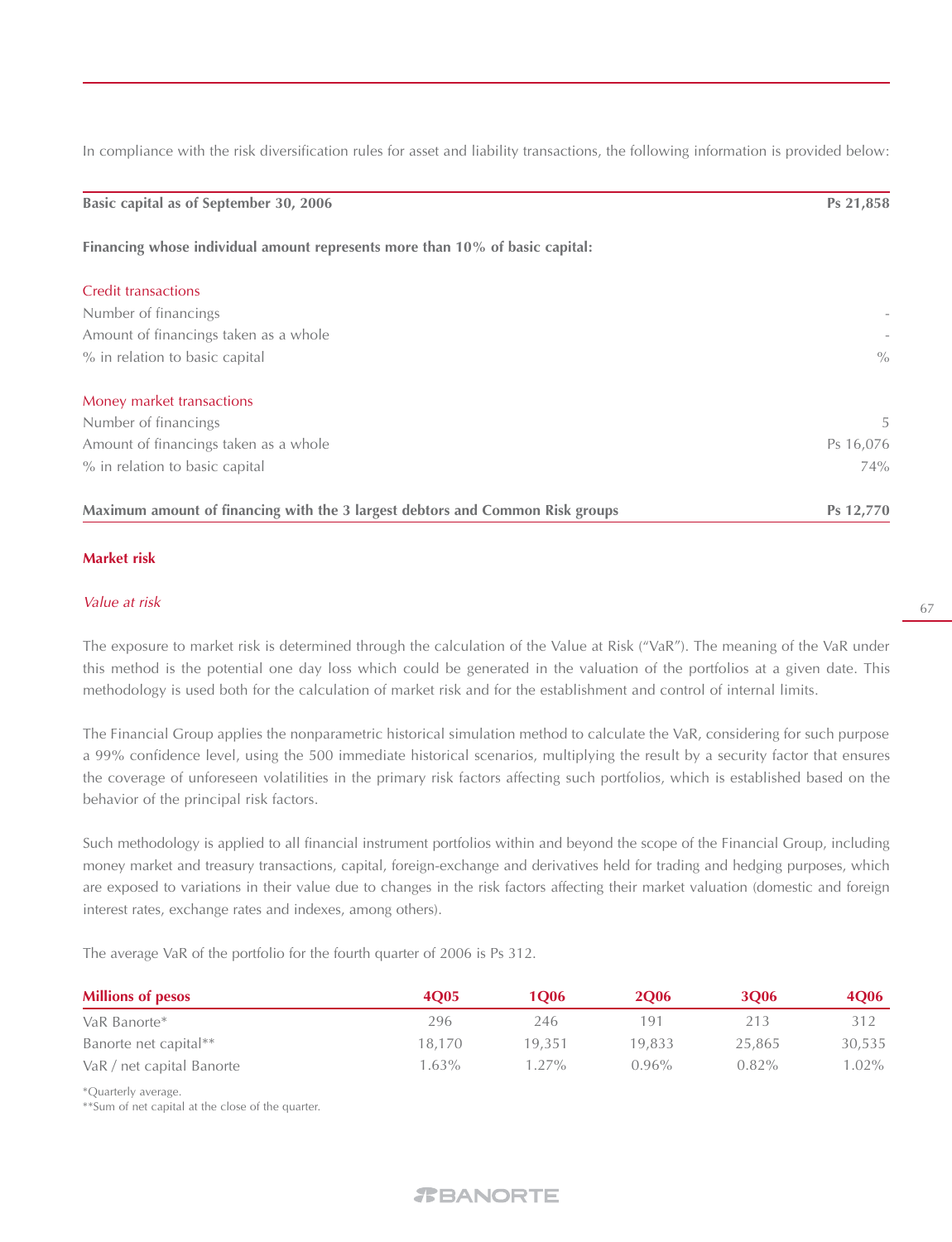In compliance with the risk diversification rules for asset and liability transactions, the following information is provided below:

| Basic capital as of September 30, 2006                                        | Ps 21,858     |
|-------------------------------------------------------------------------------|---------------|
| Financing whose individual amount represents more than 10% of basic capital:  |               |
| <b>Credit transactions</b>                                                    |               |
| Number of financings                                                          |               |
| Amount of financings taken as a whole                                         |               |
| % in relation to basic capital                                                | $\frac{0}{0}$ |
| Money market transactions                                                     |               |
| Number of financings                                                          | 5             |
| Amount of financings taken as a whole                                         | Ps 16,076     |
| % in relation to basic capital                                                | 74%           |
| Maximum amount of financing with the 3 largest debtors and Common Risk groups | Ps 12,770     |

#### **Market risk**

#### Value at risk

The exposure to market risk is determined through the calculation of the Value at Risk ("VaR"). The meaning of the VaR under this method is the potential one day loss which could be generated in the valuation of the portfolios at a given date. This methodology is used both for the calculation of market risk and for the establishment and control of internal limits.

The Financial Group applies the nonparametric historical simulation method to calculate the VaR, considering for such purpose a 99% confidence level, using the 500 immediate historical scenarios, multiplying the result by a security factor that ensures the coverage of unforeseen volatilities in the primary risk factors affecting such portfolios, which is established based on the behavior of the principal risk factors.

Such methodology is applied to all financial instrument portfolios within and beyond the scope of the Financial Group, including money market and treasury transactions, capital, foreign-exchange and derivatives held for trading and hedging purposes, which are exposed to variations in their value due to changes in the risk factors affecting their market valuation (domestic and foreign interest rates, exchange rates and indexes, among others).

The average VaR of the portfolio for the fourth quarter of 2006 is Ps 312.

| <b>Millions of pesos</b>  | <b>4005</b> | 1006   | <b>2O06</b> | <b>3O06</b> | <b>4O06</b> |
|---------------------------|-------------|--------|-------------|-------------|-------------|
| VaR Banorte*              | 296         | 246    | 191         | 213         | 312         |
| Banorte net capital**     | 18,170      | 19.351 | 19.833      | 25,865      | 30,535      |
| VaR / net capital Banorte | $63\%$      | 1.27%  | $0.96\%$    | $0.82\%$    | 1.02%       |

\*Quarterly average.

\*\*Sum of net capital at the close of the quarter.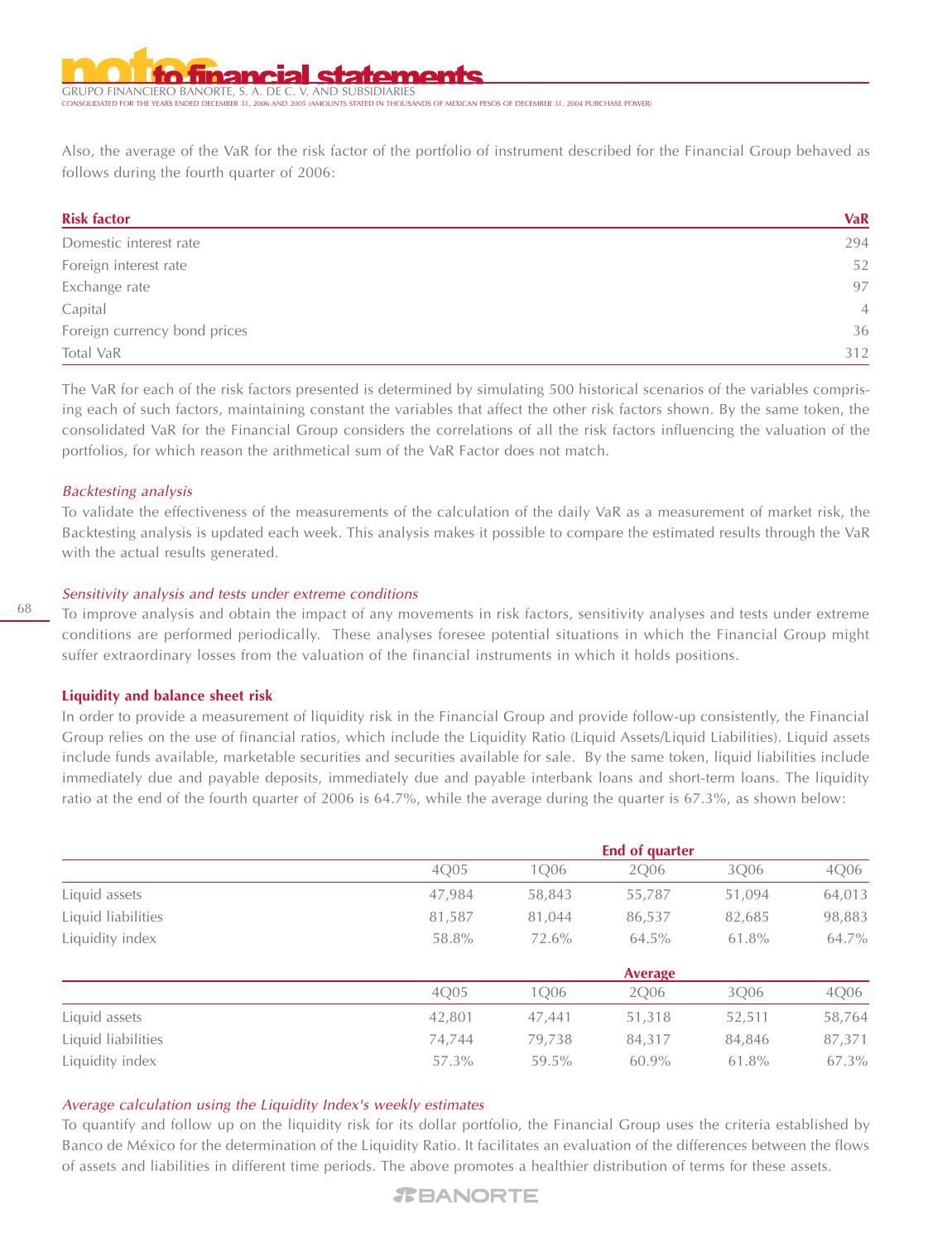GRUPO FINANCIERO BANORTE, S. A. DE C. V. AND SUBSIDIARIES CONDITION THE YEARS OF MEXICAN PESOS OF DECEMBER 31, 2004 PURCHASE POWER!<br>STATED IN THOUSANDS OF MEXICAN PESOS OF DECEMBER 31, 2004 PURCHASE POWER!

Also, the average of the VaR for the risk factor of the portfolio of instrument described for the Financial Group behaved as follows during the fourth quarter of 2006:

| <b>Risk factor</b>           | <b>VaR</b>     |
|------------------------------|----------------|
| Domestic interest rate       | 294            |
| Foreign interest rate        | 52             |
| Exchange rate                | 97             |
| Capital                      | $\overline{4}$ |
| Foreign currency bond prices | 36             |
| Total VaR                    | 312            |

The VaR for each of the risk factors presented is determined by simulating 500 historical scenarios of the variables comprising each of such factors, maintaining constant the variables that affect the other risk factors shown. By the same token, the consolidated VaR for the Financial Group considers the correlations of all the risk factors influencing the valuation of the portfolios, for which reason the arithmetical sum of the VaR Factor does not match.

#### Backtesting analysis

To validate the effectiveness of the measurements of the calculation of the daily VaR as a measurement of market risk, the Backtesting analysis is updated each week. This analysis makes it possible to compare the estimated results through the VaR with the actual results generated.

#### Sensitivity analysis and tests under extreme conditions

To improve analysis and obtain the impact of any movements in risk factors, sensitivity analyses and tests under extreme conditions are performed periodically. These analyses foresee potential situations in which the Financial Group might suffer extraordinary losses from the valuation of the financial instruments in which it holds positions.

#### **Liquidity and balance sheet risk**

In order to provide a measurement of liquidity risk in the Financial Group and provide follow-up consistently, the Financial Group relies on the use of financial ratios, which include the Liquidity Ratio (Liquid Assets/Liquid Liabilities). Liquid assets include funds available, marketable securities and securities available for sale. By the same token, liquid liabilities include immediately due and payable deposits, immediately due and payable interbank loans and short-term loans. The liquidity ratio at the end of the fourth quarter of 2006 is 64.7%, while the average during the quarter is 67.3%, as shown below:

|                    |        |        | <b>End of quarter</b> |        |        |
|--------------------|--------|--------|-----------------------|--------|--------|
|                    | 4Q05   | 1Q06   | 2Q06                  | 3Q06   | 4Q06   |
| Liquid assets      | 47,984 | 58,843 | 55,787                | 51,094 | 64,013 |
| Liquid liabilities | 81,587 | 81,044 | 86,537                | 82,685 | 98,883 |
| Liquidity index    | 58.8%  | 72.6%  | 64.5%                 | 61.8%  | 64.7%  |
|                    |        |        | <b>Average</b>        |        |        |
|                    | 4Q05   | 1Q06   | 2Q06                  | 3Q06   | 4Q06   |
| Liquid assets      | 42,801 | 47,441 | 51,318                | 52,511 | 58,764 |
| Liquid liabilities | 74,744 | 79,738 | 84,317                | 84,846 | 87,371 |
| Liquidity index    | 57.3%  | 59.5%  | $60.9\%$              | 61.8%  | 67.3%  |

#### Average calculation using the Liquidity Index's weekly estimates

To quantify and follow up on the liquidity risk for its dollar portfolio, the Financial Group uses the criteria established by Banco de México for the determination of the Liquidity Ratio. It facilitates an evaluation of the differences between the flows of assets and liabilities in different time periods. The above promotes a healthier distribution of terms for these assets.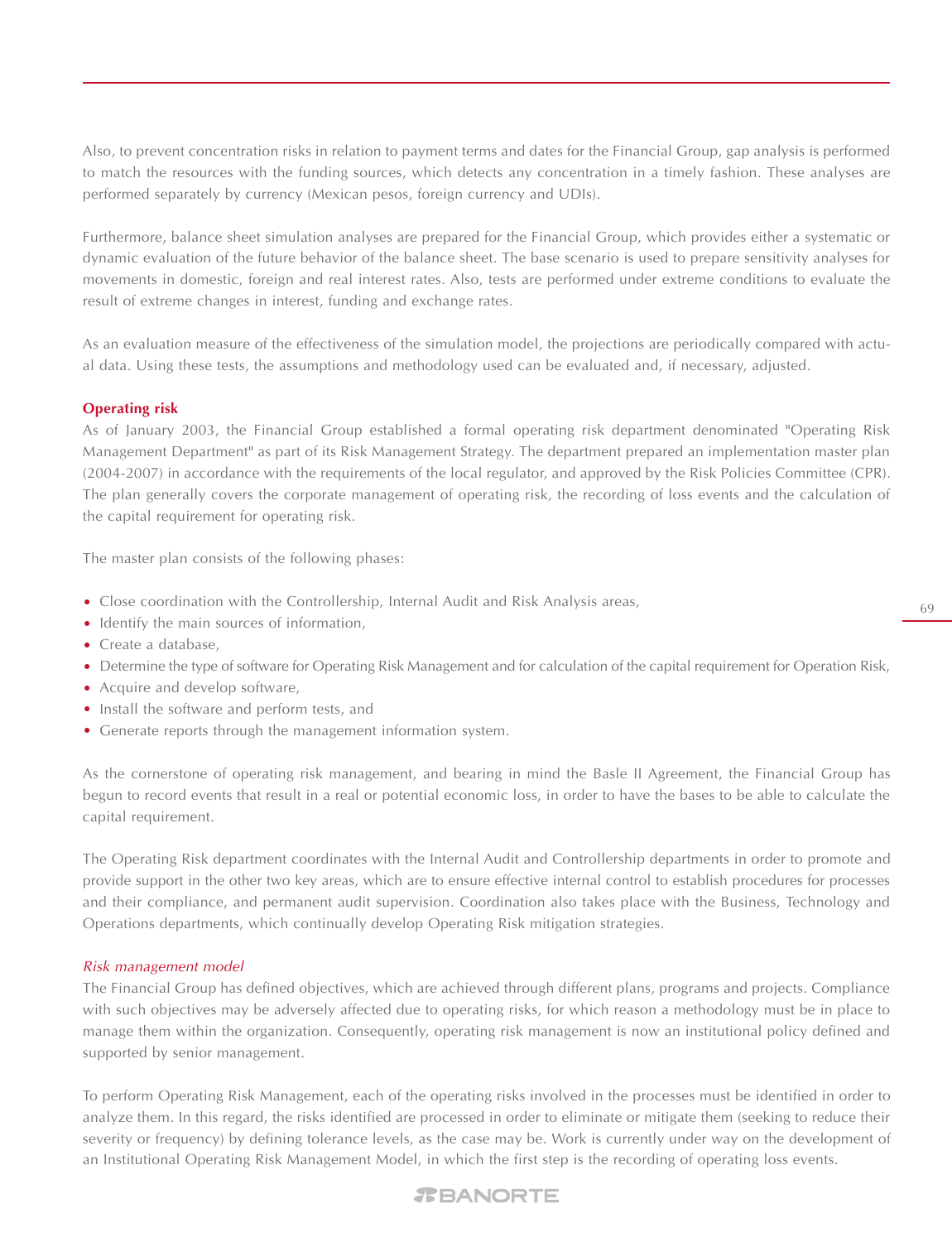Also, to prevent concentration risks in relation to payment terms and dates for the Financial Group, gap analysis is performed to match the resources with the funding sources, which detects any concentration in a timely fashion. These analyses are performed separately by currency (Mexican pesos, foreign currency and UDIs).

Furthermore, balance sheet simulation analyses are prepared for the Financial Group, which provides either a systematic or dynamic evaluation of the future behavior of the balance sheet. The base scenario is used to prepare sensitivity analyses for movements in domestic, foreign and real interest rates. Also, tests are performed under extreme conditions to evaluate the result of extreme changes in interest, funding and exchange rates.

As an evaluation measure of the effectiveness of the simulation model, the projections are periodically compared with actual data. Using these tests, the assumptions and methodology used can be evaluated and, if necessary, adjusted.

#### **Operating risk**

As of January 2003, the Financial Group established a formal operating risk department denominated "Operating Risk Management Department" as part of its Risk Management Strategy. The department prepared an implementation master plan (2004-2007) in accordance with the requirements of the local regulator, and approved by the Risk Policies Committee (CPR). The plan generally covers the corporate management of operating risk, the recording of loss events and the calculation of the capital requirement for operating risk.

The master plan consists of the following phases:

- Close coordination with the Controllership, Internal Audit and Risk Analysis areas,
- Identify the main sources of information,
- Create a database,
- Determine the type of software for Operating Risk Management and for calculation of the capital requirement for Operation Risk,
- Acquire and develop software,
- Install the software and perform tests, and
- Generate reports through the management information system.

As the cornerstone of operating risk management, and bearing in mind the Basle II Agreement, the Financial Group has begun to record events that result in a real or potential economic loss, in order to have the bases to be able to calculate the capital requirement.

The Operating Risk department coordinates with the Internal Audit and Controllership departments in order to promote and provide support in the other two key areas, which are to ensure effective internal control to establish procedures for processes and their compliance, and permanent audit supervision. Coordination also takes place with the Business, Technology and Operations departments, which continually develop Operating Risk mitigation strategies.

#### Risk management model

The Financial Group has defined objectives, which are achieved through different plans, programs and projects. Compliance with such objectives may be adversely affected due to operating risks, for which reason a methodology must be in place to manage them within the organization. Consequently, operating risk management is now an institutional policy defined and supported by senior management.

To perform Operating Risk Management, each of the operating risks involved in the processes must be identified in order to analyze them. In this regard, the risks identified are processed in order to eliminate or mitigate them (seeking to reduce their severity or frequency) by defining tolerance levels, as the case may be. Work is currently under way on the development of an Institutional Operating Risk Management Model, in which the first step is the recording of operating loss events.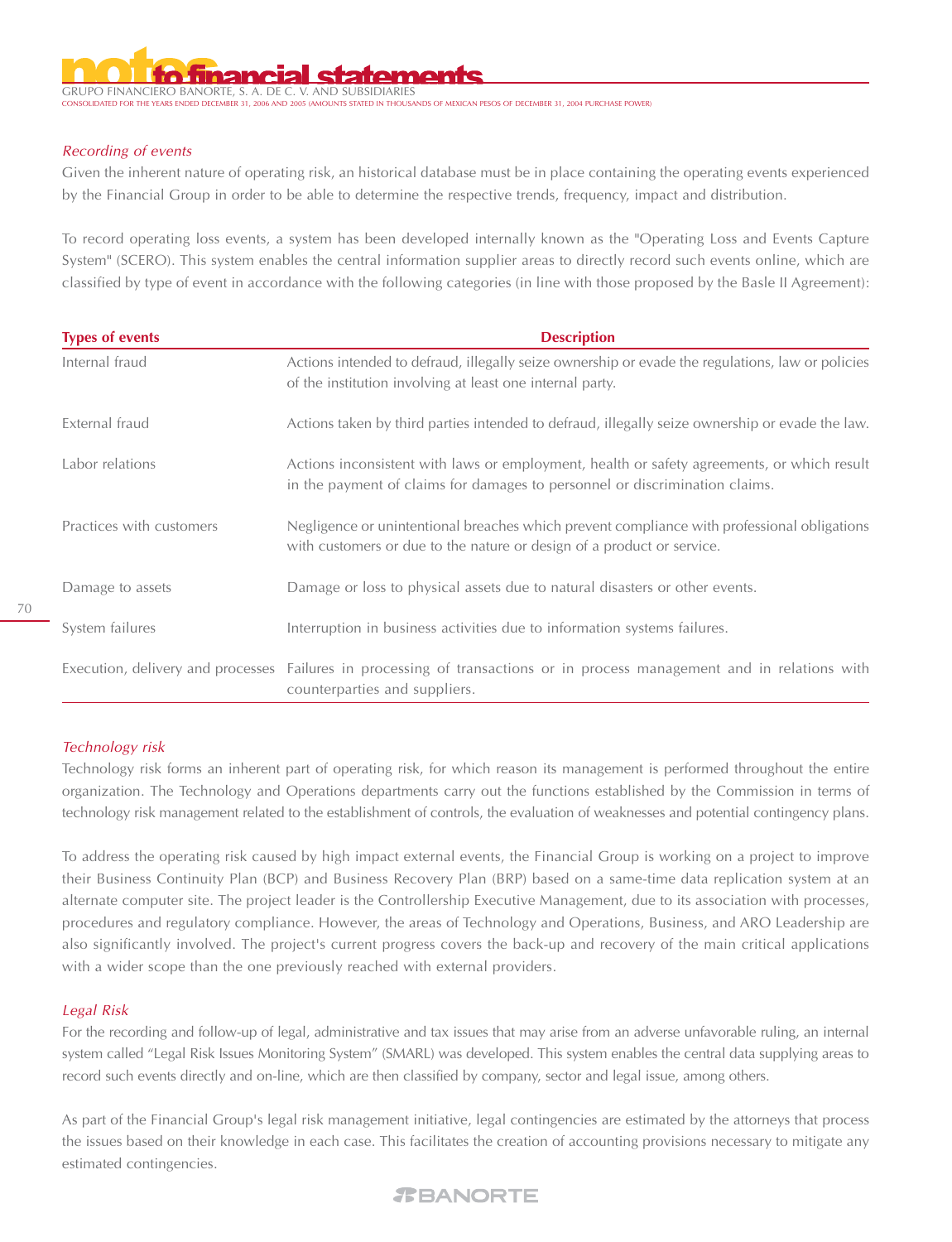GRUPO FINANCIERO BANORTE, S. A. DE C. V. AND SUBSIDIARIES .<br>COUNTS STATED IN THOUSANDS OF MEXICAN PESOS OF DECEMBER 31, 2004 PURCHASE POWER A

#### Recording of events

Given the inherent nature of operating risk, an historical database must be in place containing the operating events experienced by the Financial Group in order to be able to determine the respective trends, frequency, impact and distribution.

To record operating loss events, a system has been developed internally known as the "Operating Loss and Events Capture System" (SCERO). This system enables the central information supplier areas to directly record such events online, which are classified by type of event in accordance with the following categories (in line with those proposed by the Basle II Agreement):

| <b>Types of events</b>   | <b>Description</b>                                                                                                                                                        |
|--------------------------|---------------------------------------------------------------------------------------------------------------------------------------------------------------------------|
| Internal fraud           | Actions intended to defraud, illegally seize ownership or evade the regulations, law or policies<br>of the institution involving at least one internal party.             |
| External fraud           | Actions taken by third parties intended to defraud, illegally seize ownership or evade the law.                                                                           |
| Labor relations          | Actions inconsistent with laws or employment, health or safety agreements, or which result<br>in the payment of claims for damages to personnel or discrimination claims. |
| Practices with customers | Negligence or unintentional breaches which prevent compliance with professional obligations<br>with customers or due to the nature or design of a product or service.     |
| Damage to assets         | Damage or loss to physical assets due to natural disasters or other events.                                                                                               |
| System failures          | Interruption in business activities due to information systems failures.                                                                                                  |
|                          | Execution, delivery and processes Failures in processing of transactions or in process management and in relations with<br>counterparties and suppliers.                  |

#### Technology risk

Technology risk forms an inherent part of operating risk, for which reason its management is performed throughout the entire organization. The Technology and Operations departments carry out the functions established by the Commission in terms of technology risk management related to the establishment of controls, the evaluation of weaknesses and potential contingency plans.

To address the operating risk caused by high impact external events, the Financial Group is working on a project to improve their Business Continuity Plan (BCP) and Business Recovery Plan (BRP) based on a same-time data replication system at an alternate computer site. The project leader is the Controllership Executive Management, due to its association with processes, procedures and regulatory compliance. However, the areas of Technology and Operations, Business, and ARO Leadership are also significantly involved. The project's current progress covers the back-up and recovery of the main critical applications with a wider scope than the one previously reached with external providers.

#### Legal Risk

For the recording and follow-up of legal, administrative and tax issues that may arise from an adverse unfavorable ruling, an internal system called "Legal Risk Issues Monitoring System" (SMARL) was developed. This system enables the central data supplying areas to record such events directly and on-line, which are then classified by company, sector and legal issue, among others.

As part of the Financial Group's legal risk management initiative, legal contingencies are estimated by the attorneys that process the issues based on their knowledge in each case. This facilitates the creation of accounting provisions necessary to mitigate any estimated contingencies.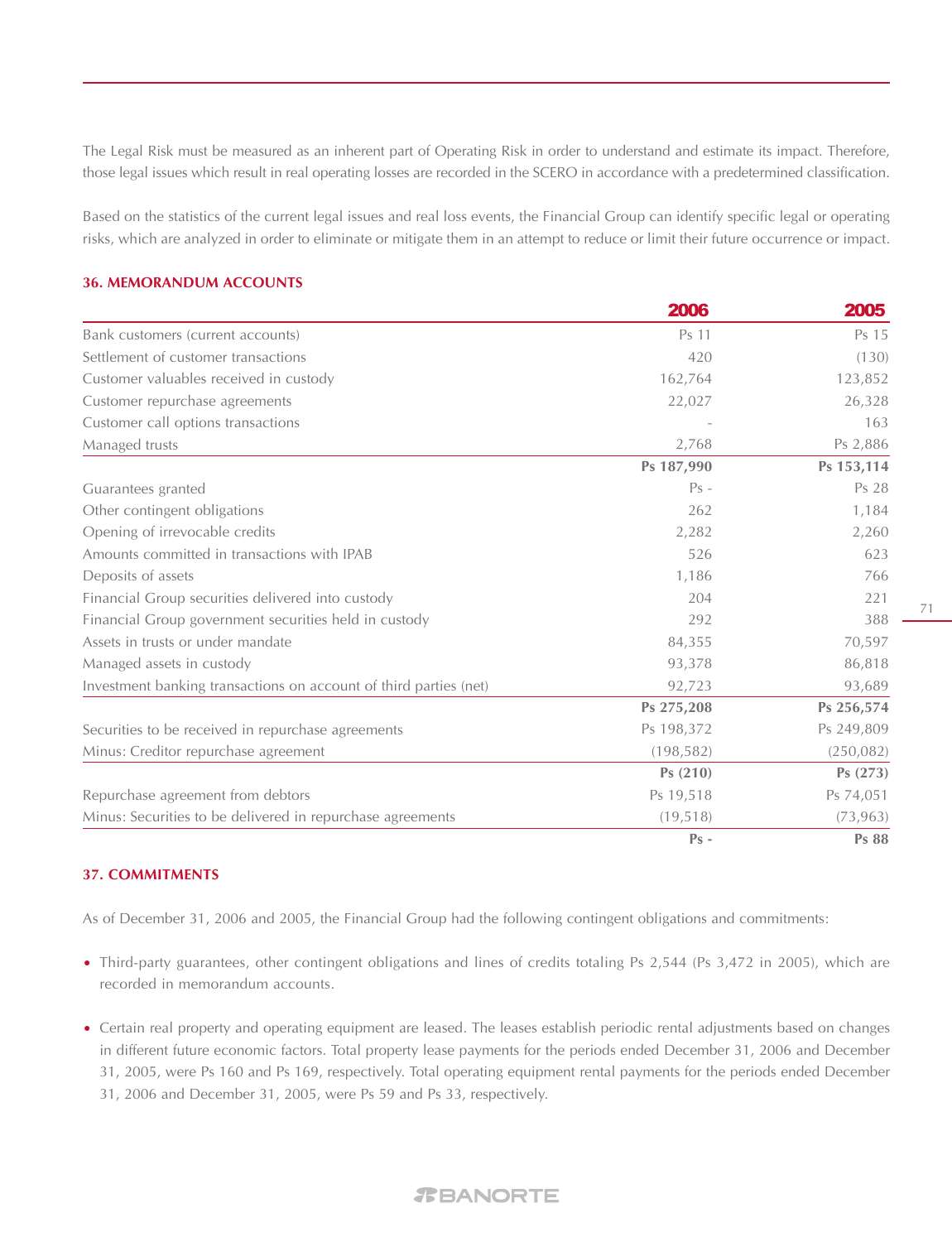The Legal Risk must be measured as an inherent part of Operating Risk in order to understand and estimate its impact. Therefore, those legal issues which result in real operating losses are recorded in the SCERO in accordance with a predetermined classification.

Based on the statistics of the current legal issues and real loss events, the Financial Group can identify specific legal or operating risks, which are analyzed in order to eliminate or mitigate them in an attempt to reduce or limit their future occurrence or impact.

#### **36. MEMORANDUM ACCOUNTS**

|                                                                   | 2006       | 2005         |
|-------------------------------------------------------------------|------------|--------------|
| Bank customers (current accounts)                                 | Ps 11      | Ps 15        |
| Settlement of customer transactions                               | 420        | (130)        |
| Customer valuables received in custody                            | 162,764    | 123,852      |
| Customer repurchase agreements                                    | 22,027     | 26,328       |
| Customer call options transactions                                |            | 163          |
| Managed trusts                                                    | 2,768      | Ps 2,886     |
|                                                                   | Ps 187,990 | Ps 153,114   |
| Guarantees granted                                                | $Ps -$     | Ps 28        |
| Other contingent obligations                                      | 262        | 1,184        |
| Opening of irrevocable credits                                    | 2,282      | 2,260        |
| Amounts committed in transactions with IPAB                       | 526        | 623          |
| Deposits of assets                                                | 1,186      | 766          |
| Financial Group securities delivered into custody                 | 204        | 221          |
| Financial Group government securities held in custody             | 292        | 388          |
| Assets in trusts or under mandate                                 | 84,355     | 70,597       |
| Managed assets in custody                                         | 93,378     | 86,818       |
| Investment banking transactions on account of third parties (net) | 92,723     | 93,689       |
|                                                                   | Ps 275,208 | Ps 256,574   |
| Securities to be received in repurchase agreements                | Ps 198,372 | Ps 249,809   |
| Minus: Creditor repurchase agreement                              | (198, 582) | (250, 082)   |
|                                                                   | Ps (210)   | Ps(273)      |
| Repurchase agreement from debtors                                 | Ps 19,518  | Ps 74,051    |
| Minus: Securities to be delivered in repurchase agreements        | (19, 518)  | (73, 963)    |
|                                                                   | $Ps -$     | <b>Ps 88</b> |

#### **37. COMMITMENTS**

As of December 31, 2006 and 2005, the Financial Group had the following contingent obligations and commitments:

- Third-party guarantees, other contingent obligations and lines of credits totaling Ps 2,544 (Ps 3,472 in 2005), which are recorded in memorandum accounts.
- Certain real property and operating equipment are leased. The leases establish periodic rental adjustments based on changes in different future economic factors. Total property lease payments for the periods ended December 31, 2006 and December 31, 2005, were Ps 160 and Ps 169, respectively. Total operating equipment rental payments for the periods ended December 31, 2006 and December 31, 2005, were Ps 59 and Ps 33, respectively.

#### 71